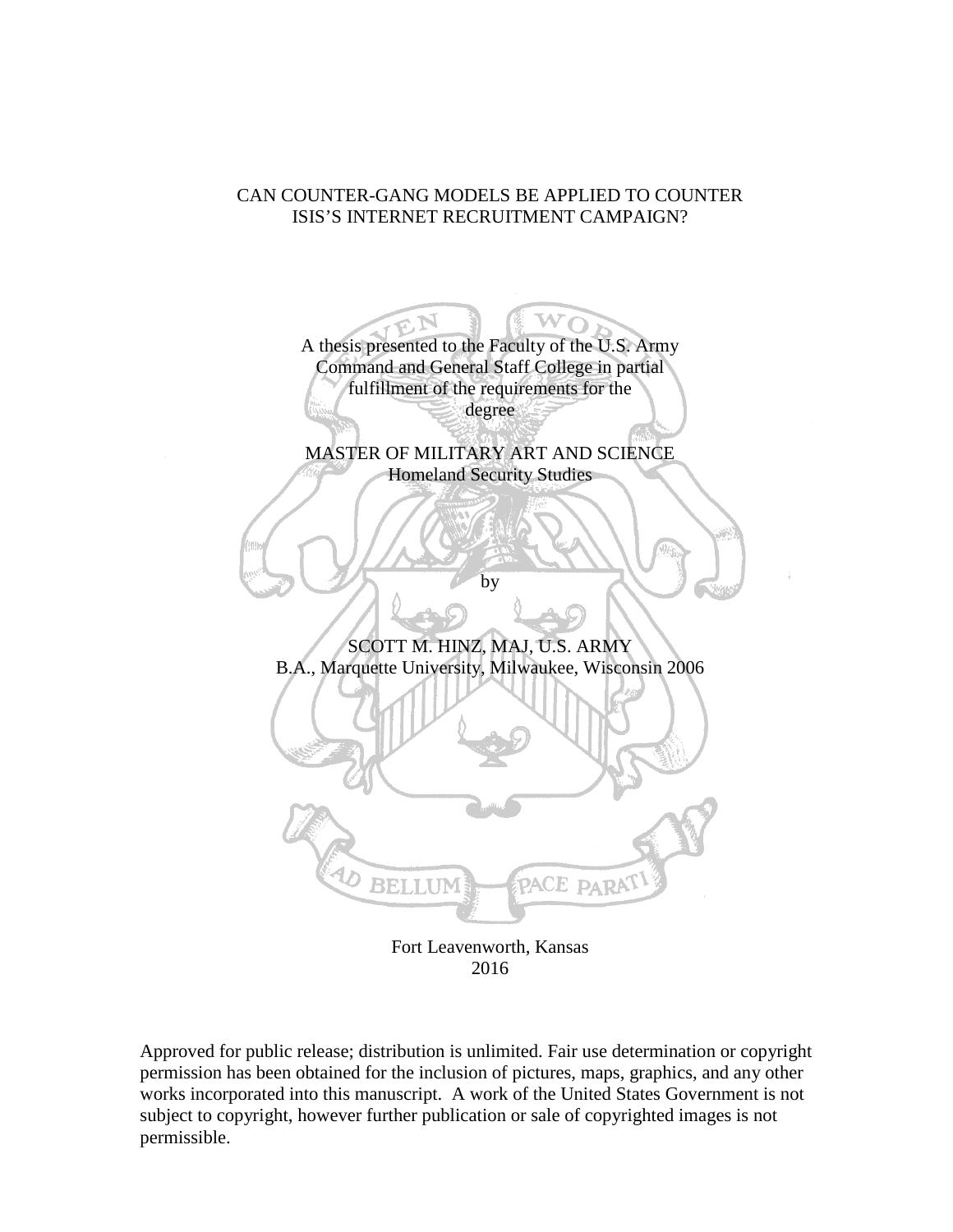# CAN COUNTER-GANG MODELS BE APPLIED TO COUNTER ISIS'S INTERNET RECRUITMENT CAMPAIGN?



2016

Approved for public release; distribution is unlimited. Fair use determination or copyright permission has been obtained for the inclusion of pictures, maps, graphics, and any other works incorporated into this manuscript. A work of the United States Government is not subject to copyright, however further publication or sale of copyrighted images is not permissible.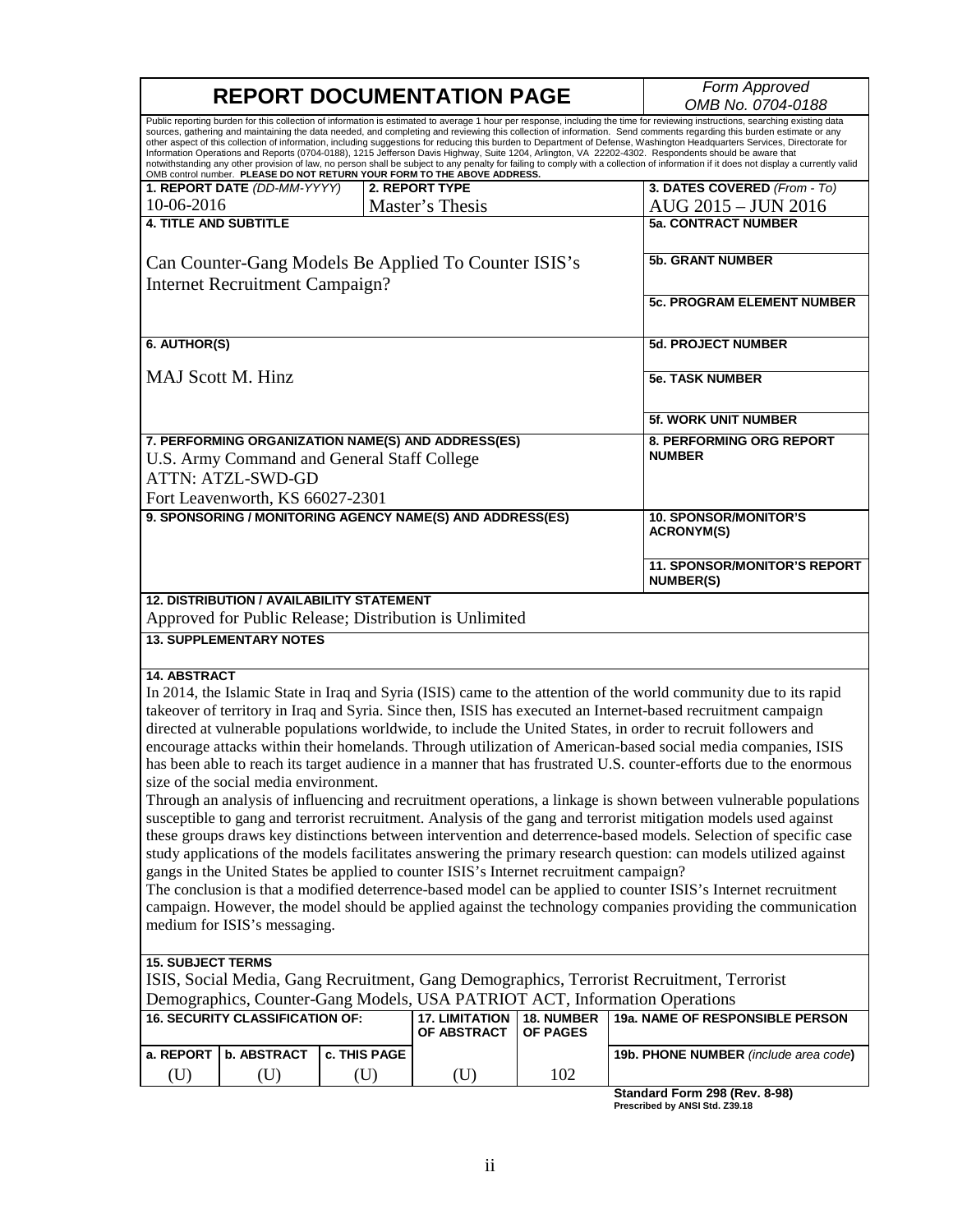| <b>REPORT DOCUMENTATION PAGE</b>                                                                                                                                                                    |                                                  |              |                                                                                        |                         | Form Approved                                                                                                                                                                                                                                                                                                                      |
|-----------------------------------------------------------------------------------------------------------------------------------------------------------------------------------------------------|--------------------------------------------------|--------------|----------------------------------------------------------------------------------------|-------------------------|------------------------------------------------------------------------------------------------------------------------------------------------------------------------------------------------------------------------------------------------------------------------------------------------------------------------------------|
| OMB No. 0704-0188<br>Public reporting burden for this collection of information is estimated to average 1 hour per response, including the time for reviewing instructions, searching existing data |                                                  |              |                                                                                        |                         |                                                                                                                                                                                                                                                                                                                                    |
|                                                                                                                                                                                                     |                                                  |              |                                                                                        |                         | sources, gathering and maintaining the data needed, and completing and reviewing this collection of information. Send comments regarding this burden estimate or any                                                                                                                                                               |
|                                                                                                                                                                                                     |                                                  |              |                                                                                        |                         | other aspect of this collection of information, including suggestions for reducing this burden to Department of Defense, Washington Headquarters Services, Directorate for<br>Information Operations and Reports (0704-0188), 1215 Jefferson Davis Highway, Suite 1204, Arlington, VA 22202-4302. Respondents should be aware that |
|                                                                                                                                                                                                     |                                                  |              | OMB control number. PLEASE DO NOT RETURN YOUR FORM TO THE ABOVE ADDRESS.               |                         | notwithstanding any other provision of law, no person shall be subject to any penalty for failing to comply with a collection of information if it does not display a currently valid                                                                                                                                              |
|                                                                                                                                                                                                     | 1. REPORT DATE (DD-MM-YYYY)                      |              | 2. REPORT TYPE                                                                         |                         | 3. DATES COVERED (From - To)                                                                                                                                                                                                                                                                                                       |
| 10-06-2016                                                                                                                                                                                          |                                                  |              | Master's Thesis                                                                        |                         | AUG 2015 - JUN 2016                                                                                                                                                                                                                                                                                                                |
| <b>4. TITLE AND SUBTITLE</b>                                                                                                                                                                        |                                                  |              |                                                                                        |                         | <b>5a. CONTRACT NUMBER</b>                                                                                                                                                                                                                                                                                                         |
|                                                                                                                                                                                                     |                                                  |              |                                                                                        |                         |                                                                                                                                                                                                                                                                                                                                    |
| Can Counter-Gang Models Be Applied To Counter ISIS's                                                                                                                                                |                                                  |              |                                                                                        | <b>5b. GRANT NUMBER</b> |                                                                                                                                                                                                                                                                                                                                    |
| Internet Recruitment Campaign?                                                                                                                                                                      |                                                  |              |                                                                                        |                         |                                                                                                                                                                                                                                                                                                                                    |
|                                                                                                                                                                                                     |                                                  |              |                                                                                        |                         | <b>5c. PROGRAM ELEMENT NUMBER</b>                                                                                                                                                                                                                                                                                                  |
|                                                                                                                                                                                                     |                                                  |              |                                                                                        |                         |                                                                                                                                                                                                                                                                                                                                    |
| 6. AUTHOR(S)                                                                                                                                                                                        |                                                  |              |                                                                                        |                         | <b>5d. PROJECT NUMBER</b>                                                                                                                                                                                                                                                                                                          |
|                                                                                                                                                                                                     |                                                  |              |                                                                                        |                         |                                                                                                                                                                                                                                                                                                                                    |
| <b>MAJ Scott M. Hinz</b>                                                                                                                                                                            |                                                  |              |                                                                                        |                         | <b>5e. TASK NUMBER</b>                                                                                                                                                                                                                                                                                                             |
|                                                                                                                                                                                                     |                                                  |              |                                                                                        |                         |                                                                                                                                                                                                                                                                                                                                    |
|                                                                                                                                                                                                     |                                                  |              |                                                                                        |                         |                                                                                                                                                                                                                                                                                                                                    |
|                                                                                                                                                                                                     |                                                  |              |                                                                                        |                         | <b>5f. WORK UNIT NUMBER</b>                                                                                                                                                                                                                                                                                                        |
|                                                                                                                                                                                                     |                                                  |              | 7. PERFORMING ORGANIZATION NAME(S) AND ADDRESS(ES)                                     |                         | 8. PERFORMING ORG REPORT                                                                                                                                                                                                                                                                                                           |
|                                                                                                                                                                                                     | U.S. Army Command and General Staff College      |              |                                                                                        |                         | <b>NUMBER</b>                                                                                                                                                                                                                                                                                                                      |
|                                                                                                                                                                                                     | <b>ATTN: ATZL-SWD-GD</b>                         |              |                                                                                        |                         |                                                                                                                                                                                                                                                                                                                                    |
|                                                                                                                                                                                                     | Fort Leavenworth, KS 66027-2301                  |              |                                                                                        |                         |                                                                                                                                                                                                                                                                                                                                    |
|                                                                                                                                                                                                     |                                                  |              | 9. SPONSORING / MONITORING AGENCY NAME(S) AND ADDRESS(ES)                              |                         | <b>10. SPONSOR/MONITOR'S</b>                                                                                                                                                                                                                                                                                                       |
|                                                                                                                                                                                                     |                                                  |              |                                                                                        |                         | <b>ACRONYM(S)</b>                                                                                                                                                                                                                                                                                                                  |
|                                                                                                                                                                                                     |                                                  |              |                                                                                        |                         |                                                                                                                                                                                                                                                                                                                                    |
|                                                                                                                                                                                                     |                                                  |              |                                                                                        |                         | <b>11. SPONSOR/MONITOR'S REPORT</b><br><b>NUMBER(S)</b>                                                                                                                                                                                                                                                                            |
|                                                                                                                                                                                                     | <b>12. DISTRIBUTION / AVAILABILITY STATEMENT</b> |              |                                                                                        |                         |                                                                                                                                                                                                                                                                                                                                    |
|                                                                                                                                                                                                     |                                                  |              | Approved for Public Release; Distribution is Unlimited                                 |                         |                                                                                                                                                                                                                                                                                                                                    |
|                                                                                                                                                                                                     | <b>13. SUPPLEMENTARY NOTES</b>                   |              |                                                                                        |                         |                                                                                                                                                                                                                                                                                                                                    |
|                                                                                                                                                                                                     |                                                  |              |                                                                                        |                         |                                                                                                                                                                                                                                                                                                                                    |
| <b>14. ABSTRACT</b>                                                                                                                                                                                 |                                                  |              |                                                                                        |                         |                                                                                                                                                                                                                                                                                                                                    |
|                                                                                                                                                                                                     |                                                  |              |                                                                                        |                         | In 2014, the Islamic State in Iraq and Syria (ISIS) came to the attention of the world community due to its rapid                                                                                                                                                                                                                  |
|                                                                                                                                                                                                     |                                                  |              |                                                                                        |                         | takeover of territory in Iraq and Syria. Since then, ISIS has executed an Internet-based recruitment campaign                                                                                                                                                                                                                      |
|                                                                                                                                                                                                     |                                                  |              |                                                                                        |                         | directed at vulnerable populations worldwide, to include the United States, in order to recruit followers and                                                                                                                                                                                                                      |
|                                                                                                                                                                                                     |                                                  |              |                                                                                        |                         | encourage attacks within their homelands. Through utilization of American-based social media companies, ISIS                                                                                                                                                                                                                       |
|                                                                                                                                                                                                     |                                                  |              |                                                                                        |                         | has been able to reach its target audience in a manner that has frustrated U.S. counter-efforts due to the enormous                                                                                                                                                                                                                |
|                                                                                                                                                                                                     | size of the social media environment.            |              |                                                                                        |                         |                                                                                                                                                                                                                                                                                                                                    |
|                                                                                                                                                                                                     |                                                  |              |                                                                                        |                         | Through an analysis of influencing and recruitment operations, a linkage is shown between vulnerable populations                                                                                                                                                                                                                   |
|                                                                                                                                                                                                     |                                                  |              |                                                                                        |                         | susceptible to gang and terrorist recruitment. Analysis of the gang and terrorist mitigation models used against                                                                                                                                                                                                                   |
|                                                                                                                                                                                                     |                                                  |              |                                                                                        |                         | these groups draws key distinctions between intervention and deterrence-based models. Selection of specific case                                                                                                                                                                                                                   |
|                                                                                                                                                                                                     |                                                  |              |                                                                                        |                         | study applications of the models facilitates answering the primary research question: can models utilized against                                                                                                                                                                                                                  |
|                                                                                                                                                                                                     |                                                  |              | gangs in the United States be applied to counter ISIS's Internet recruitment campaign? |                         |                                                                                                                                                                                                                                                                                                                                    |
|                                                                                                                                                                                                     |                                                  |              |                                                                                        |                         | The conclusion is that a modified deterrence-based model can be applied to counter ISIS's Internet recruitment                                                                                                                                                                                                                     |
|                                                                                                                                                                                                     |                                                  |              |                                                                                        |                         | campaign. However, the model should be applied against the technology companies providing the communication                                                                                                                                                                                                                        |
|                                                                                                                                                                                                     | medium for ISIS's messaging.                     |              |                                                                                        |                         |                                                                                                                                                                                                                                                                                                                                    |
|                                                                                                                                                                                                     |                                                  |              |                                                                                        |                         |                                                                                                                                                                                                                                                                                                                                    |
| <b>15. SUBJECT TERMS</b>                                                                                                                                                                            |                                                  |              |                                                                                        |                         |                                                                                                                                                                                                                                                                                                                                    |
| ISIS, Social Media, Gang Recruitment, Gang Demographics, Terrorist Recruitment, Terrorist                                                                                                           |                                                  |              |                                                                                        |                         |                                                                                                                                                                                                                                                                                                                                    |
| Demographics, Counter-Gang Models, USA PATRIOT ACT, Information Operations                                                                                                                          |                                                  |              |                                                                                        |                         |                                                                                                                                                                                                                                                                                                                                    |
|                                                                                                                                                                                                     | <b>16. SECURITY CLASSIFICATION OF:</b>           |              | <b>17. LIMITATION</b>                                                                  | 18. NUMBER              | 19a. NAME OF RESPONSIBLE PERSON                                                                                                                                                                                                                                                                                                    |
|                                                                                                                                                                                                     |                                                  |              | OF ABSTRACT                                                                            | <b>OF PAGES</b>         |                                                                                                                                                                                                                                                                                                                                    |
| a. REPORT                                                                                                                                                                                           | <b>b. ABSTRACT</b>                               | c. THIS PAGE |                                                                                        |                         | 19b. PHONE NUMBER (include area code)                                                                                                                                                                                                                                                                                              |
| (U)                                                                                                                                                                                                 | (U)                                              | (U)          | (U)                                                                                    | 102                     |                                                                                                                                                                                                                                                                                                                                    |
|                                                                                                                                                                                                     |                                                  |              |                                                                                        |                         | 000(0000)                                                                                                                                                                                                                                                                                                                          |

**Standard Form 298 (Rev. 8-98) Prescribed by ANSI Std. Z39.18**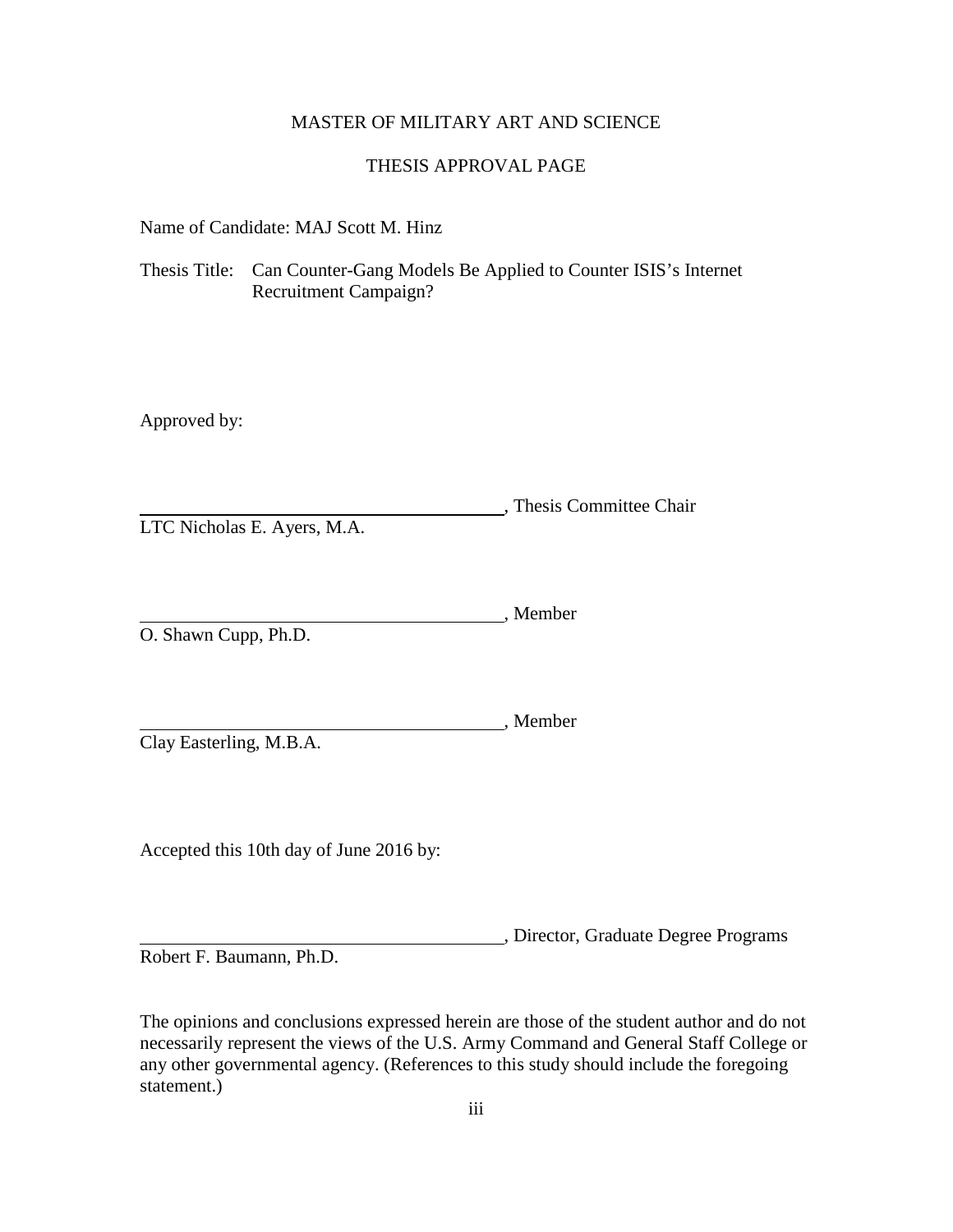# MASTER OF MILITARY ART AND SCIENCE

# THESIS APPROVAL PAGE

Name of Candidate: MAJ Scott M. Hinz

Thesis Title: Can Counter-Gang Models Be Applied to Counter ISIS's Internet Recruitment Campaign?

Approved by:

, Thesis Committee Chair LTC Nicholas E. Ayers, M.A.

, Member O. Shawn Cupp, Ph.D.

Clay Easterling, M.B.A.

Accepted this 10th day of June 2016 by:

, Director, Graduate Degree Programs

, Member

Robert F. Baumann, Ph.D.

The opinions and conclusions expressed herein are those of the student author and do not necessarily represent the views of the U.S. Army Command and General Staff College or any other governmental agency. (References to this study should include the foregoing statement.)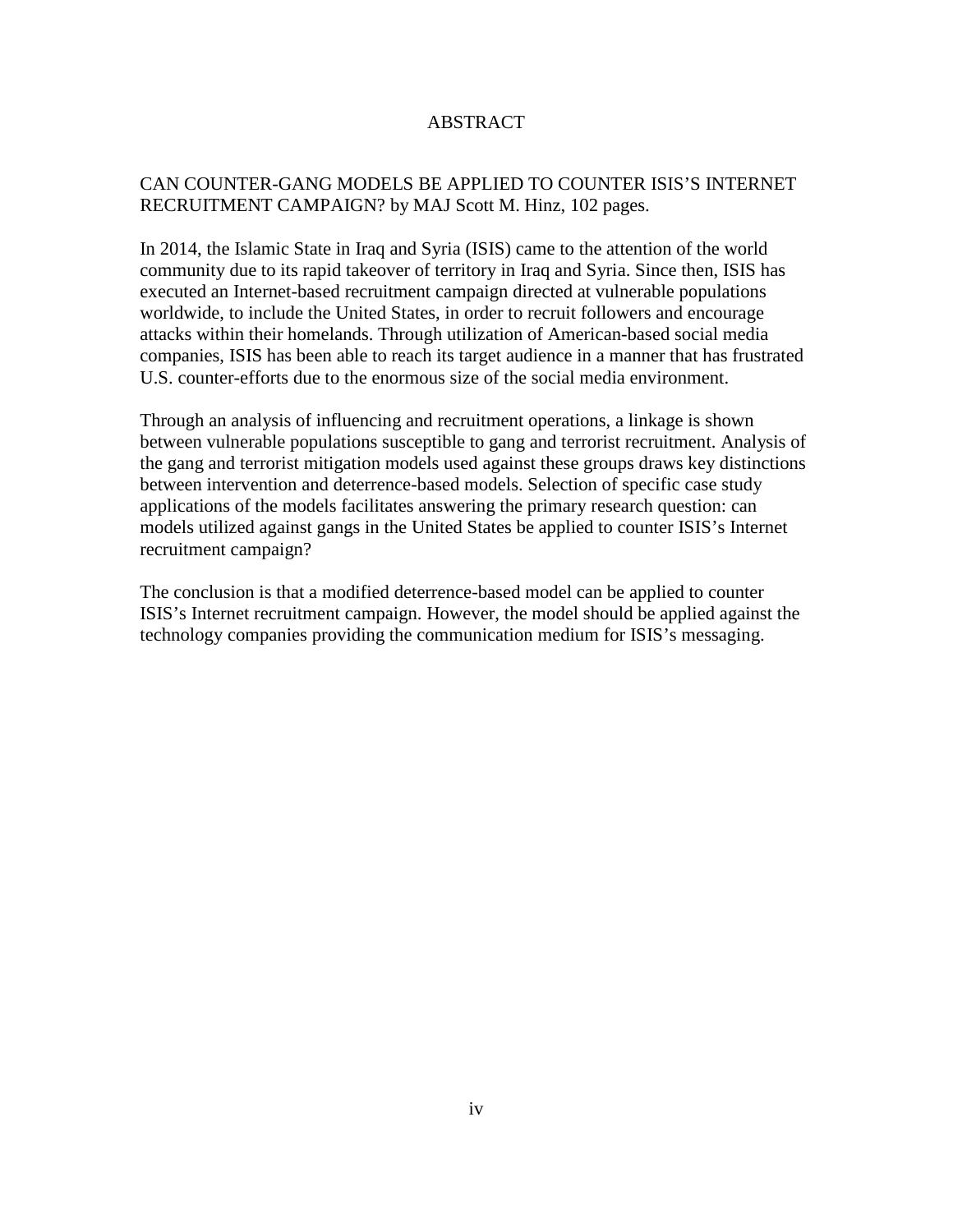# ABSTRACT

# CAN COUNTER-GANG MODELS BE APPLIED TO COUNTER ISIS'S INTERNET RECRUITMENT CAMPAIGN? by MAJ Scott M. Hinz, 102 pages.

In 2014, the Islamic State in Iraq and Syria (ISIS) came to the attention of the world community due to its rapid takeover of territory in Iraq and Syria. Since then, ISIS has executed an Internet-based recruitment campaign directed at vulnerable populations worldwide, to include the United States, in order to recruit followers and encourage attacks within their homelands. Through utilization of American-based social media companies, ISIS has been able to reach its target audience in a manner that has frustrated U.S. counter-efforts due to the enormous size of the social media environment.

Through an analysis of influencing and recruitment operations, a linkage is shown between vulnerable populations susceptible to gang and terrorist recruitment. Analysis of the gang and terrorist mitigation models used against these groups draws key distinctions between intervention and deterrence-based models. Selection of specific case study applications of the models facilitates answering the primary research question: can models utilized against gangs in the United States be applied to counter ISIS's Internet recruitment campaign?

The conclusion is that a modified deterrence-based model can be applied to counter ISIS's Internet recruitment campaign. However, the model should be applied against the technology companies providing the communication medium for ISIS's messaging.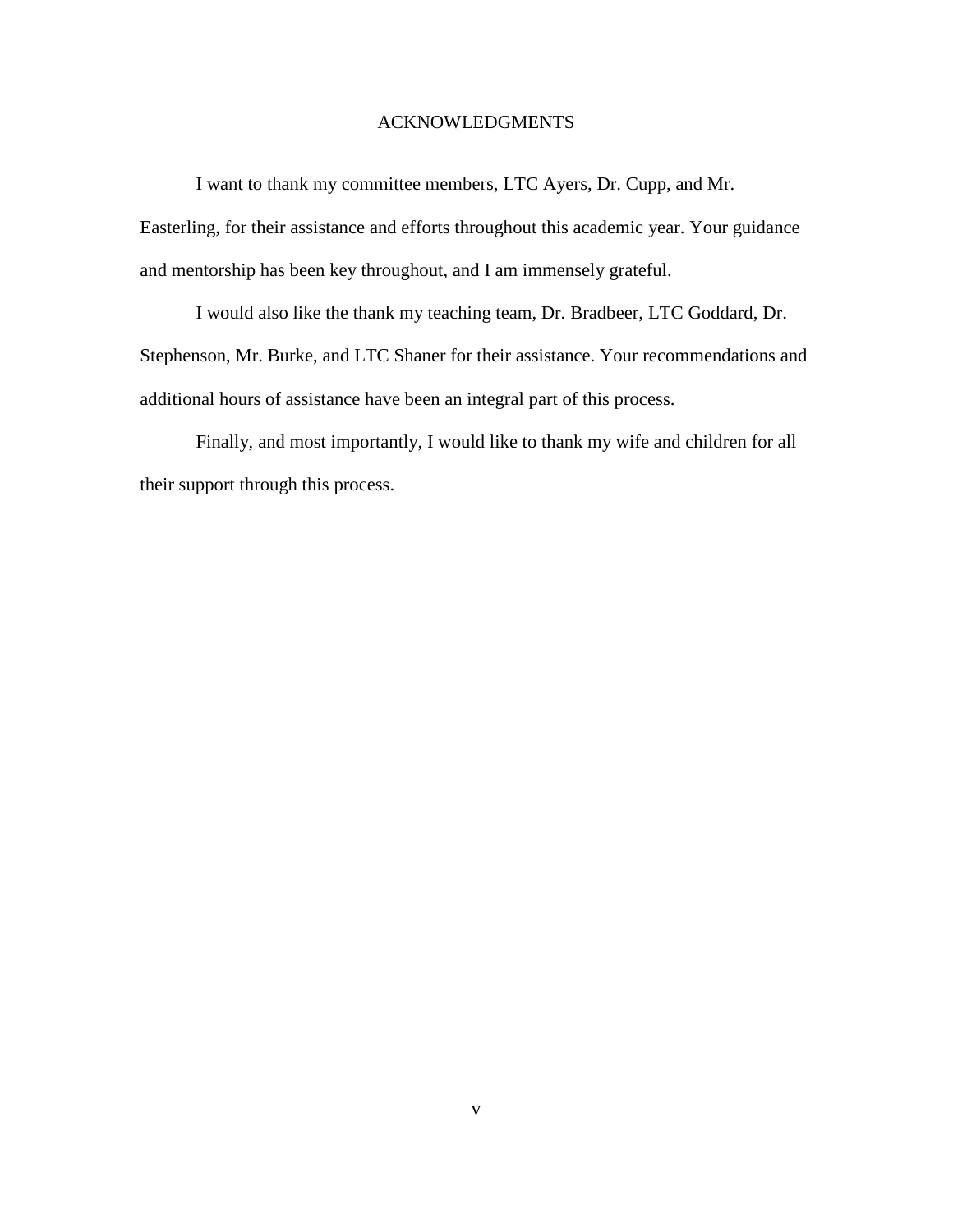# ACKNOWLEDGMENTS

I want to thank my committee members, LTC Ayers, Dr. Cupp, and Mr.

Easterling, for their assistance and efforts throughout this academic year. Your guidance and mentorship has been key throughout, and I am immensely grateful.

I would also like the thank my teaching team, Dr. Bradbeer, LTC Goddard, Dr. Stephenson, Mr. Burke, and LTC Shaner for their assistance. Your recommendations and additional hours of assistance have been an integral part of this process.

Finally, and most importantly, I would like to thank my wife and children for all their support through this process.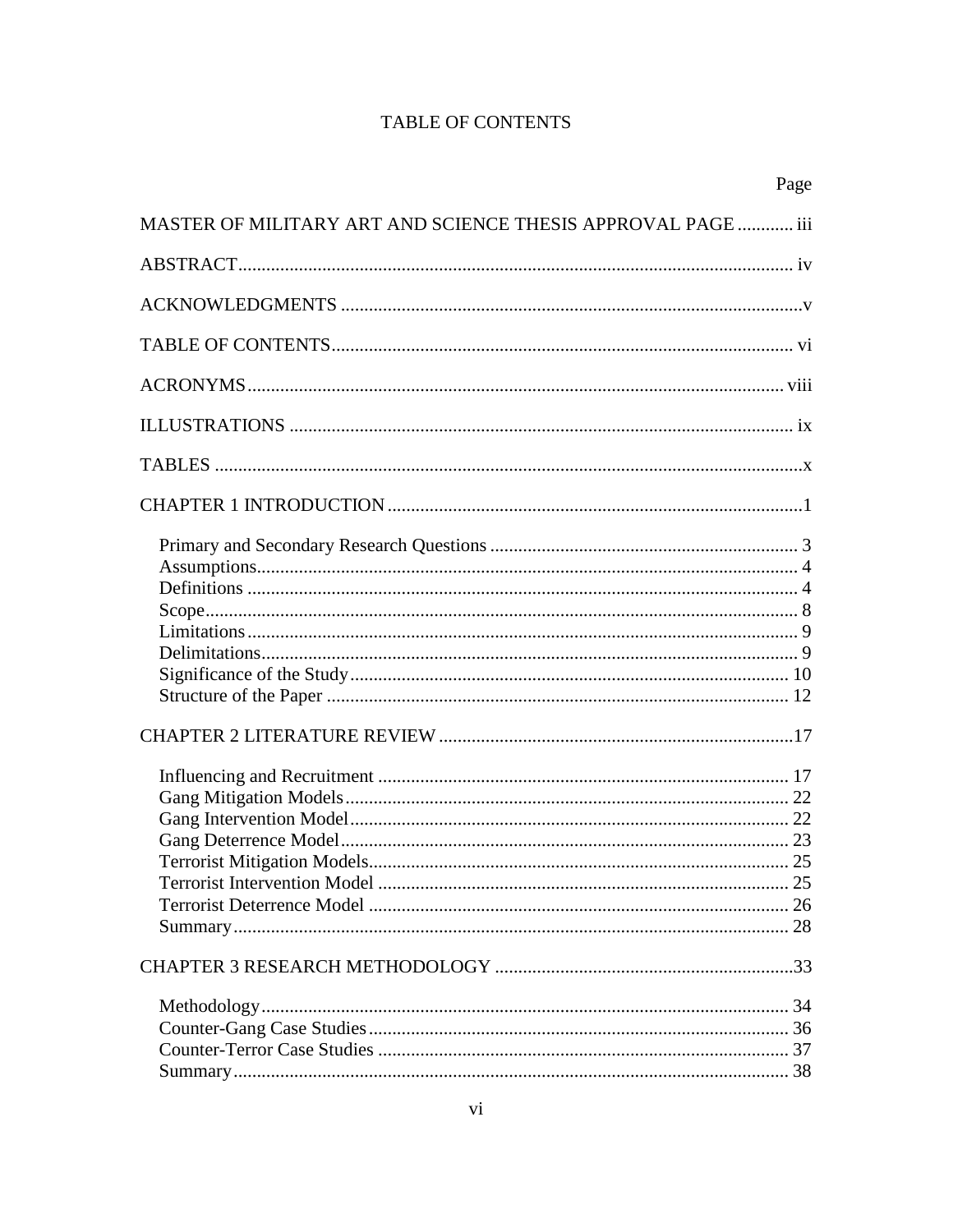# **TABLE OF CONTENTS**

|                                                              | Page |
|--------------------------------------------------------------|------|
| MASTER OF MILITARY ART AND SCIENCE THESIS APPROVAL PAGE  iii |      |
|                                                              |      |
|                                                              |      |
|                                                              |      |
|                                                              |      |
|                                                              |      |
|                                                              |      |
|                                                              |      |
|                                                              |      |
|                                                              |      |
|                                                              |      |
|                                                              |      |
|                                                              |      |
|                                                              |      |
|                                                              |      |
|                                                              |      |
|                                                              |      |
|                                                              |      |
|                                                              |      |
|                                                              |      |
|                                                              |      |
|                                                              |      |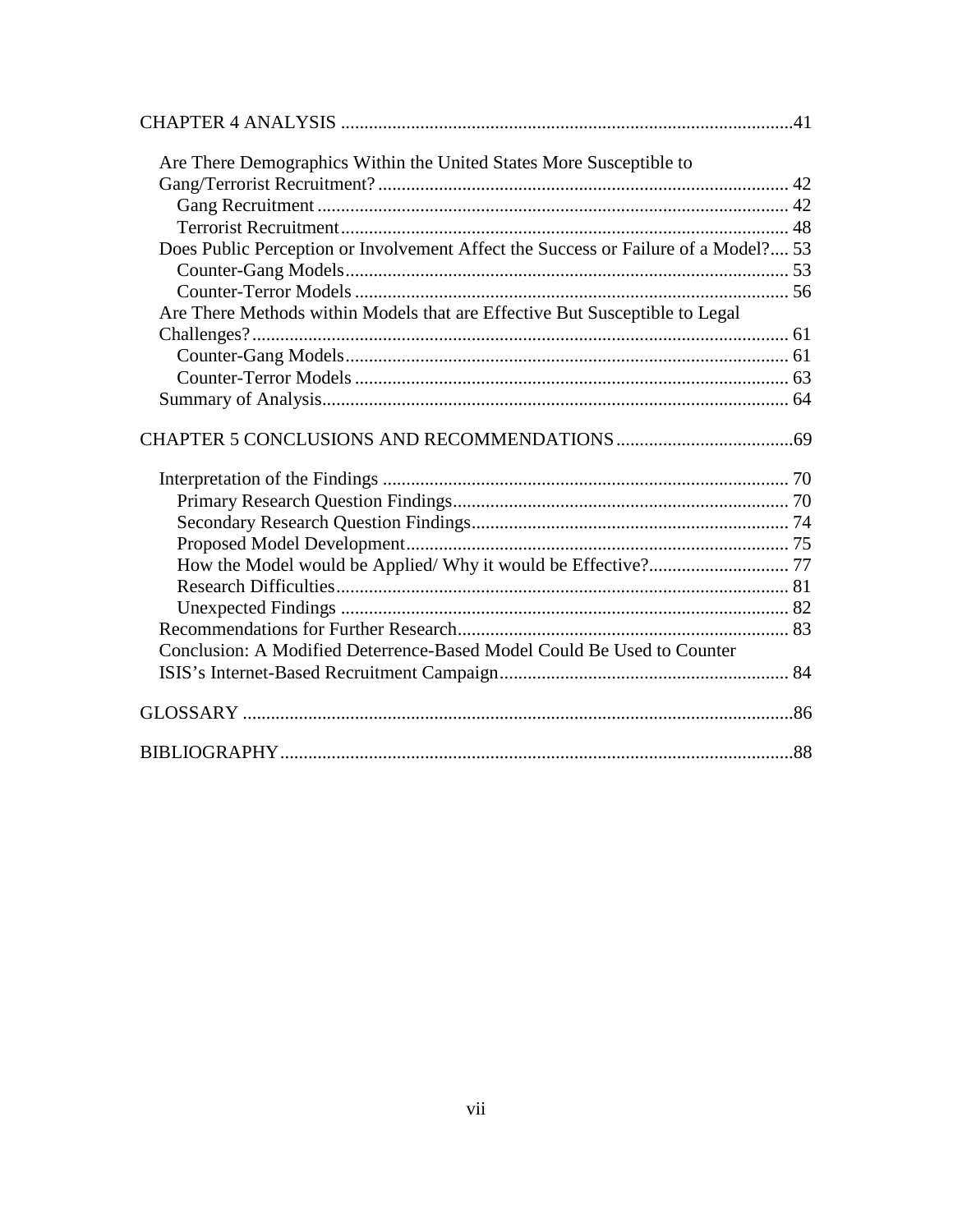| Are There Demographics Within the United States More Susceptible to                |  |
|------------------------------------------------------------------------------------|--|
|                                                                                    |  |
|                                                                                    |  |
|                                                                                    |  |
| Does Public Perception or Involvement Affect the Success or Failure of a Model? 53 |  |
|                                                                                    |  |
|                                                                                    |  |
| Are There Methods within Models that are Effective But Susceptible to Legal        |  |
|                                                                                    |  |
|                                                                                    |  |
|                                                                                    |  |
|                                                                                    |  |
|                                                                                    |  |
|                                                                                    |  |
|                                                                                    |  |
|                                                                                    |  |
|                                                                                    |  |
|                                                                                    |  |
|                                                                                    |  |
|                                                                                    |  |
|                                                                                    |  |
|                                                                                    |  |
| Conclusion: A Modified Deterrence-Based Model Could Be Used to Counter             |  |
|                                                                                    |  |
|                                                                                    |  |
|                                                                                    |  |
|                                                                                    |  |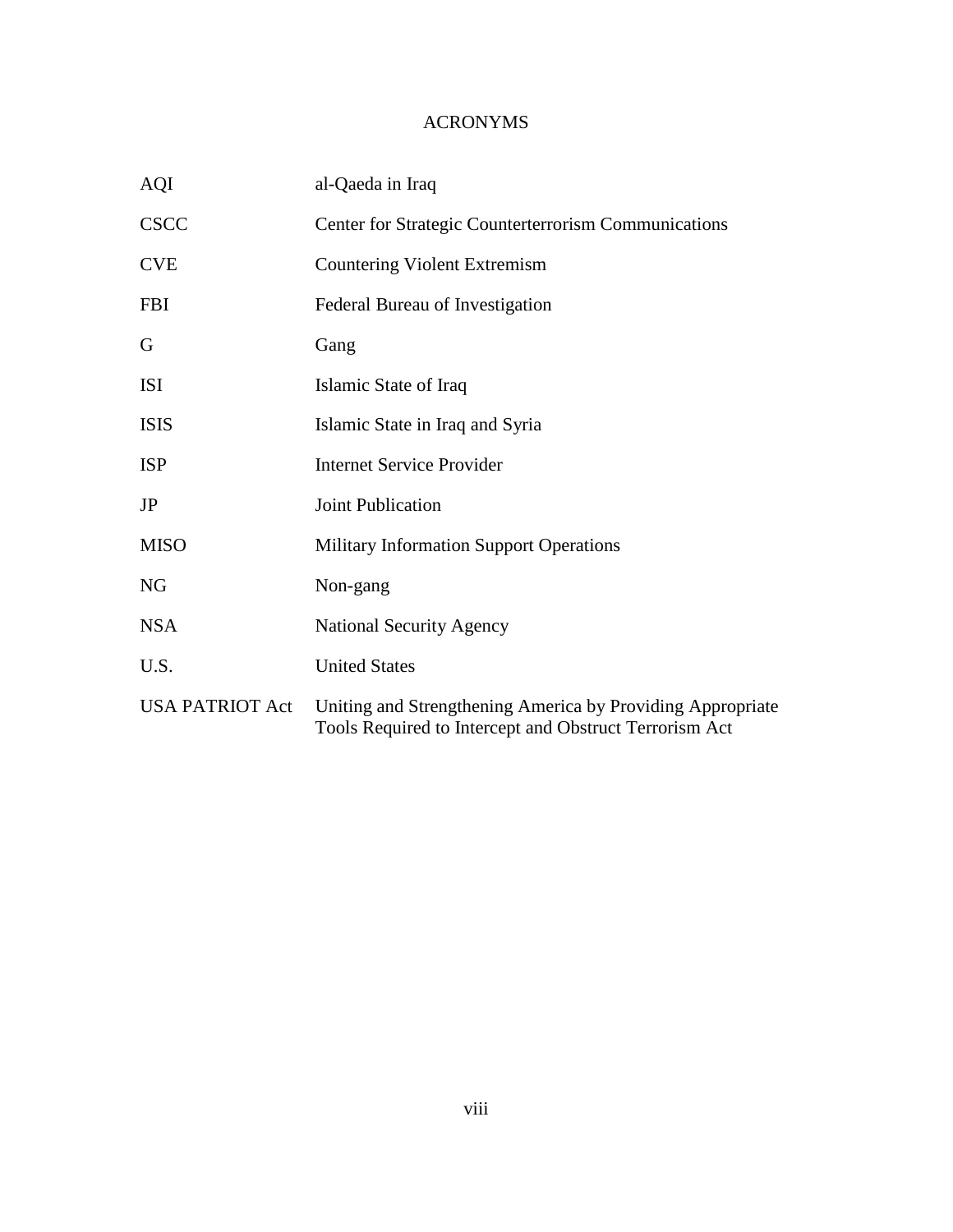# ACRONYMS

| <b>AQI</b>             | al-Qaeda in Iraq                                                                                                     |
|------------------------|----------------------------------------------------------------------------------------------------------------------|
| <b>CSCC</b>            | Center for Strategic Counterterrorism Communications                                                                 |
| <b>CVE</b>             | Countering Violent Extremism                                                                                         |
| <b>FBI</b>             | Federal Bureau of Investigation                                                                                      |
| G                      | Gang                                                                                                                 |
| <b>ISI</b>             | Islamic State of Iraq                                                                                                |
| <b>ISIS</b>            | Islamic State in Iraq and Syria                                                                                      |
| <b>ISP</b>             | <b>Internet Service Provider</b>                                                                                     |
| JP                     | <b>Joint Publication</b>                                                                                             |
| <b>MISO</b>            | <b>Military Information Support Operations</b>                                                                       |
| <b>NG</b>              | Non-gang                                                                                                             |
| <b>NSA</b>             | <b>National Security Agency</b>                                                                                      |
| U.S.                   | <b>United States</b>                                                                                                 |
| <b>USA PATRIOT Act</b> | Uniting and Strengthening America by Providing Appropriate<br>Tools Required to Intercept and Obstruct Terrorism Act |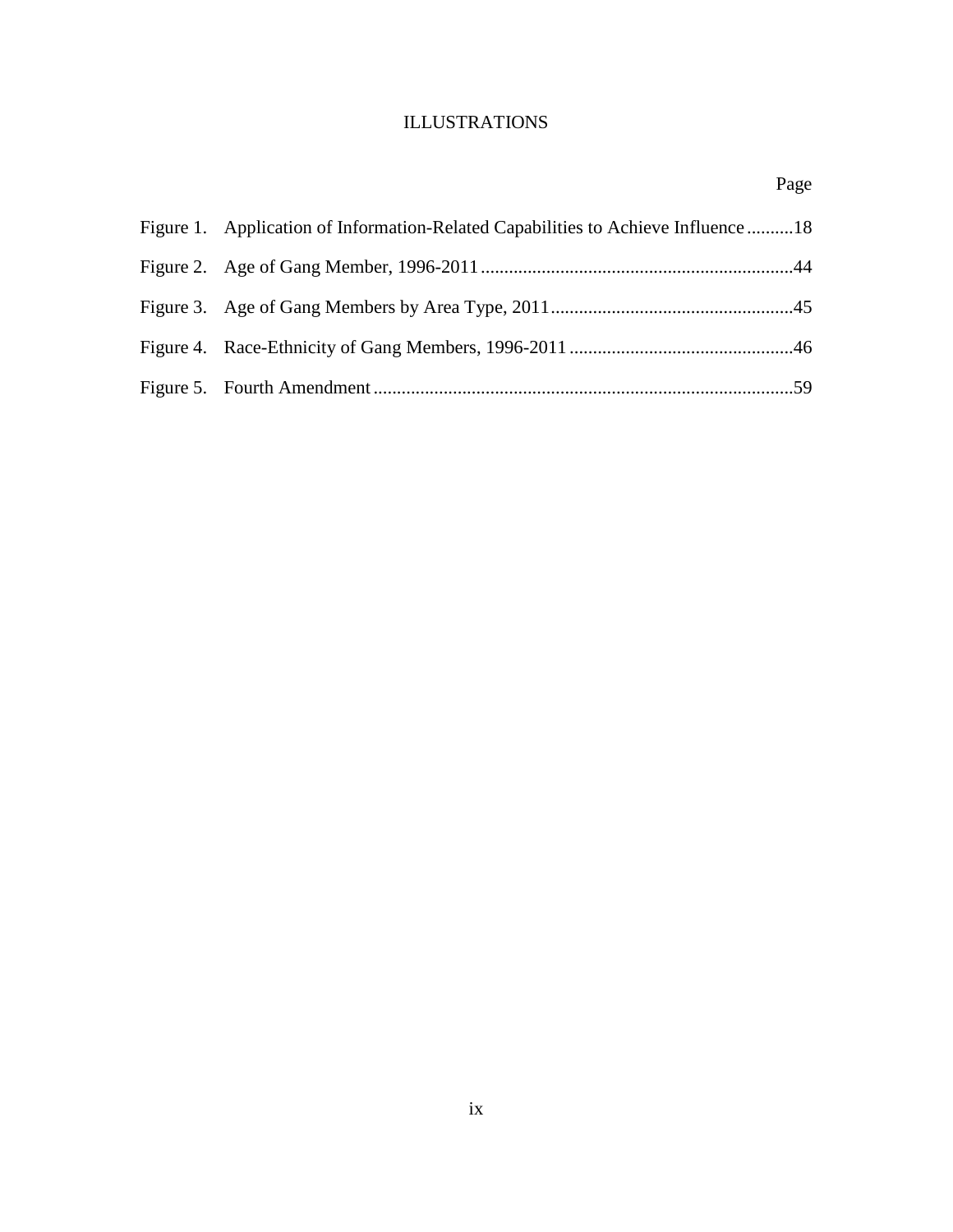# ILLUSTRATIONS

| Figure 1. Application of Information-Related Capabilities to Achieve Influence 18 |  |
|-----------------------------------------------------------------------------------|--|
|                                                                                   |  |
|                                                                                   |  |
|                                                                                   |  |
|                                                                                   |  |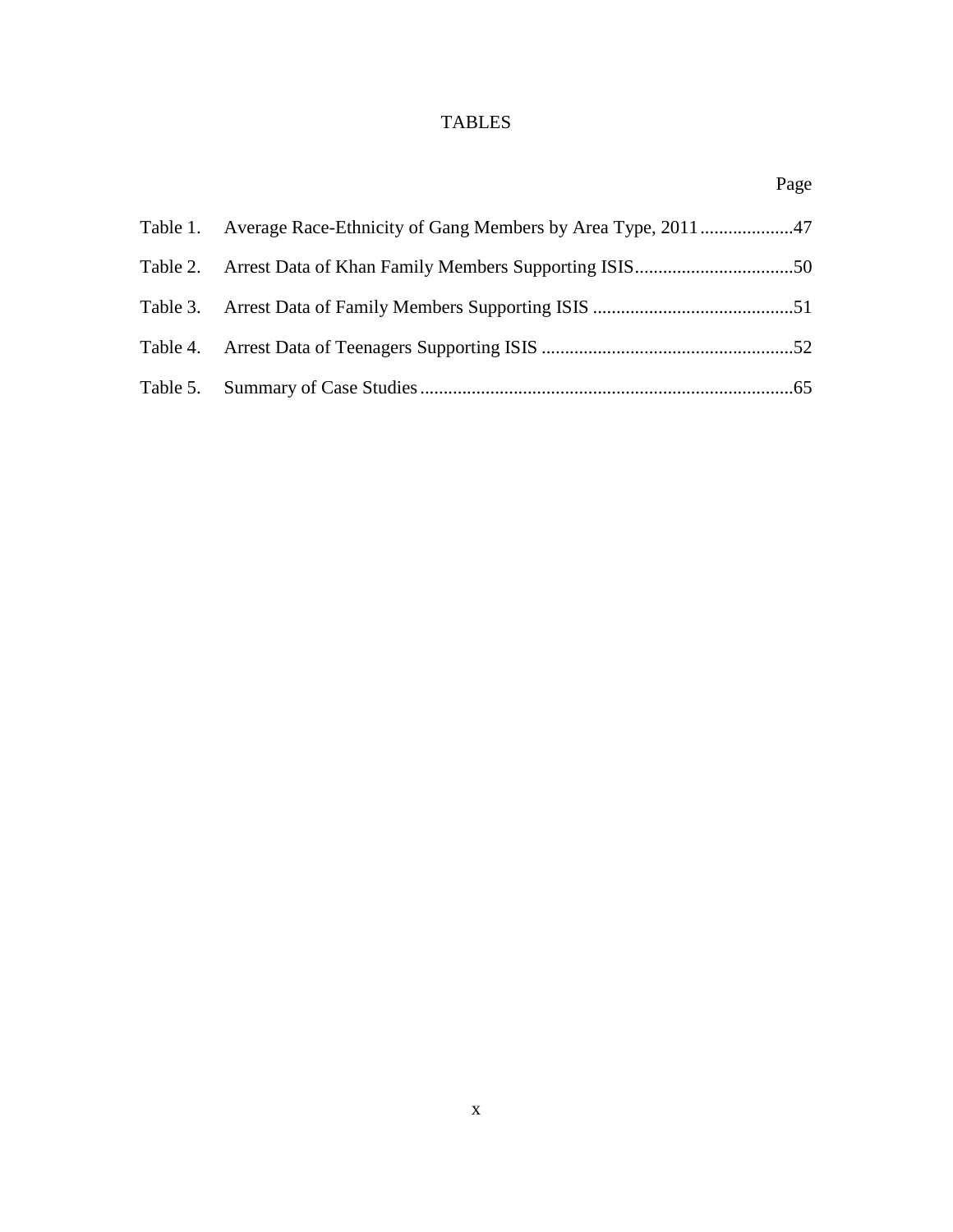# TABLES

|                                                                    | Page |
|--------------------------------------------------------------------|------|
| Table 1. Average Race-Ethnicity of Gang Members by Area Type, 2011 |      |
|                                                                    |      |
|                                                                    |      |
|                                                                    |      |
|                                                                    |      |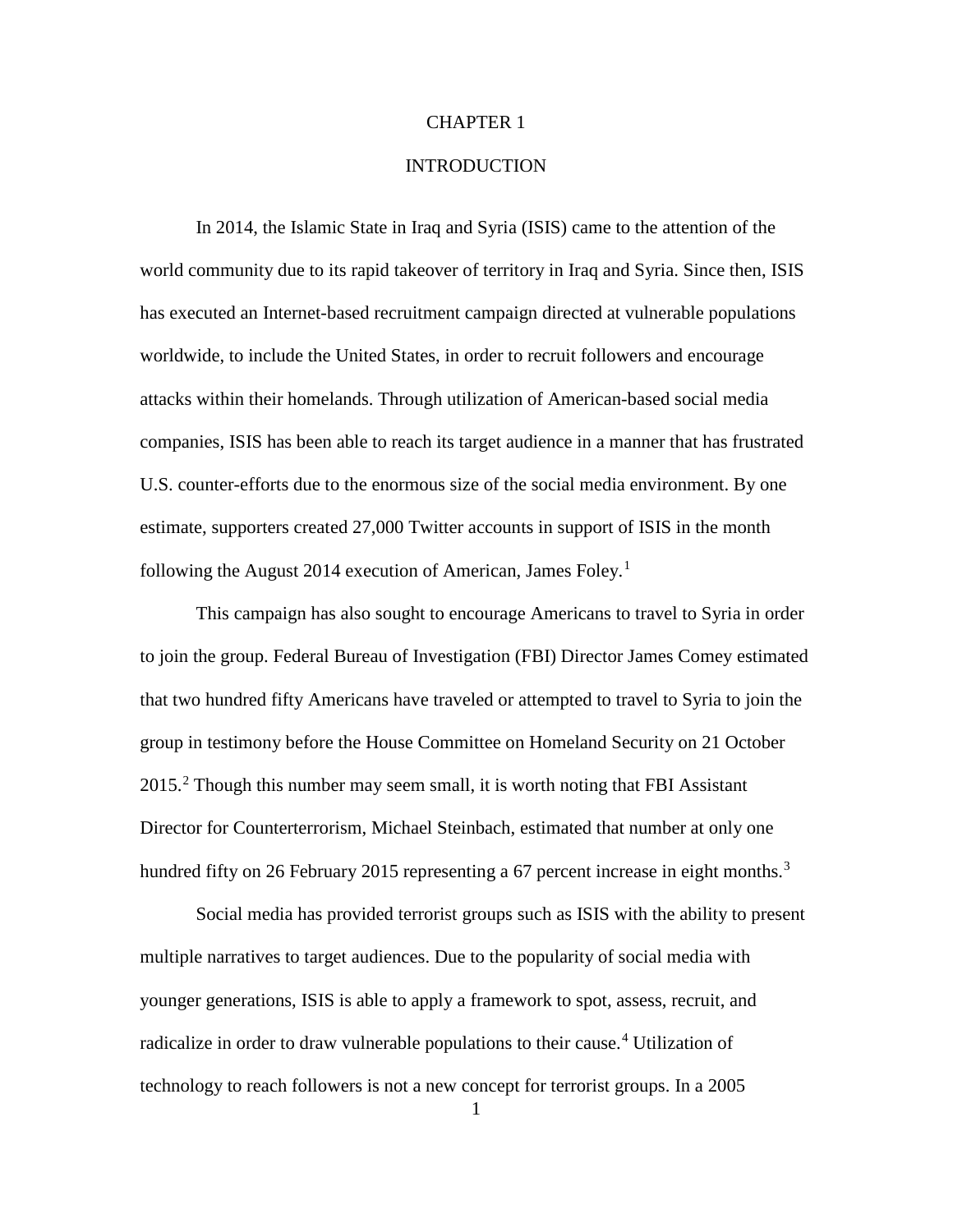# CHAPTER 1

# **INTRODUCTION**

In 2014, the Islamic State in Iraq and Syria (ISIS) came to the attention of the world community due to its rapid takeover of territory in Iraq and Syria. Since then, ISIS has executed an Internet-based recruitment campaign directed at vulnerable populations worldwide, to include the United States, in order to recruit followers and encourage attacks within their homelands. Through utilization of American-based social media companies, ISIS has been able to reach its target audience in a manner that has frustrated U.S. counter-efforts due to the enormous size of the social media environment. By one estimate, supporters created 27,000 Twitter accounts in support of ISIS in the month following the August 20[1](#page-23-0)4 execution of American, James Foley.<sup>1</sup>

This campaign has also sought to encourage Americans to travel to Syria in order to join the group. Federal Bureau of Investigation (FBI) Director James Comey estimated that two hundred fifty Americans have traveled or attempted to travel to Syria to join the group in testimony before the House Committee on Homeland Security on 21 October [2](#page-23-1)015.<sup>2</sup> Though this number may seem small, it is worth noting that FBI Assistant Director for Counterterrorism, Michael Steinbach, estimated that number at only one hundred fifty on 26 February 2015 representing a 67 percent increase in eight months.<sup>[3](#page-23-2)</sup>

Social media has provided terrorist groups such as ISIS with the ability to present multiple narratives to target audiences. Due to the popularity of social media with younger generations, ISIS is able to apply a framework to spot, assess, recruit, and radicalize in order to draw vulnerable populations to their cause. [4](#page-23-3) Utilization of technology to reach followers is not a new concept for terrorist groups. In a 2005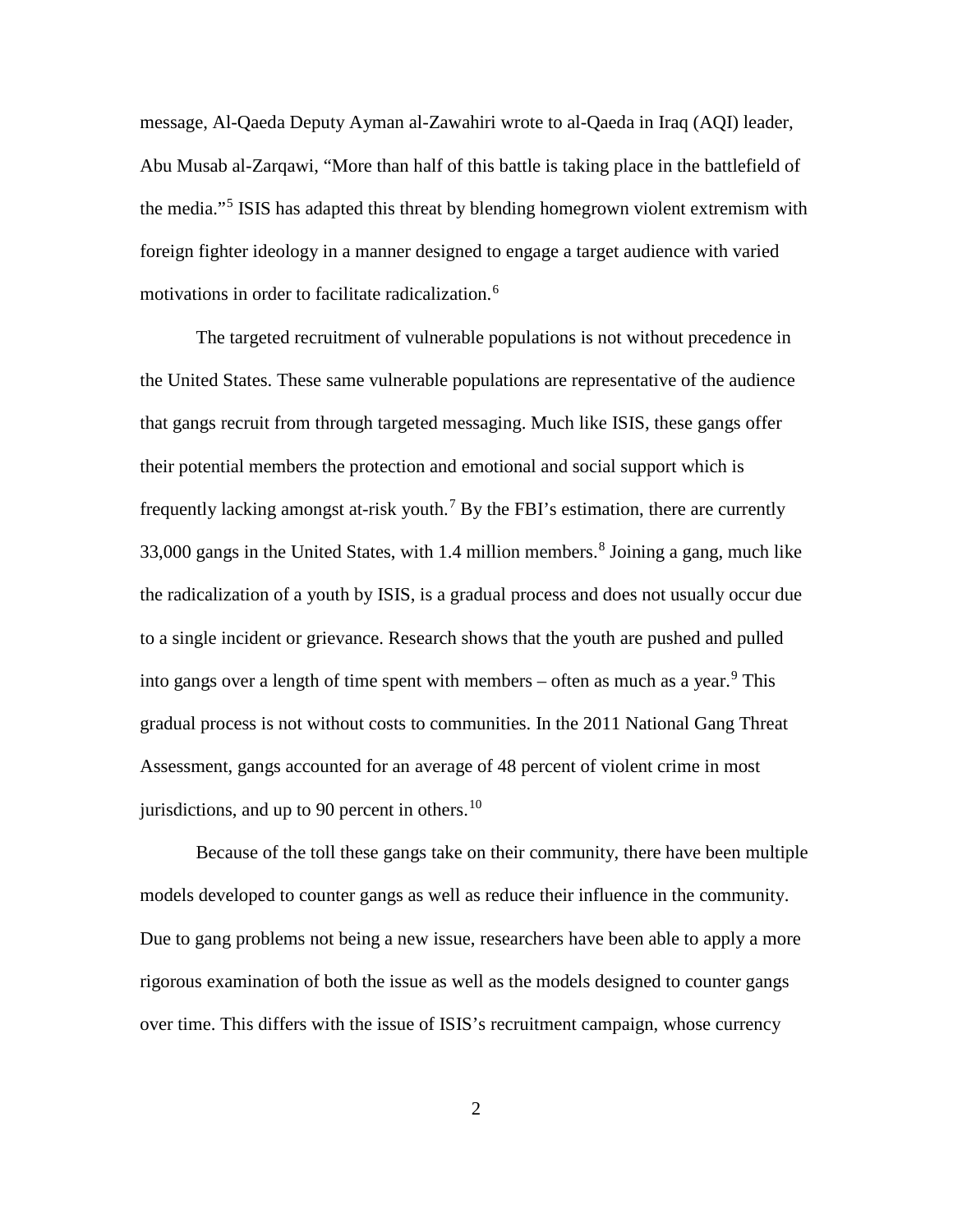message, Al-Qaeda Deputy Ayman al-Zawahiri wrote to al-Qaeda in Iraq (AQI) leader, Abu Musab al-Zarqawi, "More than half of this battle is taking place in the battlefield of the media."[5](#page-24-0) ISIS has adapted this threat by blending homegrown violent extremism with foreign fighter ideology in a manner designed to engage a target audience with varied motivations in order to facilitate radicalization. [6](#page-24-1)

The targeted recruitment of vulnerable populations is not without precedence in the United States. These same vulnerable populations are representative of the audience that gangs recruit from through targeted messaging. Much like ISIS, these gangs offer their potential members the protection and emotional and social support which is frequently lacking amongst at-risk youth.<sup>[7](#page-24-2)</sup> By the FBI's estimation, there are currently 33,000 gangs in the United States, with 1.4 million members. [8](#page-24-3) Joining a gang, much like the radicalization of a youth by ISIS, is a gradual process and does not usually occur due to a single incident or grievance. Research shows that the youth are pushed and pulled into gangs over a length of time spent with members – often as much as a year.<sup>[9](#page-24-4)</sup> This gradual process is not without costs to communities. In the 2011 National Gang Threat Assessment, gangs accounted for an average of 48 percent of violent crime in most jurisdictions, and up to 90 percent in others.<sup>[10](#page-24-5)</sup>

Because of the toll these gangs take on their community, there have been multiple models developed to counter gangs as well as reduce their influence in the community. Due to gang problems not being a new issue, researchers have been able to apply a more rigorous examination of both the issue as well as the models designed to counter gangs over time. This differs with the issue of ISIS's recruitment campaign, whose currency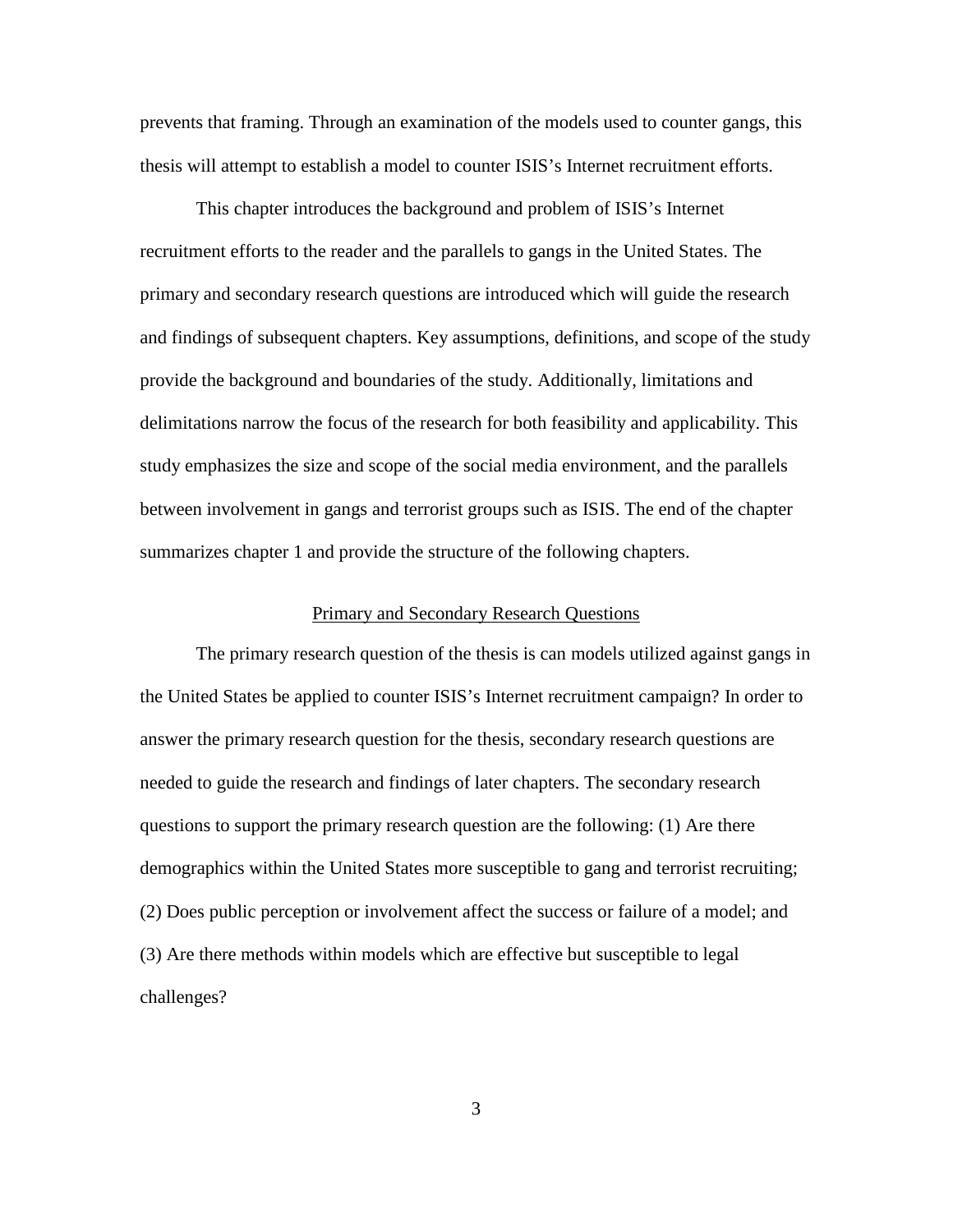prevents that framing. Through an examination of the models used to counter gangs, this thesis will attempt to establish a model to counter ISIS's Internet recruitment efforts.

This chapter introduces the background and problem of ISIS's Internet recruitment efforts to the reader and the parallels to gangs in the United States. The primary and secondary research questions are introduced which will guide the research and findings of subsequent chapters. Key assumptions, definitions, and scope of the study provide the background and boundaries of the study. Additionally, limitations and delimitations narrow the focus of the research for both feasibility and applicability. This study emphasizes the size and scope of the social media environment, and the parallels between involvement in gangs and terrorist groups such as ISIS. The end of the chapter summarizes chapter 1 and provide the structure of the following chapters.

# Primary and Secondary Research Questions

The primary research question of the thesis is can models utilized against gangs in the United States be applied to counter ISIS's Internet recruitment campaign? In order to answer the primary research question for the thesis, secondary research questions are needed to guide the research and findings of later chapters. The secondary research questions to support the primary research question are the following: (1) Are there demographics within the United States more susceptible to gang and terrorist recruiting; (2) Does public perception or involvement affect the success or failure of a model; and (3) Are there methods within models which are effective but susceptible to legal challenges?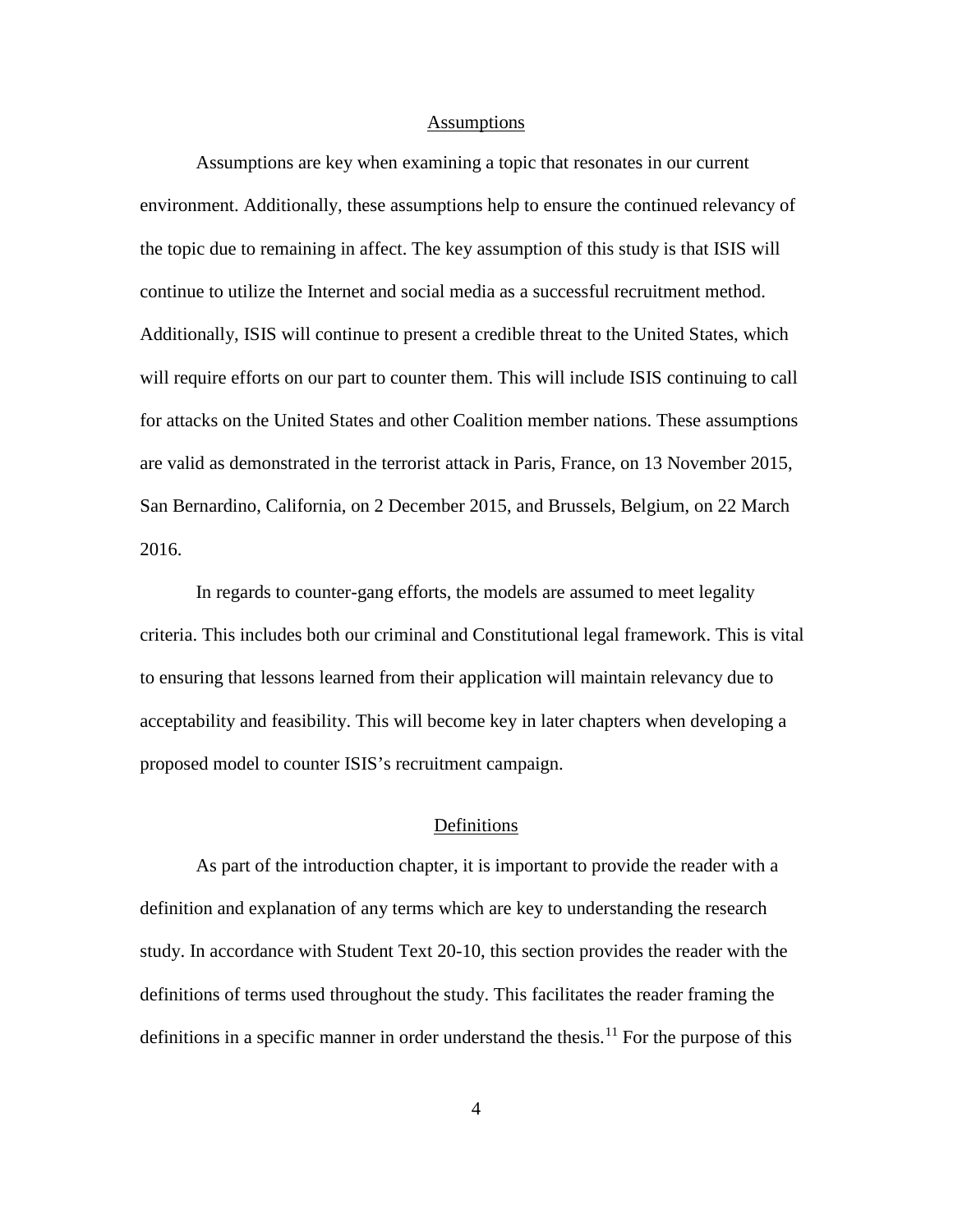#### **Assumptions**

Assumptions are key when examining a topic that resonates in our current environment. Additionally, these assumptions help to ensure the continued relevancy of the topic due to remaining in affect. The key assumption of this study is that ISIS will continue to utilize the Internet and social media as a successful recruitment method. Additionally, ISIS will continue to present a credible threat to the United States, which will require efforts on our part to counter them. This will include ISIS continuing to call for attacks on the United States and other Coalition member nations. These assumptions are valid as demonstrated in the terrorist attack in Paris, France, on 13 November 2015, San Bernardino, California, on 2 December 2015, and Brussels, Belgium, on 22 March 2016.

In regards to counter-gang efforts, the models are assumed to meet legality criteria. This includes both our criminal and Constitutional legal framework. This is vital to ensuring that lessons learned from their application will maintain relevancy due to acceptability and feasibility. This will become key in later chapters when developing a proposed model to counter ISIS's recruitment campaign.

# Definitions

As part of the introduction chapter, it is important to provide the reader with a definition and explanation of any terms which are key to understanding the research study. In accordance with Student Text 20-10, this section provides the reader with the definitions of terms used throughout the study. This facilitates the reader framing the definitions in a specific manner in order understand the thesis.<sup>[11](#page-24-6)</sup> For the purpose of this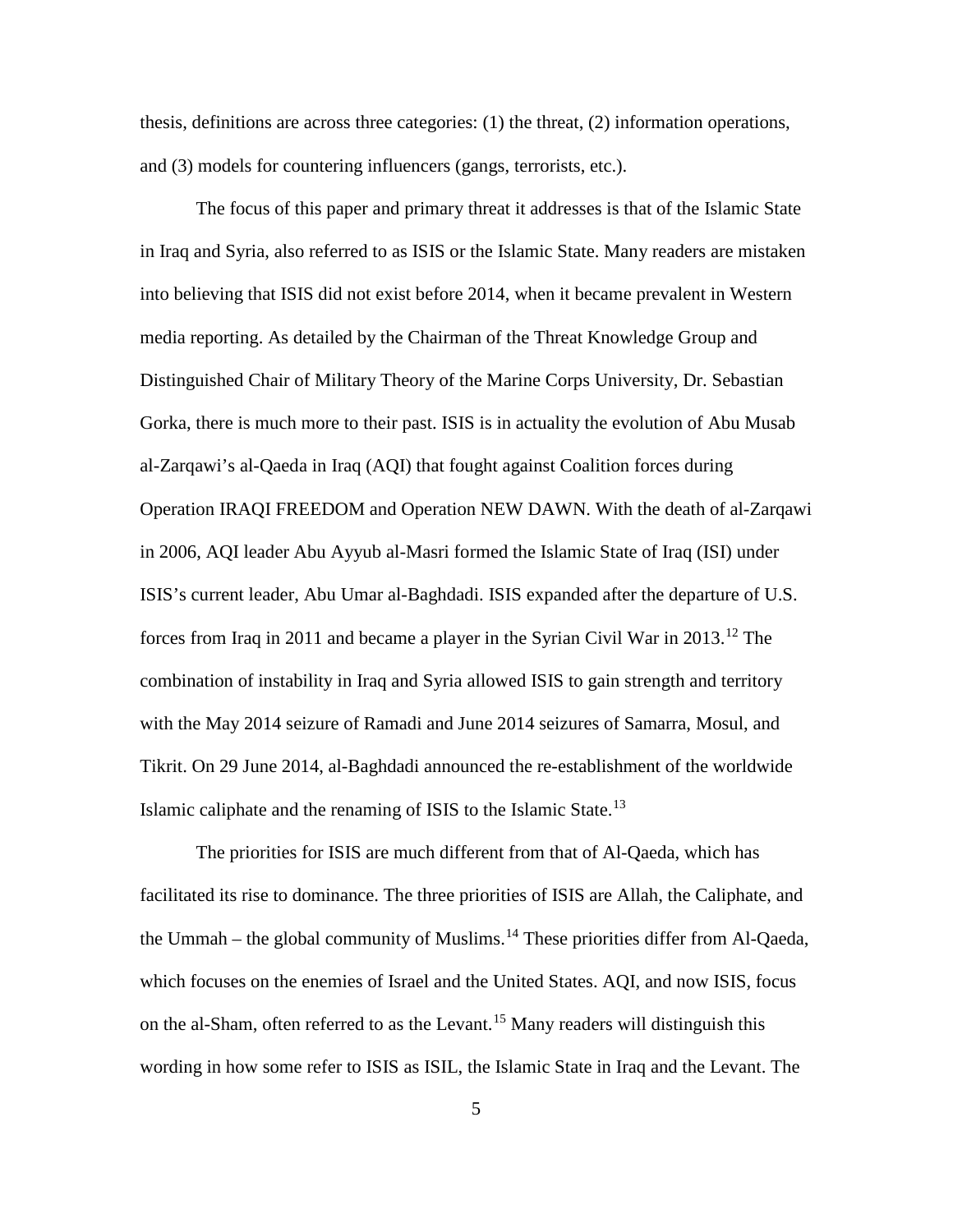thesis, definitions are across three categories: (1) the threat, (2) information operations, and (3) models for countering influencers (gangs, terrorists, etc.).

The focus of this paper and primary threat it addresses is that of the Islamic State in Iraq and Syria, also referred to as ISIS or the Islamic State. Many readers are mistaken into believing that ISIS did not exist before 2014, when it became prevalent in Western media reporting. As detailed by the Chairman of the Threat Knowledge Group and Distinguished Chair of Military Theory of the Marine Corps University, Dr. Sebastian Gorka, there is much more to their past. ISIS is in actuality the evolution of Abu Musab al-Zarqawi's al-Qaeda in Iraq (AQI) that fought against Coalition forces during Operation IRAQI FREEDOM and Operation NEW DAWN. With the death of al-Zarqawi in 2006, AQI leader Abu Ayyub al-Masri formed the Islamic State of Iraq (ISI) under ISIS's current leader, Abu Umar al-Baghdadi. ISIS expanded after the departure of U.S. forces from Iraq in 2011 and became a player in the Syrian Civil War in 2013.[12](#page-25-0) The combination of instability in Iraq and Syria allowed ISIS to gain strength and territory with the May 2014 seizure of Ramadi and June 2014 seizures of Samarra, Mosul, and Tikrit. On 29 June 2014, al-Baghdadi announced the re-establishment of the worldwide Islamic caliphate and the renaming of ISIS to the Islamic State.[13](#page-25-1)

The priorities for ISIS are much different from that of Al-Qaeda, which has facilitated its rise to dominance. The three priorities of ISIS are Allah, the Caliphate, and the Ummah – the global community of Muslims.<sup>[14](#page-25-2)</sup> These priorities differ from Al-Qaeda, which focuses on the enemies of Israel and the United States. AQI, and now ISIS, focus on the al-Sham, often referred to as the Levant.<sup>[15](#page-25-3)</sup> Many readers will distinguish this wording in how some refer to ISIS as ISIL, the Islamic State in Iraq and the Levant. The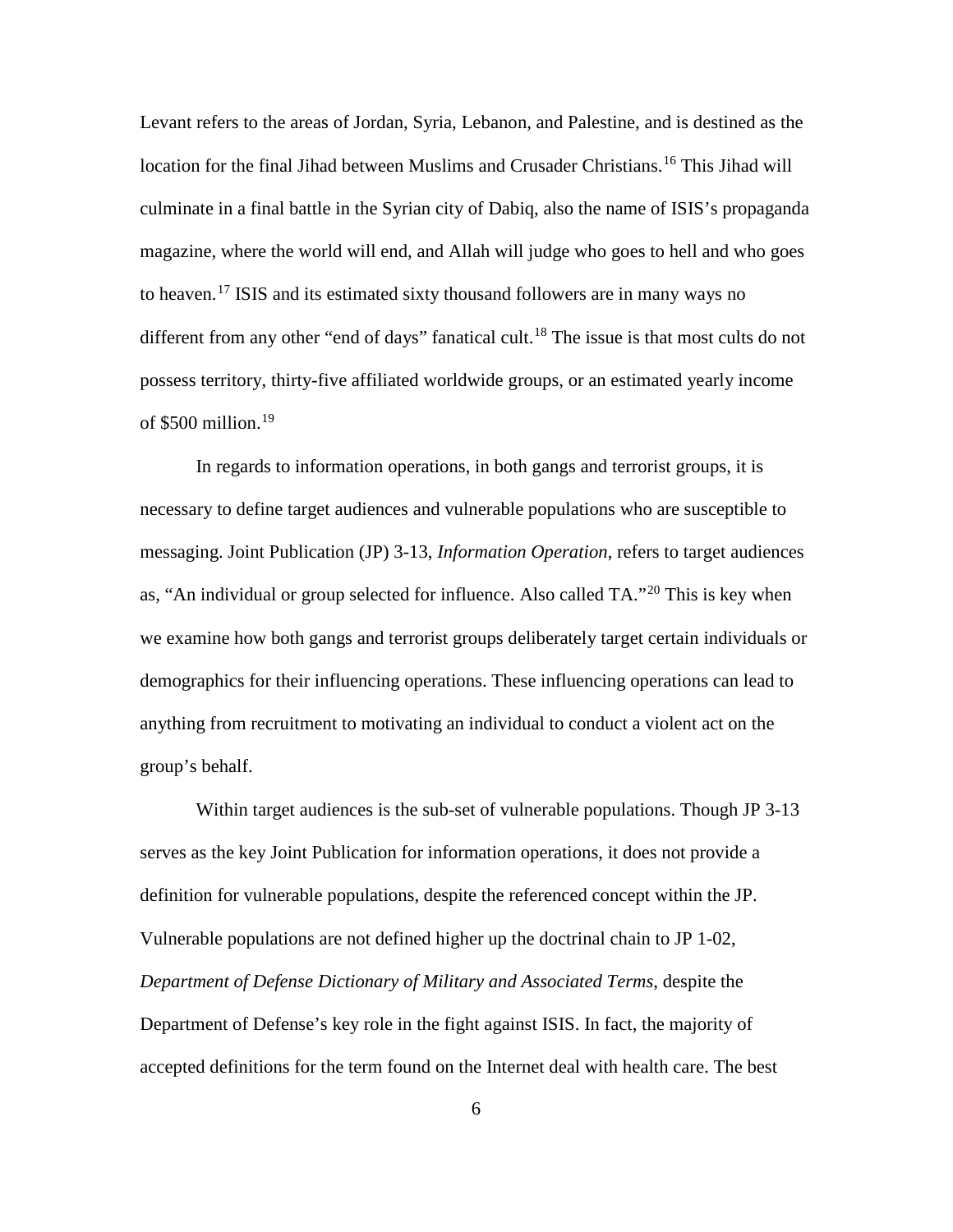Levant refers to the areas of Jordan, Syria, Lebanon, and Palestine, and is destined as the location for the final Jihad between Muslims and Crusader Christians.<sup>[16](#page-26-0)</sup> This Jihad will culminate in a final battle in the Syrian city of Dabiq, also the name of ISIS's propaganda magazine, where the world will end, and Allah will judge who goes to hell and who goes to heaven. [17](#page-26-1) ISIS and its estimated sixty thousand followers are in many ways no different from any other "end of days" fanatical cult.<sup>[18](#page-26-2)</sup> The issue is that most cults do not possess territory, thirty-five affiliated worldwide groups, or an estimated yearly income of  $$500$  million.<sup>[19](#page-26-3)</sup>

In regards to information operations, in both gangs and terrorist groups, it is necessary to define target audiences and vulnerable populations who are susceptible to messaging. Joint Publication (JP) 3-13, *Information Operation*, refers to target audiences as, "An individual or group selected for influence. Also called TA."[20](#page-26-4) This is key when we examine how both gangs and terrorist groups deliberately target certain individuals or demographics for their influencing operations. These influencing operations can lead to anything from recruitment to motivating an individual to conduct a violent act on the group's behalf.

Within target audiences is the sub-set of vulnerable populations. Though JP 3-13 serves as the key Joint Publication for information operations, it does not provide a definition for vulnerable populations, despite the referenced concept within the JP. Vulnerable populations are not defined higher up the doctrinal chain to JP 1-02, *Department of Defense Dictionary of Military and Associated Terms*, despite the Department of Defense's key role in the fight against ISIS. In fact, the majority of accepted definitions for the term found on the Internet deal with health care. The best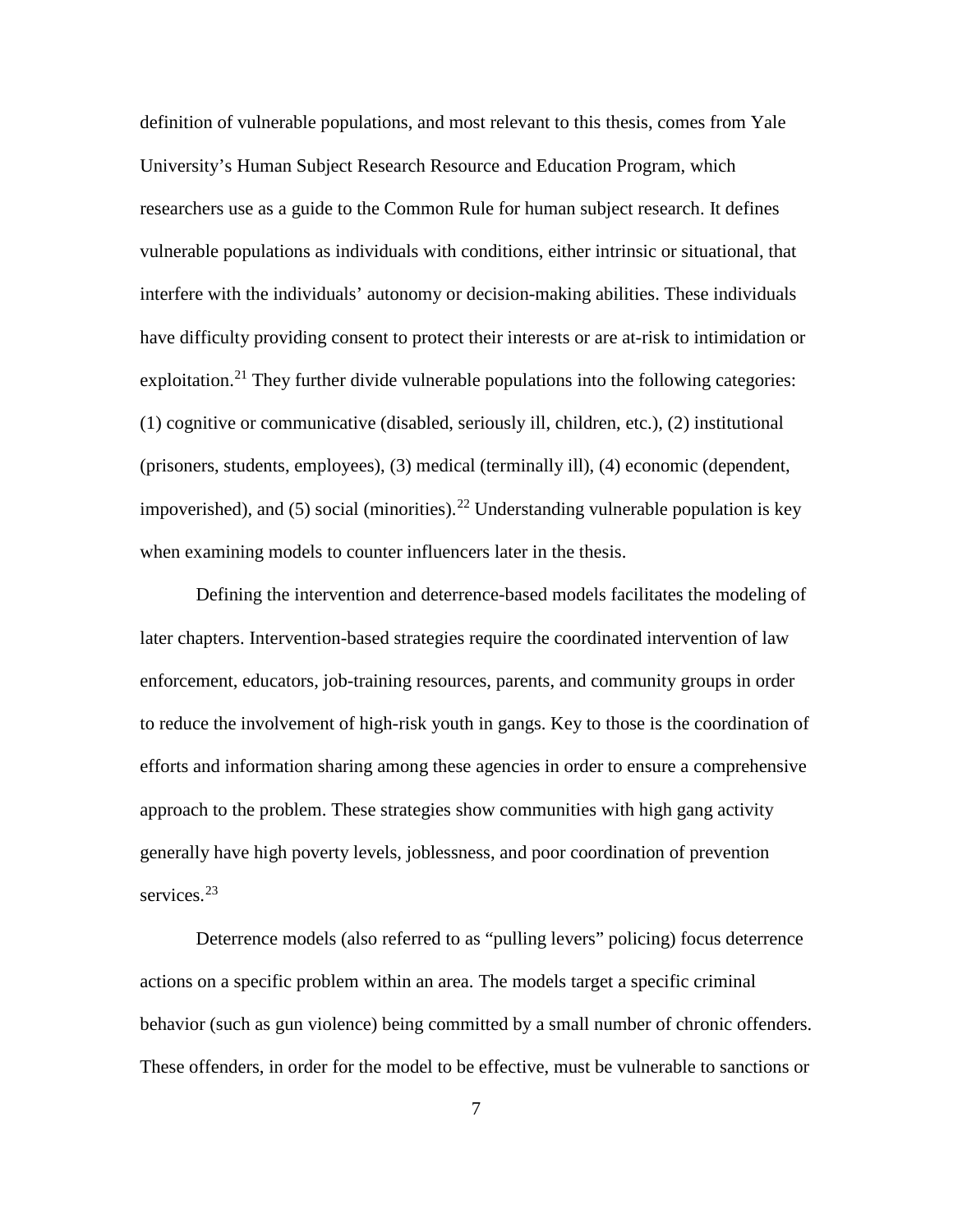definition of vulnerable populations, and most relevant to this thesis, comes from Yale University's Human Subject Research Resource and Education Program, which researchers use as a guide to the Common Rule for human subject research. It defines vulnerable populations as individuals with conditions, either intrinsic or situational, that interfere with the individuals' autonomy or decision-making abilities. These individuals have difficulty providing consent to protect their interests or are at-risk to intimidation or exploitation.<sup>[21](#page-27-0)</sup> They further divide vulnerable populations into the following categories: (1) cognitive or communicative (disabled, seriously ill, children, etc.), (2) institutional (prisoners, students, employees), (3) medical (terminally ill), (4) economic (dependent, impoverished), and (5) social (minorities).<sup>[22](#page-27-1)</sup> Understanding vulnerable population is key when examining models to counter influencers later in the thesis.

Defining the intervention and deterrence-based models facilitates the modeling of later chapters. Intervention-based strategies require the coordinated intervention of law enforcement, educators, job-training resources, parents, and community groups in order to reduce the involvement of high-risk youth in gangs. Key to those is the coordination of efforts and information sharing among these agencies in order to ensure a comprehensive approach to the problem. These strategies show communities with high gang activity generally have high poverty levels, joblessness, and poor coordination of prevention services.<sup>[23](#page-27-2)</sup>

Deterrence models (also referred to as "pulling levers" policing) focus deterrence actions on a specific problem within an area. The models target a specific criminal behavior (such as gun violence) being committed by a small number of chronic offenders. These offenders, in order for the model to be effective, must be vulnerable to sanctions or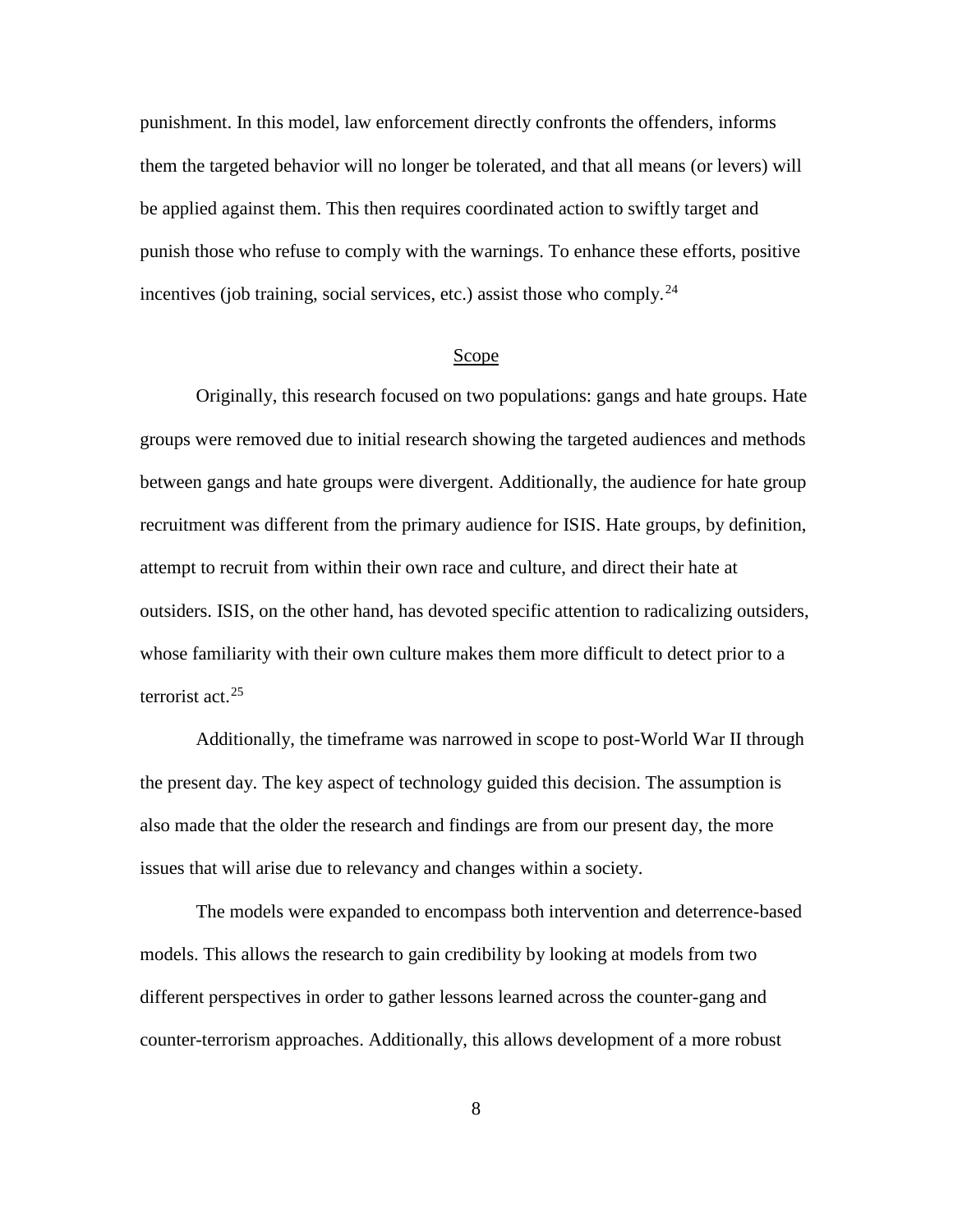punishment. In this model, law enforcement directly confronts the offenders, informs them the targeted behavior will no longer be tolerated, and that all means (or levers) will be applied against them. This then requires coordinated action to swiftly target and punish those who refuse to comply with the warnings. To enhance these efforts, positive incentives (job training, social services, etc.) assist those who comply.<sup>[24](#page-28-0)</sup>

#### Scope

Originally, this research focused on two populations: gangs and hate groups. Hate groups were removed due to initial research showing the targeted audiences and methods between gangs and hate groups were divergent. Additionally, the audience for hate group recruitment was different from the primary audience for ISIS. Hate groups, by definition, attempt to recruit from within their own race and culture, and direct their hate at outsiders. ISIS, on the other hand, has devoted specific attention to radicalizing outsiders, whose familiarity with their own culture makes them more difficult to detect prior to a terrorist act. [25](#page-28-1)

Additionally, the timeframe was narrowed in scope to post-World War II through the present day. The key aspect of technology guided this decision. The assumption is also made that the older the research and findings are from our present day, the more issues that will arise due to relevancy and changes within a society.

The models were expanded to encompass both intervention and deterrence-based models. This allows the research to gain credibility by looking at models from two different perspectives in order to gather lessons learned across the counter-gang and counter-terrorism approaches. Additionally, this allows development of a more robust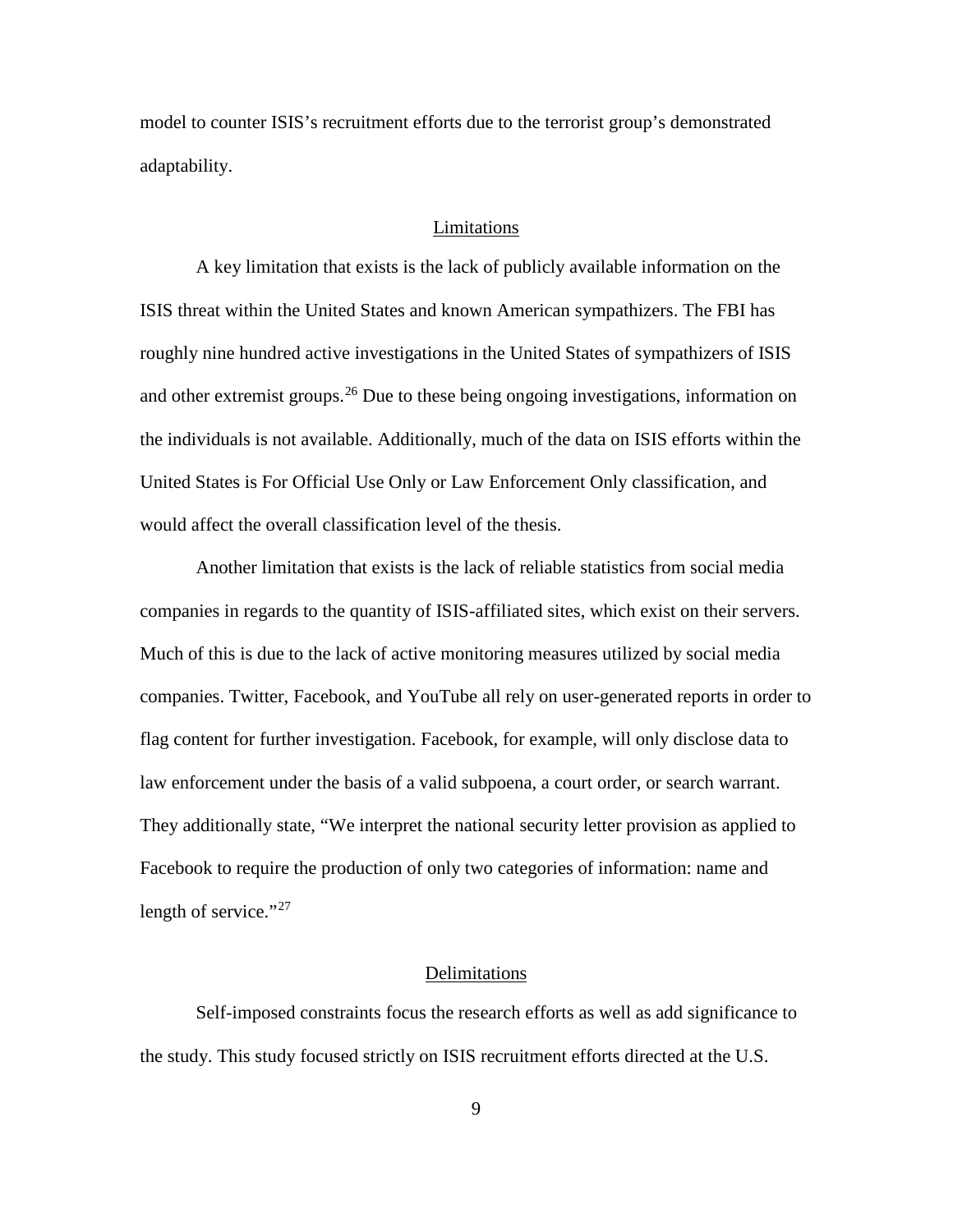model to counter ISIS's recruitment efforts due to the terrorist group's demonstrated adaptability.

### Limitations

A key limitation that exists is the lack of publicly available information on the ISIS threat within the United States and known American sympathizers. The FBI has roughly nine hundred active investigations in the United States of sympathizers of ISIS and other extremist groups.<sup>[26](#page-29-0)</sup> Due to these being ongoing investigations, information on the individuals is not available. Additionally, much of the data on ISIS efforts within the United States is For Official Use Only or Law Enforcement Only classification, and would affect the overall classification level of the thesis.

Another limitation that exists is the lack of reliable statistics from social media companies in regards to the quantity of ISIS-affiliated sites, which exist on their servers. Much of this is due to the lack of active monitoring measures utilized by social media companies. Twitter, Facebook, and YouTube all rely on user-generated reports in order to flag content for further investigation. Facebook, for example, will only disclose data to law enforcement under the basis of a valid subpoena, a court order, or search warrant. They additionally state, "We interpret the national security letter provision as applied to Facebook to require the production of only two categories of information: name and length of service." $^{27}$  $^{27}$  $^{27}$ 

#### Delimitations

Self-imposed constraints focus the research efforts as well as add significance to the study. This study focused strictly on ISIS recruitment efforts directed at the U.S.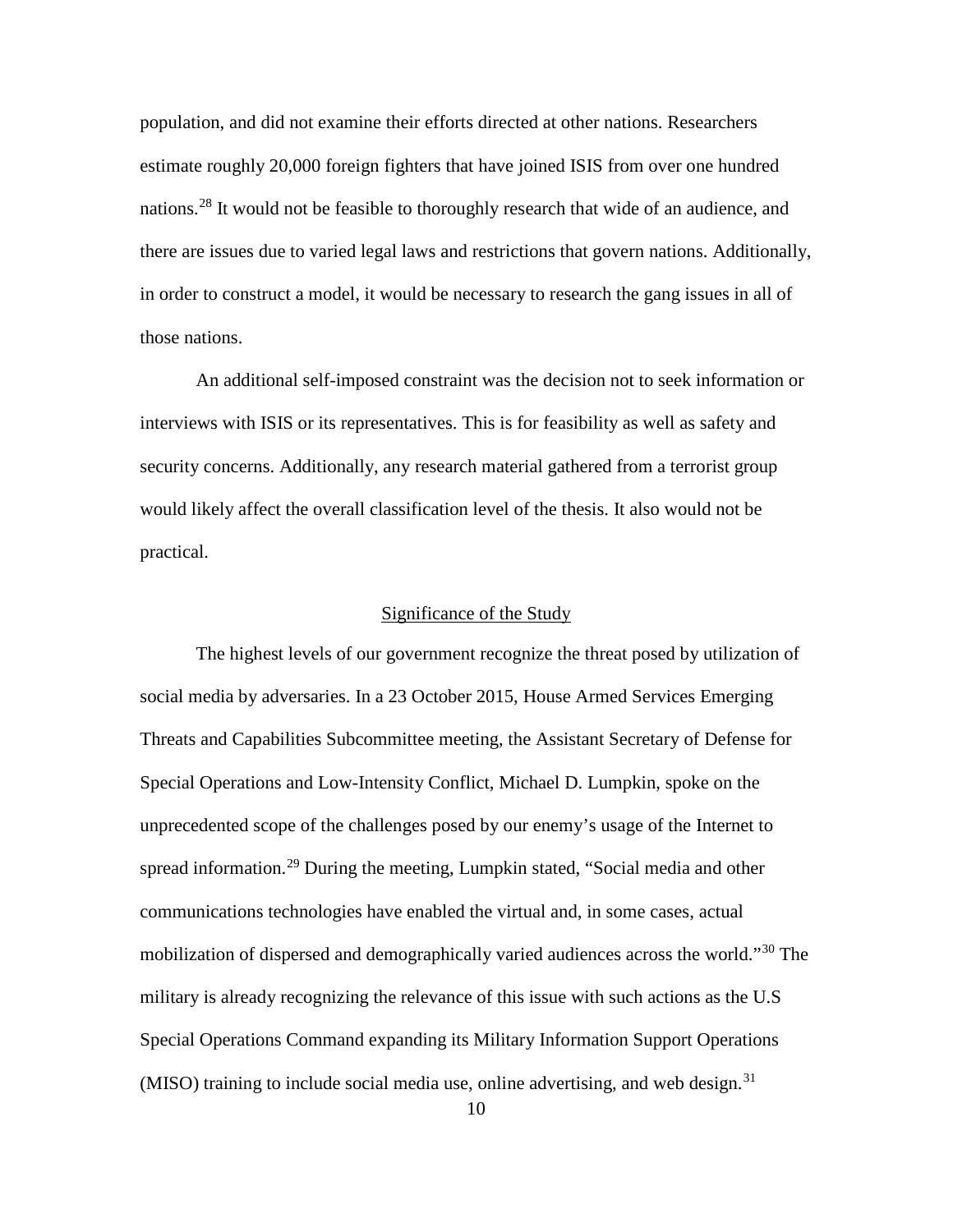population, and did not examine their efforts directed at other nations. Researchers estimate roughly 20,000 foreign fighters that have joined ISIS from over one hundred nations. [28](#page-30-0) It would not be feasible to thoroughly research that wide of an audience, and there are issues due to varied legal laws and restrictions that govern nations. Additionally, in order to construct a model, it would be necessary to research the gang issues in all of those nations.

An additional self-imposed constraint was the decision not to seek information or interviews with ISIS or its representatives. This is for feasibility as well as safety and security concerns. Additionally, any research material gathered from a terrorist group would likely affect the overall classification level of the thesis. It also would not be practical.

# Significance of the Study

The highest levels of our government recognize the threat posed by utilization of social media by adversaries. In a 23 October 2015, House Armed Services Emerging Threats and Capabilities Subcommittee meeting, the Assistant Secretary of Defense for Special Operations and Low-Intensity Conflict, Michael D. Lumpkin, spoke on the unprecedented scope of the challenges posed by our enemy's usage of the Internet to spread information.<sup>[29](#page-30-1)</sup> During the meeting, Lumpkin stated, "Social media and other communications technologies have enabled the virtual and, in some cases, actual mobilization of dispersed and demographically varied audiences across the world."<sup>[30](#page-30-2)</sup> The military is already recognizing the relevance of this issue with such actions as the U.S Special Operations Command expanding its Military Information Support Operations (MISO) training to include social media use, online advertising, and web design. [31](#page-30-3)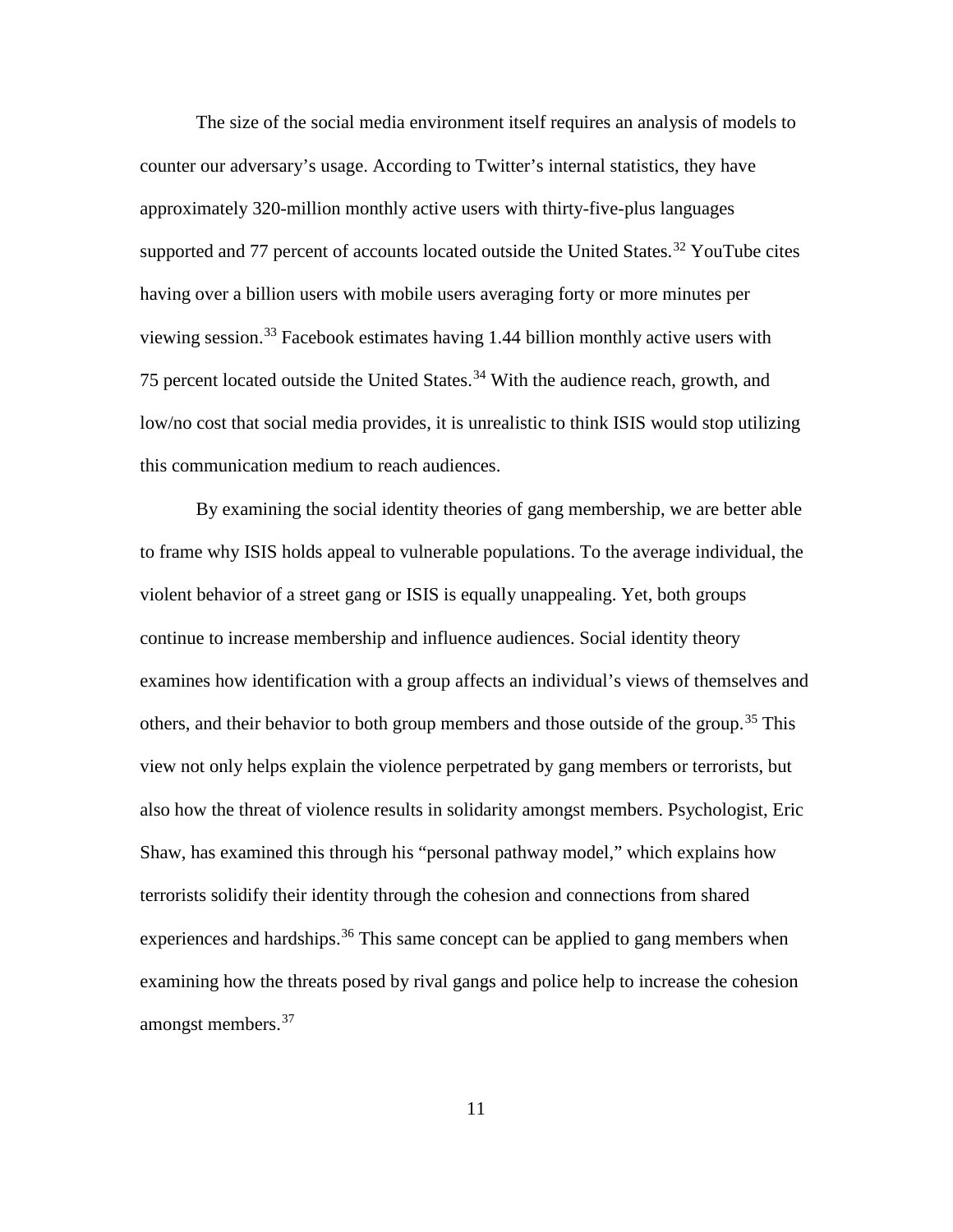The size of the social media environment itself requires an analysis of models to counter our adversary's usage. According to Twitter's internal statistics, they have approximately 320-million monthly active users with thirty-five-plus languages supported and 77 percent of accounts located outside the United States.<sup>[32](#page-31-0)</sup> YouTube cites having over a billion users with mobile users averaging forty or more minutes per viewing session. [33](#page-31-1) Facebook estimates having 1.44 billion monthly active users with 75 percent located outside the United States. [34](#page-31-2) With the audience reach, growth, and low/no cost that social media provides, it is unrealistic to think ISIS would stop utilizing this communication medium to reach audiences.

By examining the social identity theories of gang membership, we are better able to frame why ISIS holds appeal to vulnerable populations. To the average individual, the violent behavior of a street gang or ISIS is equally unappealing. Yet, both groups continue to increase membership and influence audiences. Social identity theory examines how identification with a group affects an individual's views of themselves and others, and their behavior to both group members and those outside of the group.<sup>[35](#page-31-3)</sup> This view not only helps explain the violence perpetrated by gang members or terrorists, but also how the threat of violence results in solidarity amongst members. Psychologist, Eric Shaw, has examined this through his "personal pathway model," which explains how terrorists solidify their identity through the cohesion and connections from shared experiences and hardships.<sup>[36](#page-31-4)</sup> This same concept can be applied to gang members when examining how the threats posed by rival gangs and police help to increase the cohesion amongst members. [37](#page-31-5)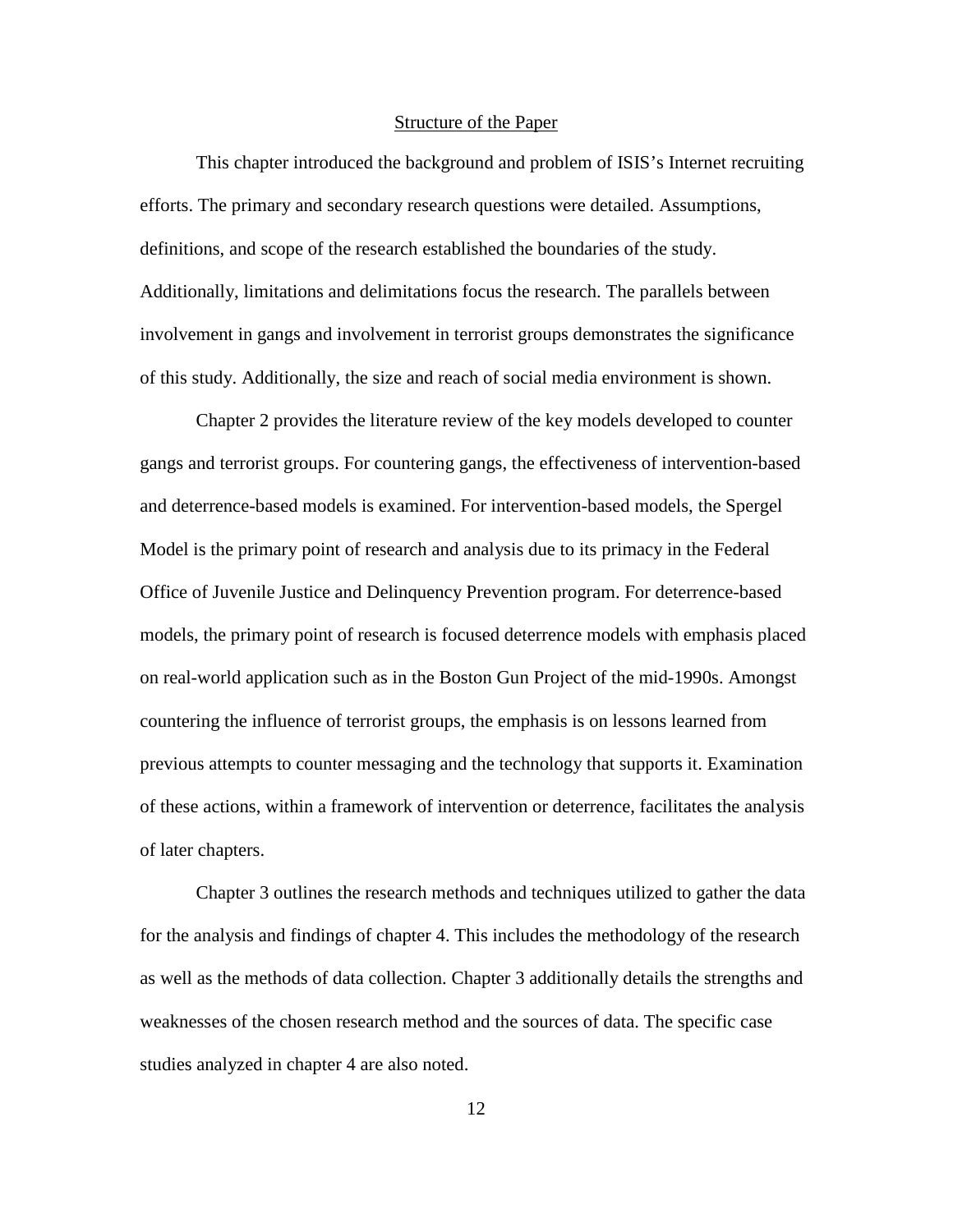## Structure of the Paper

This chapter introduced the background and problem of ISIS's Internet recruiting efforts. The primary and secondary research questions were detailed. Assumptions, definitions, and scope of the research established the boundaries of the study. Additionally, limitations and delimitations focus the research. The parallels between involvement in gangs and involvement in terrorist groups demonstrates the significance of this study. Additionally, the size and reach of social media environment is shown.

Chapter 2 provides the literature review of the key models developed to counter gangs and terrorist groups. For countering gangs, the effectiveness of intervention-based and deterrence-based models is examined. For intervention-based models, the Spergel Model is the primary point of research and analysis due to its primacy in the Federal Office of Juvenile Justice and Delinquency Prevention program. For deterrence-based models, the primary point of research is focused deterrence models with emphasis placed on real-world application such as in the Boston Gun Project of the mid-1990s. Amongst countering the influence of terrorist groups, the emphasis is on lessons learned from previous attempts to counter messaging and the technology that supports it. Examination of these actions, within a framework of intervention or deterrence, facilitates the analysis of later chapters.

Chapter 3 outlines the research methods and techniques utilized to gather the data for the analysis and findings of chapter 4. This includes the methodology of the research as well as the methods of data collection. Chapter 3 additionally details the strengths and weaknesses of the chosen research method and the sources of data. The specific case studies analyzed in chapter 4 are also noted.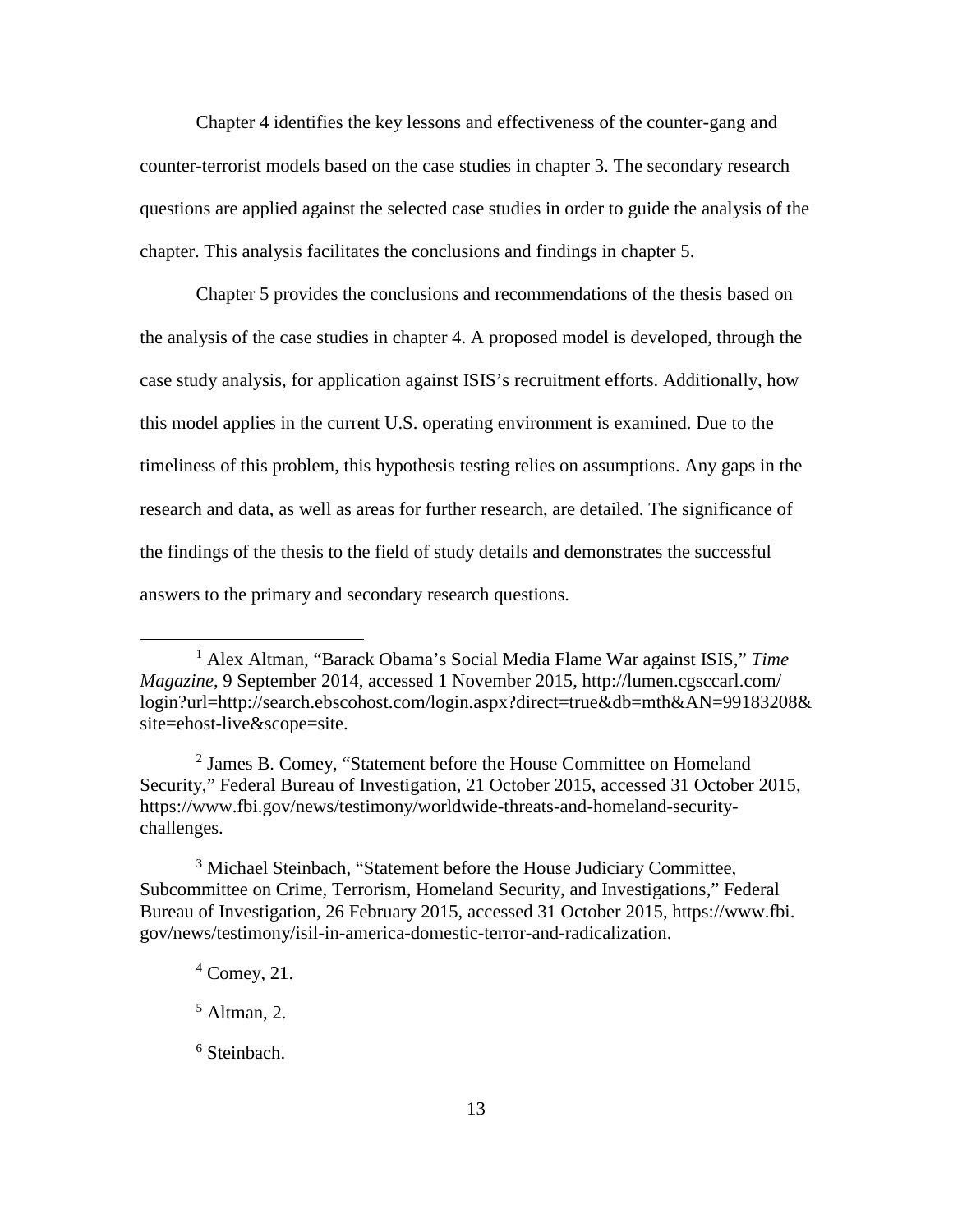Chapter 4 identifies the key lessons and effectiveness of the counter-gang and counter-terrorist models based on the case studies in chapter 3. The secondary research questions are applied against the selected case studies in order to guide the analysis of the chapter. This analysis facilitates the conclusions and findings in chapter 5.

Chapter 5 provides the conclusions and recommendations of the thesis based on the analysis of the case studies in chapter 4. A proposed model is developed, through the case study analysis, for application against ISIS's recruitment efforts. Additionally, how this model applies in the current U.S. operating environment is examined. Due to the timeliness of this problem, this hypothesis testing relies on assumptions. Any gaps in the research and data, as well as areas for further research, are detailed. The significance of the findings of the thesis to the field of study details and demonstrates the successful answers to the primary and secondary research questions.

<sup>2</sup> James B. Comey, "Statement before the House Committee on Homeland Security," Federal Bureau of Investigation, 21 October 2015, accessed 31 October 2015, https://www.fbi.gov/news/testimony/worldwide-threats-and-homeland-securitychallenges.

<sup>3</sup> Michael Steinbach, "Statement before the House Judiciary Committee, Subcommittee on Crime, Terrorism, Homeland Security, and Investigations," Federal Bureau of Investigation, 26 February 2015, accessed 31 October 2015, https://www.fbi. gov/news/testimony/isil-in-america-domestic-terror-and-radicalization.

 $\overline{a}$ 

<sup>1</sup> Alex Altman, "Barack Obama's Social Media Flame War against ISIS," *Time Magazine*, 9 September 2014, accessed 1 November 2015, http://lumen.cgsccarl.com/ login?url=http://search.ebscohost.com/login.aspx?direct=true&db=mth&AN=99183208& site=ehost-live&scope=site.

 $4$  Comey, 21.

 $<sup>5</sup>$  Altman, 2.</sup>

 $6$  Steinbach.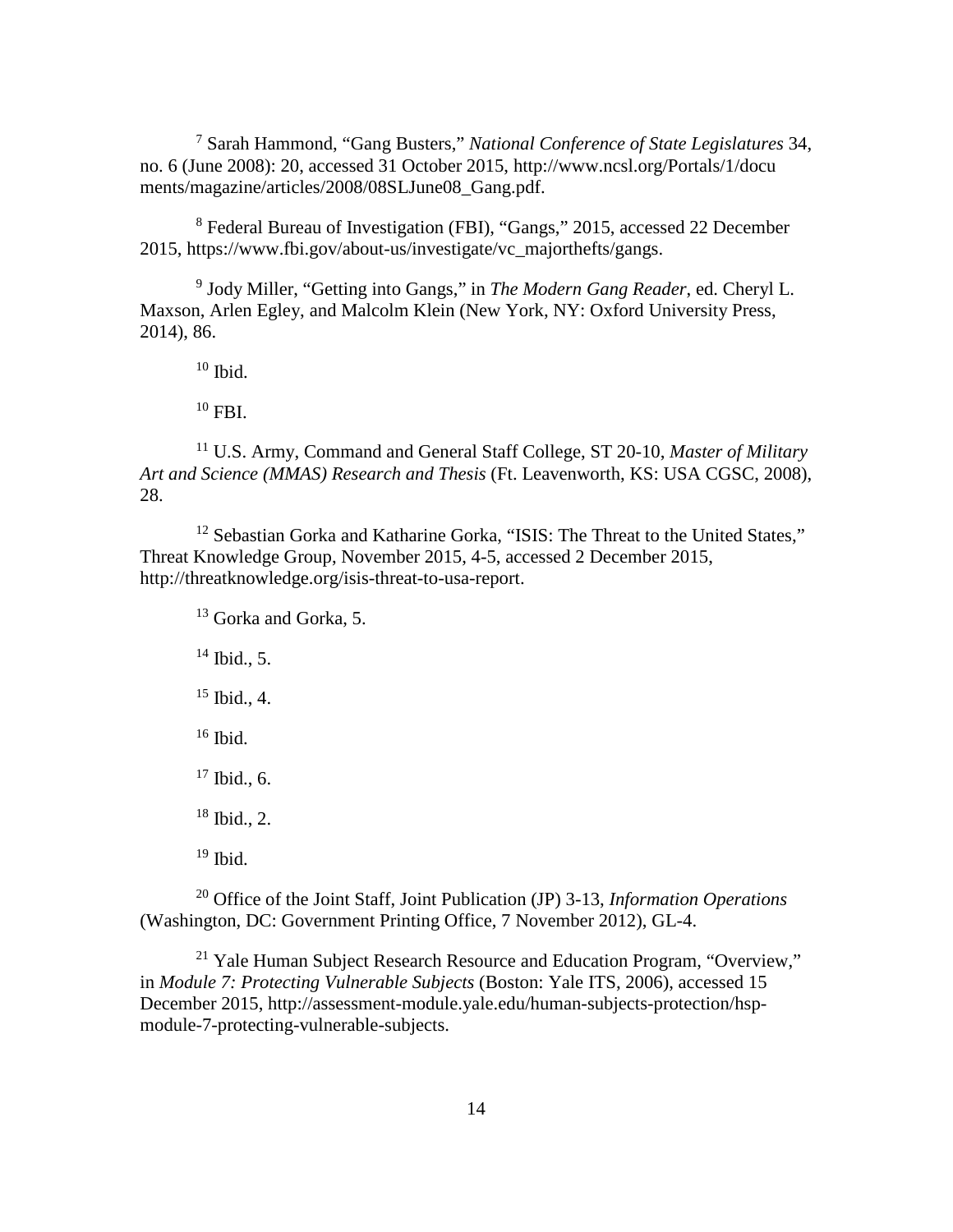<sup>7</sup> Sarah Hammond, "Gang Busters," *National Conference of State Legislatures* 34, no. 6 (June 2008): 20, accessed 31 October 2015, http://www.ncsl.org/Portals/1/docu ments/magazine/articles/2008/08SLJune08\_Gang.pdf.

<sup>8</sup> Federal Bureau of Investigation (FBI), "Gangs," 2015, accessed 22 December 2015, https://www.fbi.gov/about-us/investigate/vc\_majorthefts/gangs.

<sup>9</sup> Jody Miller, "Getting into Gangs," in *The Modern Gang Reader*, ed. Cheryl L. Maxson, Arlen Egley, and Malcolm Klein (New York, NY: Oxford University Press, 2014), 86.

 $10$  Ibid.

 $10$  FBI.

<sup>11</sup> U.S. Army, Command and General Staff College, ST 20-10, *Master of Military Art and Science (MMAS) Research and Thesis* (Ft. Leavenworth, KS: USA CGSC, 2008), 28.

<span id="page-23-0"></span><sup>12</sup> Sebastian Gorka and Katharine Gorka, "ISIS: The Threat to the United States," Threat Knowledge Group, November 2015, 4-5, accessed 2 December 2015, http://threatknowledge.org/isis-threat-to-usa-report.

<sup>13</sup> Gorka and Gorka, 5.

 $14$  Ibid., 5.

 $15$  Ibid., 4.

 $16$  Ibid.

 $17$  Ibid., 6.

 $18$  Ibid., 2.

 $19$  Ibid.

<span id="page-23-2"></span><span id="page-23-1"></span><sup>20</sup> Office of the Joint Staff, Joint Publication (JP) 3-13, *Information Operations* (Washington, DC: Government Printing Office, 7 November 2012), GL-4.

<span id="page-23-3"></span><sup>21</sup> Yale Human Subject Research Resource and Education Program, "Overview," in *Module 7: Protecting Vulnerable Subjects* (Boston: Yale ITS, 2006), accessed 15 December 2015, http://assessment-module.yale.edu/human-subjects-protection/hspmodule-7-protecting-vulnerable-subjects.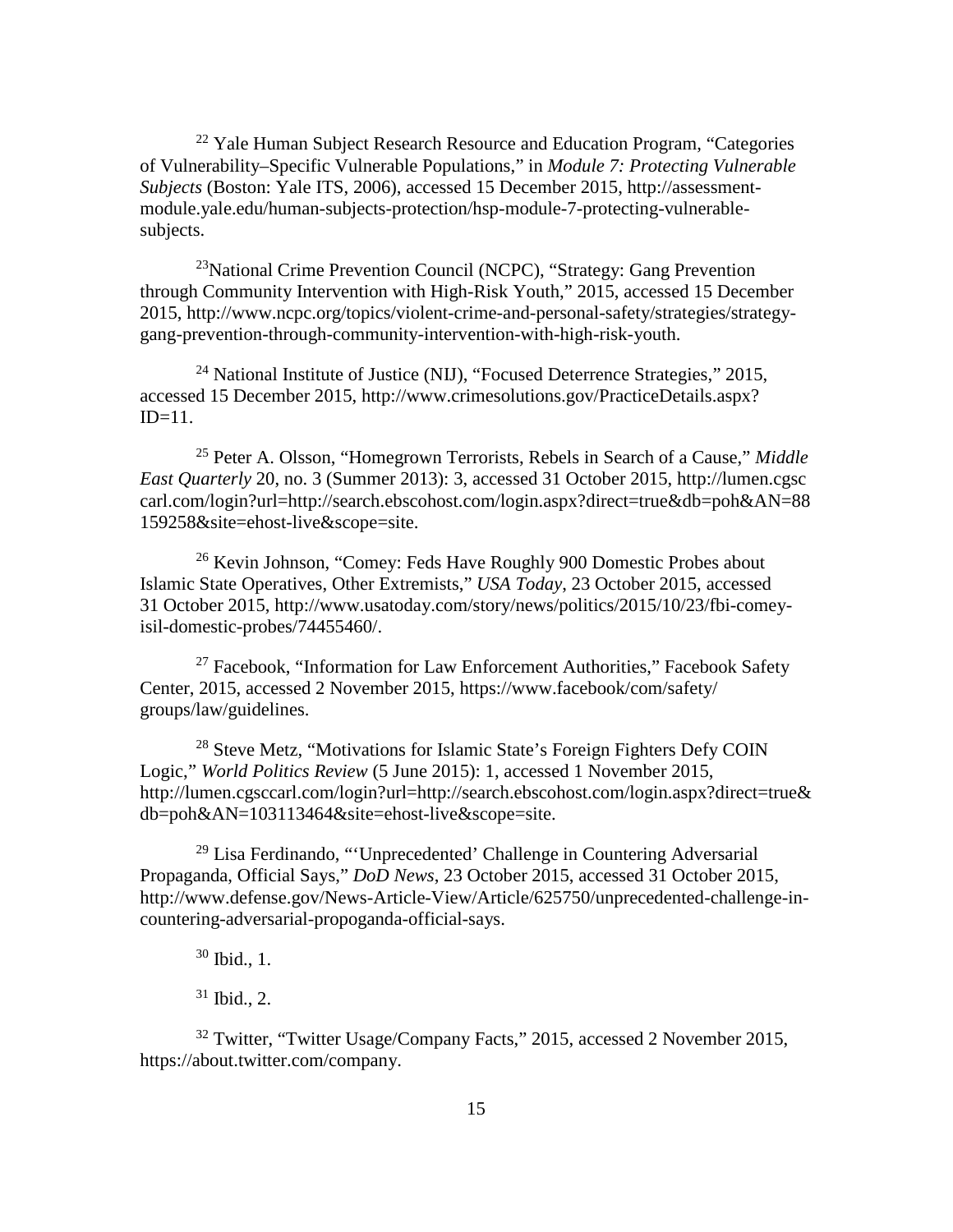<span id="page-24-2"></span> $^{22}$  Yale Human Subject Research Resource and Education Program, "Categories" of Vulnerability–Specific Vulnerable Populations," in *Module 7: Protecting Vulnerable Subjects* (Boston: Yale ITS, 2006), accessed 15 December 2015, http://assessmentmodule.yale.edu/human-subjects-protection/hsp-module-7-protecting-vulnerablesubjects.

<span id="page-24-4"></span><span id="page-24-3"></span> $^{23}$ National Crime Prevention Council (NCPC), "Strategy: Gang Prevention through Community Intervention with High-Risk Youth," 2015, accessed 15 December 2015, http://www.ncpc.org/topics/violent-crime-and-personal-safety/strategies/strategygang-prevention-through-community-intervention-with-high-risk-youth.

<span id="page-24-5"></span><sup>24</sup> National Institute of Justice (NIJ), "Focused Deterrence Strategies," 2015, accessed 15 December 2015, http://www.crimesolutions.gov/PracticeDetails.aspx?  $ID=11$ .

<span id="page-24-6"></span><sup>25</sup> Peter A. Olsson, "Homegrown Terrorists, Rebels in Search of a Cause," *Middle East Quarterly* 20, no. 3 (Summer 2013): 3, accessed 31 October 2015, http://lumen.cgsc carl.com/login?url=http://search.ebscohost.com/login.aspx?direct=true&db=poh&AN=88 159258&site=ehost-live&scope=site.

<sup>26</sup> Kevin Johnson, "Comey: Feds Have Roughly 900 Domestic Probes about Islamic State Operatives, Other Extremists," *USA Today*, 23 October 2015, accessed 31 October 2015, http://www.usatoday.com/story/news/politics/2015/10/23/fbi-comeyisil-domestic-probes/74455460/.

 $27$  Facebook, "Information for Law Enforcement Authorities," Facebook Safety Center, 2015, accessed 2 November 2015, https://www.facebook/com/safety/ groups/law/guidelines.

<sup>28</sup> Steve Metz, "Motivations for Islamic State's Foreign Fighters Defy COIN Logic," *World Politics Review* (5 June 2015): 1, accessed 1 November 2015, http://lumen.cgsccarl.com/login?url=http://search.ebscohost.com/login.aspx?direct=true& db=poh&AN=103113464&site=ehost-live&scope=site.

<sup>29</sup> Lisa Ferdinando, "'Unprecedented' Challenge in Countering Adversarial Propaganda, Official Says," *DoD News*, 23 October 2015, accessed 31 October 2015, http://www.defense.gov/News-Article-View/Article/625750/unprecedented-challenge-incountering-adversarial-propoganda-official-says.

 $30$  Ibid., 1.

 $31$  Ibid., 2.

<span id="page-24-1"></span><span id="page-24-0"></span><sup>32</sup> Twitter, "Twitter Usage/Company Facts," 2015, accessed 2 November 2015, https://about.twitter.com/company.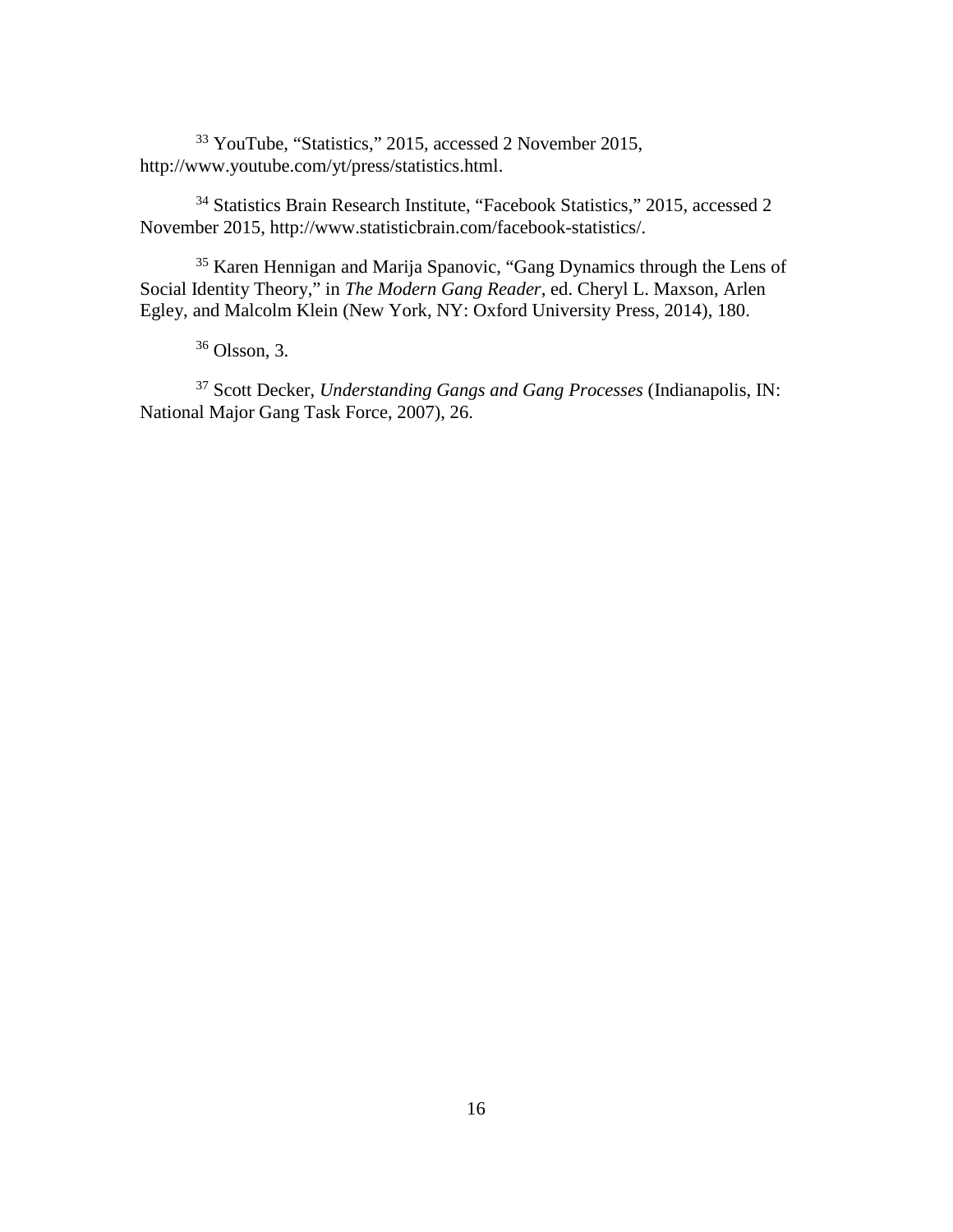<sup>33</sup> YouTube, "Statistics," 2015, accessed 2 November 2015, http://www.youtube.com/yt/press/statistics.html.

<sup>34</sup> Statistics Brain Research Institute, "Facebook Statistics," 2015, accessed 2 November 2015, http://www.statisticbrain.com/facebook-statistics/.

<sup>35</sup> Karen Hennigan and Marija Spanovic, "Gang Dynamics through the Lens of Social Identity Theory," in *The Modern Gang Reader*, ed. Cheryl L. Maxson, Arlen Egley, and Malcolm Klein (New York, NY: Oxford University Press, 2014), 180.

<sup>36</sup> Olsson, 3.

<span id="page-25-3"></span><span id="page-25-2"></span><span id="page-25-1"></span><span id="page-25-0"></span><sup>37</sup> Scott Decker, *Understanding Gangs and Gang Processes* (Indianapolis, IN: National Major Gang Task Force, 2007), 26.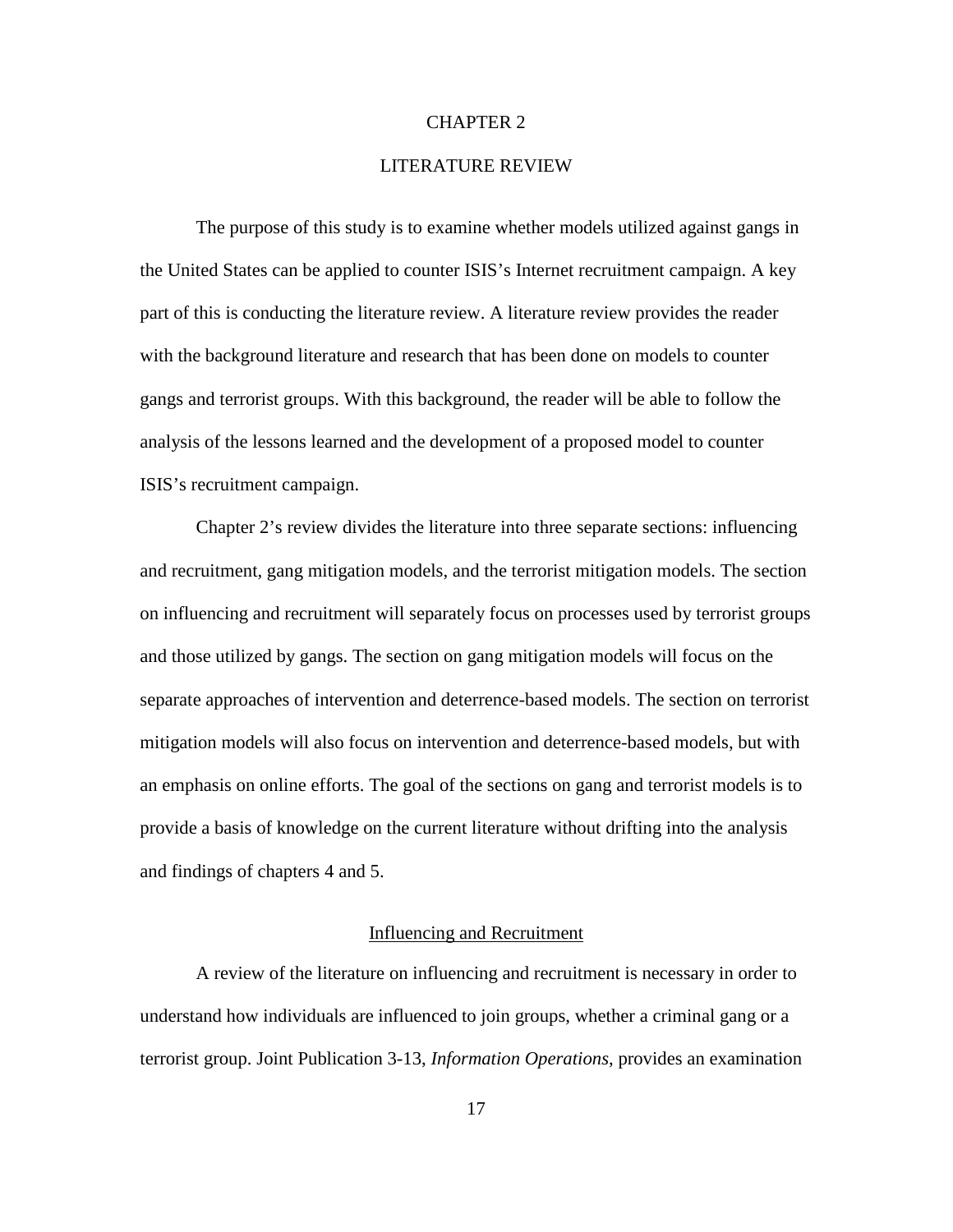## CHAPTER 2

# LITERATURE REVIEW

The purpose of this study is to examine whether models utilized against gangs in the United States can be applied to counter ISIS's Internet recruitment campaign. A key part of this is conducting the literature review. A literature review provides the reader with the background literature and research that has been done on models to counter gangs and terrorist groups. With this background, the reader will be able to follow the analysis of the lessons learned and the development of a proposed model to counter ISIS's recruitment campaign.

<span id="page-26-0"></span>Chapter 2's review divides the literature into three separate sections: influencing and recruitment, gang mitigation models, and the terrorist mitigation models. The section on influencing and recruitment will separately focus on processes used by terrorist groups and those utilized by gangs. The section on gang mitigation models will focus on the separate approaches of intervention and deterrence-based models. The section on terrorist mitigation models will also focus on intervention and deterrence-based models, but with an emphasis on online efforts. The goal of the sections on gang and terrorist models is to provide a basis of knowledge on the current literature without drifting into the analysis and findings of chapters 4 and 5.

### Influencing and Recruitment

<span id="page-26-4"></span><span id="page-26-3"></span><span id="page-26-2"></span><span id="page-26-1"></span>A review of the literature on influencing and recruitment is necessary in order to understand how individuals are influenced to join groups, whether a criminal gang or a terrorist group. Joint Publication 3-13, *Information Operations*, provides an examination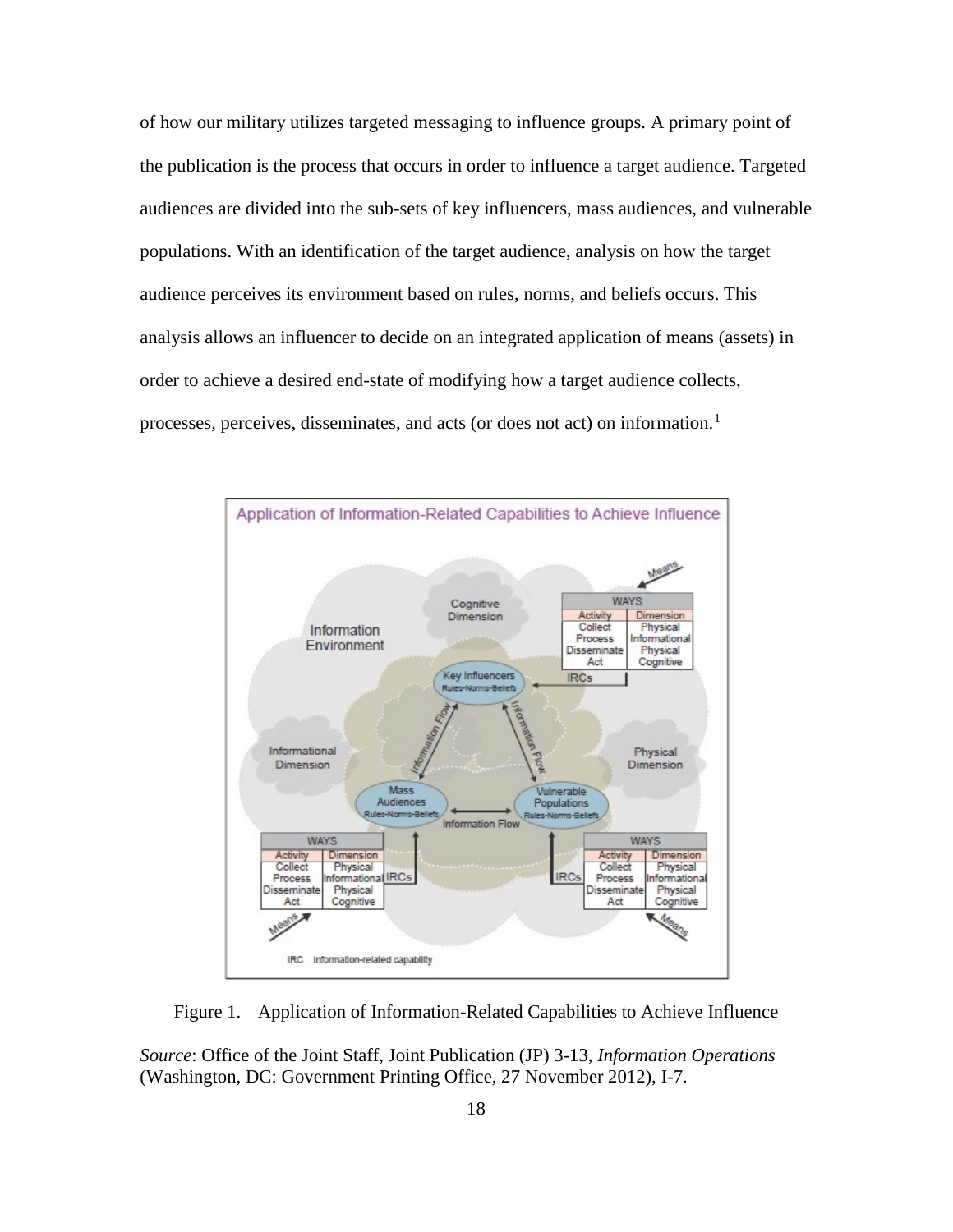<span id="page-27-2"></span><span id="page-27-1"></span>of how our military utilizes targeted messaging to influence groups. A primary point of the publication is the process that occurs in order to influence a target audience. Targeted audiences are divided into the sub-sets of key influencers, mass audiences, and vulnerable populations. With an identification of the target audience, analysis on how the target audience perceives its environment based on rules, norms, and beliefs occurs. This analysis allows an influencer to decide on an integrated application of means (assets) in order to achieve a desired end-state of modifying how a target audience collects, processes, perceives, disseminates, and acts (or does not act) on information. [1](#page-48-0)



Figure 1. Application of Information-Related Capabilities to Achieve Influence

<span id="page-27-0"></span>*Source*: Office of the Joint Staff, Joint Publication (JP) 3-13, *Information Operations* (Washington, DC: Government Printing Office, 27 November 2012), I-7.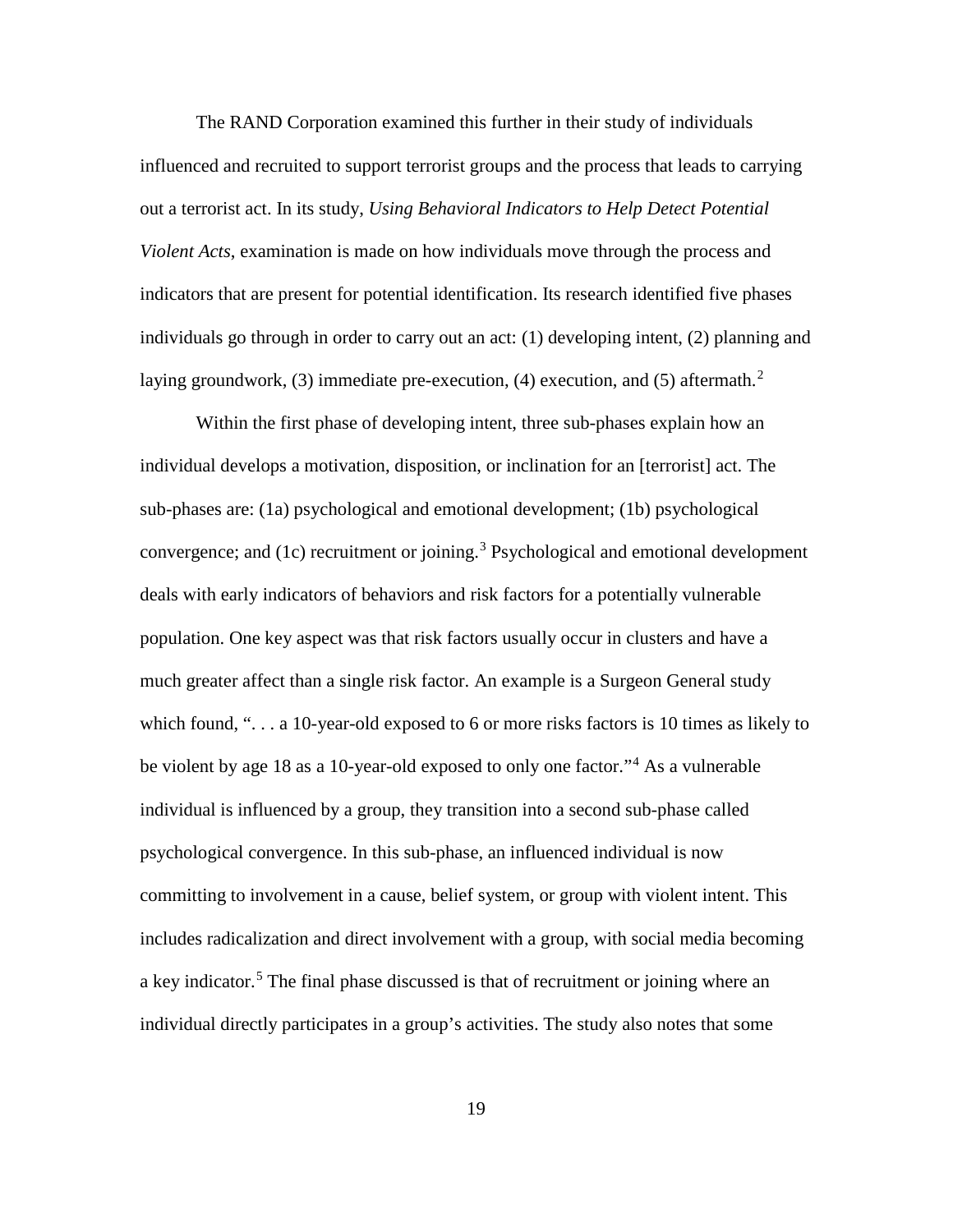The RAND Corporation examined this further in their study of individuals influenced and recruited to support terrorist groups and the process that leads to carrying out a terrorist act. In its study, *Using Behavioral Indicators to Help Detect Potential Violent Acts*, examination is made on how individuals move through the process and indicators that are present for potential identification. Its research identified five phases individuals go through in order to carry out an act: (1) developing intent, (2) planning and laying groundwork, (3) immediate pre-execution, (4) execution, and (5) aftermath.<sup>[2](#page-49-0)</sup>

<span id="page-28-1"></span><span id="page-28-0"></span>Within the first phase of developing intent, three sub-phases explain how an individual develops a motivation, disposition, or inclination for an [terrorist] act. The sub-phases are: (1a) psychological and emotional development; (1b) psychological convergence; and (1c) recruitment or joining. [3](#page-49-1) Psychological and emotional development deals with early indicators of behaviors and risk factors for a potentially vulnerable population. One key aspect was that risk factors usually occur in clusters and have a much greater affect than a single risk factor. An example is a Surgeon General study which found, "... a 10-year-old exposed to 6 or more risks factors is 10 times as likely to be violent by age 18 as a 10-year-old exposed to only one factor."[4](#page-49-2) As a vulnerable individual is influenced by a group, they transition into a second sub-phase called psychological convergence. In this sub-phase, an influenced individual is now committing to involvement in a cause, belief system, or group with violent intent. This includes radicalization and direct involvement with a group, with social media becoming a key indicator.<sup>[5](#page-49-3)</sup> The final phase discussed is that of recruitment or joining where an individual directly participates in a group's activities. The study also notes that some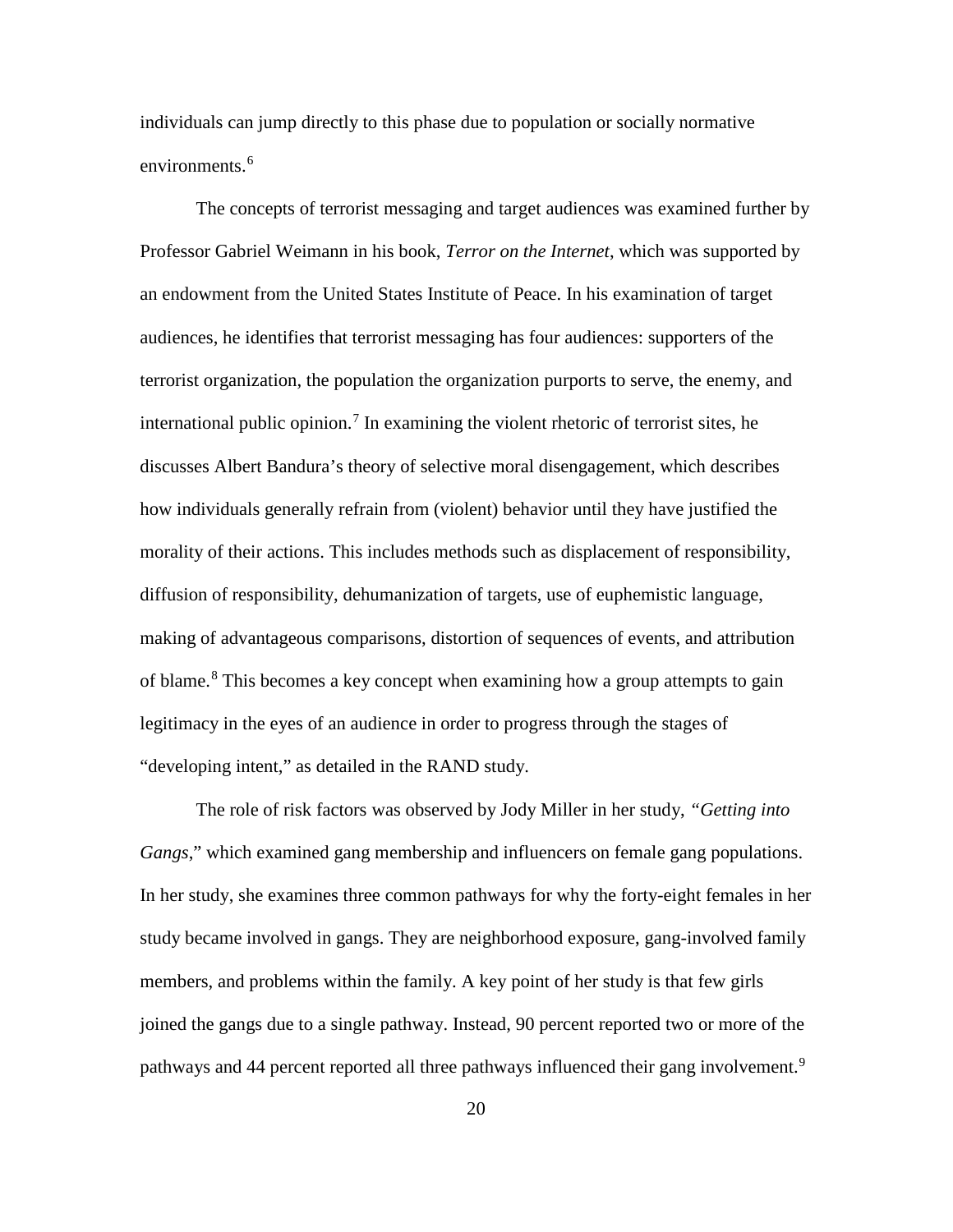individuals can jump directly to this phase due to population or socially normative environments. [6](#page-50-0)

The concepts of terrorist messaging and target audiences was examined further by Professor Gabriel Weimann in his book, *Terror on the Internet*, which was supported by an endowment from the United States Institute of Peace. In his examination of target audiences, he identifies that terrorist messaging has four audiences: supporters of the terrorist organization, the population the organization purports to serve, the enemy, and international public opinion. [7](#page-50-1) In examining the violent rhetoric of terrorist sites, he discusses Albert Bandura's theory of selective moral disengagement, which describes how individuals generally refrain from (violent) behavior until they have justified the morality of their actions. This includes methods such as displacement of responsibility, diffusion of responsibility, dehumanization of targets, use of euphemistic language, making of advantageous comparisons, distortion of sequences of events, and attribution of blame.<sup>[8](#page-50-2)</sup> This becomes a key concept when examining how a group attempts to gain legitimacy in the eyes of an audience in order to progress through the stages of "developing intent," as detailed in the RAND study.

<span id="page-29-1"></span><span id="page-29-0"></span>The role of risk factors was observed by Jody Miller in her study, *"Getting into Gangs*," which examined gang membership and influencers on female gang populations. In her study, she examines three common pathways for why the forty-eight females in her study became involved in gangs. They are neighborhood exposure, gang-involved family members, and problems within the family. A key point of her study is that few girls joined the gangs due to a single pathway. Instead, 90 percent reported two or more of the pathways and 44 percent reported all three pathways influenced their gang involvement.<sup>[9](#page-50-3)</sup>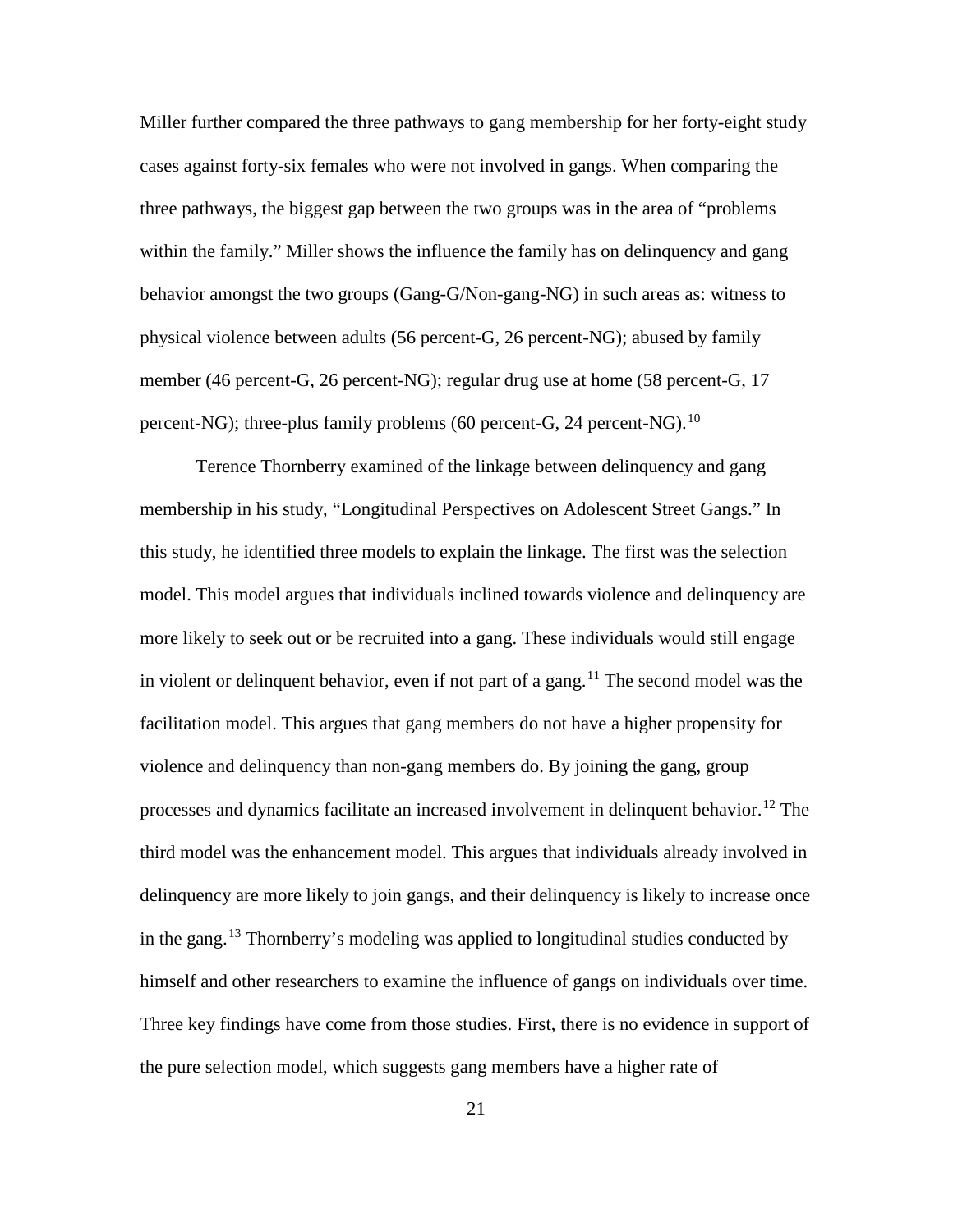Miller further compared the three pathways to gang membership for her forty-eight study cases against forty-six females who were not involved in gangs. When comparing the three pathways, the biggest gap between the two groups was in the area of "problems within the family." Miller shows the influence the family has on delinquency and gang behavior amongst the two groups (Gang-G/Non-gang-NG) in such areas as: witness to physical violence between adults (56 percent-G, 26 percent-NG); abused by family member (46 percent-G, 26 percent-NG); regular drug use at home (58 percent-G, 17 percent-NG); three-plus family problems (60 percent-G, 24 percent-NG).  $^{10}$  $^{10}$  $^{10}$ 

<span id="page-30-3"></span><span id="page-30-2"></span><span id="page-30-1"></span><span id="page-30-0"></span>Terence Thornberry examined of the linkage between delinquency and gang membership in his study, "Longitudinal Perspectives on Adolescent Street Gangs." In this study, he identified three models to explain the linkage. The first was the selection model. This model argues that individuals inclined towards violence and delinquency are more likely to seek out or be recruited into a gang. These individuals would still engage in violent or delinquent behavior, even if not part of a gang.<sup>[11](#page-51-1)</sup> The second model was the facilitation model. This argues that gang members do not have a higher propensity for violence and delinquency than non-gang members do. By joining the gang, group processes and dynamics facilitate an increased involvement in delinquent behavior. [12](#page-51-2) The third model was the enhancement model. This argues that individuals already involved in delinquency are more likely to join gangs, and their delinquency is likely to increase once in the gang. [13](#page-51-3) Thornberry's modeling was applied to longitudinal studies conducted by himself and other researchers to examine the influence of gangs on individuals over time. Three key findings have come from those studies. First, there is no evidence in support of the pure selection model, which suggests gang members have a higher rate of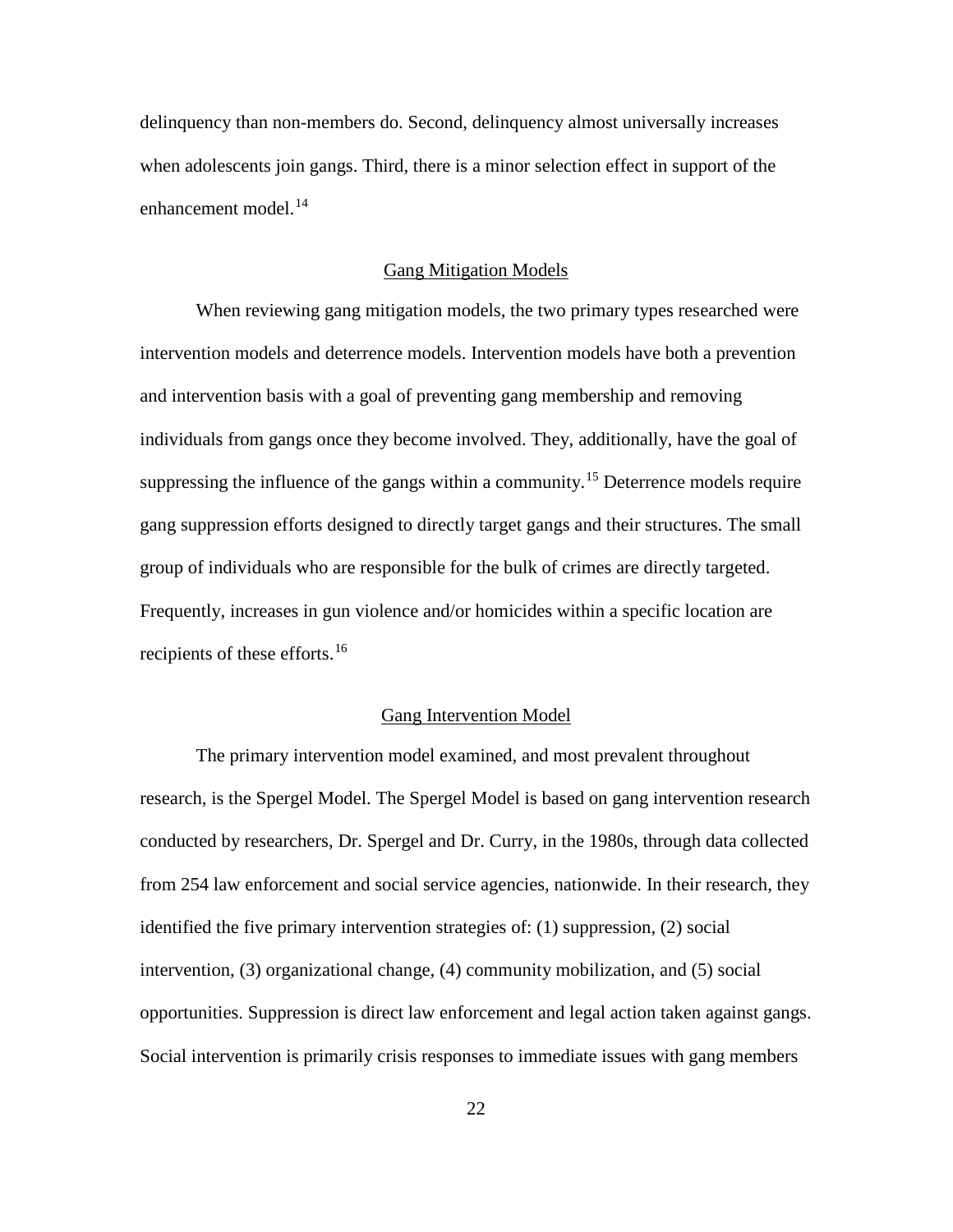<span id="page-31-2"></span><span id="page-31-1"></span>delinquency than non-members do. Second, delinquency almost universally increases when adolescents join gangs. Third, there is a minor selection effect in support of the enhancement model. [14](#page-52-0)

#### Gang Mitigation Models

<span id="page-31-5"></span><span id="page-31-4"></span><span id="page-31-3"></span>When reviewing gang mitigation models, the two primary types researched were intervention models and deterrence models. Intervention models have both a prevention and intervention basis with a goal of preventing gang membership and removing individuals from gangs once they become involved. They, additionally, have the goal of suppressing the influence of the gangs within a community.<sup>[15](#page-52-1)</sup> Deterrence models require gang suppression efforts designed to directly target gangs and their structures. The small group of individuals who are responsible for the bulk of crimes are directly targeted. Frequently, increases in gun violence and/or homicides within a specific location are recipients of these efforts.[16](#page-52-2)

# Gang Intervention Model

<span id="page-31-0"></span>The primary intervention model examined, and most prevalent throughout research, is the Spergel Model. The Spergel Model is based on gang intervention research conducted by researchers, Dr. Spergel and Dr. Curry, in the 1980s, through data collected from 254 law enforcement and social service agencies, nationwide. In their research, they identified the five primary intervention strategies of: (1) suppression, (2) social intervention, (3) organizational change, (4) community mobilization, and (5) social opportunities. Suppression is direct law enforcement and legal action taken against gangs. Social intervention is primarily crisis responses to immediate issues with gang members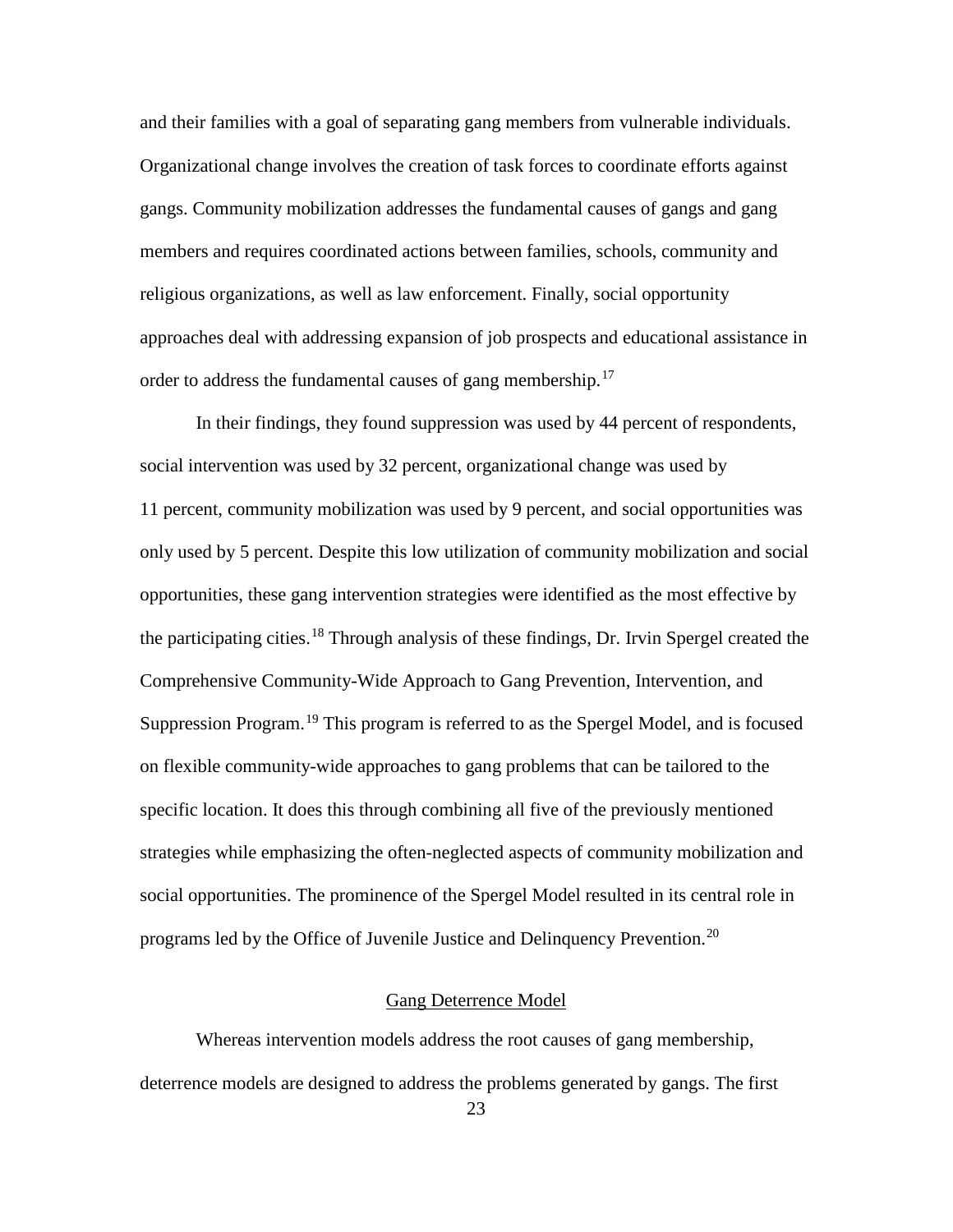and their families with a goal of separating gang members from vulnerable individuals. Organizational change involves the creation of task forces to coordinate efforts against gangs. Community mobilization addresses the fundamental causes of gangs and gang members and requires coordinated actions between families, schools, community and religious organizations, as well as law enforcement. Finally, social opportunity approaches deal with addressing expansion of job prospects and educational assistance in order to address the fundamental causes of gang membership.<sup>[17](#page-53-0)</sup>

In their findings, they found suppression was used by 44 percent of respondents, social intervention was used by 32 percent, organizational change was used by 11 percent, community mobilization was used by 9 percent, and social opportunities was only used by 5 percent. Despite this low utilization of community mobilization and social opportunities, these gang intervention strategies were identified as the most effective by the participating cities.<sup>[18](#page-53-1)</sup> Through analysis of these findings, Dr. Irvin Spergel created the Comprehensive Community-Wide Approach to Gang Prevention, Intervention, and Suppression Program.<sup>[19](#page-53-2)</sup> This program is referred to as the Spergel Model, and is focused on flexible community-wide approaches to gang problems that can be tailored to the specific location. It does this through combining all five of the previously mentioned strategies while emphasizing the often-neglected aspects of community mobilization and social opportunities. The prominence of the Spergel Model resulted in its central role in programs led by the Office of Juvenile Justice and Delinquency Prevention.<sup>[20](#page-53-3)</sup>

# Gang Deterrence Model

Whereas intervention models address the root causes of gang membership, deterrence models are designed to address the problems generated by gangs. The first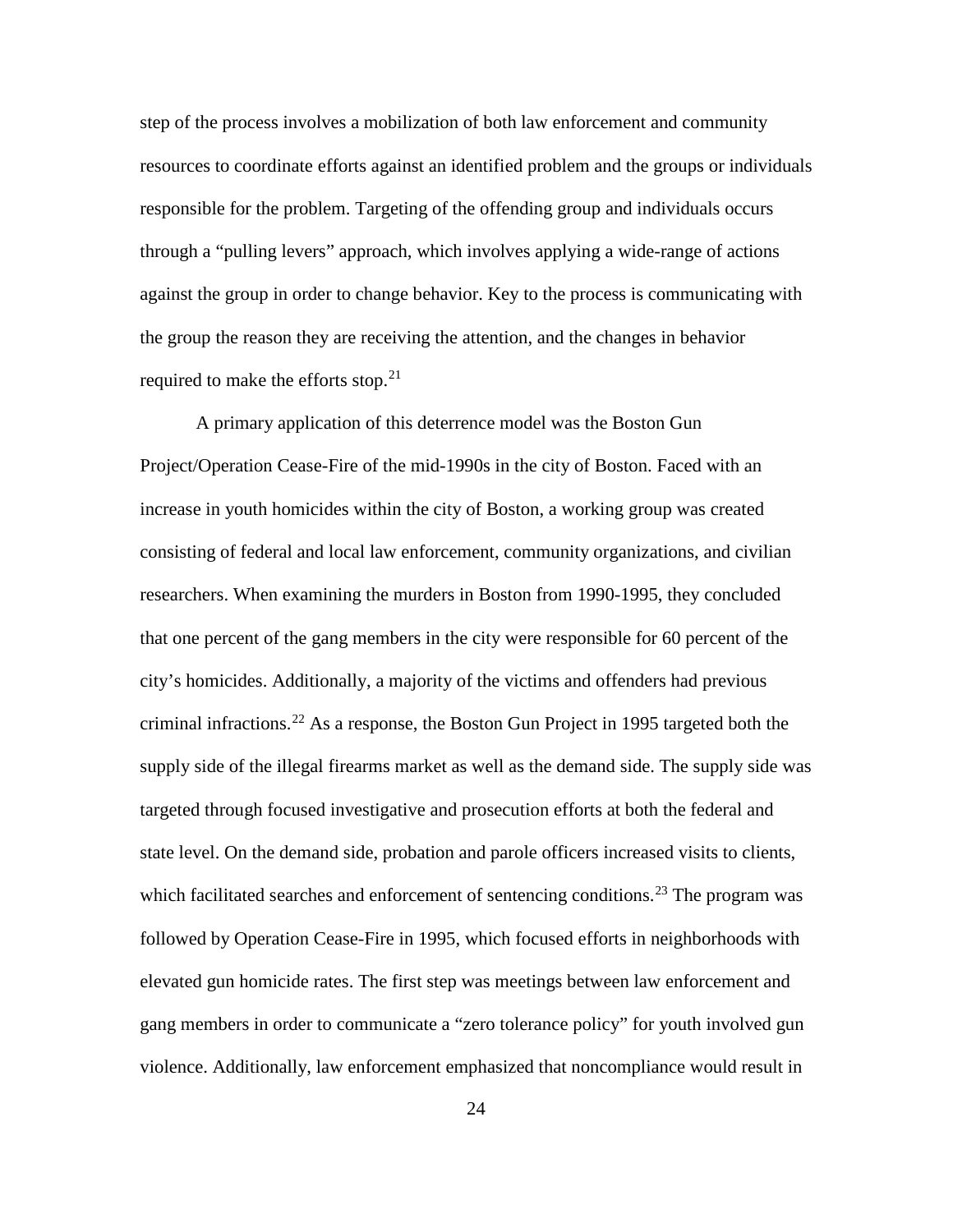step of the process involves a mobilization of both law enforcement and community resources to coordinate efforts against an identified problem and the groups or individuals responsible for the problem. Targeting of the offending group and individuals occurs through a "pulling levers" approach, which involves applying a wide-range of actions against the group in order to change behavior. Key to the process is communicating with the group the reason they are receiving the attention, and the changes in behavior required to make the efforts stop.<sup>[21](#page-54-0)</sup>

A primary application of this deterrence model was the Boston Gun Project/Operation Cease-Fire of the mid-1990s in the city of Boston. Faced with an increase in youth homicides within the city of Boston, a working group was created consisting of federal and local law enforcement, community organizations, and civilian researchers. When examining the murders in Boston from 1990-1995, they concluded that one percent of the gang members in the city were responsible for 60 percent of the city's homicides. Additionally, a majority of the victims and offenders had previous criminal infractions.<sup>[22](#page-54-1)</sup> As a response, the Boston Gun Project in 1995 targeted both the supply side of the illegal firearms market as well as the demand side. The supply side was targeted through focused investigative and prosecution efforts at both the federal and state level. On the demand side, probation and parole officers increased visits to clients, which facilitated searches and enforcement of sentencing conditions.<sup>[23](#page-54-2)</sup> The program was followed by Operation Cease-Fire in 1995, which focused efforts in neighborhoods with elevated gun homicide rates. The first step was meetings between law enforcement and gang members in order to communicate a "zero tolerance policy" for youth involved gun violence. Additionally, law enforcement emphasized that noncompliance would result in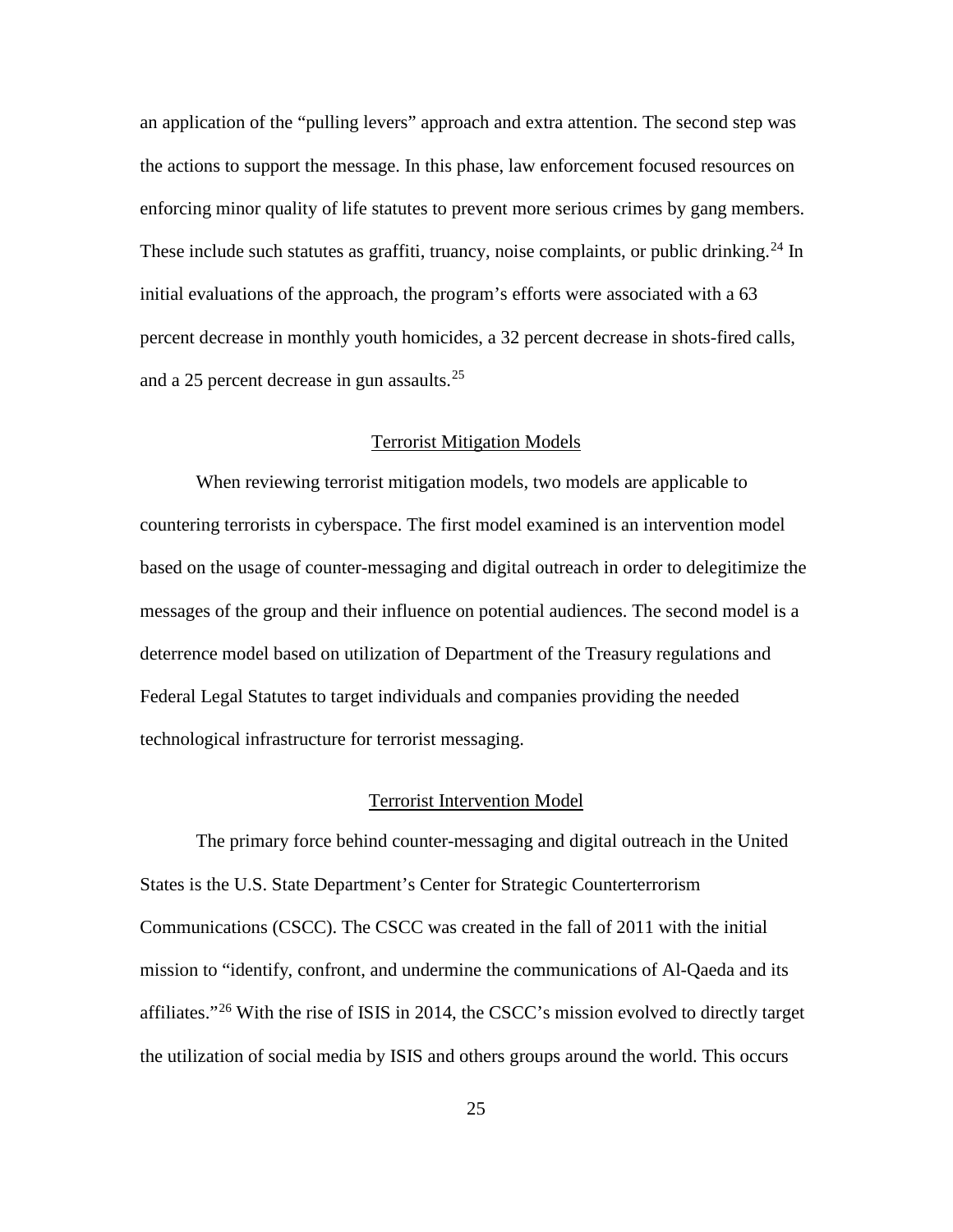an application of the "pulling levers" approach and extra attention. The second step was the actions to support the message. In this phase, law enforcement focused resources on enforcing minor quality of life statutes to prevent more serious crimes by gang members. These include such statutes as graffiti, truancy, noise complaints, or public drinking.<sup>[24](#page-55-0)</sup> In initial evaluations of the approach, the program's efforts were associated with a 63 percent decrease in monthly youth homicides, a 32 percent decrease in shots-fired calls, and a 25 percent decrease in gun assaults. [25](#page-55-1)

# Terrorist Mitigation Models

When reviewing terrorist mitigation models, two models are applicable to countering terrorists in cyberspace. The first model examined is an intervention model based on the usage of counter-messaging and digital outreach in order to delegitimize the messages of the group and their influence on potential audiences. The second model is a deterrence model based on utilization of Department of the Treasury regulations and Federal Legal Statutes to target individuals and companies providing the needed technological infrastructure for terrorist messaging.

#### Terrorist Intervention Model

The primary force behind counter-messaging and digital outreach in the United States is the U.S. State Department's Center for Strategic Counterterrorism Communications (CSCC). The CSCC was created in the fall of 2011 with the initial mission to "identify, confront, and undermine the communications of Al-Qaeda and its affiliates."<sup>[26](#page-55-2)</sup> With the rise of ISIS in 2014, the CSCC's mission evolved to directly target the utilization of social media by ISIS and others groups around the world. This occurs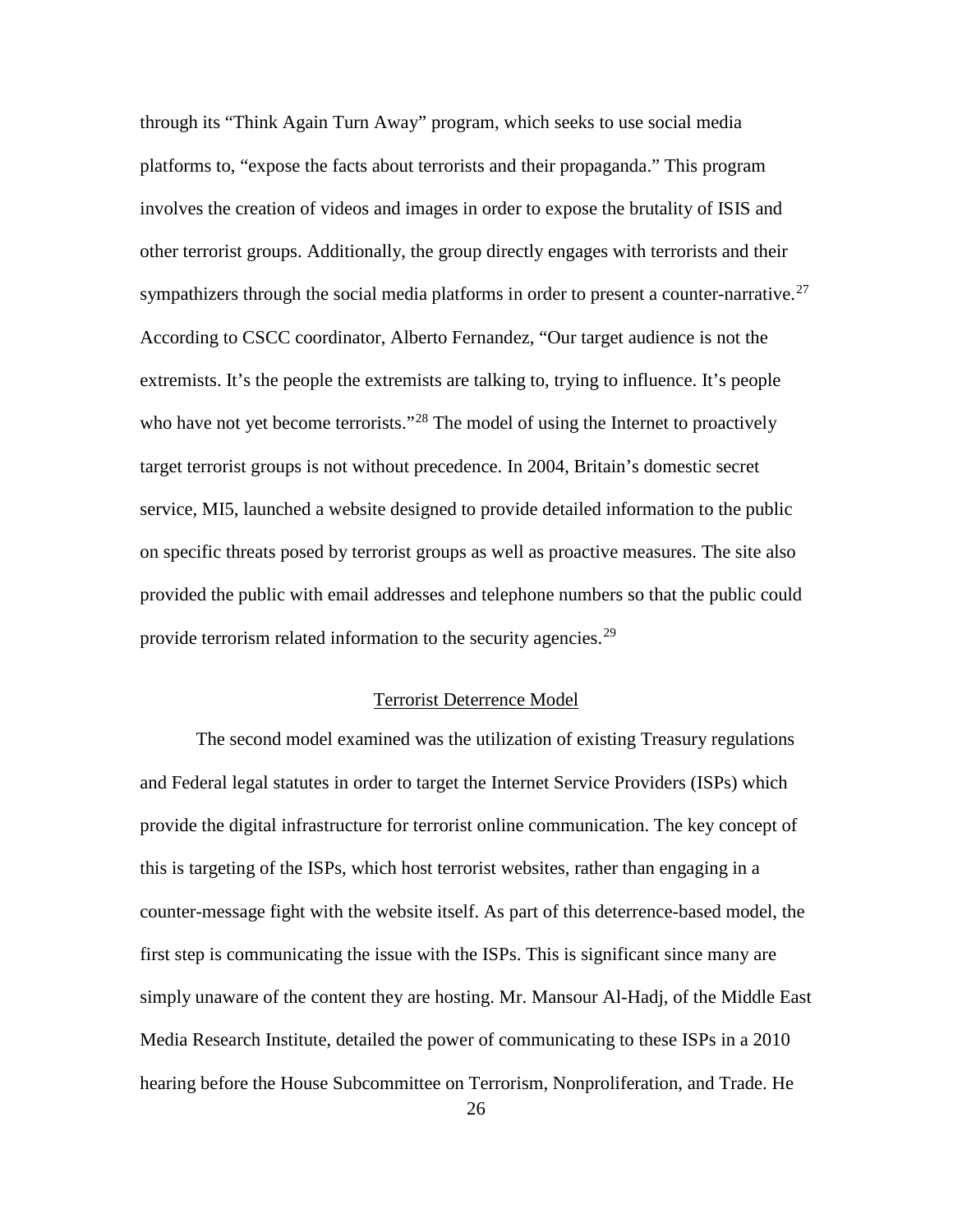through its "Think Again Turn Away" program, which seeks to use social media platforms to, "expose the facts about terrorists and their propaganda." This program involves the creation of videos and images in order to expose the brutality of ISIS and other terrorist groups. Additionally, the group directly engages with terrorists and their sympathizers through the social media platforms in order to present a counter-narrative.<sup>[27](#page-56-0)</sup> According to CSCC coordinator, Alberto Fernandez, "Our target audience is not the extremists. It's the people the extremists are talking to, trying to influence. It's people who have not yet become terrorists."<sup>[28](#page-56-1)</sup> The model of using the Internet to proactively target terrorist groups is not without precedence. In 2004, Britain's domestic secret service, MI5, launched a website designed to provide detailed information to the public on specific threats posed by terrorist groups as well as proactive measures. The site also provided the public with email addresses and telephone numbers so that the public could provide terrorism related information to the security agencies.<sup>[29](#page-56-2)</sup>

# Terrorist Deterrence Model

The second model examined was the utilization of existing Treasury regulations and Federal legal statutes in order to target the Internet Service Providers (ISPs) which provide the digital infrastructure for terrorist online communication. The key concept of this is targeting of the ISPs, which host terrorist websites, rather than engaging in a counter-message fight with the website itself. As part of this deterrence-based model, the first step is communicating the issue with the ISPs. This is significant since many are simply unaware of the content they are hosting. Mr. Mansour Al-Hadj, of the Middle East Media Research Institute, detailed the power of communicating to these ISPs in a 2010 hearing before the House Subcommittee on Terrorism, Nonproliferation, and Trade. He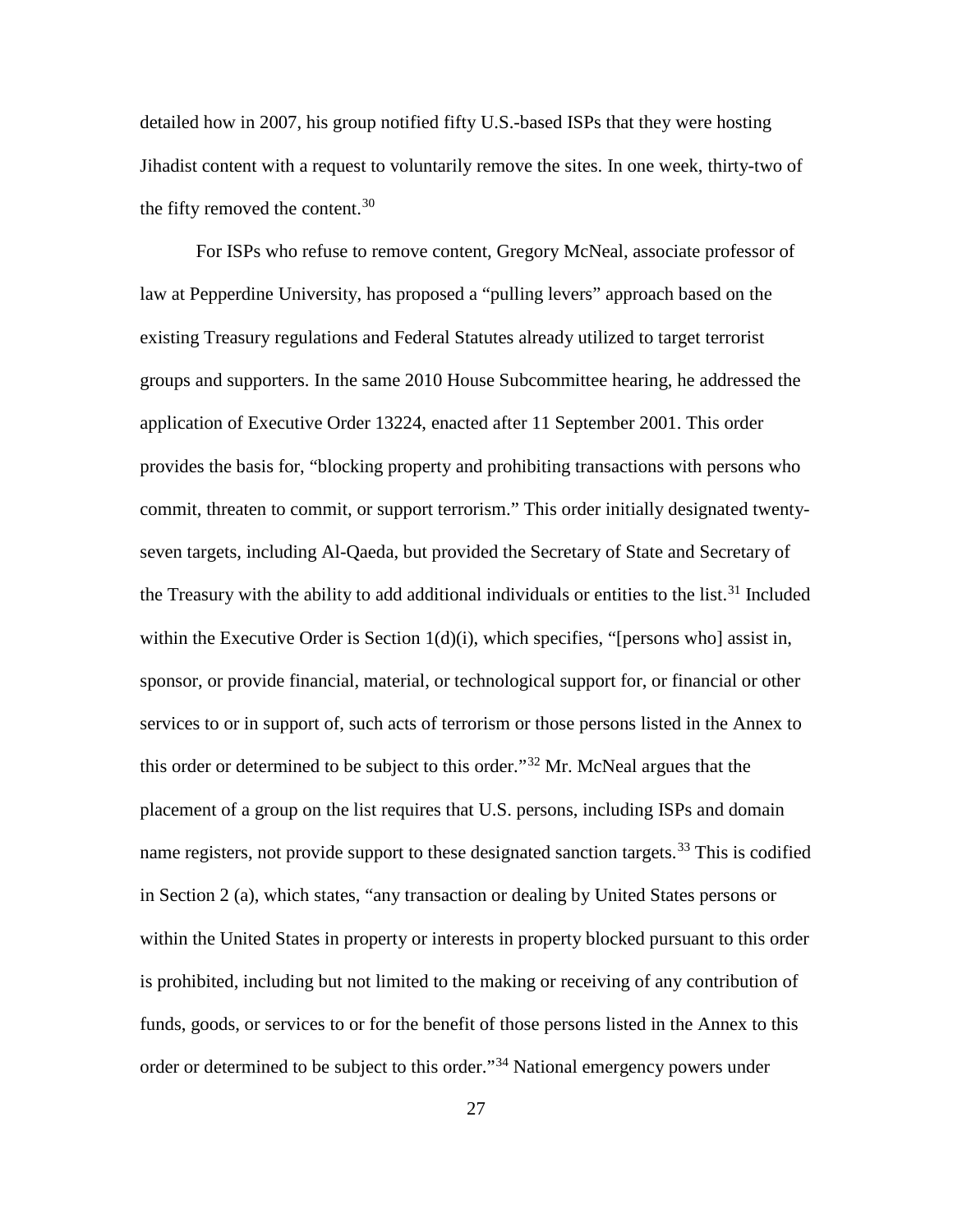detailed how in 2007, his group notified fifty U.S.-based ISPs that they were hosting Jihadist content with a request to voluntarily remove the sites. In one week, thirty-two of the fifty removed the content.<sup>[30](#page-57-0)</sup>

For ISPs who refuse to remove content, Gregory McNeal, associate professor of law at Pepperdine University, has proposed a "pulling levers" approach based on the existing Treasury regulations and Federal Statutes already utilized to target terrorist groups and supporters. In the same 2010 House Subcommittee hearing, he addressed the application of Executive Order 13224, enacted after 11 September 2001. This order provides the basis for, "blocking property and prohibiting transactions with persons who commit, threaten to commit, or support terrorism." This order initially designated twentyseven targets, including Al-Qaeda, but provided the Secretary of State and Secretary of the Treasury with the ability to add additional individuals or entities to the list.<sup>[31](#page-57-1)</sup> Included within the Executive Order is Section  $1(d)(i)$ , which specifies, "[persons who] assist in, sponsor, or provide financial, material, or technological support for, or financial or other services to or in support of, such acts of terrorism or those persons listed in the Annex to this order or determined to be subject to this order."[32](#page-57-2) Mr. McNeal argues that the placement of a group on the list requires that U.S. persons, including ISPs and domain name registers, not provide support to these designated sanction targets.<sup>[33](#page-57-3)</sup> This is codified in Section 2 (a), which states, "any transaction or dealing by United States persons or within the United States in property or interests in property blocked pursuant to this order is prohibited, including but not limited to the making or receiving of any contribution of funds, goods, or services to or for the benefit of those persons listed in the Annex to this order or determined to be subject to this order."[34](#page-57-4) National emergency powers under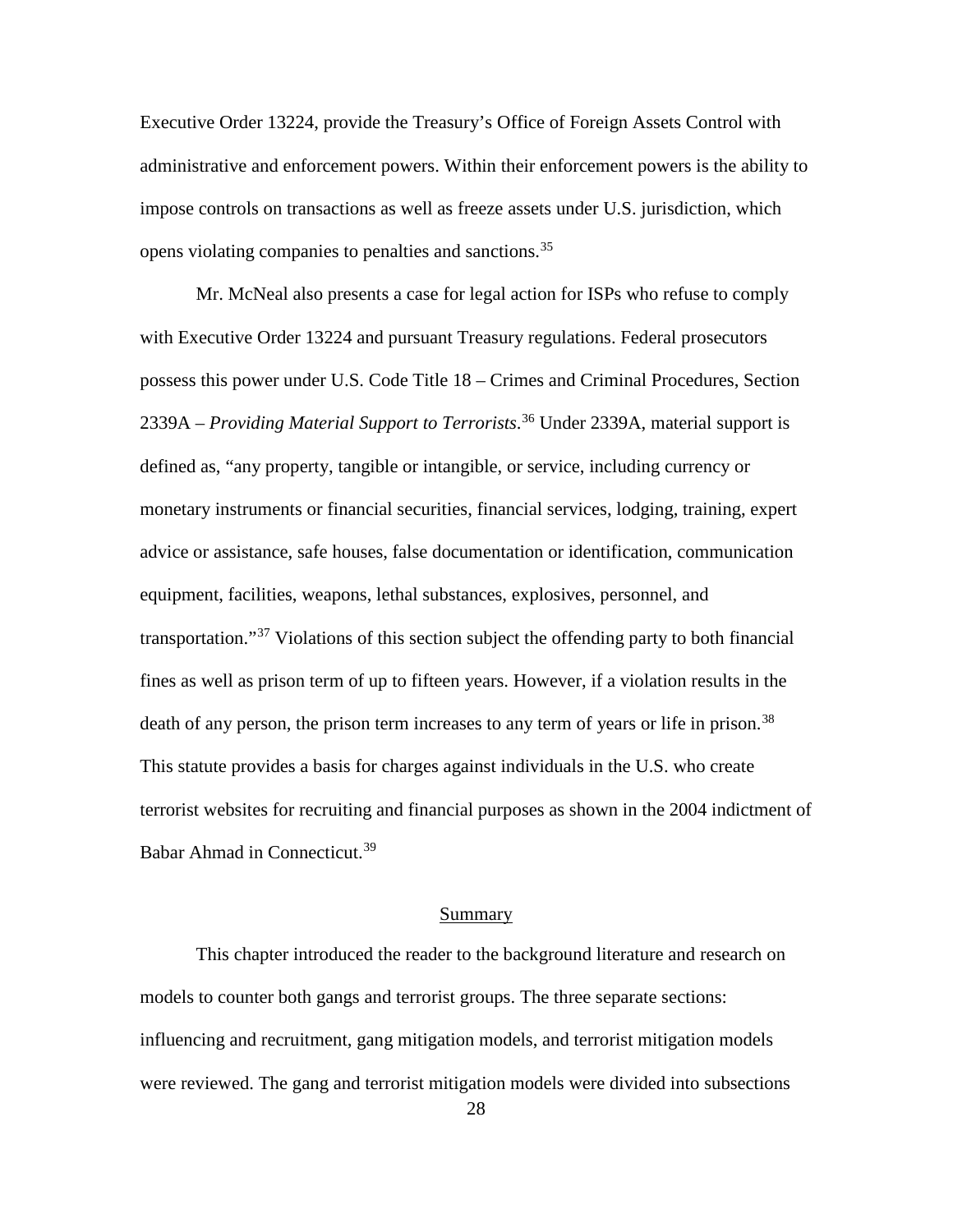Executive Order 13224, provide the Treasury's Office of Foreign Assets Control with administrative and enforcement powers. Within their enforcement powers is the ability to impose controls on transactions as well as freeze assets under U.S. jurisdiction, which opens violating companies to penalties and sanctions.<sup>[35](#page-58-0)</sup>

Mr. McNeal also presents a case for legal action for ISPs who refuse to comply with Executive Order 13224 and pursuant Treasury regulations. Federal prosecutors possess this power under U.S. Code Title 18 – Crimes and Criminal Procedures, Section 2339A – *Providing Material Support to Terrorists*. [36](#page-58-1) Under 2339A, material support is defined as, "any property, tangible or intangible, or service, including currency or monetary instruments or financial securities, financial services, lodging, training, expert advice or assistance, safe houses, false documentation or identification, communication equipment, facilities, weapons, lethal substances, explosives, personnel, and transportation."[37](#page-58-2) Violations of this section subject the offending party to both financial fines as well as prison term of up to fifteen years. However, if a violation results in the death of any person, the prison term increases to any term of years or life in prison.<sup>[38](#page-58-3)</sup> This statute provides a basis for charges against individuals in the U.S. who create terrorist websites for recruiting and financial purposes as shown in the 2004 indictment of Babar Ahmad in Connecticut. [39](#page-58-4)

# **Summary**

This chapter introduced the reader to the background literature and research on models to counter both gangs and terrorist groups. The three separate sections: influencing and recruitment, gang mitigation models, and terrorist mitigation models were reviewed. The gang and terrorist mitigation models were divided into subsections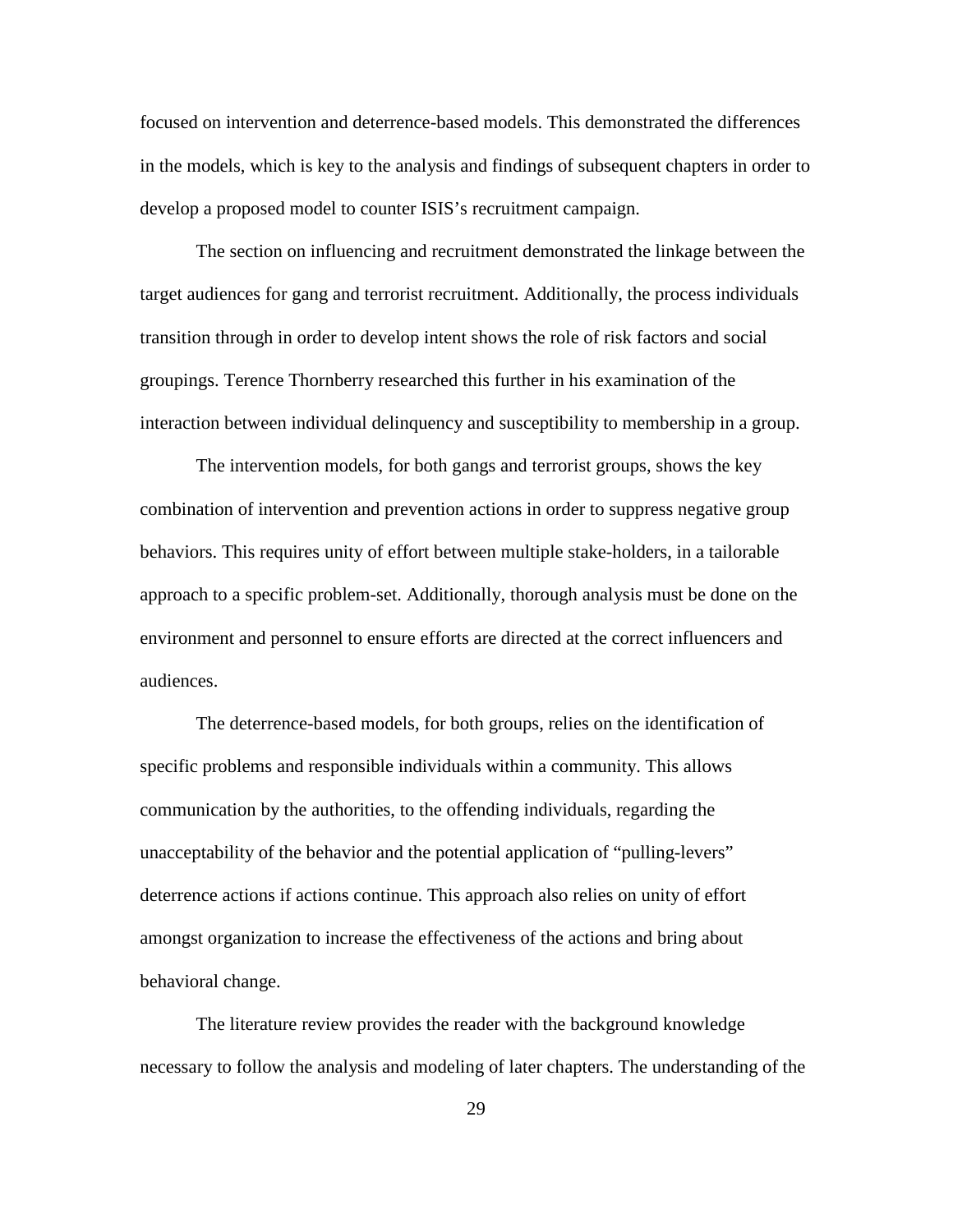focused on intervention and deterrence-based models. This demonstrated the differences in the models, which is key to the analysis and findings of subsequent chapters in order to develop a proposed model to counter ISIS's recruitment campaign.

The section on influencing and recruitment demonstrated the linkage between the target audiences for gang and terrorist recruitment. Additionally, the process individuals transition through in order to develop intent shows the role of risk factors and social groupings. Terence Thornberry researched this further in his examination of the interaction between individual delinquency and susceptibility to membership in a group.

The intervention models, for both gangs and terrorist groups, shows the key combination of intervention and prevention actions in order to suppress negative group behaviors. This requires unity of effort between multiple stake-holders, in a tailorable approach to a specific problem-set. Additionally, thorough analysis must be done on the environment and personnel to ensure efforts are directed at the correct influencers and audiences.

The deterrence-based models, for both groups, relies on the identification of specific problems and responsible individuals within a community. This allows communication by the authorities, to the offending individuals, regarding the unacceptability of the behavior and the potential application of "pulling-levers" deterrence actions if actions continue. This approach also relies on unity of effort amongst organization to increase the effectiveness of the actions and bring about behavioral change.

The literature review provides the reader with the background knowledge necessary to follow the analysis and modeling of later chapters. The understanding of the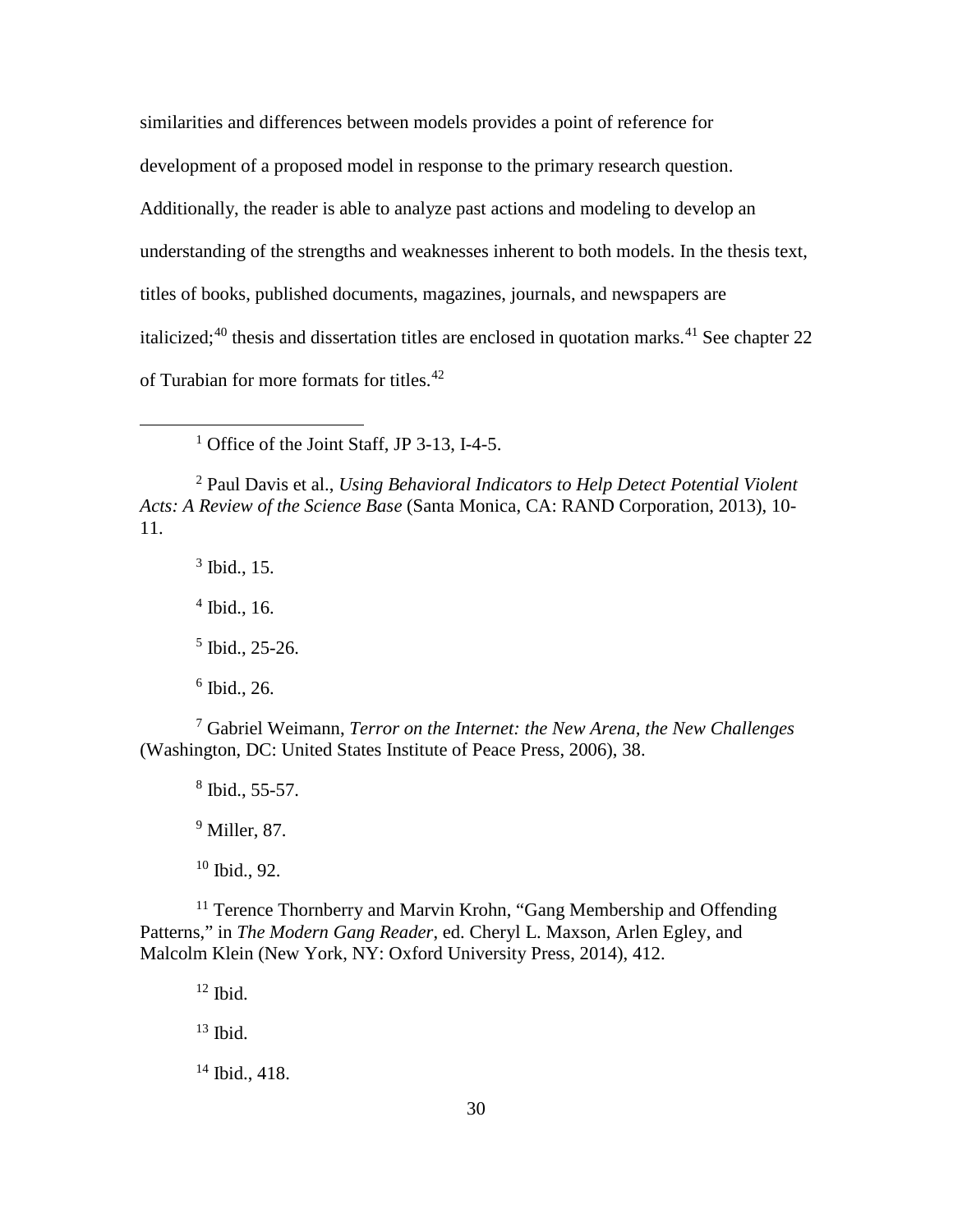similarities and differences between models provides a point of reference for development of a proposed model in response to the primary research question.

Additionally, the reader is able to analyze past actions and modeling to develop an

understanding of the strengths and weaknesses inherent to both models. In the thesis text,

titles of books, published documents, magazines, journals, and newspapers are

italicized;<sup>[40](#page-59-0)</sup> thesis and dissertation titles are enclosed in quotation marks.<sup>[41](#page-59-1)</sup> See chapter 22

of Turabian for more formats for titles.<sup>[42](#page-59-2)</sup>

<sup>1</sup> Office of the Joint Staff, JP 3-13, I-4-5.

<sup>2</sup> Paul Davis et al., *Using Behavioral Indicators to Help Detect Potential Violent Acts: A Review of the Science Base* (Santa Monica, CA: RAND Corporation, 2013), 10- 11.

 $3$  Ibid., 15.  $4$  Ibid., 16.  $<sup>5</sup>$  Ibid., 25-26.</sup>

 $\overline{a}$ 

 $6$  Ibid., 26.

<sup>7</sup> Gabriel Weimann, *Terror on the Internet: the New Arena, the New Challenges* (Washington, DC: United States Institute of Peace Press, 2006), 38.

<sup>8</sup> Ibid., 55-57.

<sup>9</sup> Miller, 87.

 $10$  Ibid., 92.

<sup>11</sup> Terence Thornberry and Marvin Krohn, "Gang Membership and Offending Patterns," in *The Modern Gang Reader*, ed. Cheryl L. Maxson, Arlen Egley, and Malcolm Klein (New York, NY: Oxford University Press, 2014), 412.

 $12$  Ibid.  $13$  Ibid.

 $14$  Ibid., 418.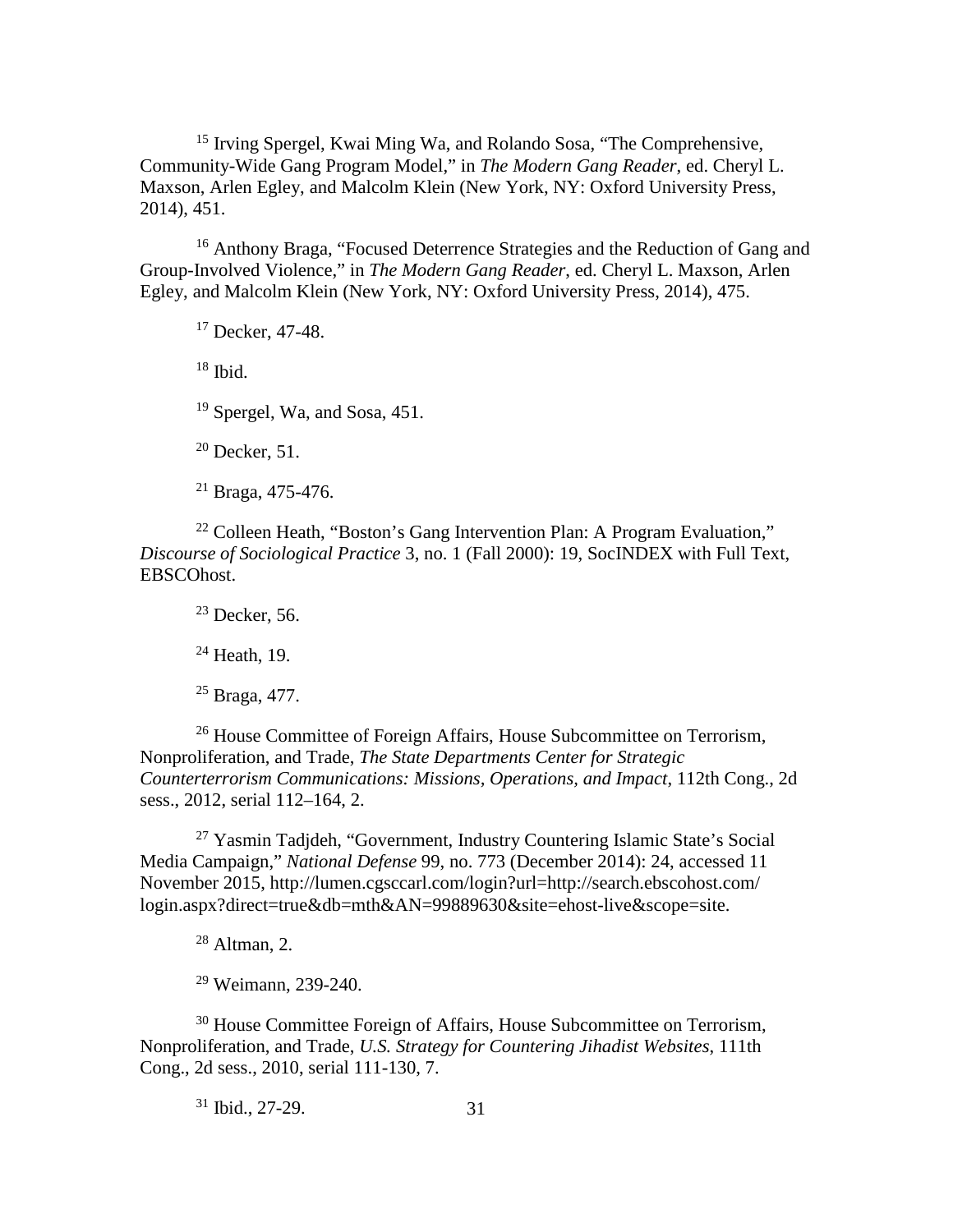<sup>15</sup> Irving Spergel, Kwai Ming Wa, and Rolando Sosa, "The Comprehensive, Community-Wide Gang Program Model," in *The Modern Gang Reader*, ed. Cheryl L. Maxson, Arlen Egley, and Malcolm Klein (New York, NY: Oxford University Press, 2014), 451.

<sup>16</sup> Anthony Braga, "Focused Deterrence Strategies and the Reduction of Gang and Group-Involved Violence," in *The Modern Gang Reader*, ed. Cheryl L. Maxson, Arlen Egley, and Malcolm Klein (New York, NY: Oxford University Press, 2014), 475.

<sup>17</sup> Decker, 47-48.

 $18$  Ibid.

<sup>19</sup> Spergel, Wa, and Sosa, 451.

 $20$  Decker, 51.

<sup>21</sup> Braga, 475-476.

<sup>22</sup> Colleen Heath, "Boston's Gang Intervention Plan: A Program Evaluation," *Discourse of Sociological Practice* 3, no. 1 (Fall 2000): 19, SocINDEX with Full Text, EBSCOhost.

 $23$  Decker, 56.

 $24$  Heath, 19.

<sup>25</sup> Braga, 477.

<sup>26</sup> House Committee of Foreign Affairs, House Subcommittee on Terrorism, Nonproliferation, and Trade, *The State Departments Center for Strategic Counterterrorism Communications: Missions, Operations, and Impact*, 112th Cong., 2d sess., 2012, serial 112–164, 2.

<sup>27</sup> Yasmin Tadjdeh, "Government, Industry Countering Islamic State's Social Media Campaign," *National Defense* 99, no. 773 (December 2014): 24, accessed 11 November 2015, http://lumen.cgsccarl.com/login?url=http://search.ebscohost.com/ login.aspx?direct=true&db=mth&AN=99889630&site=ehost-live&scope=site.

 $28$  Altman, 2.

<sup>29</sup> Weimann, 239-240.

<sup>30</sup> House Committee Foreign of Affairs, House Subcommittee on Terrorism, Nonproliferation, and Trade, *U.S. Strategy for Countering Jihadist Websites*, 111th Cong., 2d sess., 2010, serial 111-130, 7.

31 <sup>31</sup> Ibid., 27-29.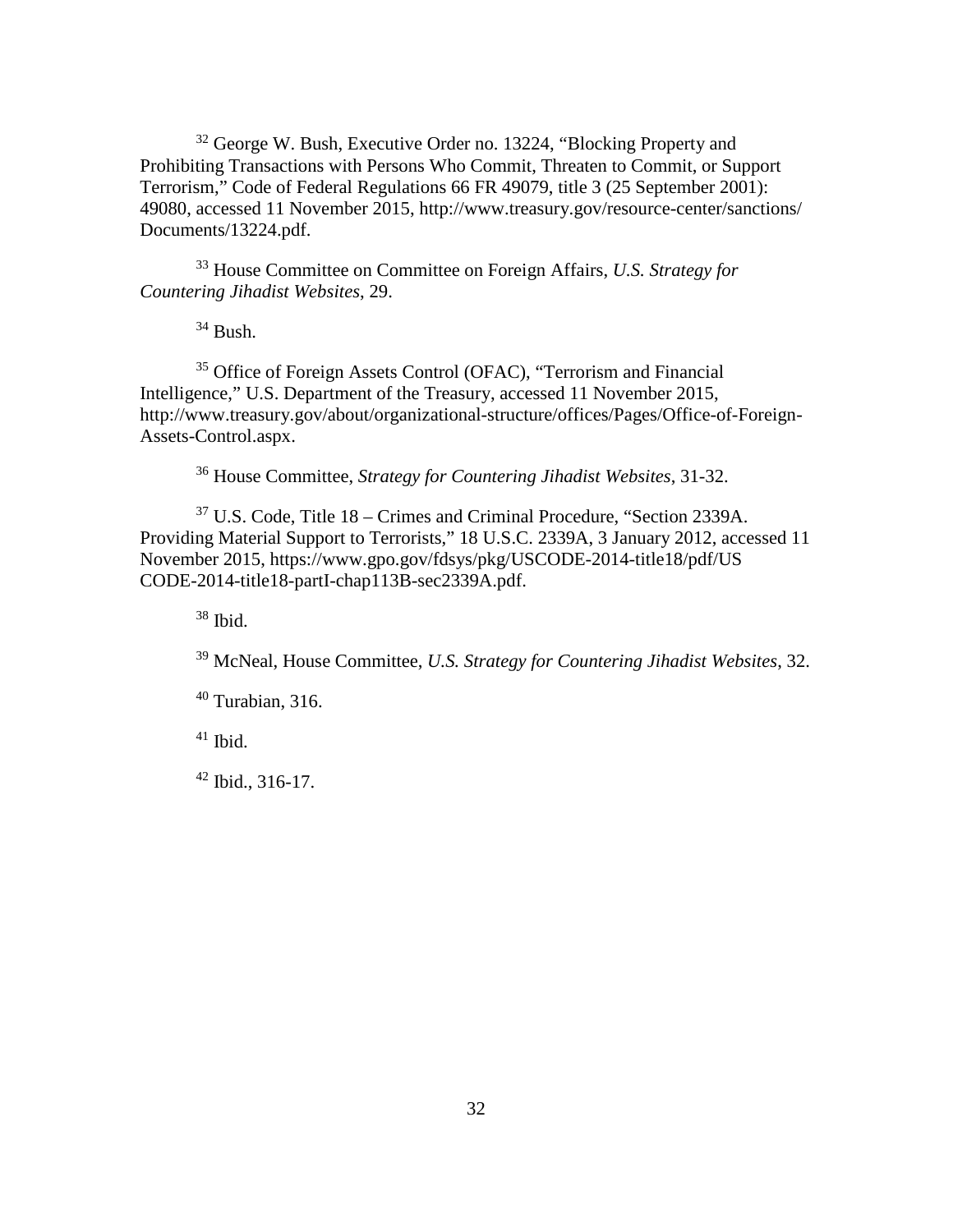<sup>32</sup> George W. Bush, Executive Order no. 13224, "Blocking Property and Prohibiting Transactions with Persons Who Commit, Threaten to Commit, or Support Terrorism," Code of Federal Regulations 66 FR 49079, title 3 (25 September 2001): 49080, accessed 11 November 2015, http://www.treasury.gov/resource-center/sanctions/ Documents/13224.pdf.

<sup>33</sup> House Committee on Committee on Foreign Affairs, *U.S. Strategy for Countering Jihadist Websites*, 29.

 $34$  Bush.

<sup>35</sup> Office of Foreign Assets Control (OFAC), "Terrorism and Financial Intelligence," U.S. Department of the Treasury, accessed 11 November 2015, http://www.treasury.gov/about/organizational-structure/offices/Pages/Office-of-Foreign-Assets-Control.aspx.

<sup>36</sup> House Committee, *Strategy for Countering Jihadist Websites*, 31-32.

<sup>37</sup> U.S. Code, Title 18 – Crimes and Criminal Procedure, "Section 2339A. Providing Material Support to Terrorists," 18 U.S.C. 2339A, 3 January 2012, accessed 11 November 2015, https://www.gpo.gov/fdsys/pkg/USCODE-2014-title18/pdf/US CODE-2014-title18-partI-chap113B-sec2339A.pdf.

<sup>38</sup> Ibid.

<sup>39</sup> McNeal, House Committee, *U.S. Strategy for Countering Jihadist Websites*, 32.

 $40$  Turabian, 316.

 $41$  Ibid.

 $42$  Ibid., 316-17.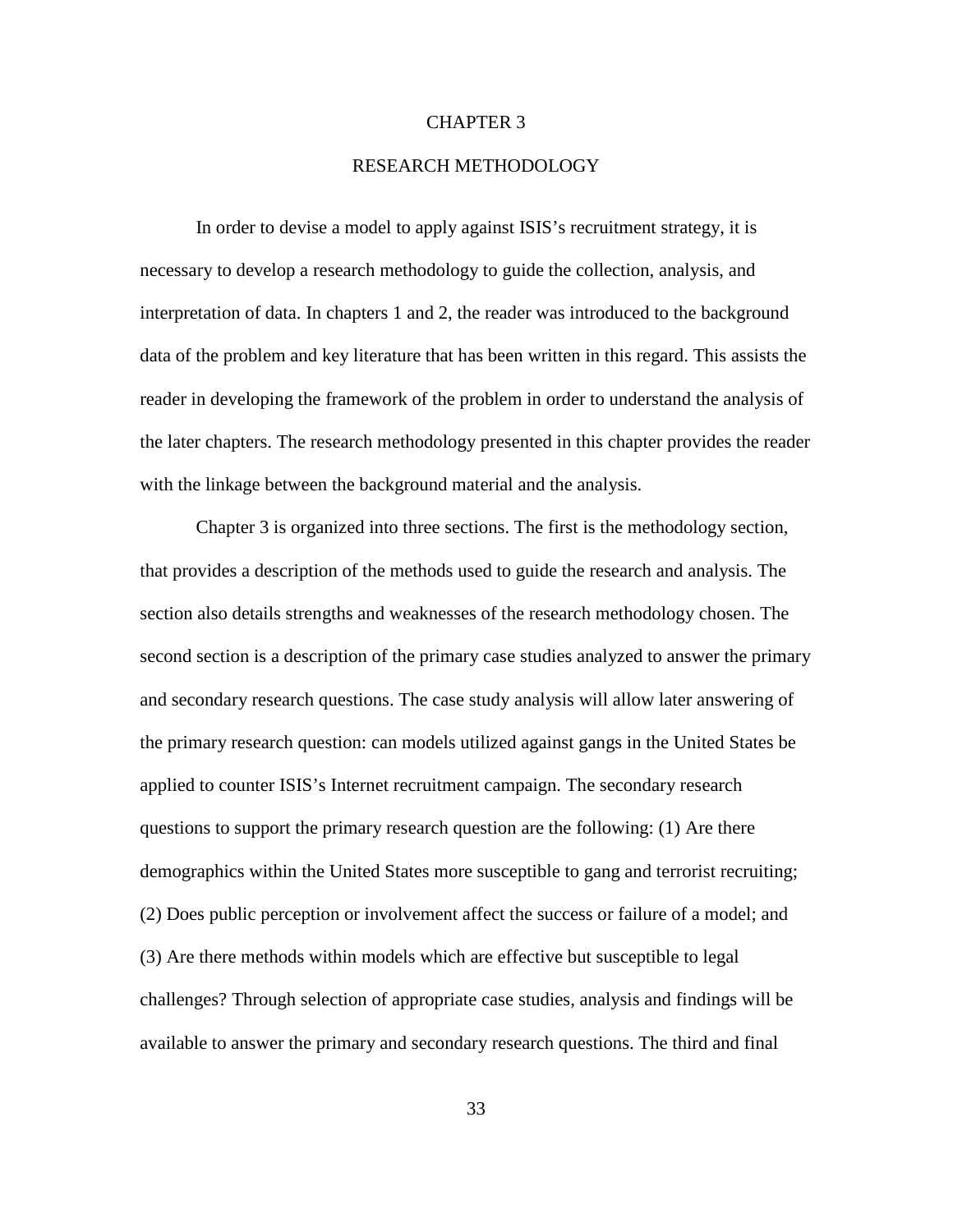### CHAPTER 3

### RESEARCH METHODOLOGY

In order to devise a model to apply against ISIS's recruitment strategy, it is necessary to develop a research methodology to guide the collection, analysis, and interpretation of data. In chapters 1 and 2, the reader was introduced to the background data of the problem and key literature that has been written in this regard. This assists the reader in developing the framework of the problem in order to understand the analysis of the later chapters. The research methodology presented in this chapter provides the reader with the linkage between the background material and the analysis.

Chapter 3 is organized into three sections. The first is the methodology section, that provides a description of the methods used to guide the research and analysis. The section also details strengths and weaknesses of the research methodology chosen. The second section is a description of the primary case studies analyzed to answer the primary and secondary research questions. The case study analysis will allow later answering of the primary research question: can models utilized against gangs in the United States be applied to counter ISIS's Internet recruitment campaign. The secondary research questions to support the primary research question are the following: (1) Are there demographics within the United States more susceptible to gang and terrorist recruiting; (2) Does public perception or involvement affect the success or failure of a model; and (3) Are there methods within models which are effective but susceptible to legal challenges? Through selection of appropriate case studies, analysis and findings will be available to answer the primary and secondary research questions. The third and final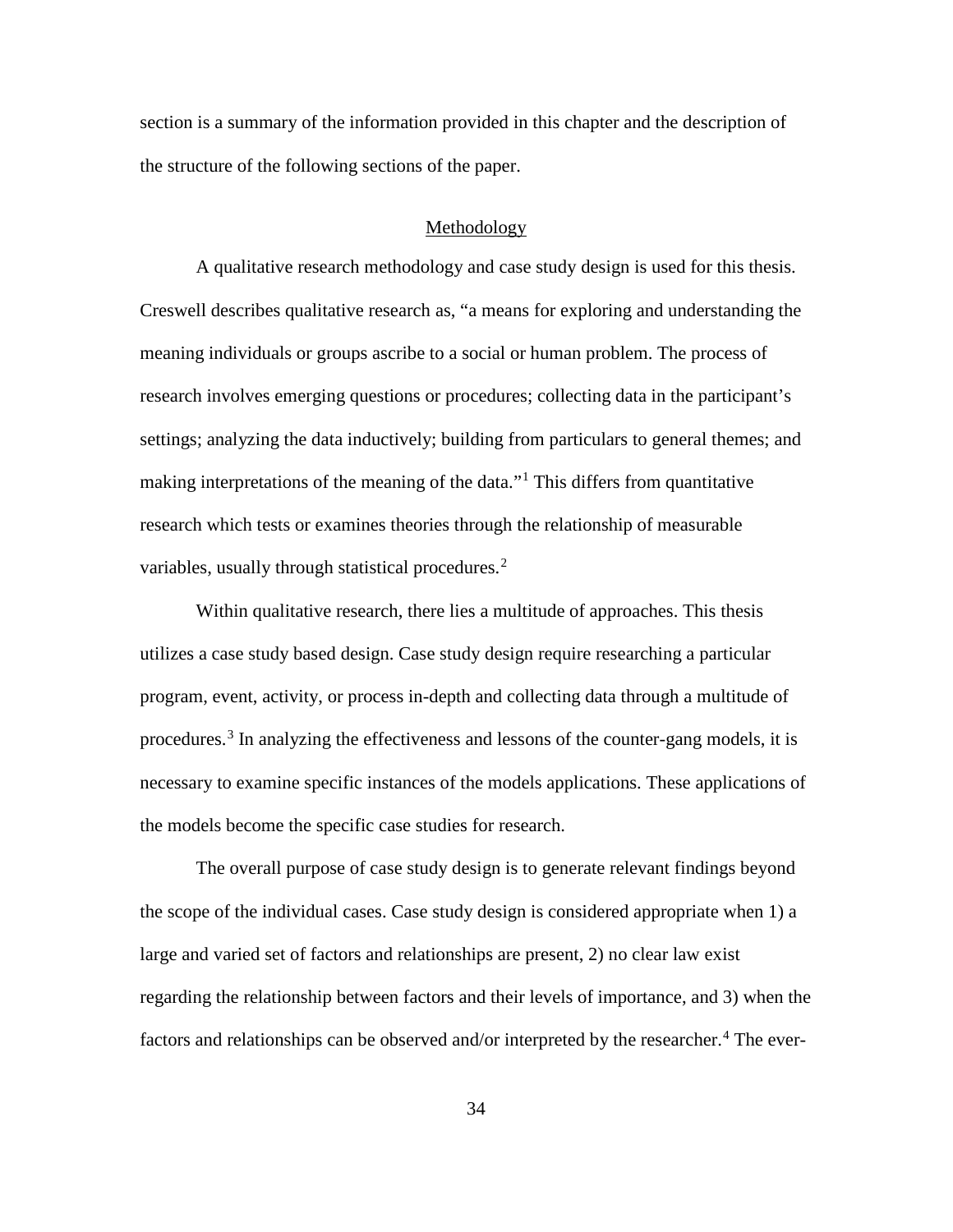section is a summary of the information provided in this chapter and the description of the structure of the following sections of the paper.

### Methodology

A qualitative research methodology and case study design is used for this thesis. Creswell describes qualitative research as, "a means for exploring and understanding the meaning individuals or groups ascribe to a social or human problem. The process of research involves emerging questions or procedures; collecting data in the participant's settings; analyzing the data inductively; building from particulars to general themes; and making interpretations of the meaning of the data."<sup>[1](#page-69-0)</sup> This differs from quantitative research which tests or examines theories through the relationship of measurable variables, usually through statistical procedures.<sup>[2](#page-69-1)</sup>

Within qualitative research, there lies a multitude of approaches. This thesis utilizes a case study based design. Case study design require researching a particular program, event, activity, or process in-depth and collecting data through a multitude of procedures.<sup>[3](#page-69-2)</sup> In analyzing the effectiveness and lessons of the counter-gang models, it is necessary to examine specific instances of the models applications. These applications of the models become the specific case studies for research.

The overall purpose of case study design is to generate relevant findings beyond the scope of the individual cases. Case study design is considered appropriate when 1) a large and varied set of factors and relationships are present, 2) no clear law exist regarding the relationship between factors and their levels of importance, and 3) when the factors and relationships can be observed and/or interpreted by the researcher.<sup>[4](#page-69-3)</sup> The ever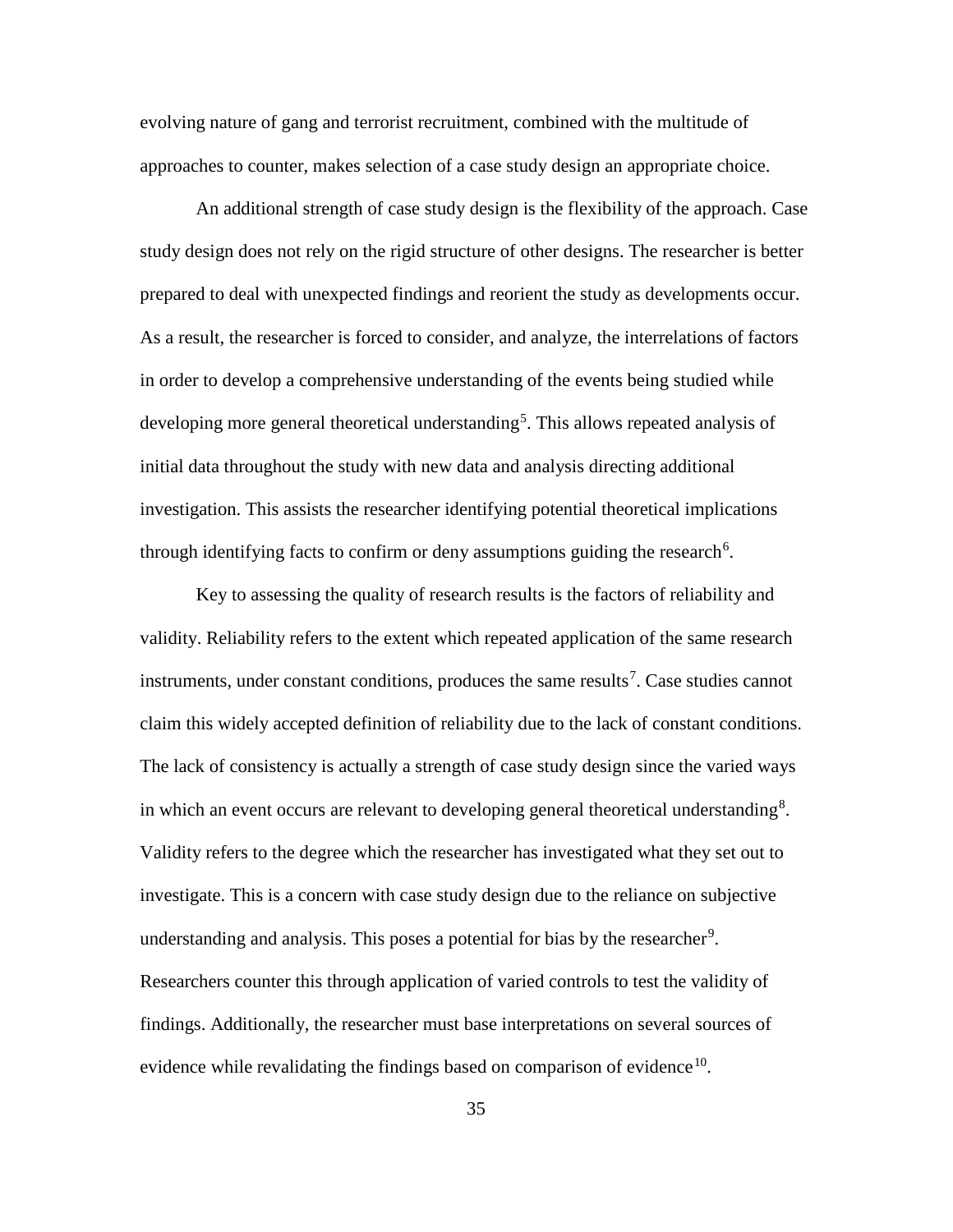evolving nature of gang and terrorist recruitment, combined with the multitude of approaches to counter, makes selection of a case study design an appropriate choice.

An additional strength of case study design is the flexibility of the approach. Case study design does not rely on the rigid structure of other designs. The researcher is better prepared to deal with unexpected findings and reorient the study as developments occur. As a result, the researcher is forced to consider, and analyze, the interrelations of factors in order to develop a comprehensive understanding of the events being studied while developing more general theoretical understanding<sup>[5](#page-70-0)</sup>. This allows repeated analysis of initial data throughout the study with new data and analysis directing additional investigation. This assists the researcher identifying potential theoretical implications through identifying facts to confirm or deny assumptions guiding the research<sup>[6](#page-70-1)</sup>.

Key to assessing the quality of research results is the factors of reliability and validity. Reliability refers to the extent which repeated application of the same research instruments, under constant conditions, produces the same results<sup>[7](#page-70-2)</sup>. Case studies cannot claim this widely accepted definition of reliability due to the lack of constant conditions. The lack of consistency is actually a strength of case study design since the varied ways in which an event occurs are relevant to developing general theoretical understanding<sup>[8](#page-70-3)</sup>. Validity refers to the degree which the researcher has investigated what they set out to investigate. This is a concern with case study design due to the reliance on subjective understanding and analysis. This poses a potential for bias by the researcher<sup>[9](#page-70-4)</sup>. Researchers counter this through application of varied controls to test the validity of findings. Additionally, the researcher must base interpretations on several sources of evidence while revalidating the findings based on comparison of evidence<sup>[10](#page-70-5)</sup>.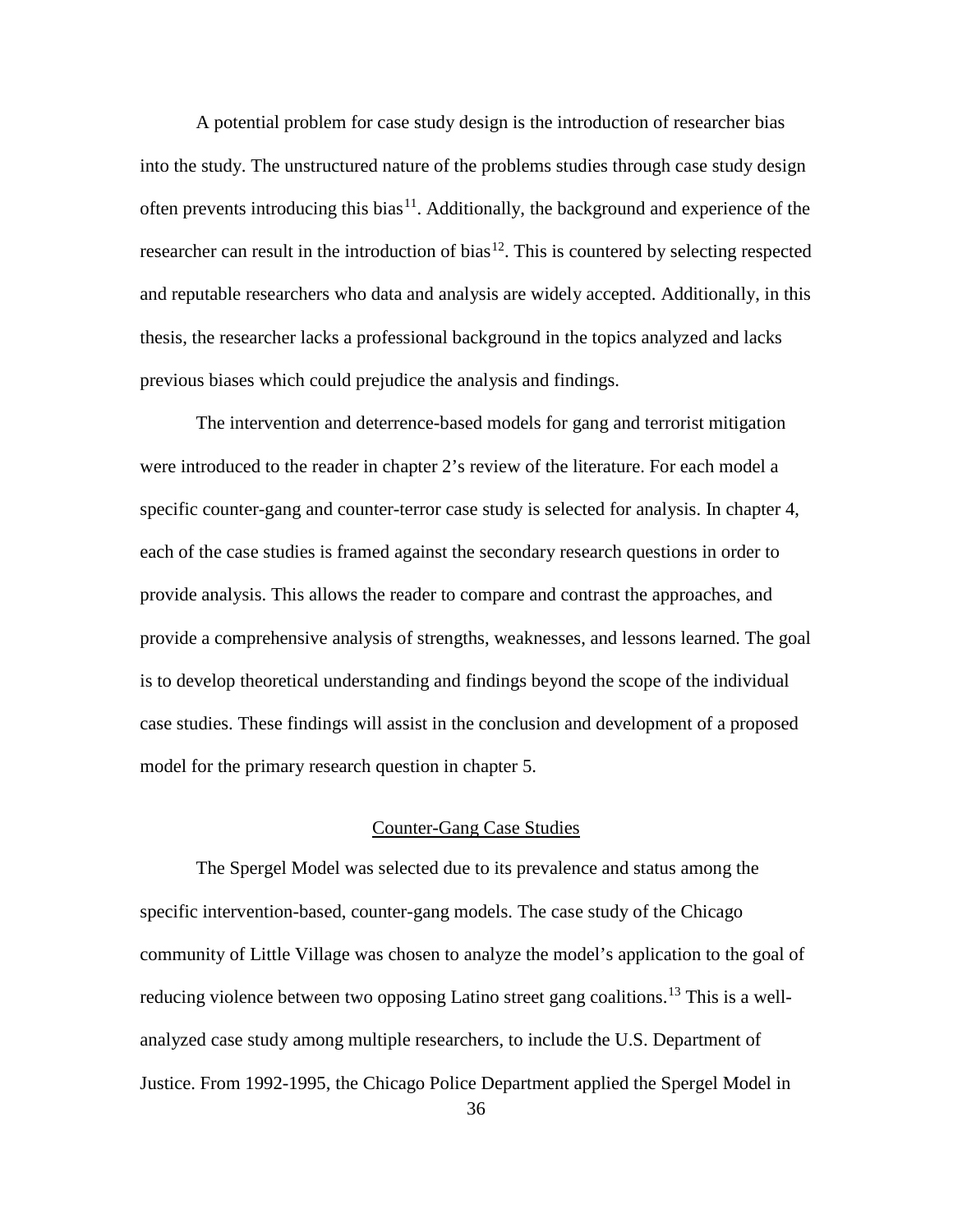A potential problem for case study design is the introduction of researcher bias into the study. The unstructured nature of the problems studies through case study design often prevents introducing this bias<sup>11</sup>. Additionally, the background and experience of the researcher can result in the introduction of bias<sup>[12](#page-71-1)</sup>. This is countered by selecting respected and reputable researchers who data and analysis are widely accepted. Additionally, in this thesis, the researcher lacks a professional background in the topics analyzed and lacks previous biases which could prejudice the analysis and findings.

The intervention and deterrence-based models for gang and terrorist mitigation were introduced to the reader in chapter 2's review of the literature. For each model a specific counter-gang and counter-terror case study is selected for analysis. In chapter 4, each of the case studies is framed against the secondary research questions in order to provide analysis. This allows the reader to compare and contrast the approaches, and provide a comprehensive analysis of strengths, weaknesses, and lessons learned. The goal is to develop theoretical understanding and findings beyond the scope of the individual case studies. These findings will assist in the conclusion and development of a proposed model for the primary research question in chapter 5.

#### Counter-Gang Case Studies

The Spergel Model was selected due to its prevalence and status among the specific intervention-based, counter-gang models. The case study of the Chicago community of Little Village was chosen to analyze the model's application to the goal of reducing violence between two opposing Latino street gang coalitions.<sup>[13](#page-71-2)</sup> This is a wellanalyzed case study among multiple researchers, to include the U.S. Department of Justice. From 1992-1995, the Chicago Police Department applied the Spergel Model in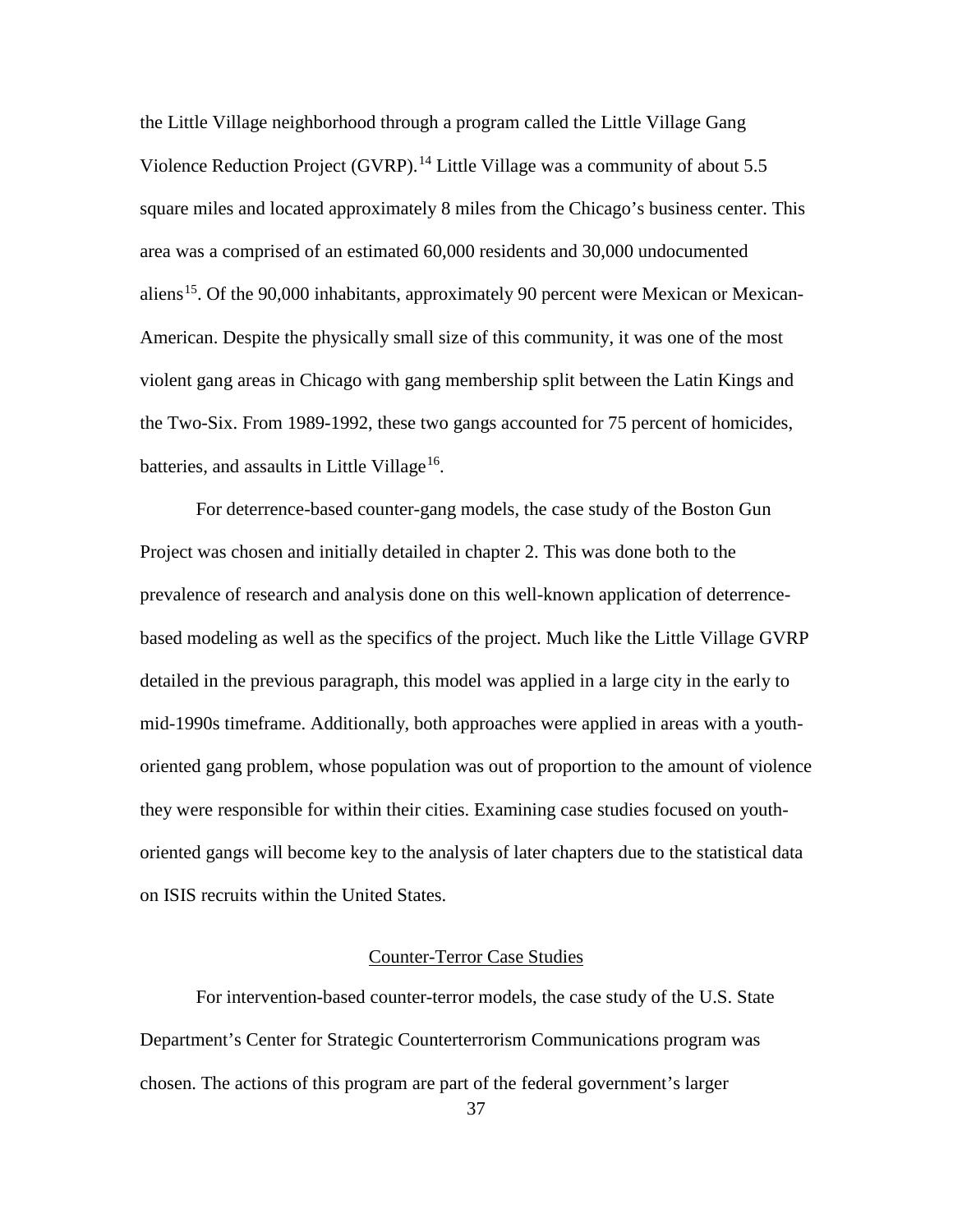the Little Village neighborhood through a program called the Little Village Gang Violence Reduction Project (GVRP).<sup>[14](#page-72-0)</sup> Little Village was a community of about 5.5 square miles and located approximately 8 miles from the Chicago's business center. This area was a comprised of an estimated 60,000 residents and 30,000 undocumented aliens<sup>15</sup>. Of the 90,000 inhabitants, approximately 90 percent were Mexican or Mexican-American. Despite the physically small size of this community, it was one of the most violent gang areas in Chicago with gang membership split between the Latin Kings and the Two-Six. From 1989-1992, these two gangs accounted for 75 percent of homicides, batteries, and assaults in Little Village<sup>16</sup>.

For deterrence-based counter-gang models, the case study of the Boston Gun Project was chosen and initially detailed in chapter 2. This was done both to the prevalence of research and analysis done on this well-known application of deterrencebased modeling as well as the specifics of the project. Much like the Little Village GVRP detailed in the previous paragraph, this model was applied in a large city in the early to mid-1990s timeframe. Additionally, both approaches were applied in areas with a youthoriented gang problem, whose population was out of proportion to the amount of violence they were responsible for within their cities. Examining case studies focused on youthoriented gangs will become key to the analysis of later chapters due to the statistical data on ISIS recruits within the United States.

# Counter-Terror Case Studies

For intervention-based counter-terror models, the case study of the U.S. State Department's Center for Strategic Counterterrorism Communications program was chosen. The actions of this program are part of the federal government's larger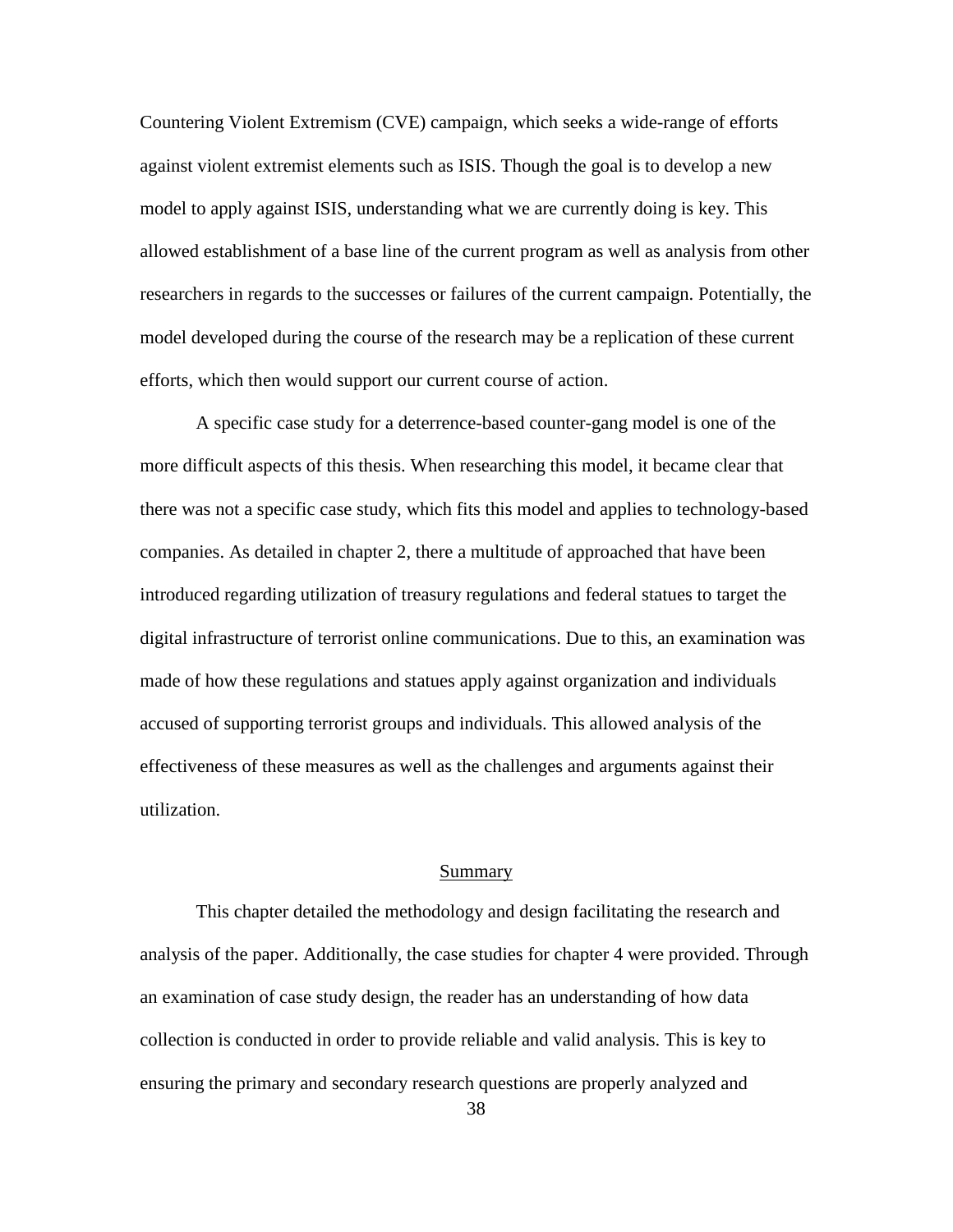Countering Violent Extremism (CVE) campaign, which seeks a wide-range of efforts against violent extremist elements such as ISIS. Though the goal is to develop a new model to apply against ISIS, understanding what we are currently doing is key. This allowed establishment of a base line of the current program as well as analysis from other researchers in regards to the successes or failures of the current campaign. Potentially, the model developed during the course of the research may be a replication of these current efforts, which then would support our current course of action.

A specific case study for a deterrence-based counter-gang model is one of the more difficult aspects of this thesis. When researching this model, it became clear that there was not a specific case study, which fits this model and applies to technology-based companies. As detailed in chapter 2, there a multitude of approached that have been introduced regarding utilization of treasury regulations and federal statues to target the digital infrastructure of terrorist online communications. Due to this, an examination was made of how these regulations and statues apply against organization and individuals accused of supporting terrorist groups and individuals. This allowed analysis of the effectiveness of these measures as well as the challenges and arguments against their utilization.

## Summary

This chapter detailed the methodology and design facilitating the research and analysis of the paper. Additionally, the case studies for chapter 4 were provided. Through an examination of case study design, the reader has an understanding of how data collection is conducted in order to provide reliable and valid analysis. This is key to ensuring the primary and secondary research questions are properly analyzed and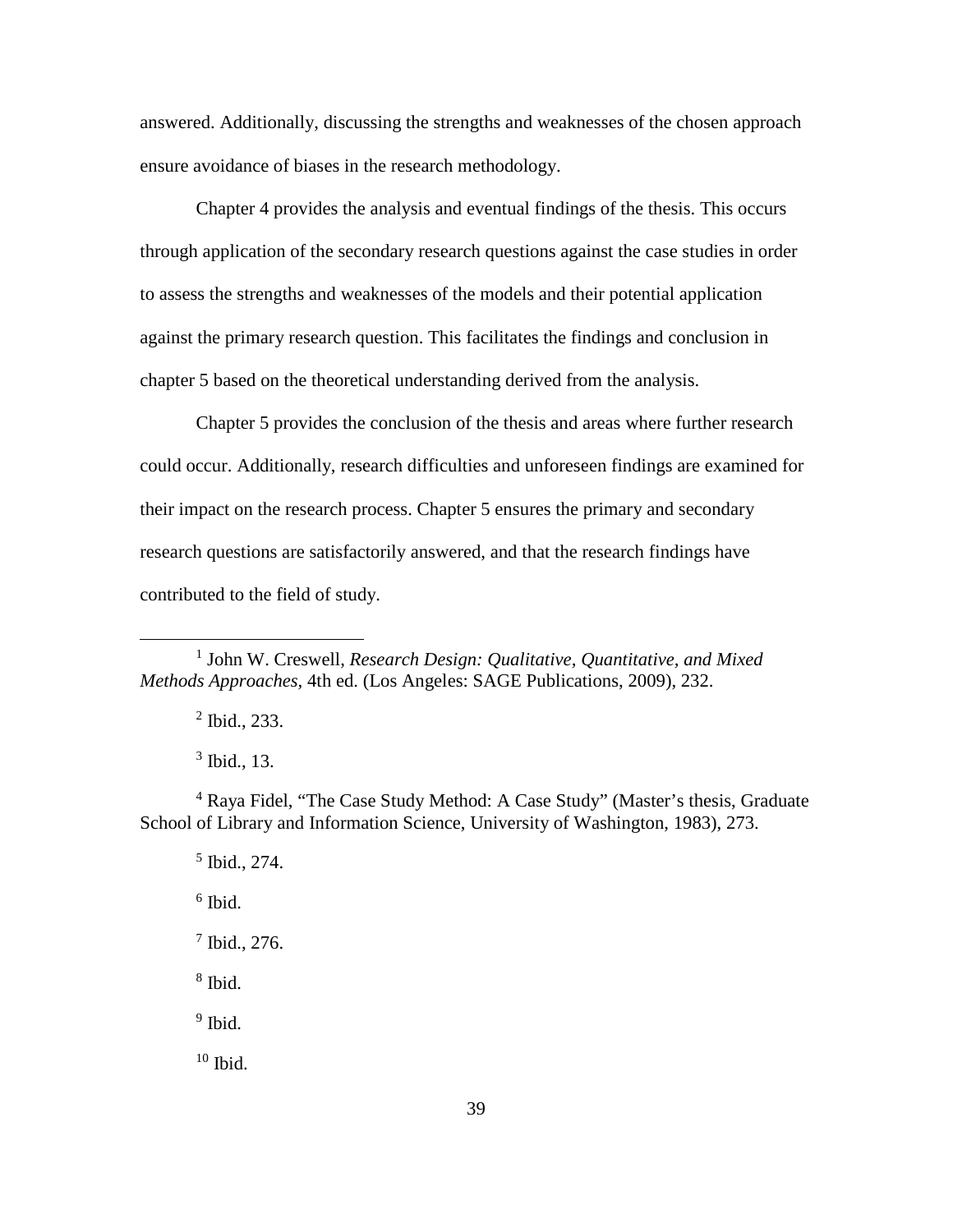answered. Additionally, discussing the strengths and weaknesses of the chosen approach ensure avoidance of biases in the research methodology.

Chapter 4 provides the analysis and eventual findings of the thesis. This occurs through application of the secondary research questions against the case studies in order to assess the strengths and weaknesses of the models and their potential application against the primary research question. This facilitates the findings and conclusion in chapter 5 based on the theoretical understanding derived from the analysis.

Chapter 5 provides the conclusion of the thesis and areas where further research could occur. Additionally, research difficulties and unforeseen findings are examined for their impact on the research process. Chapter 5 ensures the primary and secondary research questions are satisfactorily answered, and that the research findings have contributed to the field of study.

<sup>2</sup> Ibid., 233.

 $\overline{a}$ 

 $3$  Ibid., 13.

<sup>4</sup> Raya Fidel, "The Case Study Method: A Case Study" (Master's thesis, Graduate School of Library and Information Science, University of Washington, 1983), 273.

 $<sup>5</sup>$  Ibid., 274.</sup>

 $6$  Ibid.

<sup>7</sup> Ibid., 276.

<sup>8</sup> Ibid.

 $9$  Ibid.

 $10$  Ibid.

<sup>1</sup> John W. Creswell, *Research Design: Qualitative, Quantitative, and Mixed Methods Approaches,* 4th ed. (Los Angeles: SAGE Publications, 2009), 232.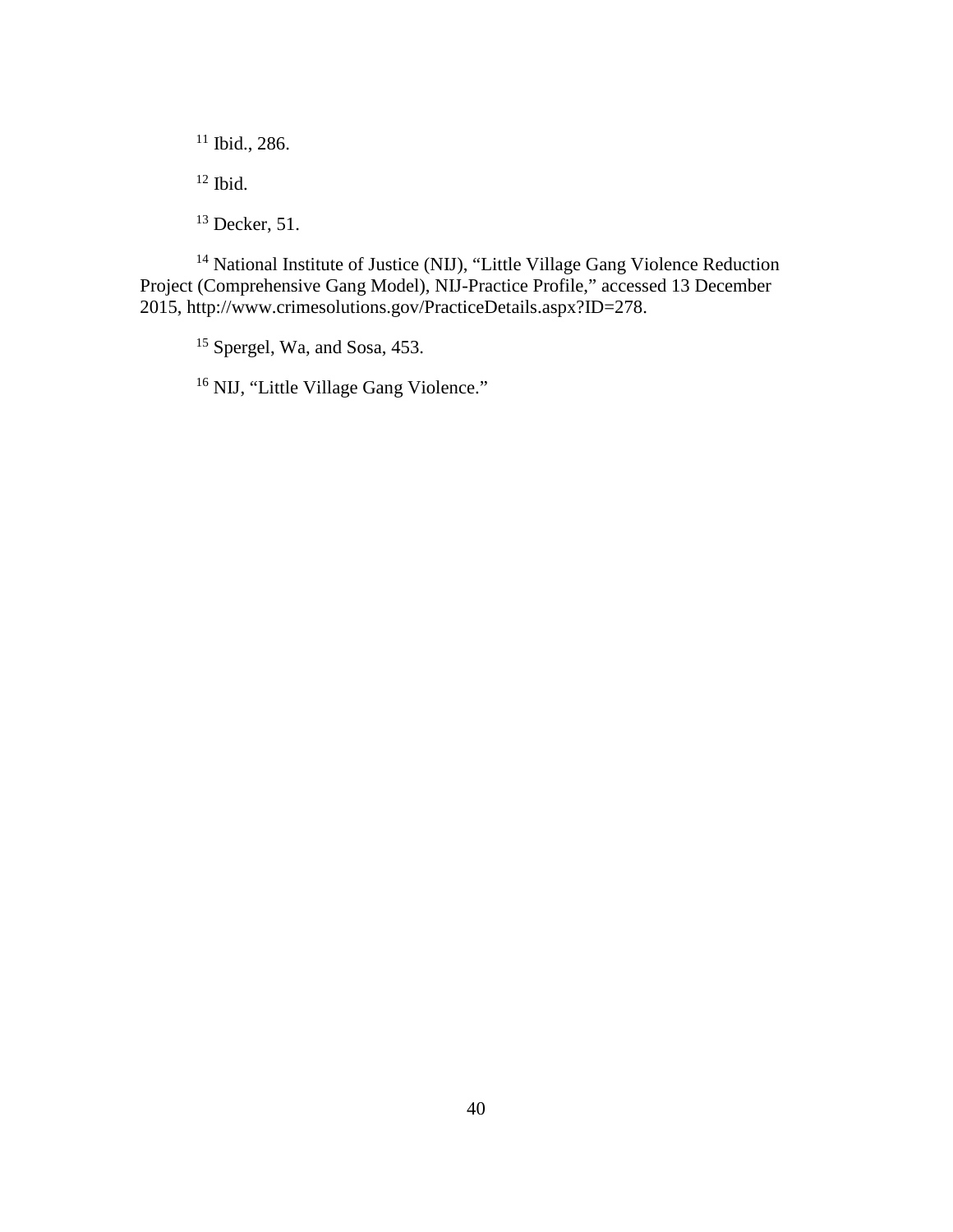<sup>11</sup> Ibid., 286.

 $12$  Ibid.

<sup>13</sup> Decker, 51.

<sup>14</sup> National Institute of Justice (NIJ), "Little Village Gang Violence Reduction Project (Comprehensive Gang Model), NIJ-Practice Profile," accessed 13 December 2015, http://www.crimesolutions.gov/PracticeDetails.aspx?ID=278.

<sup>15</sup> Spergel, Wa, and Sosa, 453.

<sup>16</sup> NIJ, "Little Village Gang Violence."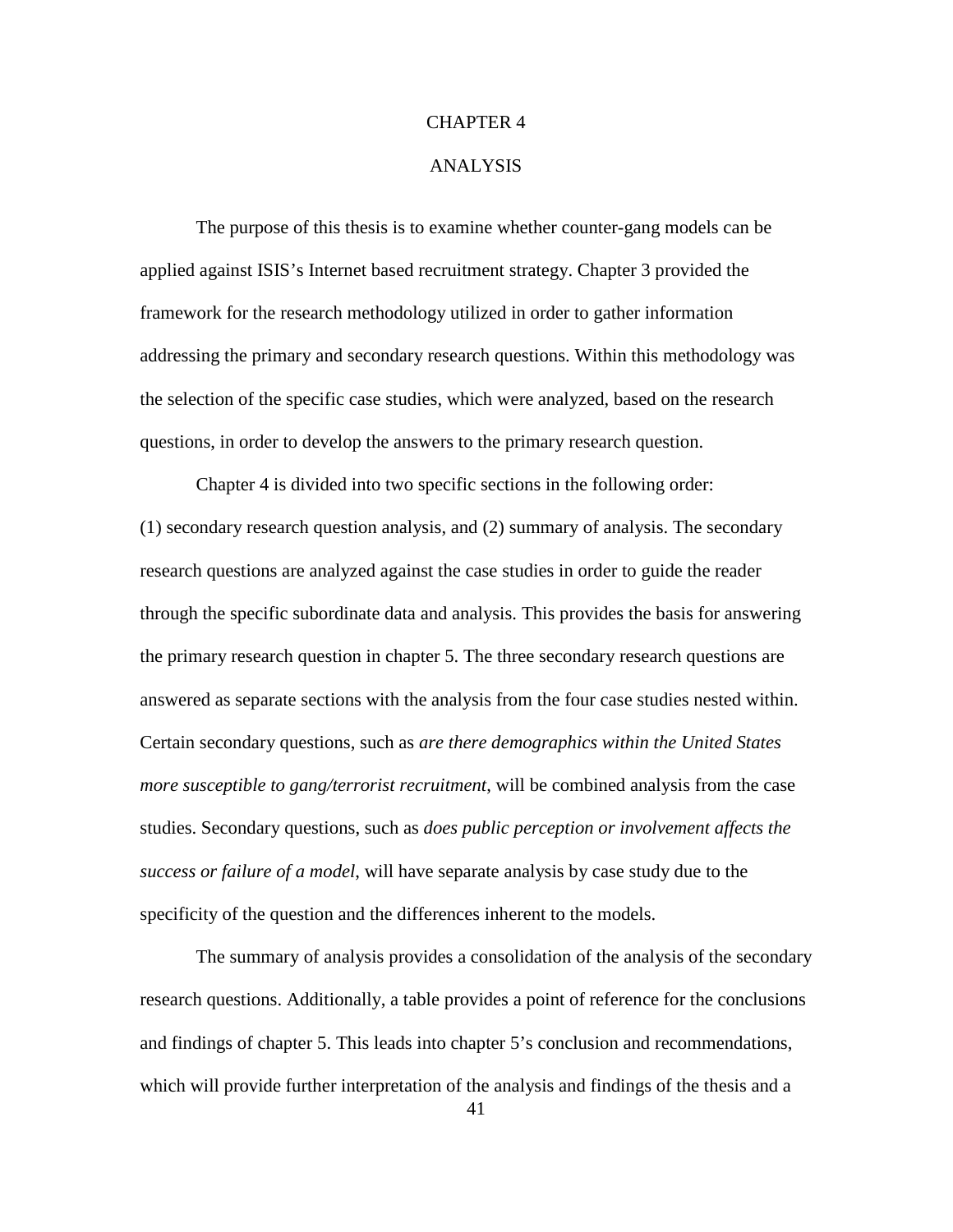### CHAPTER 4

### ANALYSIS

The purpose of this thesis is to examine whether counter-gang models can be applied against ISIS's Internet based recruitment strategy. Chapter 3 provided the framework for the research methodology utilized in order to gather information addressing the primary and secondary research questions. Within this methodology was the selection of the specific case studies, which were analyzed, based on the research questions, in order to develop the answers to the primary research question.

Chapter 4 is divided into two specific sections in the following order: (1) secondary research question analysis, and (2) summary of analysis. The secondary research questions are analyzed against the case studies in order to guide the reader through the specific subordinate data and analysis. This provides the basis for answering the primary research question in chapter 5. The three secondary research questions are answered as separate sections with the analysis from the four case studies nested within. Certain secondary questions, such as *are there demographics within the United States more susceptible to gang/terrorist recruitment*, will be combined analysis from the case studies. Secondary questions, such as *does public perception or involvement affects the success or failure of a model*, will have separate analysis by case study due to the specificity of the question and the differences inherent to the models.

The summary of analysis provides a consolidation of the analysis of the secondary research questions. Additionally, a table provides a point of reference for the conclusions and findings of chapter 5. This leads into chapter 5's conclusion and recommendations, which will provide further interpretation of the analysis and findings of the thesis and a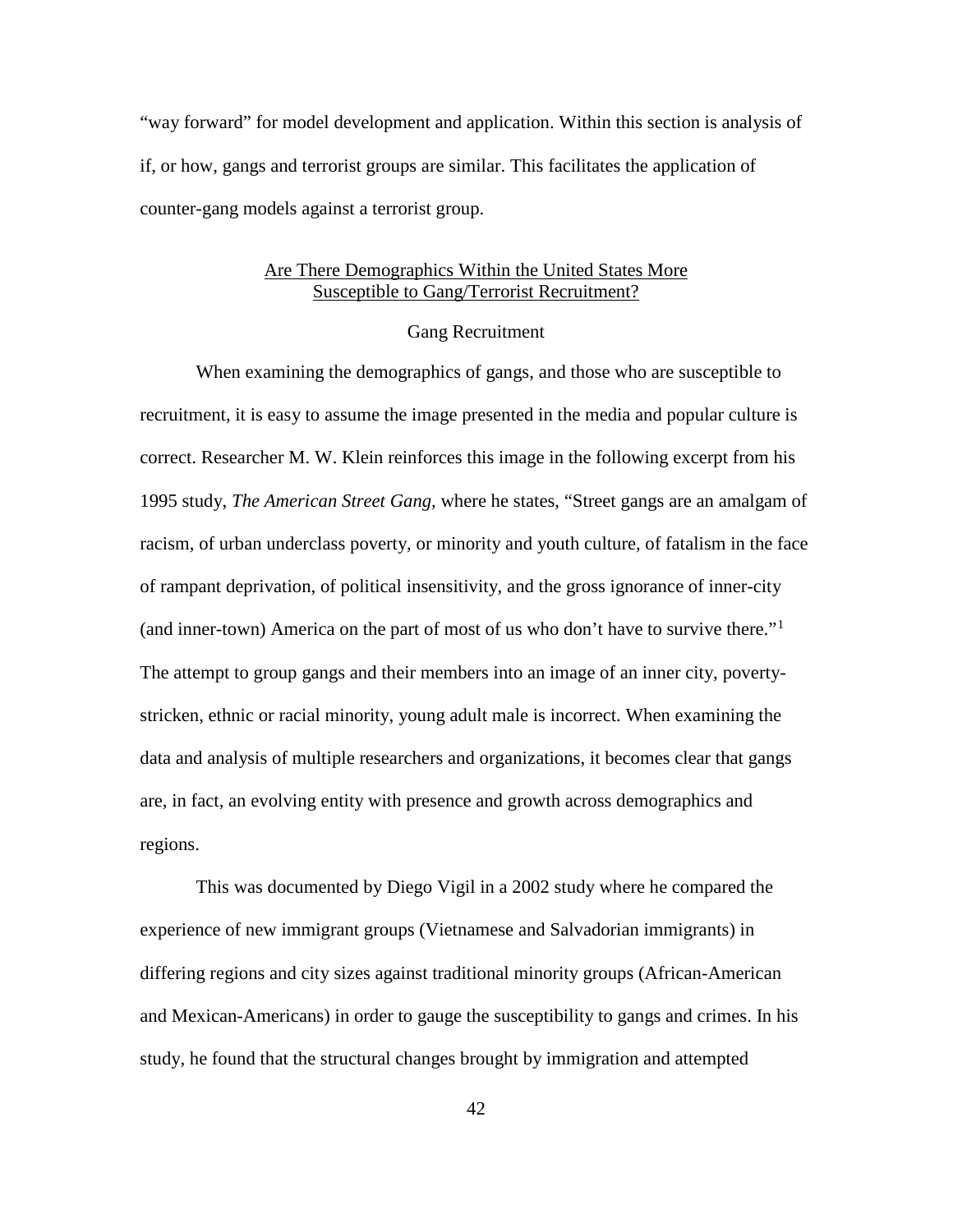"way forward" for model development and application. Within this section is analysis of if, or how, gangs and terrorist groups are similar. This facilitates the application of counter-gang models against a terrorist group.

# Are There Demographics Within the United States More Susceptible to Gang/Terrorist Recruitment?

### Gang Recruitment

When examining the demographics of gangs, and those who are susceptible to recruitment, it is easy to assume the image presented in the media and popular culture is correct. Researcher M. W. Klein reinforces this image in the following excerpt from his 1995 study, *The American Street Gang,* where he states, "Street gangs are an amalgam of racism, of urban underclass poverty, or minority and youth culture, of fatalism in the face of rampant deprivation, of political insensitivity, and the gross ignorance of inner-city (and inner-town) America on the part of most of us who don't have to survive there."[1](#page-100-0) The attempt to group gangs and their members into an image of an inner city, povertystricken, ethnic or racial minority, young adult male is incorrect. When examining the data and analysis of multiple researchers and organizations, it becomes clear that gangs are, in fact, an evolving entity with presence and growth across demographics and regions.

This was documented by Diego Vigil in a 2002 study where he compared the experience of new immigrant groups (Vietnamese and Salvadorian immigrants) in differing regions and city sizes against traditional minority groups (African-American and Mexican-Americans) in order to gauge the susceptibility to gangs and crimes. In his study, he found that the structural changes brought by immigration and attempted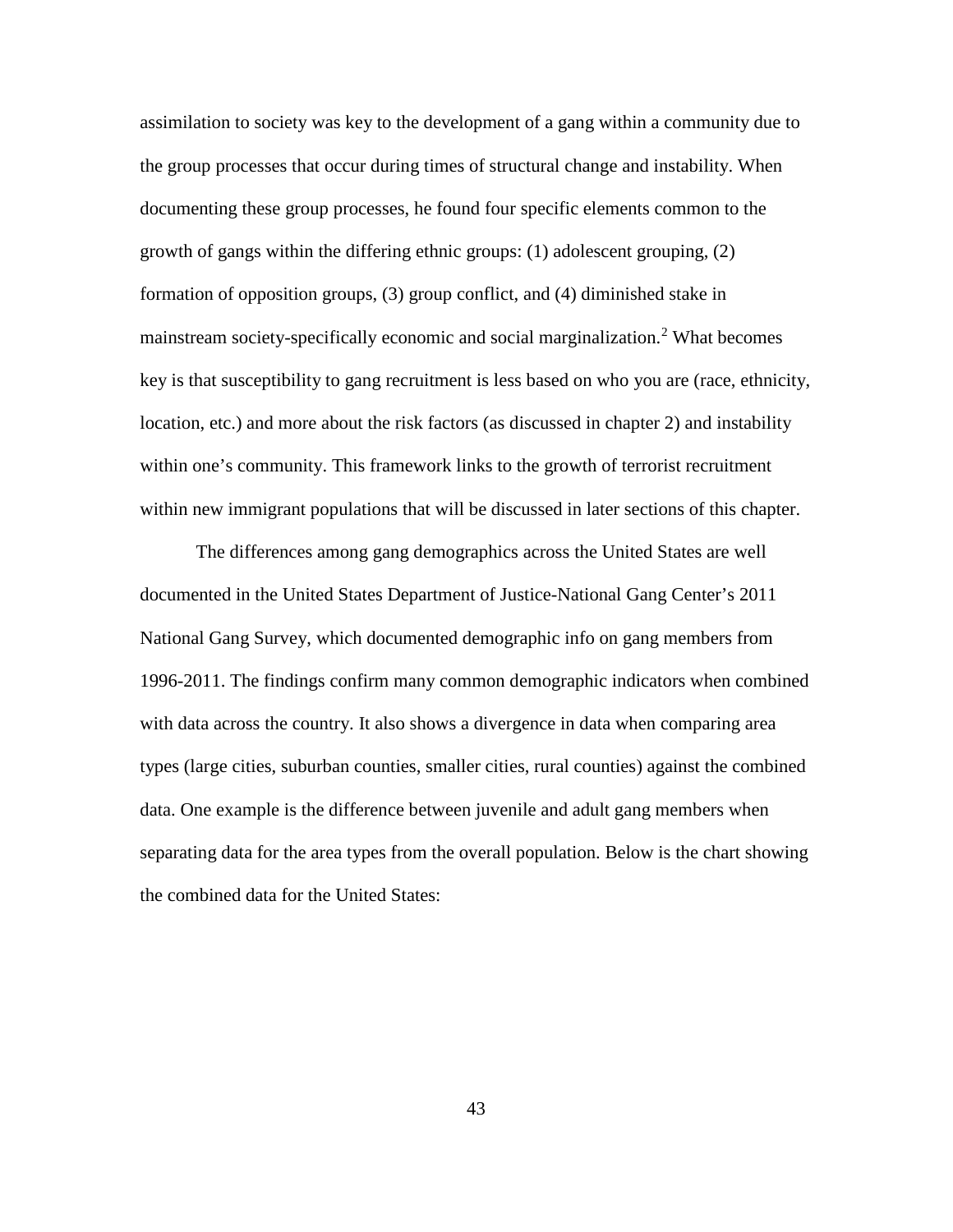assimilation to society was key to the development of a gang within a community due to the group processes that occur during times of structural change and instability. When documenting these group processes, he found four specific elements common to the growth of gangs within the differing ethnic groups: (1) adolescent grouping, (2) formation of opposition groups, (3) group conflict, and (4) diminished stake in mainstream society-specifically economic and social marginalization.<sup>[2](#page-101-0)</sup> What becomes key is that susceptibility to gang recruitment is less based on who you are (race, ethnicity, location, etc.) and more about the risk factors (as discussed in chapter 2) and instability within one's community. This framework links to the growth of terrorist recruitment within new immigrant populations that will be discussed in later sections of this chapter.

The differences among gang demographics across the United States are well documented in the United States Department of Justice-National Gang Center's 2011 National Gang Survey, which documented demographic info on gang members from 1996-2011. The findings confirm many common demographic indicators when combined with data across the country. It also shows a divergence in data when comparing area types (large cities, suburban counties, smaller cities, rural counties) against the combined data. One example is the difference between juvenile and adult gang members when separating data for the area types from the overall population. Below is the chart showing the combined data for the United States: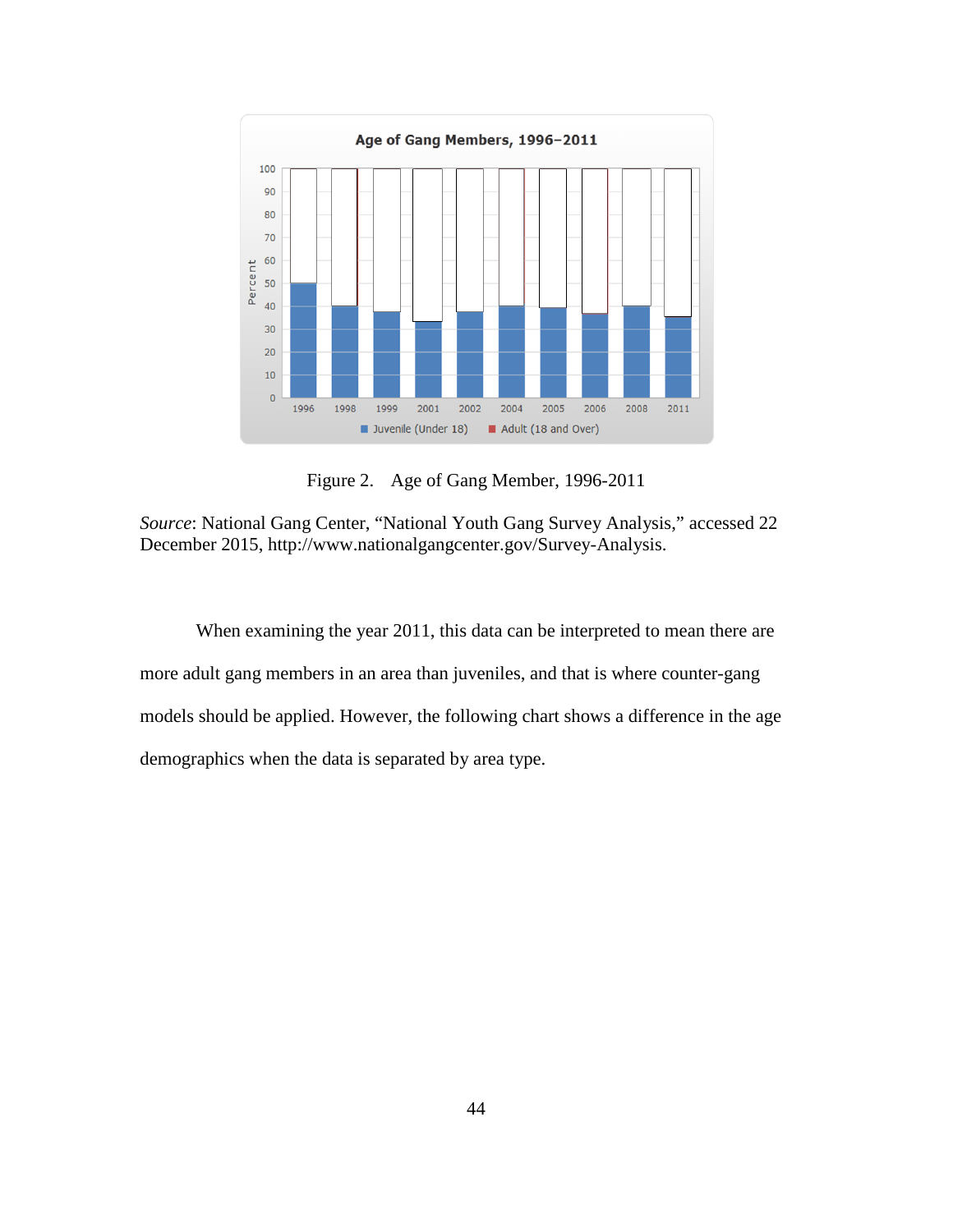

Figure 2. Age of Gang Member, 1996-2011

*Source*: National Gang Center, "National Youth Gang Survey Analysis," accessed 22 December 2015, http://www.nationalgangcenter.gov/Survey-Analysis.

When examining the year 2011, this data can be interpreted to mean there are more adult gang members in an area than juveniles, and that is where counter-gang models should be applied. However, the following chart shows a difference in the age demographics when the data is separated by area type.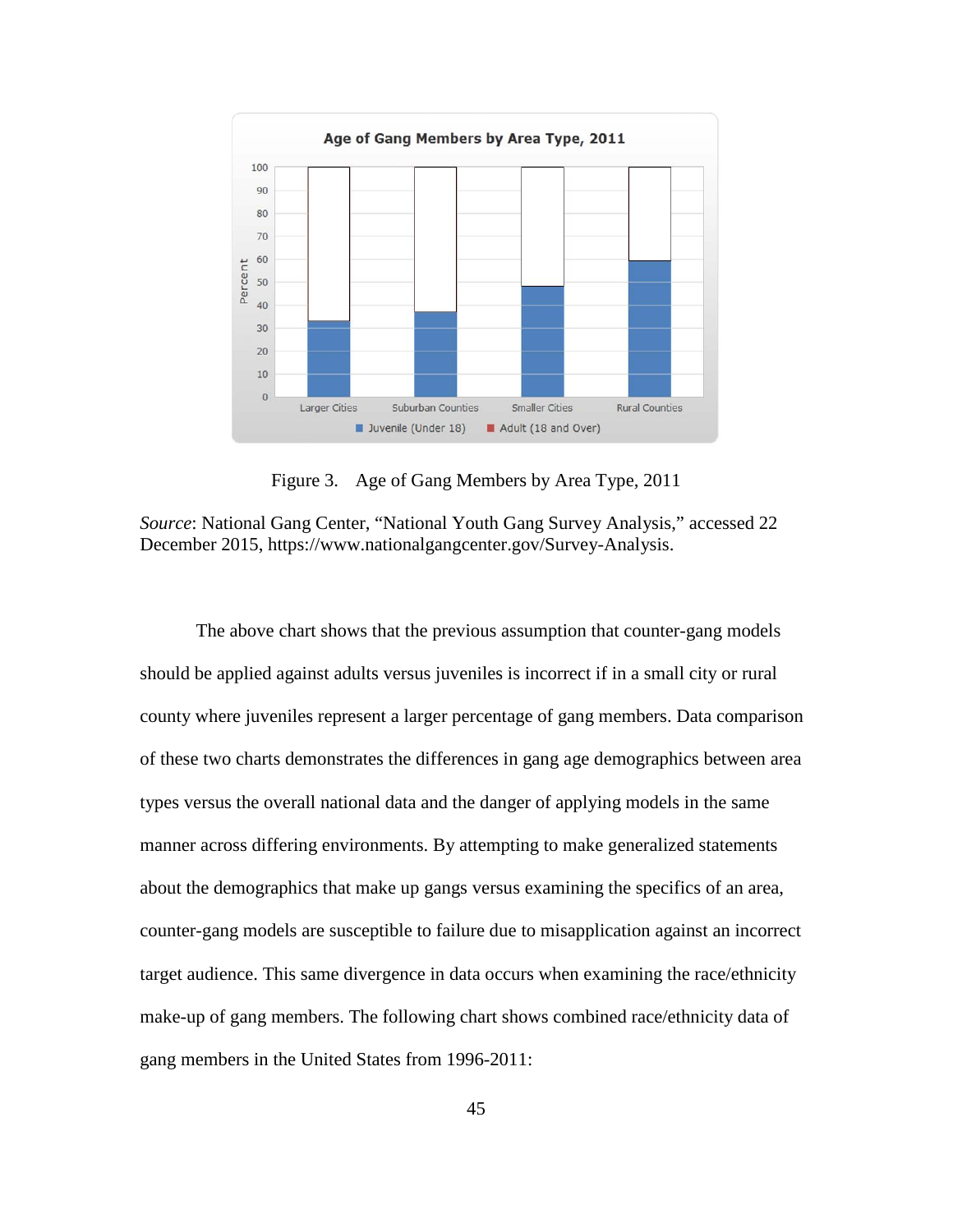

Figure 3. Age of Gang Members by Area Type, 2011

*Source*: National Gang Center, "National Youth Gang Survey Analysis," accessed 22 December 2015, https://www.nationalgangcenter.gov/Survey-Analysis.

The above chart shows that the previous assumption that counter-gang models should be applied against adults versus juveniles is incorrect if in a small city or rural county where juveniles represent a larger percentage of gang members. Data comparison of these two charts demonstrates the differences in gang age demographics between area types versus the overall national data and the danger of applying models in the same manner across differing environments. By attempting to make generalized statements about the demographics that make up gangs versus examining the specifics of an area, counter-gang models are susceptible to failure due to misapplication against an incorrect target audience. This same divergence in data occurs when examining the race/ethnicity make-up of gang members. The following chart shows combined race/ethnicity data of gang members in the United States from 1996-2011: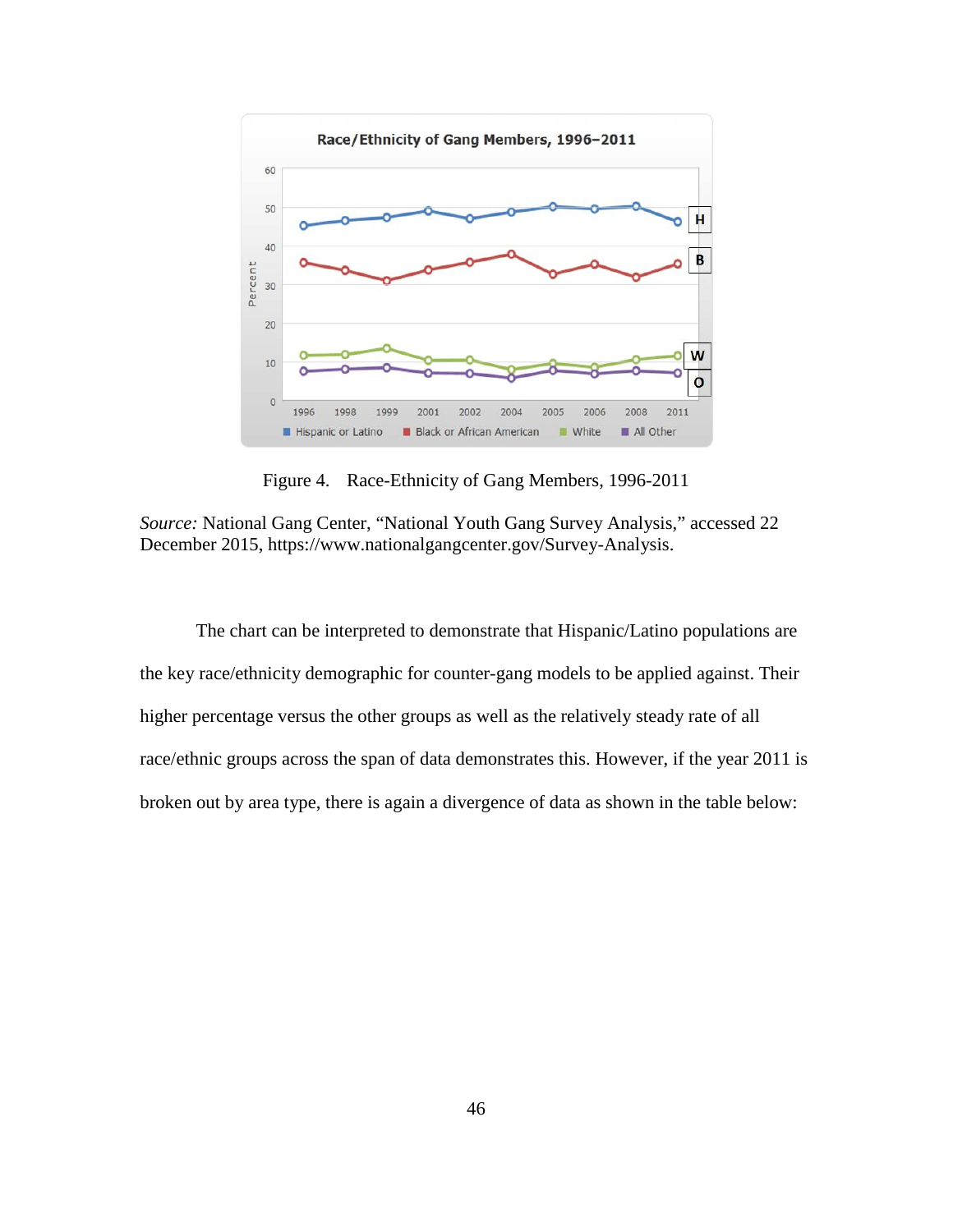

Figure 4. Race-Ethnicity of Gang Members, 1996-2011

*Source:* National Gang Center, "National Youth Gang Survey Analysis," accessed 22 December 2015, https://www.nationalgangcenter.gov/Survey-Analysis.

The chart can be interpreted to demonstrate that Hispanic/Latino populations are the key race/ethnicity demographic for counter-gang models to be applied against. Their higher percentage versus the other groups as well as the relatively steady rate of all race/ethnic groups across the span of data demonstrates this. However, if the year 2011 is broken out by area type, there is again a divergence of data as shown in the table below: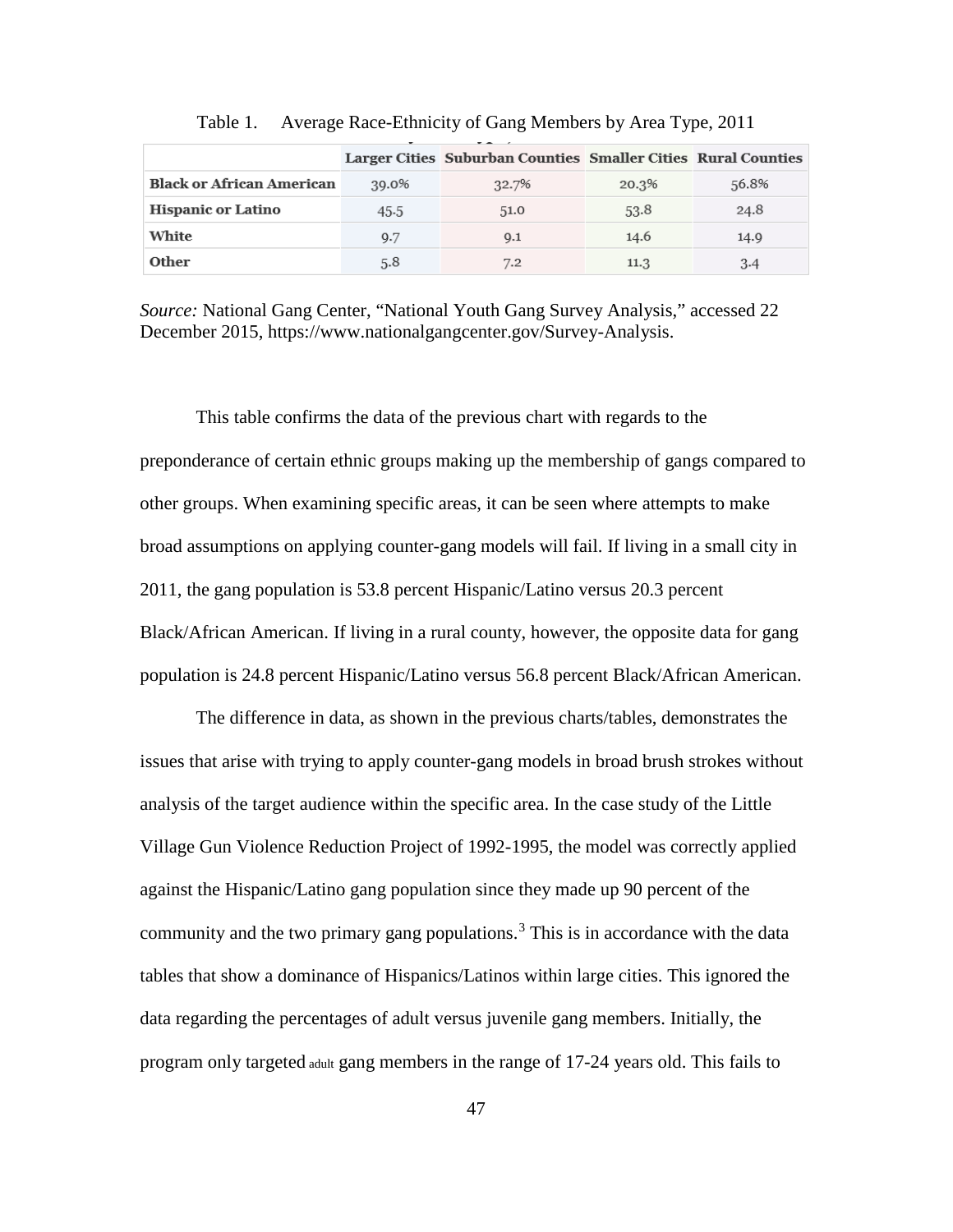|                                  |       | Larger Cities Suburban Counties Smaller Cities Rural Counties |       |       |
|----------------------------------|-------|---------------------------------------------------------------|-------|-------|
| <b>Black or African American</b> | 39.0% | 32.7%                                                         | 20.3% | 56.8% |
| <b>Hispanic or Latino</b>        | 45.5  | 51.0                                                          | 53.8  | 24.8  |
| White                            | 9.7   | 9.1                                                           | 14.6  | 14.9  |
| Other                            | 5.8   | 7.2                                                           | 11.3  | 3.4   |

Table 1. Average Race-Ethnicity of Gang Members by Area Type, 2011

*Source:* National Gang Center, "National Youth Gang Survey Analysis," accessed 22 December 2015, https://www.nationalgangcenter.gov/Survey-Analysis.

This table confirms the data of the previous chart with regards to the preponderance of certain ethnic groups making up the membership of gangs compared to other groups. When examining specific areas, it can be seen where attempts to make broad assumptions on applying counter-gang models will fail. If living in a small city in 2011, the gang population is 53.8 percent Hispanic/Latino versus 20.3 percent Black/African American. If living in a rural county, however, the opposite data for gang population is 24.8 percent Hispanic/Latino versus 56.8 percent Black/African American.

The difference in data, as shown in the previous charts/tables, demonstrates the issues that arise with trying to apply counter-gang models in broad brush strokes without analysis of the target audience within the specific area. In the case study of the Little Village Gun Violence Reduction Project of 1992-1995, the model was correctly applied against the Hispanic/Latino gang population since they made up 90 percent of the community and the two primary gang populations.<sup>[3](#page-101-1)</sup> This is in accordance with the data tables that show a dominance of Hispanics/Latinos within large cities. This ignored the data regarding the percentages of adult versus juvenile gang members. Initially, the program only targeted adult gang members in the range of 17-24 years old. This fails to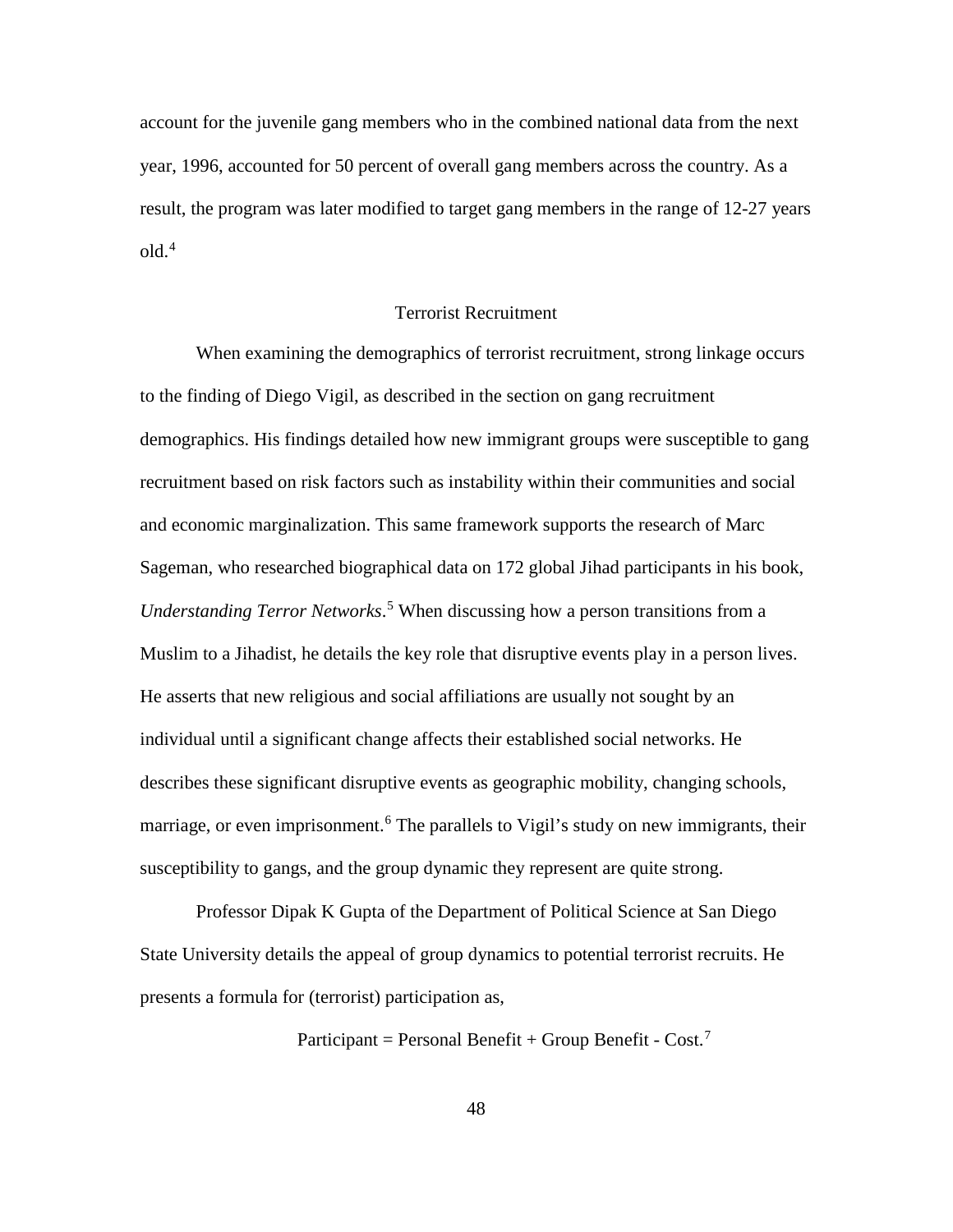<span id="page-57-2"></span>account for the juvenile gang members who in the combined national data from the next year, 1996, accounted for 50 percent of overall gang members across the country. As a result, the program was later modified to target gang members in the range of 12-27 years  $old.<sup>4</sup>$  $old.<sup>4</sup>$  $old.<sup>4</sup>$ 

#### Terrorist Recruitment

<span id="page-57-4"></span><span id="page-57-3"></span>When examining the demographics of terrorist recruitment, strong linkage occurs to the finding of Diego Vigil, as described in the section on gang recruitment demographics. His findings detailed how new immigrant groups were susceptible to gang recruitment based on risk factors such as instability within their communities and social and economic marginalization. This same framework supports the research of Marc Sageman, who researched biographical data on 172 global Jihad participants in his book, *Understanding Terror Networks*. [5](#page-101-3) When discussing how a person transitions from a Muslim to a Jihadist, he details the key role that disruptive events play in a person lives. He asserts that new religious and social affiliations are usually not sought by an individual until a significant change affects their established social networks. He describes these significant disruptive events as geographic mobility, changing schools, marriage, or even imprisonment.<sup>[6](#page-101-4)</sup> The parallels to Vigil's study on new immigrants, their susceptibility to gangs, and the group dynamic they represent are quite strong.

<span id="page-57-1"></span><span id="page-57-0"></span>Professor Dipak K Gupta of the Department of Political Science at San Diego State University details the appeal of group dynamics to potential terrorist recruits. He presents a formula for (terrorist) participation as,

Participant = Personal Benefit + Group Benefit -  $Cost$ .

48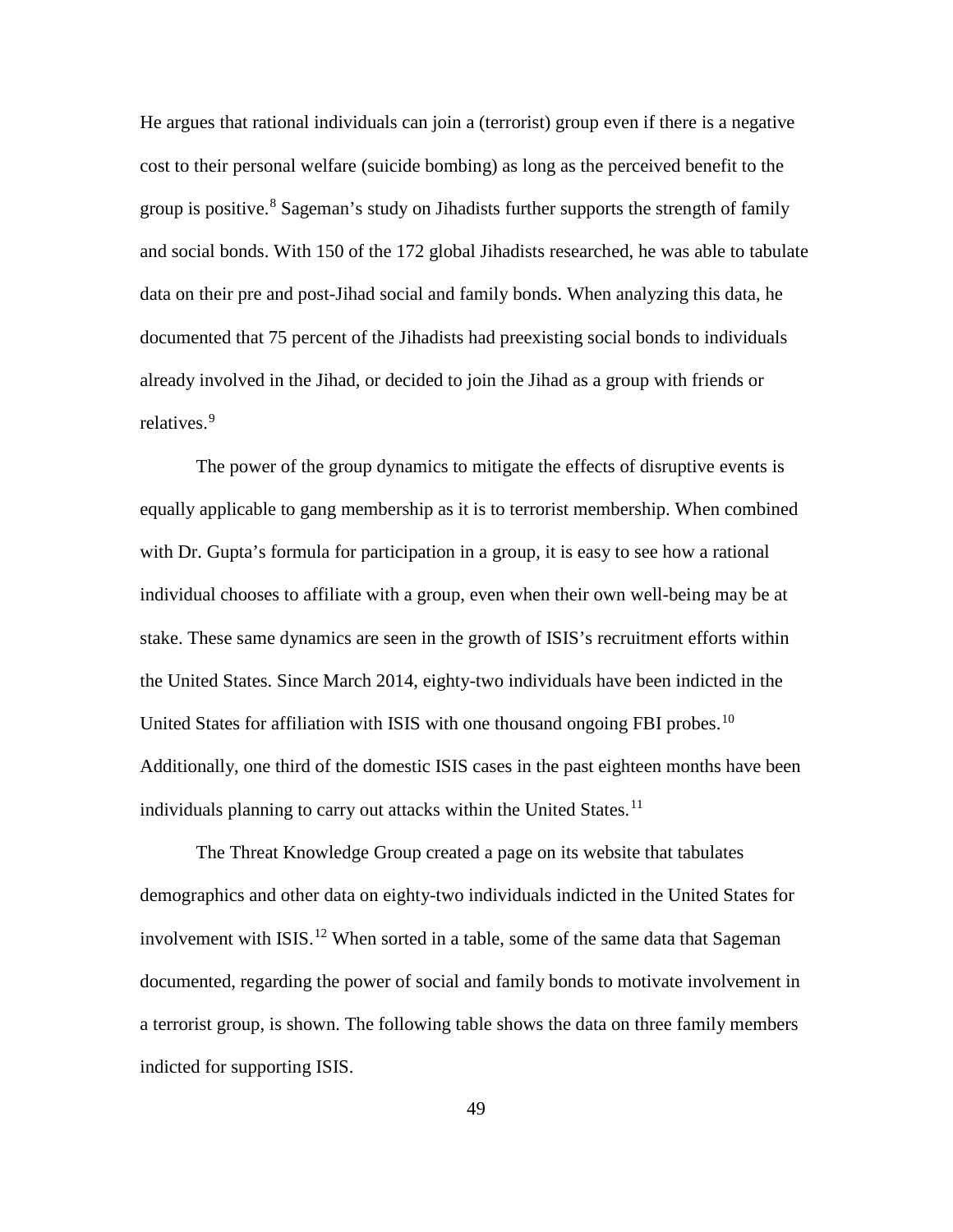He argues that rational individuals can join a (terrorist) group even if there is a negative cost to their personal welfare (suicide bombing) as long as the perceived benefit to the group is positive.<sup>[8](#page-101-6)</sup> Sageman's study on Jihadists further supports the strength of family and social bonds. With 150 of the 172 global Jihadists researched, he was able to tabulate data on their pre and post-Jihad social and family bonds. When analyzing this data, he documented that 75 percent of the Jihadists had preexisting social bonds to individuals already involved in the Jihad, or decided to join the Jihad as a group with friends or relatives.<sup>[9](#page-101-7)</sup>

<span id="page-58-4"></span><span id="page-58-3"></span><span id="page-58-2"></span><span id="page-58-1"></span><span id="page-58-0"></span>The power of the group dynamics to mitigate the effects of disruptive events is equally applicable to gang membership as it is to terrorist membership. When combined with Dr. Gupta's formula for participation in a group, it is easy to see how a rational individual chooses to affiliate with a group, even when their own well-being may be at stake. These same dynamics are seen in the growth of ISIS's recruitment efforts within the United States. Since March 2014, eighty-two individuals have been indicted in the United States for affiliation with ISIS with one thousand ongoing FBI probes.<sup>[10](#page-101-8)</sup> Additionally, one third of the domestic ISIS cases in the past eighteen months have been individuals planning to carry out attacks within the United States.<sup>[11](#page-101-9)</sup>

The Threat Knowledge Group created a page on its website that tabulates demographics and other data on eighty-two individuals indicted in the United States for involvement with ISIS.<sup>[12](#page-101-10)</sup> When sorted in a table, some of the same data that Sageman documented, regarding the power of social and family bonds to motivate involvement in a terrorist group, is shown. The following table shows the data on three family members indicted for supporting ISIS.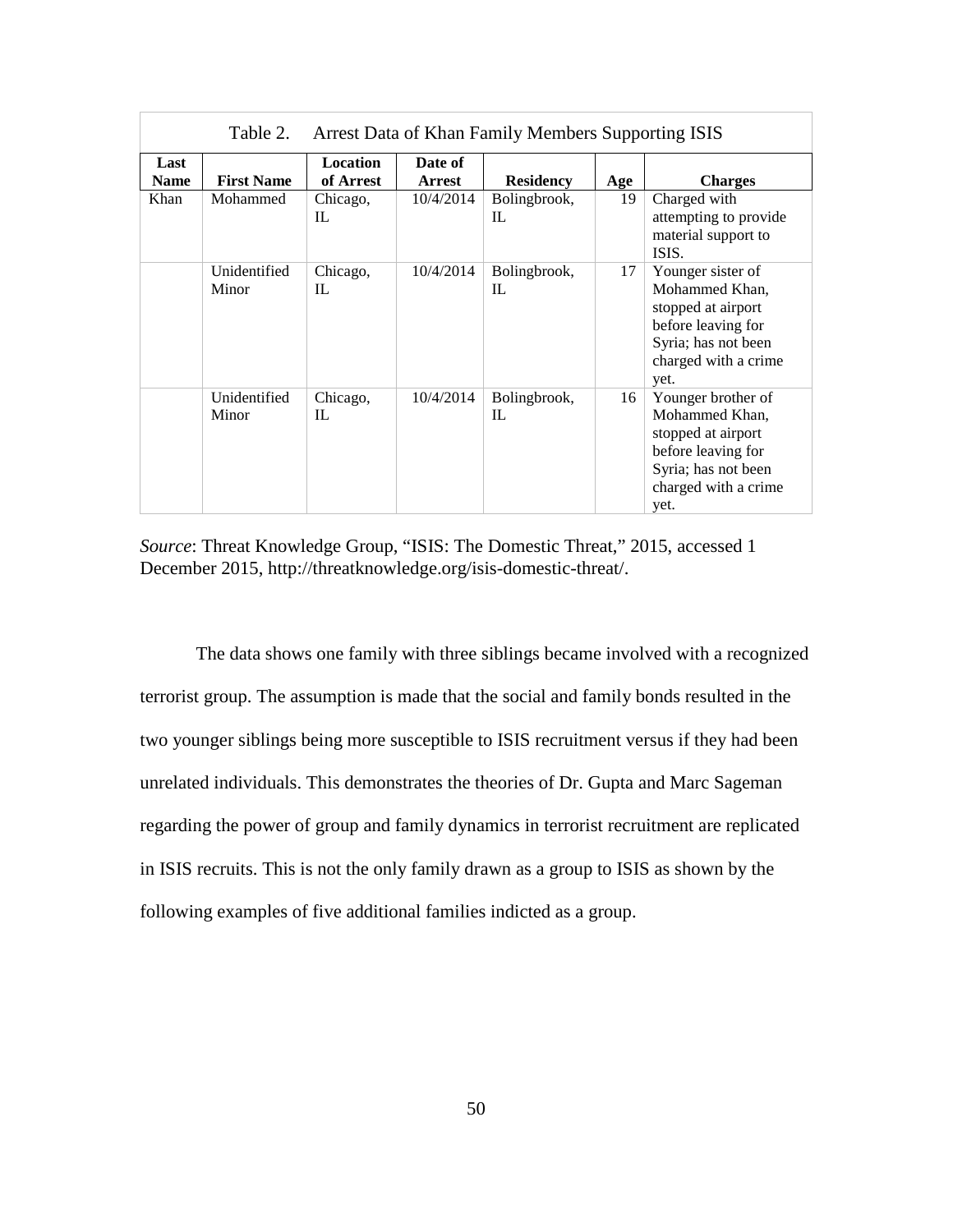| Table 2.<br>Arrest Data of Khan Family Members Supporting ISIS |                       |                              |                          |                    |     |                                                                                                                                         |
|----------------------------------------------------------------|-----------------------|------------------------------|--------------------------|--------------------|-----|-----------------------------------------------------------------------------------------------------------------------------------------|
| Last<br><b>Name</b>                                            | <b>First Name</b>     | <b>Location</b><br>of Arrest | Date of<br><b>Arrest</b> | <b>Residency</b>   | Age | <b>Charges</b>                                                                                                                          |
| Khan                                                           | Mohammed              | Chicago,<br>IL               | 10/4/2014                | Bolingbrook,<br>IL | 19  | Charged with<br>attempting to provide<br>material support to<br>ISIS.                                                                   |
|                                                                | Unidentified<br>Minor | Chicago,<br>IL               | 10/4/2014                | Bolingbrook,<br>IL | 17  | Younger sister of<br>Mohammed Khan,<br>stopped at airport<br>before leaving for<br>Syria; has not been<br>charged with a crime<br>yet.  |
|                                                                | Unidentified<br>Minor | Chicago,<br>IL               | 10/4/2014                | Bolingbrook,<br>IL | 16  | Younger brother of<br>Mohammed Khan,<br>stopped at airport<br>before leaving for<br>Syria; has not been<br>charged with a crime<br>yet. |

*Source*: Threat Knowledge Group, "ISIS: The Domestic Threat," 2015, accessed 1 December 2015, http://threatknowledge.org/isis-domestic-threat/.

<span id="page-59-2"></span><span id="page-59-1"></span><span id="page-59-0"></span>The data shows one family with three siblings became involved with a recognized terrorist group. The assumption is made that the social and family bonds resulted in the two younger siblings being more susceptible to ISIS recruitment versus if they had been unrelated individuals. This demonstrates the theories of Dr. Gupta and Marc Sageman regarding the power of group and family dynamics in terrorist recruitment are replicated in ISIS recruits. This is not the only family drawn as a group to ISIS as shown by the following examples of five additional families indicted as a group.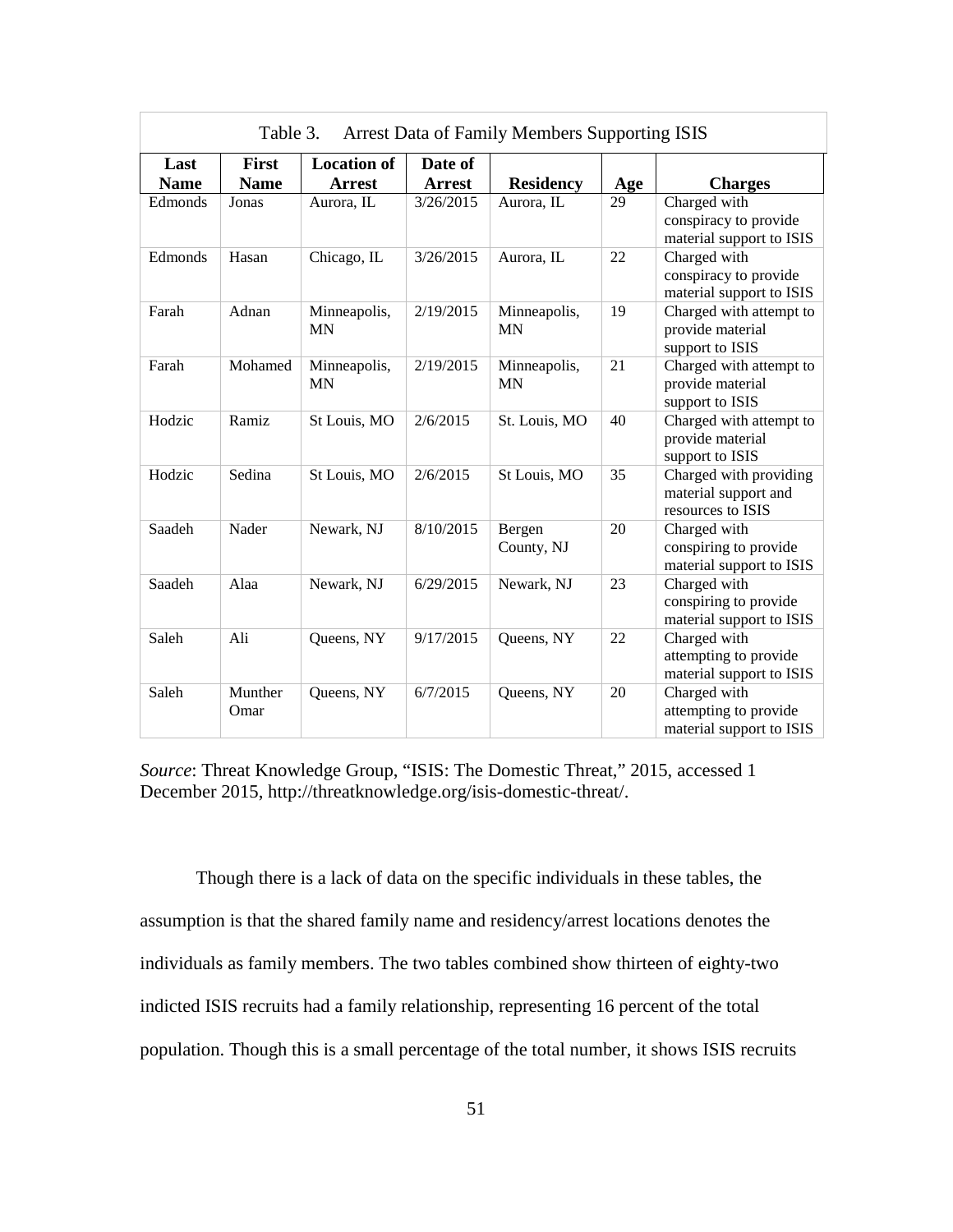| Table 3.<br><b>Arrest Data of Family Members Supporting ISIS</b> |                      |                                     |                          |                           |     |                                                                     |
|------------------------------------------------------------------|----------------------|-------------------------------------|--------------------------|---------------------------|-----|---------------------------------------------------------------------|
| Last<br><b>Name</b>                                              | First<br><b>Name</b> | <b>Location of</b><br><b>Arrest</b> | Date of<br><b>Arrest</b> | <b>Residency</b>          | Age | <b>Charges</b>                                                      |
| Edmonds                                                          | Jonas                | Aurora, IL                          | 3/26/2015                | Aurora, IL                | 29  | Charged with<br>conspiracy to provide<br>material support to ISIS   |
| Edmonds                                                          | Hasan                | Chicago, IL                         | 3/26/2015                | Aurora, IL                | 22  | Charged with<br>conspiracy to provide<br>material support to ISIS   |
| Farah                                                            | Adnan                | Minneapolis,<br><b>MN</b>           | 2/19/2015                | Minneapolis,<br><b>MN</b> | 19  | Charged with attempt to<br>provide material<br>support to ISIS      |
| Farah                                                            | Mohamed              | Minneapolis,<br><b>MN</b>           | 2/19/2015                | Minneapolis,<br><b>MN</b> | 21  | Charged with attempt to<br>provide material<br>support to ISIS      |
| Hodzic                                                           | Ramiz                | St Louis, MO                        | 2/6/2015                 | St. Louis, MO             | 40  | Charged with attempt to<br>provide material<br>support to ISIS      |
| Hodzic                                                           | Sedina               | St Louis, MO                        | 2/6/2015                 | St Louis, MO              | 35  | Charged with providing<br>material support and<br>resources to ISIS |
| Saadeh                                                           | Nader                | Newark, NJ                          | 8/10/2015                | Bergen<br>County, NJ      | 20  | Charged with<br>conspiring to provide<br>material support to ISIS   |
| Saadeh                                                           | Alaa                 | Newark, NJ                          | 6/29/2015                | Newark, NJ                | 23  | Charged with<br>conspiring to provide<br>material support to ISIS   |
| Saleh                                                            | Ali                  | Queens, NY                          | 9/17/2015                | Queens, NY                | 22  | Charged with<br>attempting to provide<br>material support to ISIS   |
| Saleh                                                            | Munther<br>Omar      | Queens, NY                          | 6/7/2015                 | Queens, NY                | 20  | Charged with<br>attempting to provide<br>material support to ISIS   |

*Source*: Threat Knowledge Group, "ISIS: The Domestic Threat," 2015, accessed 1 December 2015, http://threatknowledge.org/isis-domestic-threat/.

Though there is a lack of data on the specific individuals in these tables, the assumption is that the shared family name and residency/arrest locations denotes the individuals as family members. The two tables combined show thirteen of eighty-two indicted ISIS recruits had a family relationship, representing 16 percent of the total population. Though this is a small percentage of the total number, it shows ISIS recruits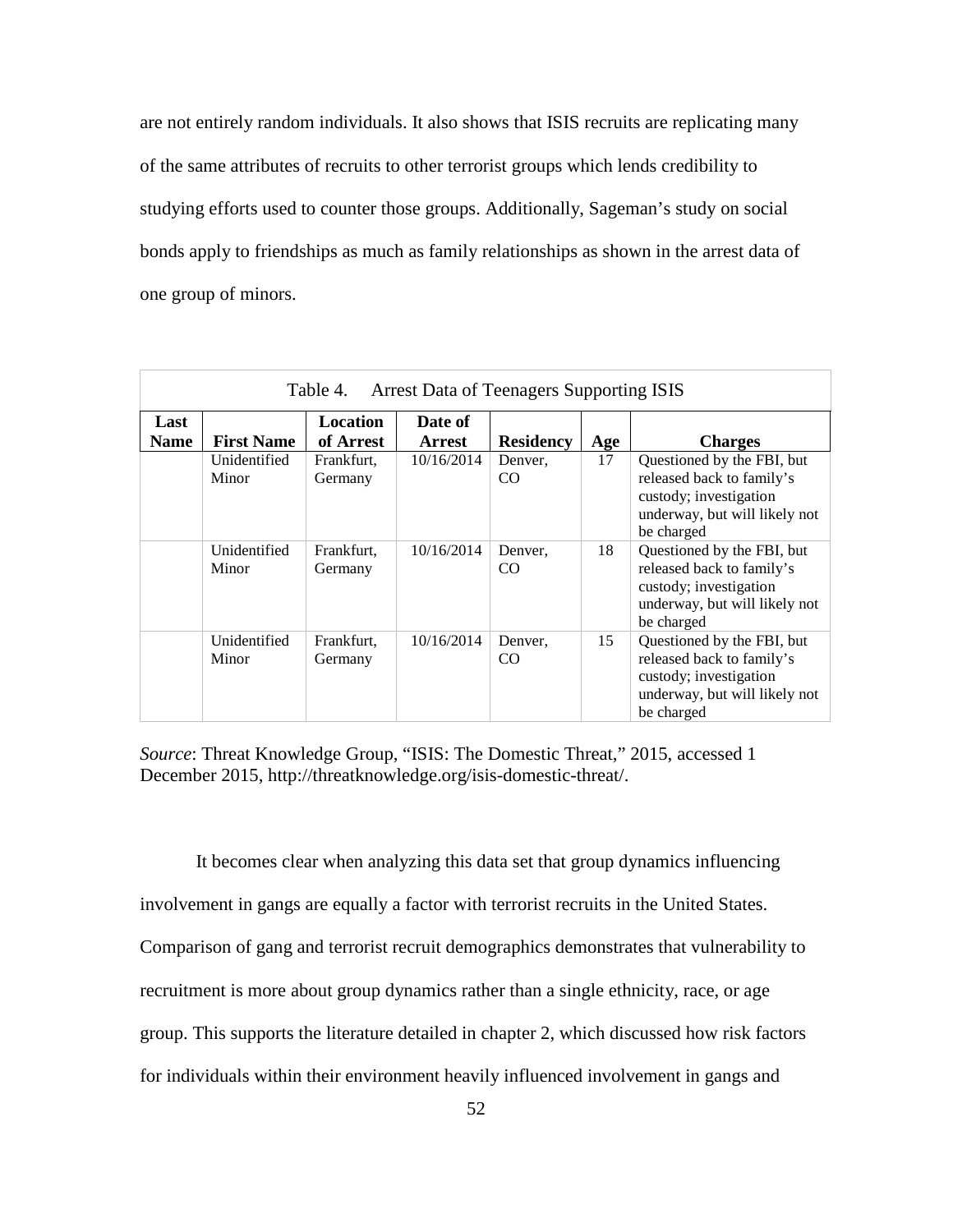are not entirely random individuals. It also shows that ISIS recruits are replicating many of the same attributes of recruits to other terrorist groups which lends credibility to studying efforts used to counter those groups. Additionally, Sageman's study on social bonds apply to friendships as much as family relationships as shown in the arrest data of one group of minors.

| <b>Arrest Data of Teenagers Supporting ISIS</b><br>Table 4. |                       |                       |                          |                  |     |                                                                                                                                  |
|-------------------------------------------------------------|-----------------------|-----------------------|--------------------------|------------------|-----|----------------------------------------------------------------------------------------------------------------------------------|
| Last<br><b>Name</b>                                         | <b>First Name</b>     | Location<br>of Arrest | Date of<br><b>Arrest</b> | <b>Residency</b> | Age | <b>Charges</b>                                                                                                                   |
|                                                             | Unidentified<br>Minor | Frankfurt,<br>Germany | 10/16/2014               | Denver,<br>CO    | 17  | Questioned by the FBI, but<br>released back to family's<br>custody; investigation<br>underway, but will likely not<br>be charged |
|                                                             | Unidentified<br>Minor | Frankfurt,<br>Germany | 10/16/2014               | Denver,<br>CO    | 18  | Questioned by the FBI, but<br>released back to family's<br>custody; investigation<br>underway, but will likely not<br>be charged |
|                                                             | Unidentified<br>Minor | Frankfurt,<br>Germany | 10/16/2014               | Denver,<br>CO.   | 15  | Questioned by the FBI, but<br>released back to family's<br>custody; investigation<br>underway, but will likely not<br>be charged |

*Source*: Threat Knowledge Group, "ISIS: The Domestic Threat," 2015, accessed 1 December 2015, http://threatknowledge.org/isis-domestic-threat/.

It becomes clear when analyzing this data set that group dynamics influencing involvement in gangs are equally a factor with terrorist recruits in the United States. Comparison of gang and terrorist recruit demographics demonstrates that vulnerability to recruitment is more about group dynamics rather than a single ethnicity, race, or age group. This supports the literature detailed in chapter 2, which discussed how risk factors for individuals within their environment heavily influenced involvement in gangs and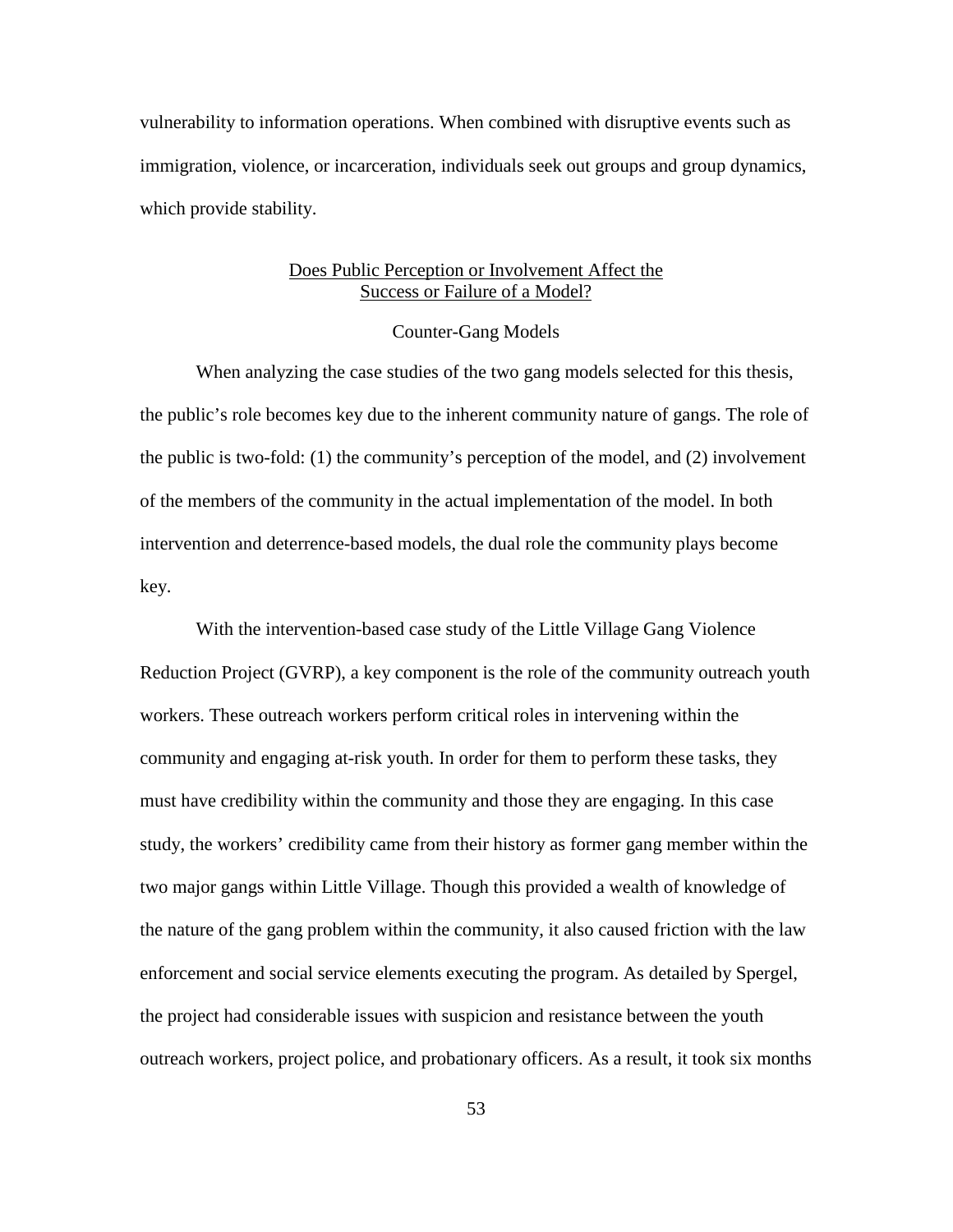vulnerability to information operations. When combined with disruptive events such as immigration, violence, or incarceration, individuals seek out groups and group dynamics, which provide stability.

# Does Public Perception or Involvement Affect the Success or Failure of a Model?

## Counter-Gang Models

When analyzing the case studies of the two gang models selected for this thesis, the public's role becomes key due to the inherent community nature of gangs. The role of the public is two-fold: (1) the community's perception of the model, and (2) involvement of the members of the community in the actual implementation of the model. In both intervention and deterrence-based models, the dual role the community plays become key.

With the intervention-based case study of the Little Village Gang Violence Reduction Project (GVRP), a key component is the role of the community outreach youth workers. These outreach workers perform critical roles in intervening within the community and engaging at-risk youth. In order for them to perform these tasks, they must have credibility within the community and those they are engaging. In this case study, the workers' credibility came from their history as former gang member within the two major gangs within Little Village. Though this provided a wealth of knowledge of the nature of the gang problem within the community, it also caused friction with the law enforcement and social service elements executing the program. As detailed by Spergel, the project had considerable issues with suspicion and resistance between the youth outreach workers, project police, and probationary officers. As a result, it took six months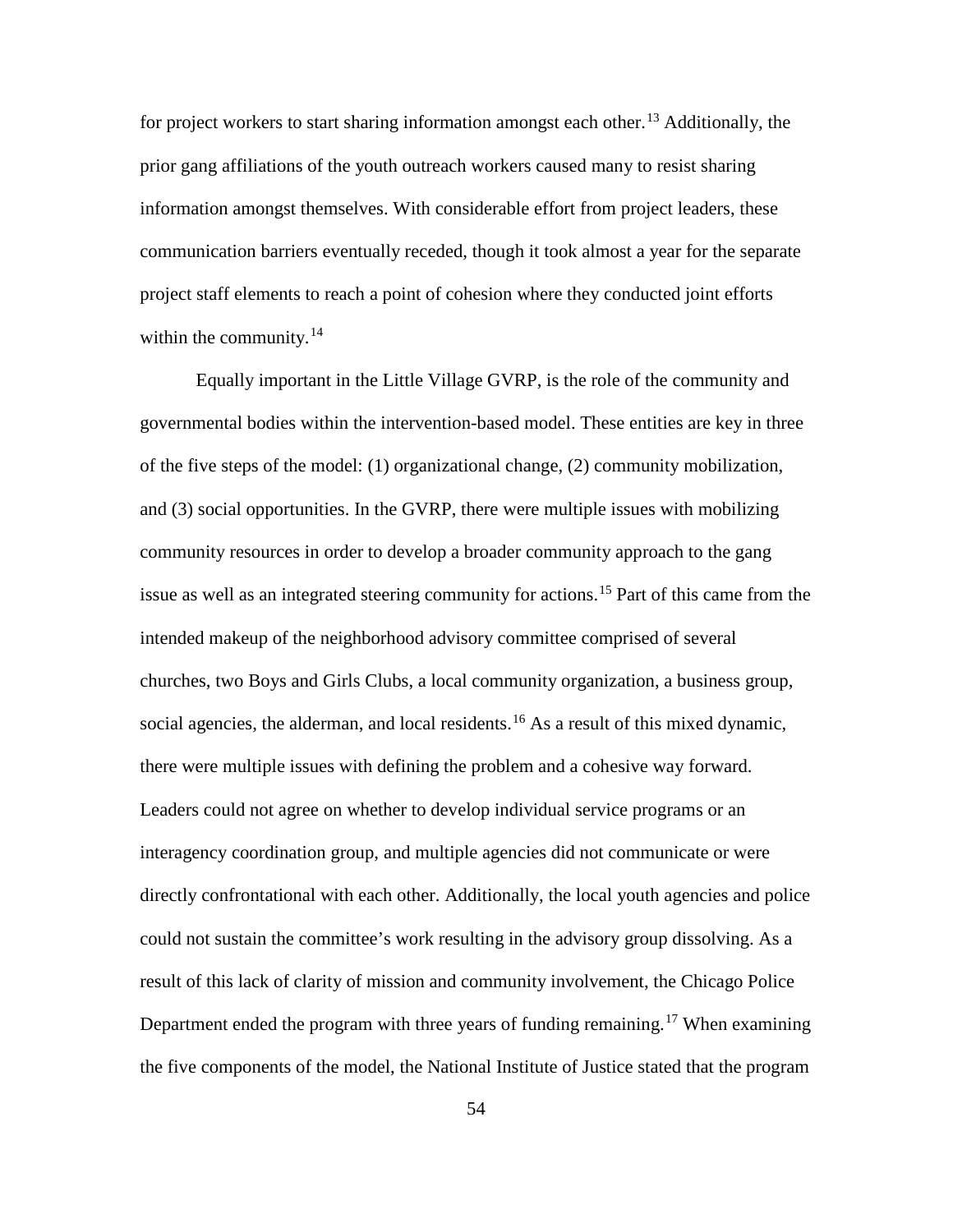for project workers to start sharing information amongst each other.<sup>[13](#page-101-11)</sup> Additionally, the prior gang affiliations of the youth outreach workers caused many to resist sharing information amongst themselves. With considerable effort from project leaders, these communication barriers eventually receded, though it took almost a year for the separate project staff elements to reach a point of cohesion where they conducted joint efforts within the community. $14$ 

Equally important in the Little Village GVRP, is the role of the community and governmental bodies within the intervention-based model. These entities are key in three of the five steps of the model: (1) organizational change, (2) community mobilization, and (3) social opportunities. In the GVRP, there were multiple issues with mobilizing community resources in order to develop a broader community approach to the gang issue as well as an integrated steering community for actions.<sup>[15](#page-101-13)</sup> Part of this came from the intended makeup of the neighborhood advisory committee comprised of several churches, two Boys and Girls Clubs, a local community organization, a business group, social agencies, the alderman, and local residents.<sup>[16](#page-101-14)</sup> As a result of this mixed dynamic, there were multiple issues with defining the problem and a cohesive way forward. Leaders could not agree on whether to develop individual service programs or an interagency coordination group, and multiple agencies did not communicate or were directly confrontational with each other. Additionally, the local youth agencies and police could not sustain the committee's work resulting in the advisory group dissolving. As a result of this lack of clarity of mission and community involvement, the Chicago Police Department ended the program with three years of funding remaining.<sup>[17](#page-101-15)</sup> When examining the five components of the model, the National Institute of Justice stated that the program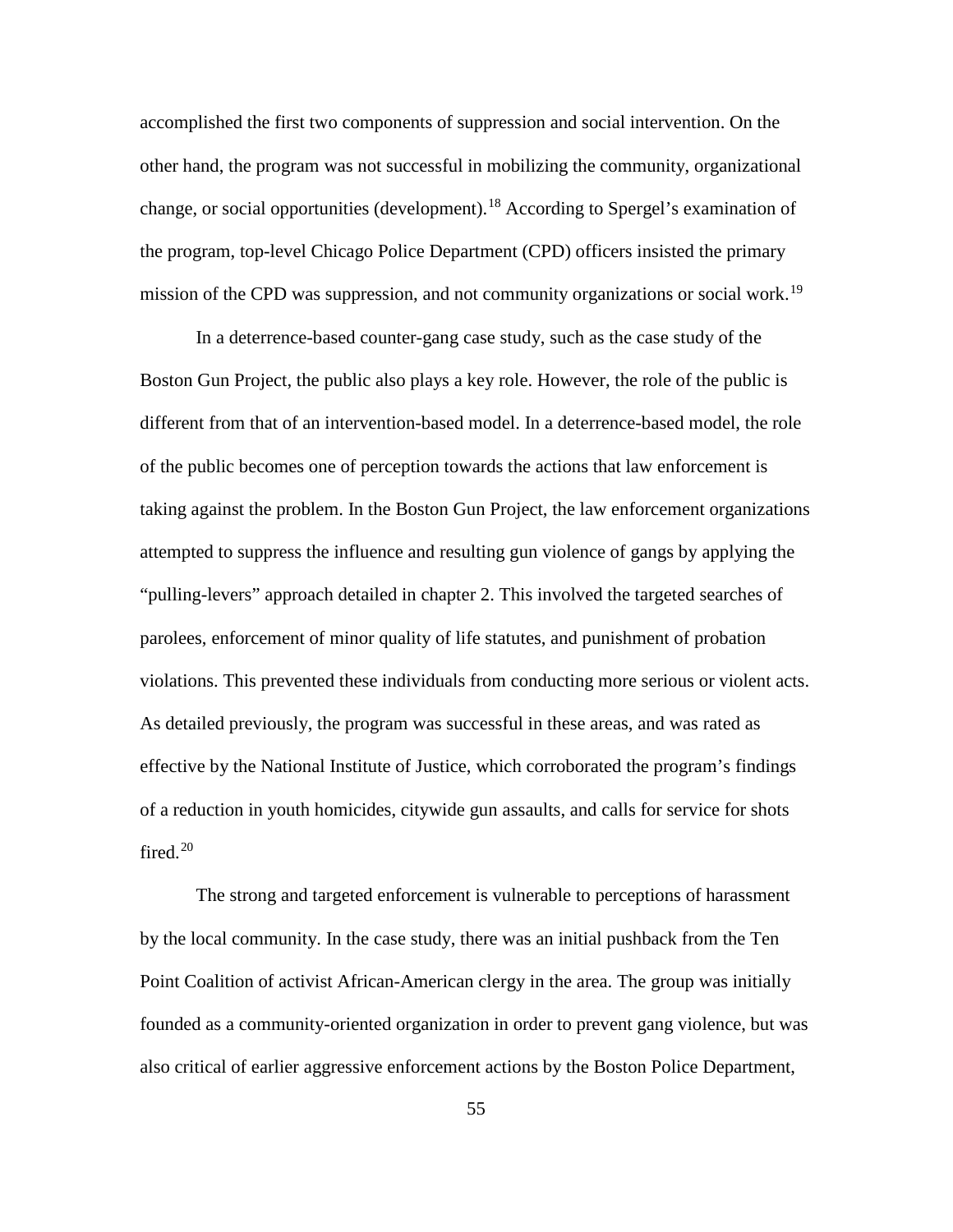accomplished the first two components of suppression and social intervention. On the other hand, the program was not successful in mobilizing the community, organizational change, or social opportunities (development).<sup>[18](#page-101-16)</sup> According to Spergel's examination of the program, top-level Chicago Police Department (CPD) officers insisted the primary mission of the CPD was suppression, and not community organizations or social work.<sup>[19](#page-101-17)</sup>

In a deterrence-based counter-gang case study, such as the case study of the Boston Gun Project, the public also plays a key role. However, the role of the public is different from that of an intervention-based model. In a deterrence-based model, the role of the public becomes one of perception towards the actions that law enforcement is taking against the problem. In the Boston Gun Project, the law enforcement organizations attempted to suppress the influence and resulting gun violence of gangs by applying the "pulling-levers" approach detailed in chapter 2. This involved the targeted searches of parolees, enforcement of minor quality of life statutes, and punishment of probation violations. This prevented these individuals from conducting more serious or violent acts. As detailed previously, the program was successful in these areas, and was rated as effective by the National Institute of Justice, which corroborated the program's findings of a reduction in youth homicides, citywide gun assaults, and calls for service for shots fired.<sup>[20](#page-101-18)</sup>

The strong and targeted enforcement is vulnerable to perceptions of harassment by the local community. In the case study, there was an initial pushback from the Ten Point Coalition of activist African-American clergy in the area. The group was initially founded as a community-oriented organization in order to prevent gang violence, but was also critical of earlier aggressive enforcement actions by the Boston Police Department,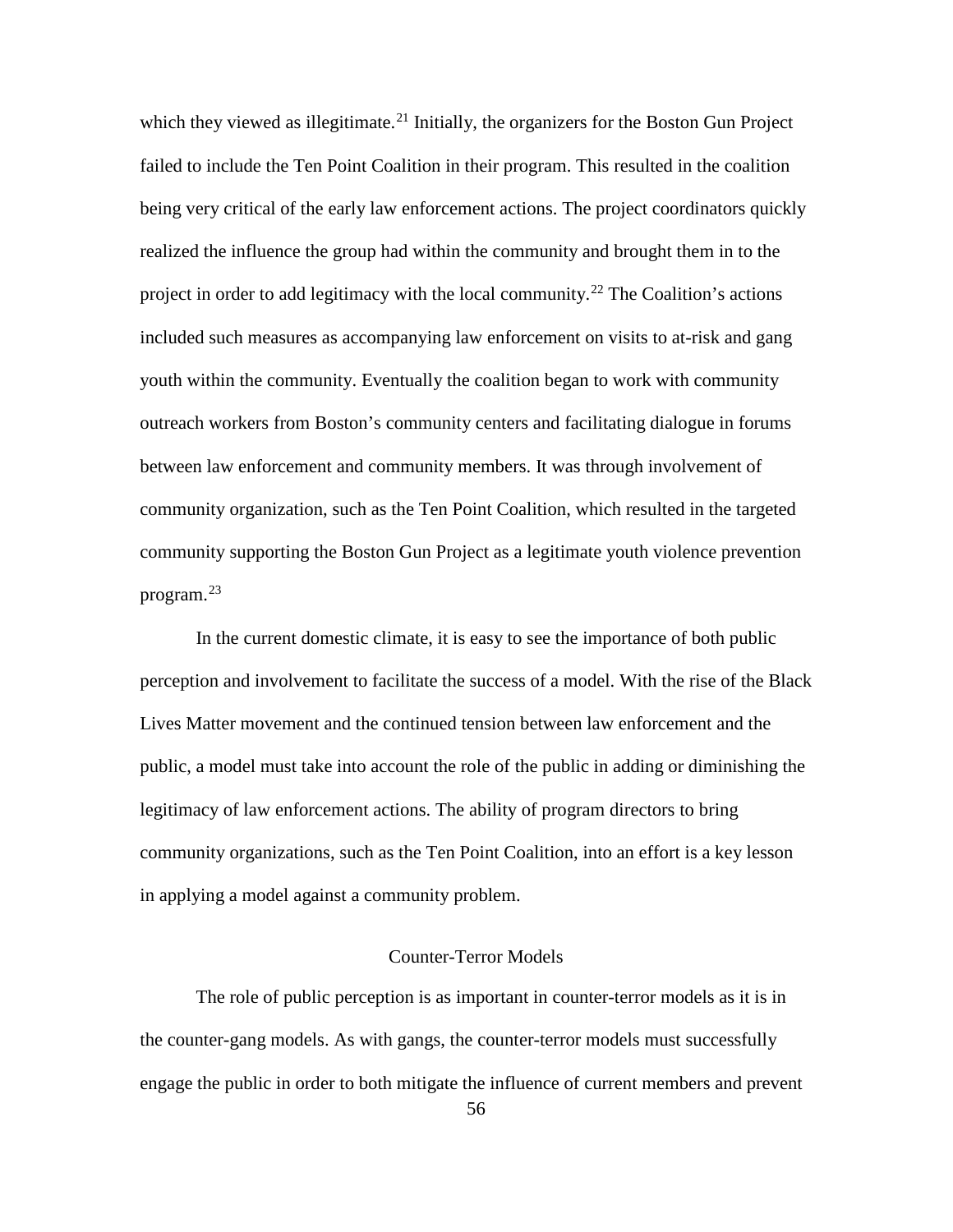which they viewed as illegitimate.<sup>[21](#page-101-19)</sup> Initially, the organizers for the Boston Gun Project failed to include the Ten Point Coalition in their program. This resulted in the coalition being very critical of the early law enforcement actions. The project coordinators quickly realized the influence the group had within the community and brought them in to the project in order to add legitimacy with the local community.<sup>[22](#page-101-20)</sup> The Coalition's actions included such measures as accompanying law enforcement on visits to at-risk and gang youth within the community. Eventually the coalition began to work with community outreach workers from Boston's community centers and facilitating dialogue in forums between law enforcement and community members. It was through involvement of community organization, such as the Ten Point Coalition, which resulted in the targeted community supporting the Boston Gun Project as a legitimate youth violence prevention program.[23](#page-101-21)

In the current domestic climate, it is easy to see the importance of both public perception and involvement to facilitate the success of a model. With the rise of the Black Lives Matter movement and the continued tension between law enforcement and the public, a model must take into account the role of the public in adding or diminishing the legitimacy of law enforcement actions. The ability of program directors to bring community organizations, such as the Ten Point Coalition, into an effort is a key lesson in applying a model against a community problem.

# Counter-Terror Models

The role of public perception is as important in counter-terror models as it is in the counter-gang models. As with gangs, the counter-terror models must successfully engage the public in order to both mitigate the influence of current members and prevent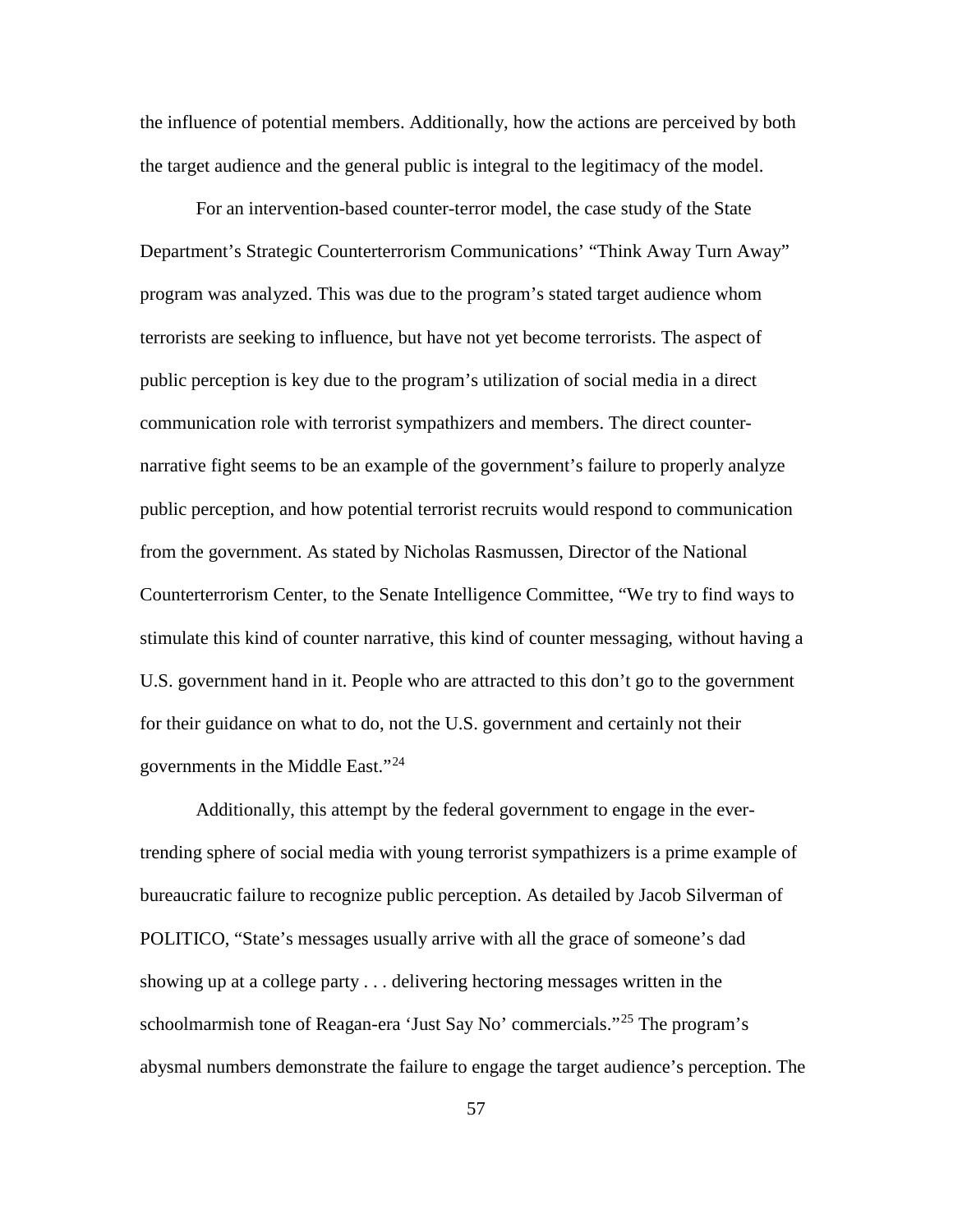the influence of potential members. Additionally, how the actions are perceived by both the target audience and the general public is integral to the legitimacy of the model.

For an intervention-based counter-terror model, the case study of the State Department's Strategic Counterterrorism Communications' "Think Away Turn Away" program was analyzed. This was due to the program's stated target audience whom terrorists are seeking to influence, but have not yet become terrorists. The aspect of public perception is key due to the program's utilization of social media in a direct communication role with terrorist sympathizers and members. The direct counternarrative fight seems to be an example of the government's failure to properly analyze public perception, and how potential terrorist recruits would respond to communication from the government. As stated by Nicholas Rasmussen, Director of the National Counterterrorism Center, to the Senate Intelligence Committee, "We try to find ways to stimulate this kind of counter narrative, this kind of counter messaging, without having a U.S. government hand in it. People who are attracted to this don't go to the government for their guidance on what to do, not the U.S. government and certainly not their governments in the Middle East."[24](#page-101-22)

Additionally, this attempt by the federal government to engage in the evertrending sphere of social media with young terrorist sympathizers is a prime example of bureaucratic failure to recognize public perception. As detailed by Jacob Silverman of POLITICO, "State's messages usually arrive with all the grace of someone's dad showing up at a college party . . . delivering hectoring messages written in the schoolmarmish tone of Reagan-era 'Just Say No' commercials."<sup>[25](#page-101-23)</sup> The program's abysmal numbers demonstrate the failure to engage the target audience's perception. The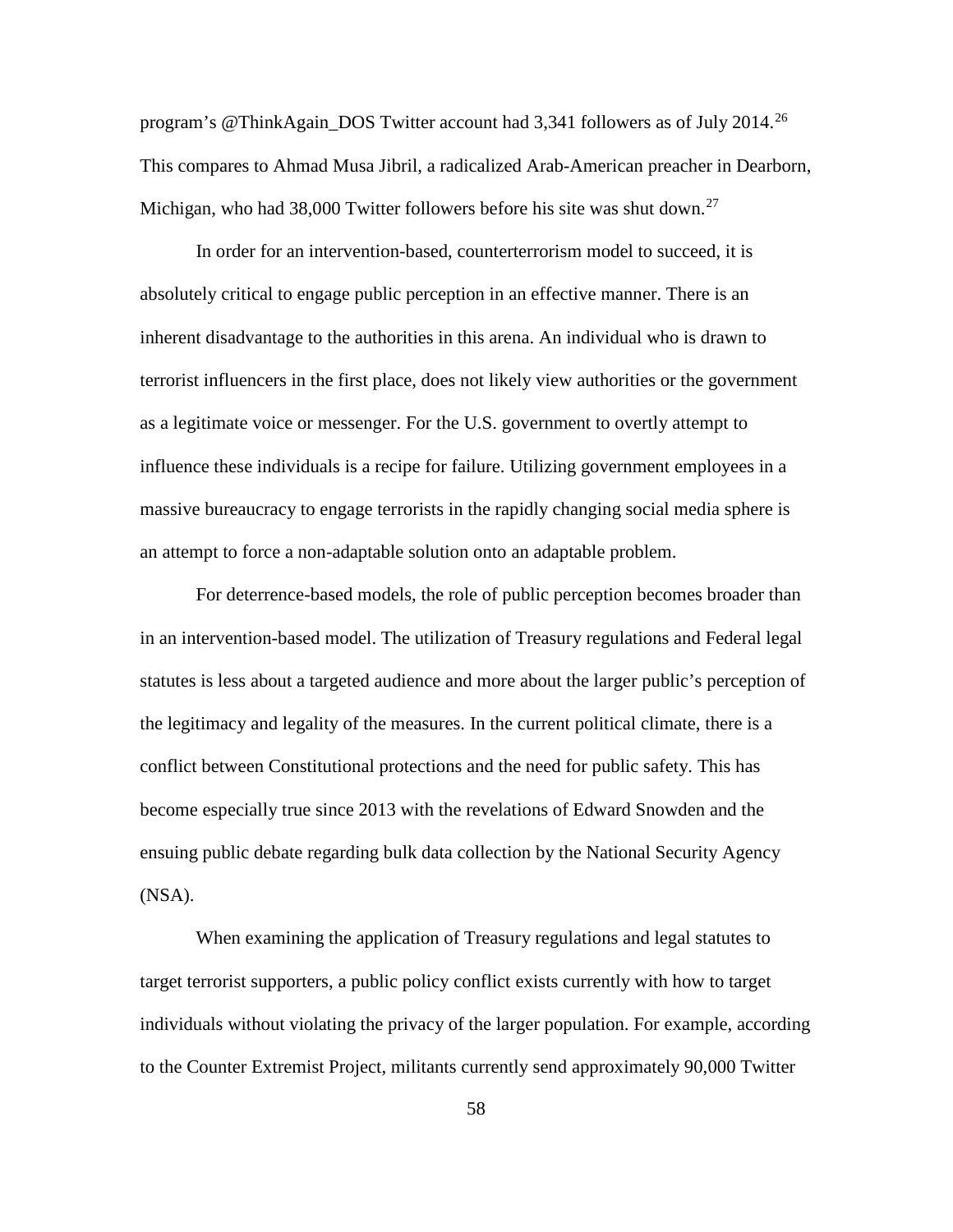program's @ThinkAgain\_DOS Twitter account had 3,341 followers as of July 2014.<sup>[26](#page-101-24)</sup> This compares to Ahmad Musa Jibril, a radicalized Arab-American preacher in Dearborn, Michigan, who had 38,000 Twitter followers before his site was shut down.<sup>[27](#page-101-25)</sup>

In order for an intervention-based, counterterrorism model to succeed, it is absolutely critical to engage public perception in an effective manner. There is an inherent disadvantage to the authorities in this arena. An individual who is drawn to terrorist influencers in the first place, does not likely view authorities or the government as a legitimate voice or messenger. For the U.S. government to overtly attempt to influence these individuals is a recipe for failure. Utilizing government employees in a massive bureaucracy to engage terrorists in the rapidly changing social media sphere is an attempt to force a non-adaptable solution onto an adaptable problem.

For deterrence-based models, the role of public perception becomes broader than in an intervention-based model. The utilization of Treasury regulations and Federal legal statutes is less about a targeted audience and more about the larger public's perception of the legitimacy and legality of the measures. In the current political climate, there is a conflict between Constitutional protections and the need for public safety. This has become especially true since 2013 with the revelations of Edward Snowden and the ensuing public debate regarding bulk data collection by the National Security Agency (NSA).

When examining the application of Treasury regulations and legal statutes to target terrorist supporters, a public policy conflict exists currently with how to target individuals without violating the privacy of the larger population. For example, according to the Counter Extremist Project, militants currently send approximately 90,000 Twitter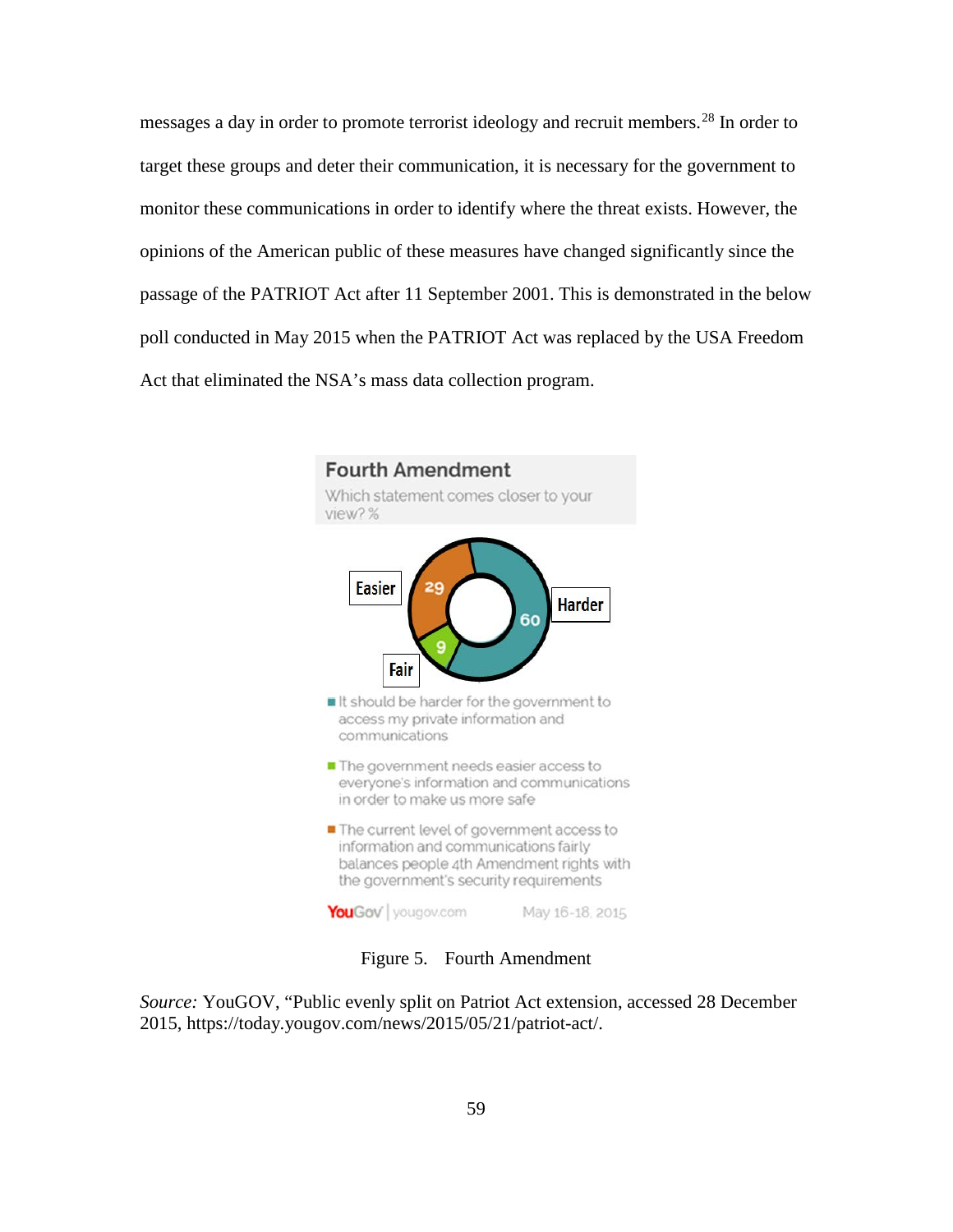messages a day in order to promote terrorist ideology and recruit members.<sup>[28](#page-101-6)</sup> In order to target these groups and deter their communication, it is necessary for the government to monitor these communications in order to identify where the threat exists. However, the opinions of the American public of these measures have changed significantly since the passage of the PATRIOT Act after 11 September 2001. This is demonstrated in the below poll conducted in May 2015 when the PATRIOT Act was replaced by the USA Freedom Act that eliminated the NSA's mass data collection program.



Figure 5. Fourth Amendment

*Source:* YouGOV, "Public evenly split on Patriot Act extension, accessed 28 December 2015, https://today.yougov.com/news/2015/05/21/patriot-act/.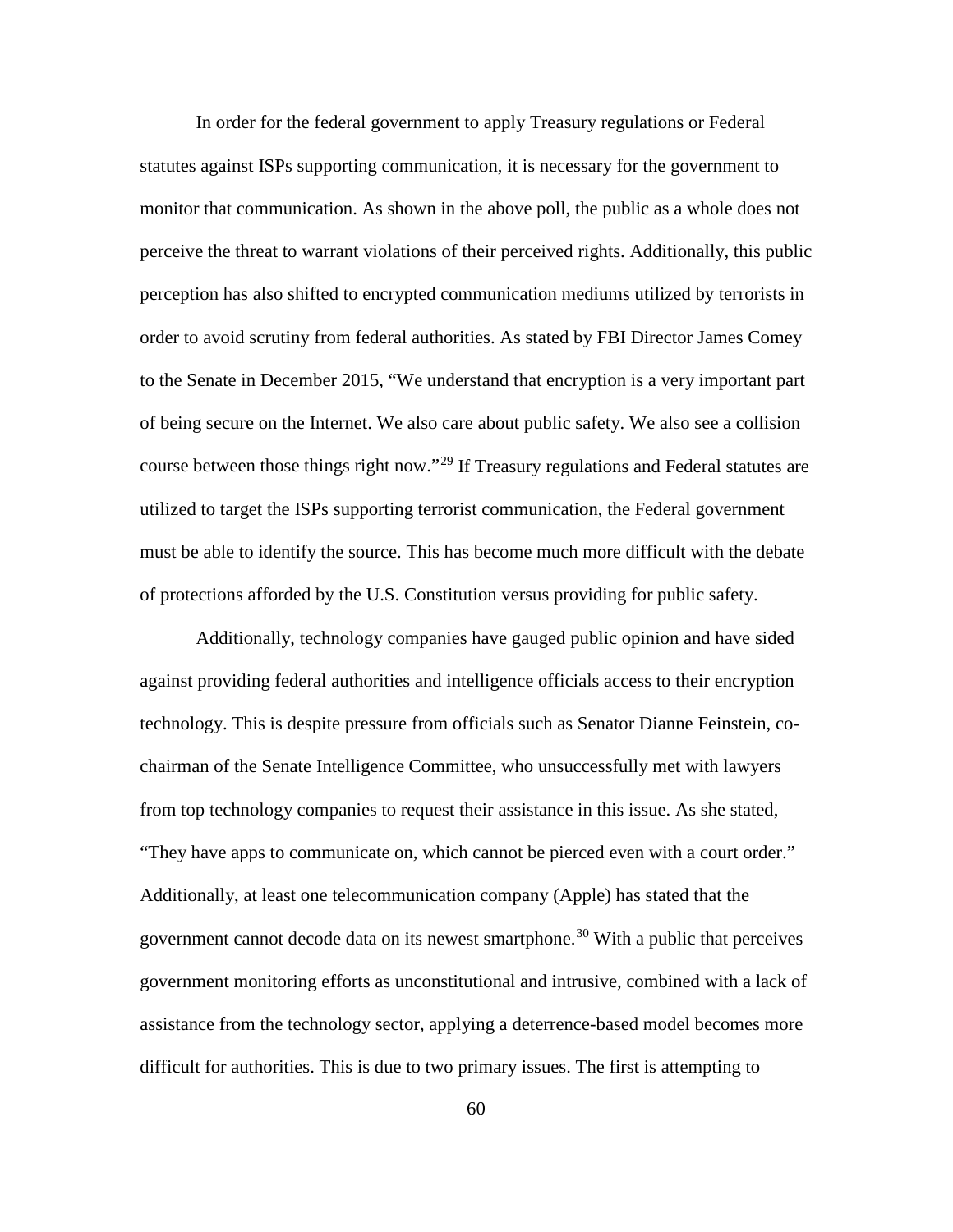In order for the federal government to apply Treasury regulations or Federal statutes against ISPs supporting communication, it is necessary for the government to monitor that communication. As shown in the above poll, the public as a whole does not perceive the threat to warrant violations of their perceived rights. Additionally, this public perception has also shifted to encrypted communication mediums utilized by terrorists in order to avoid scrutiny from federal authorities. As stated by FBI Director James Comey to the Senate in December 2015, "We understand that encryption is a very important part of being secure on the Internet. We also care about public safety. We also see a collision course between those things right now."<sup>[29](#page-101-26)</sup> If Treasury regulations and Federal statutes are utilized to target the ISPs supporting terrorist communication, the Federal government must be able to identify the source. This has become much more difficult with the debate of protections afforded by the U.S. Constitution versus providing for public safety.

<span id="page-69-3"></span><span id="page-69-2"></span><span id="page-69-1"></span><span id="page-69-0"></span>Additionally, technology companies have gauged public opinion and have sided against providing federal authorities and intelligence officials access to their encryption technology. This is despite pressure from officials such as Senator Dianne Feinstein, cochairman of the Senate Intelligence Committee, who unsuccessfully met with lawyers from top technology companies to request their assistance in this issue. As she stated, "They have apps to communicate on, which cannot be pierced even with a court order." Additionally, at least one telecommunication company (Apple) has stated that the government cannot decode data on its newest smartphone.<sup>[30](#page-101-27)</sup> With a public that perceives government monitoring efforts as unconstitutional and intrusive, combined with a lack of assistance from the technology sector, applying a deterrence-based model becomes more difficult for authorities. This is due to two primary issues. The first is attempting to

60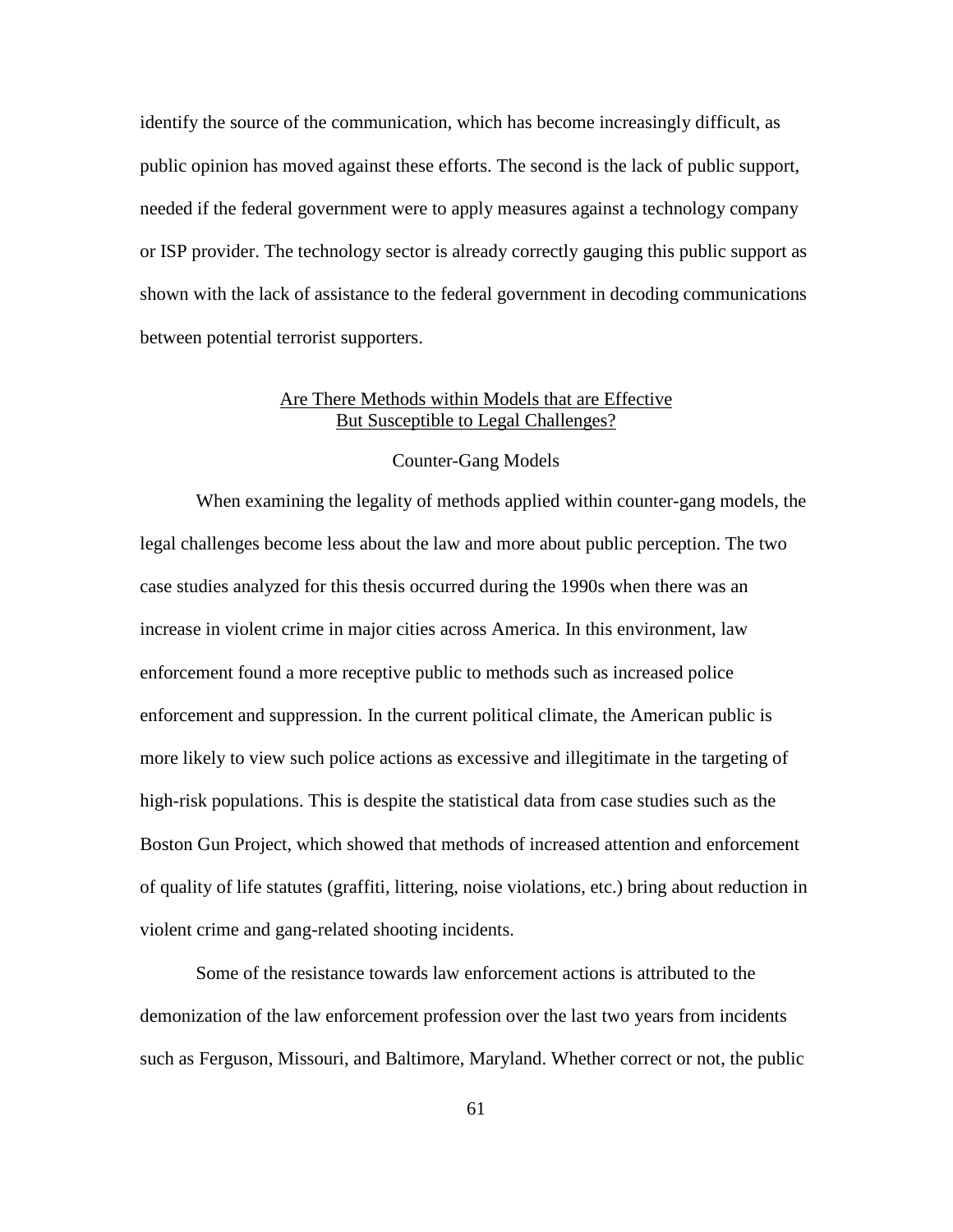identify the source of the communication, which has become increasingly difficult, as public opinion has moved against these efforts. The second is the lack of public support, needed if the federal government were to apply measures against a technology company or ISP provider. The technology sector is already correctly gauging this public support as shown with the lack of assistance to the federal government in decoding communications between potential terrorist supporters.

# Are There Methods within Models that are Effective But Susceptible to Legal Challenges?

# Counter-Gang Models

When examining the legality of methods applied within counter-gang models, the legal challenges become less about the law and more about public perception. The two case studies analyzed for this thesis occurred during the 1990s when there was an increase in violent crime in major cities across America. In this environment, law enforcement found a more receptive public to methods such as increased police enforcement and suppression. In the current political climate, the American public is more likely to view such police actions as excessive and illegitimate in the targeting of high-risk populations. This is despite the statistical data from case studies such as the Boston Gun Project, which showed that methods of increased attention and enforcement of quality of life statutes (graffiti, littering, noise violations, etc.) bring about reduction in violent crime and gang-related shooting incidents.

<span id="page-70-5"></span><span id="page-70-4"></span><span id="page-70-3"></span><span id="page-70-2"></span><span id="page-70-1"></span><span id="page-70-0"></span>Some of the resistance towards law enforcement actions is attributed to the demonization of the law enforcement profession over the last two years from incidents such as Ferguson, Missouri, and Baltimore, Maryland. Whether correct or not, the public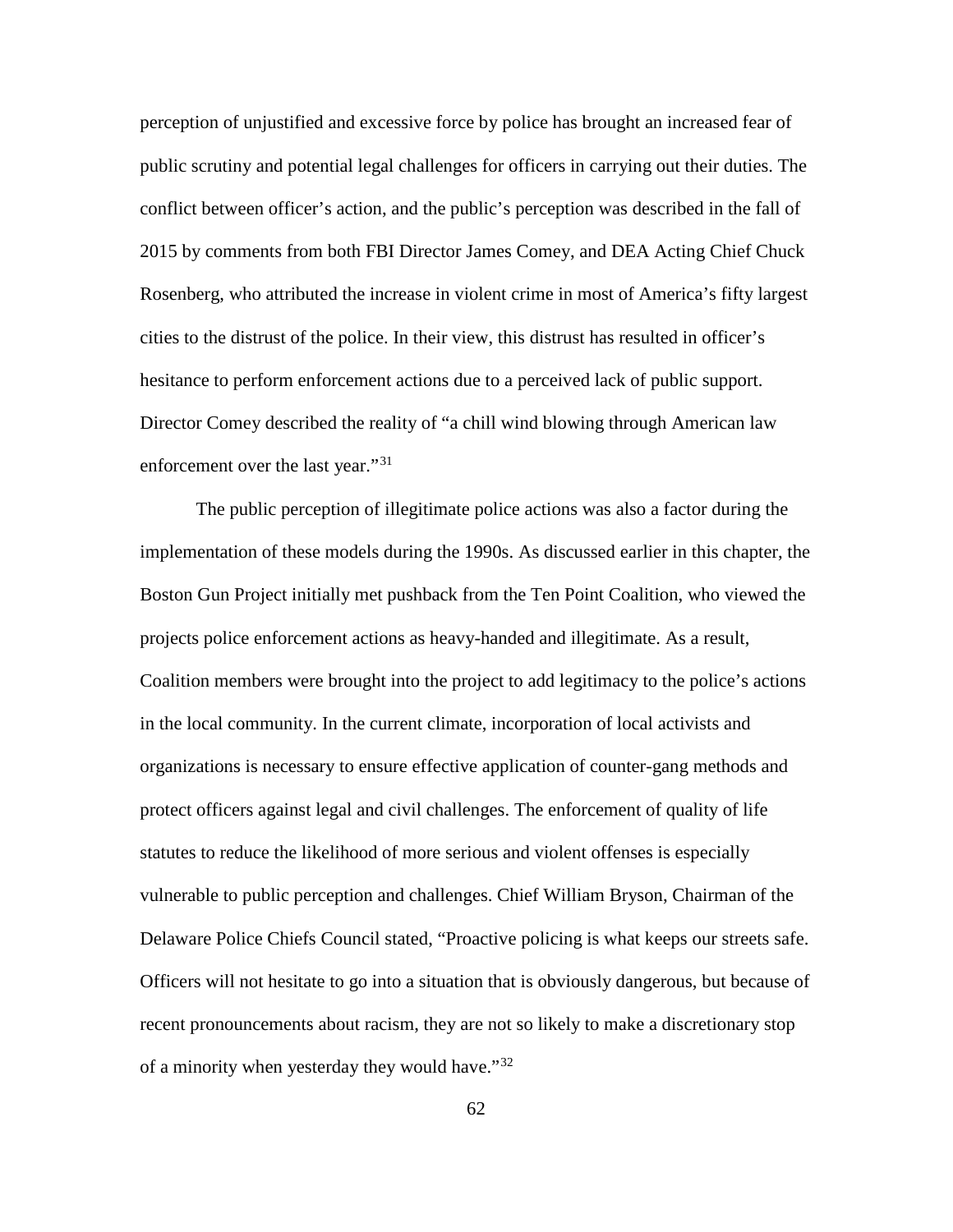<span id="page-71-2"></span><span id="page-71-1"></span><span id="page-71-0"></span>perception of unjustified and excessive force by police has brought an increased fear of public scrutiny and potential legal challenges for officers in carrying out their duties. The conflict between officer's action, and the public's perception was described in the fall of 2015 by comments from both FBI Director James Comey, and DEA Acting Chief Chuck Rosenberg, who attributed the increase in violent crime in most of America's fifty largest cities to the distrust of the police. In their view, this distrust has resulted in officer's hesitance to perform enforcement actions due to a perceived lack of public support. Director Comey described the reality of "a chill wind blowing through American law enforcement over the last year."<sup>[31](#page-101-28)</sup>

The public perception of illegitimate police actions was also a factor during the implementation of these models during the 1990s. As discussed earlier in this chapter, the Boston Gun Project initially met pushback from the Ten Point Coalition, who viewed the projects police enforcement actions as heavy-handed and illegitimate. As a result, Coalition members were brought into the project to add legitimacy to the police's actions in the local community. In the current climate, incorporation of local activists and organizations is necessary to ensure effective application of counter-gang methods and protect officers against legal and civil challenges. The enforcement of quality of life statutes to reduce the likelihood of more serious and violent offenses is especially vulnerable to public perception and challenges. Chief William Bryson, Chairman of the Delaware Police Chiefs Council stated, "Proactive policing is what keeps our streets safe. Officers will not hesitate to go into a situation that is obviously dangerous, but because of recent pronouncements about racism, they are not so likely to make a discretionary stop of a minority when yesterday they would have."[32](#page-101-29)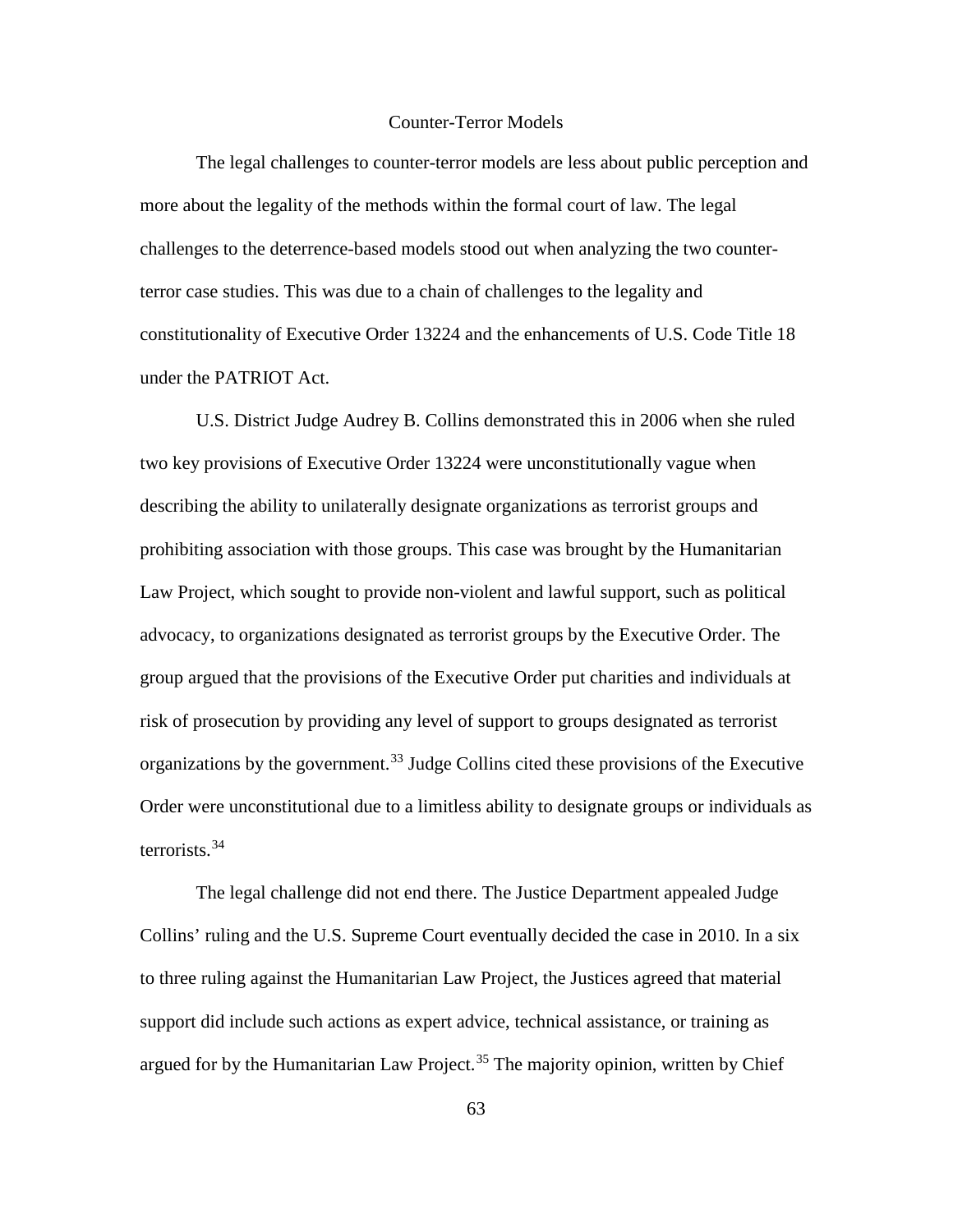# Counter-Terror Models

The legal challenges to counter-terror models are less about public perception and more about the legality of the methods within the formal court of law. The legal challenges to the deterrence-based models stood out when analyzing the two counterterror case studies. This was due to a chain of challenges to the legality and constitutionality of Executive Order 13224 and the enhancements of U.S. Code Title 18 under the PATRIOT Act.

U.S. District Judge Audrey B. Collins demonstrated this in 2006 when she ruled two key provisions of Executive Order 13224 were unconstitutionally vague when describing the ability to unilaterally designate organizations as terrorist groups and prohibiting association with those groups. This case was brought by the Humanitarian Law Project, which sought to provide non-violent and lawful support, such as political advocacy, to organizations designated as terrorist groups by the Executive Order. The group argued that the provisions of the Executive Order put charities and individuals at risk of prosecution by providing any level of support to groups designated as terrorist organizations by the government. [33](#page-101-0) Judge Collins cited these provisions of the Executive Order were unconstitutional due to a limitless ability to designate groups or individuals as terrorists. [34](#page-101-1)

The legal challenge did not end there. The Justice Department appealed Judge Collins' ruling and the U.S. Supreme Court eventually decided the case in 2010. In a six to three ruling against the Humanitarian Law Project, the Justices agreed that material support did include such actions as expert advice, technical assistance, or training as argued for by the Humanitarian Law Project. [35](#page-101-2) The majority opinion, written by Chief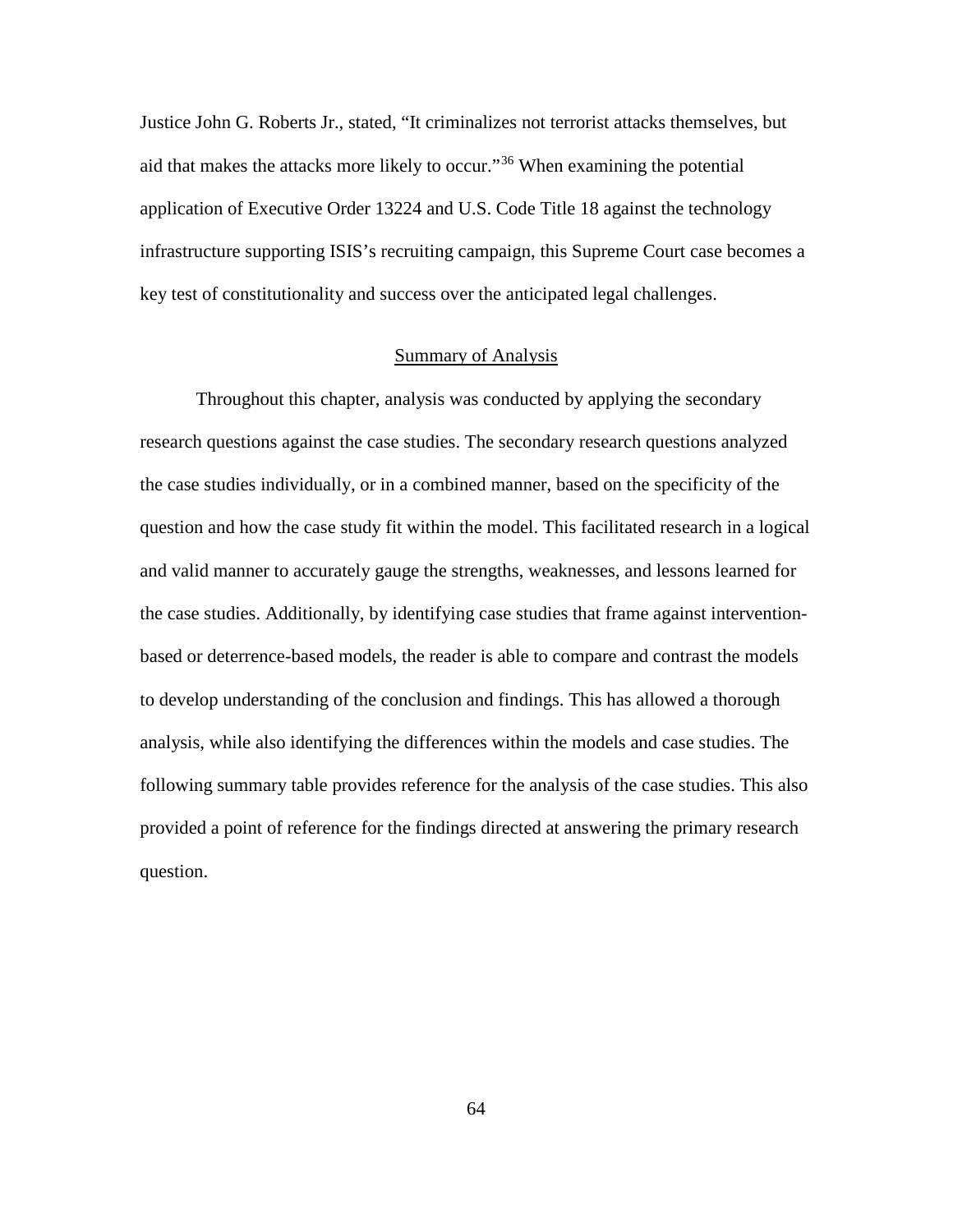Justice John G. Roberts Jr., stated, "It criminalizes not terrorist attacks themselves, but aid that makes the attacks more likely to occur."[36](#page-101-3) When examining the potential application of Executive Order 13224 and U.S. Code Title 18 against the technology infrastructure supporting ISIS's recruiting campaign, this Supreme Court case becomes a key test of constitutionality and success over the anticipated legal challenges.

# Summary of Analysis

Throughout this chapter, analysis was conducted by applying the secondary research questions against the case studies. The secondary research questions analyzed the case studies individually, or in a combined manner, based on the specificity of the question and how the case study fit within the model. This facilitated research in a logical and valid manner to accurately gauge the strengths, weaknesses, and lessons learned for the case studies. Additionally, by identifying case studies that frame against interventionbased or deterrence-based models, the reader is able to compare and contrast the models to develop understanding of the conclusion and findings. This has allowed a thorough analysis, while also identifying the differences within the models and case studies. The following summary table provides reference for the analysis of the case studies. This also provided a point of reference for the findings directed at answering the primary research question.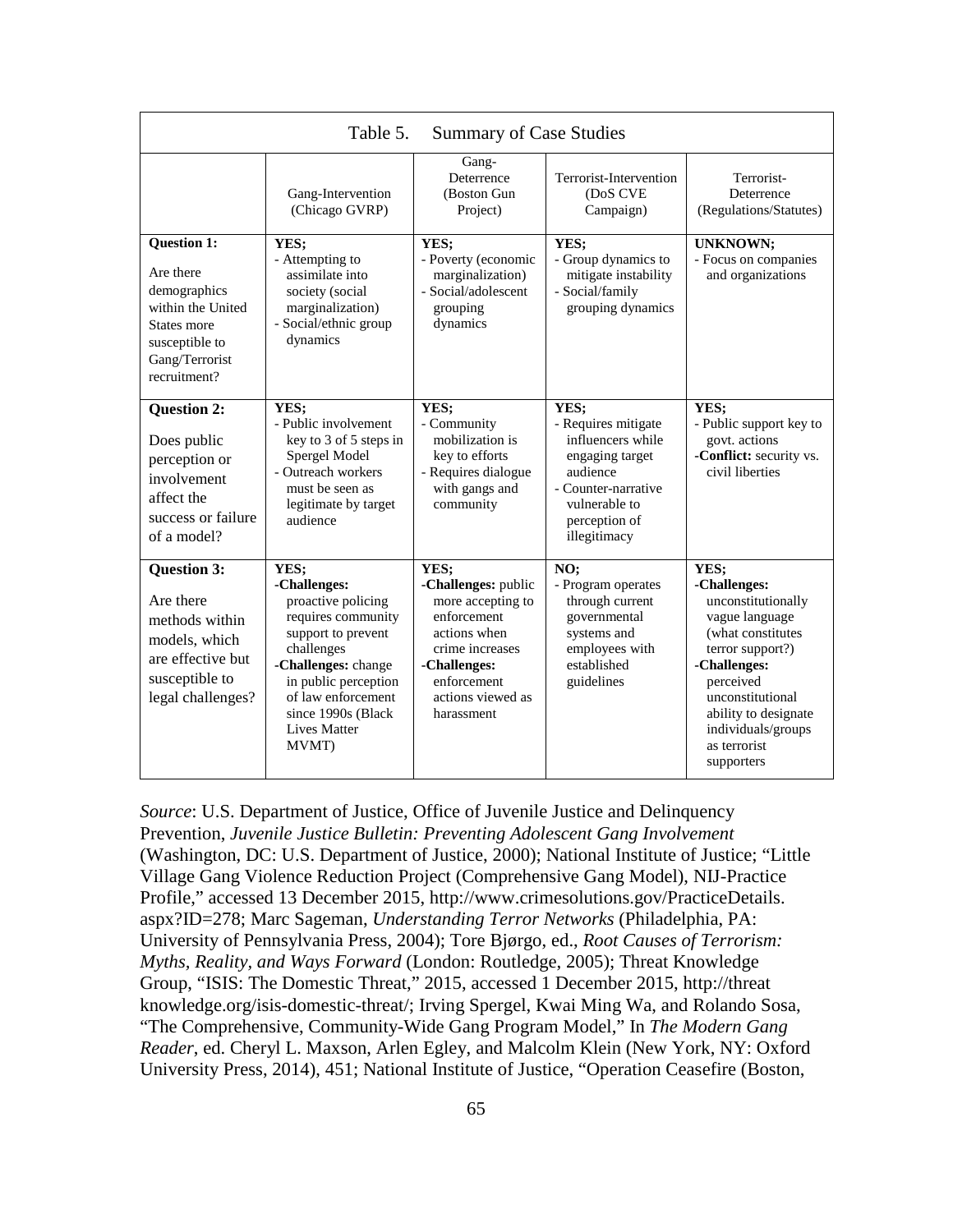| Table 5.<br><b>Summary of Case Studies</b>                                                                                       |                                                                                                                                                                                                                                 |                                                                                                                                                                      |                                                                                                                                                          |                                                                                                                                                                                                                                    |
|----------------------------------------------------------------------------------------------------------------------------------|---------------------------------------------------------------------------------------------------------------------------------------------------------------------------------------------------------------------------------|----------------------------------------------------------------------------------------------------------------------------------------------------------------------|----------------------------------------------------------------------------------------------------------------------------------------------------------|------------------------------------------------------------------------------------------------------------------------------------------------------------------------------------------------------------------------------------|
|                                                                                                                                  | Gang-Intervention<br>(Chicago GVRP)                                                                                                                                                                                             | Gang-<br>Deterrence<br>(Boston Gun<br>Project)                                                                                                                       | Terrorist-Intervention<br>(DoS CVE<br>Campaign)                                                                                                          | Terrorist-<br>Deterrence<br>(Regulations/Statutes)                                                                                                                                                                                 |
| Question 1:<br>Are there<br>demographics<br>within the United<br>States more<br>susceptible to<br>Gang/Terrorist<br>recruitment? | YES;<br>- Attempting to<br>assimilate into<br>society (social<br>marginalization)<br>- Social/ethnic group<br>dynamics                                                                                                          | YES:<br>- Poverty (economic<br>marginalization)<br>- Social/adolescent<br>grouping<br>dynamics                                                                       | YES;<br>- Group dynamics to<br>mitigate instability<br>- Social/family<br>grouping dynamics                                                              | <b>UNKNOWN;</b><br>- Focus on companies<br>and organizations                                                                                                                                                                       |
| <b>Question 2:</b><br>Does public<br>perception or<br>involvement<br>affect the<br>success or failure<br>of a model?             | YES:<br>- Public involvement<br>key to 3 of 5 steps in<br>Spergel Model<br>- Outreach workers<br>must be seen as<br>legitimate by target<br>audience                                                                            | YES;<br>- Community<br>mobilization is<br>key to efforts<br>- Requires dialogue<br>with gangs and<br>community                                                       | YES:<br>- Requires mitigate<br>influencers while<br>engaging target<br>audience<br>- Counter-narrative<br>vulnerable to<br>perception of<br>illegitimacy | YES:<br>- Public support key to<br>govt. actions<br>-Conflict: security vs.<br>civil liberties                                                                                                                                     |
| <b>Question 3:</b><br>Are there<br>methods within<br>models, which<br>are effective but<br>susceptible to<br>legal challenges?   | YES;<br>-Challenges:<br>proactive policing<br>requires community<br>support to prevent<br>challenges<br>-Challenges: change<br>in public perception<br>of law enforcement<br>since 1990s (Black<br><b>Lives Matter</b><br>MVMT) | YES;<br>-Challenges: public<br>more accepting to<br>enforcement<br>actions when<br>crime increases<br>-Challenges:<br>enforcement<br>actions viewed as<br>harassment | NO;<br>- Program operates<br>through current<br>governmental<br>systems and<br>employees with<br>established<br>guidelines                               | YES;<br>-Challenges:<br>unconstitutionally<br>vague language<br>(what constitutes<br>terror support?)<br>-Challenges:<br>perceived<br>unconstitutional<br>ability to designate<br>individuals/groups<br>as terrorist<br>supporters |

*Source*: U.S. Department of Justice, Office of Juvenile Justice and Delinquency Prevention, *Juvenile Justice Bulletin: Preventing Adolescent Gang Involvement* (Washington, DC: U.S. Department of Justice, 2000); National Institute of Justice; "Little Village Gang Violence Reduction Project (Comprehensive Gang Model), NIJ-Practice Profile," accessed 13 December 2015, http://www.crimesolutions.gov/PracticeDetails. aspx?ID=278; Marc Sageman, *Understanding Terror Networks* (Philadelphia, PA: University of Pennsylvania Press, 2004); Tore Bjørgo, ed., *Root Causes of Terrorism: Myths, Reality, and Ways Forward* (London: Routledge, 2005); Threat Knowledge Group, "ISIS: The Domestic Threat," 2015, accessed 1 December 2015, http://threat knowledge.org/isis-domestic-threat/; Irving Spergel, Kwai Ming Wa, and Rolando Sosa, "The Comprehensive, Community-Wide Gang Program Model," In *The Modern Gang Reader*, ed. Cheryl L. Maxson, Arlen Egley, and Malcolm Klein (New York, NY: Oxford University Press, 2014), 451; National Institute of Justice, "Operation Ceasefire (Boston,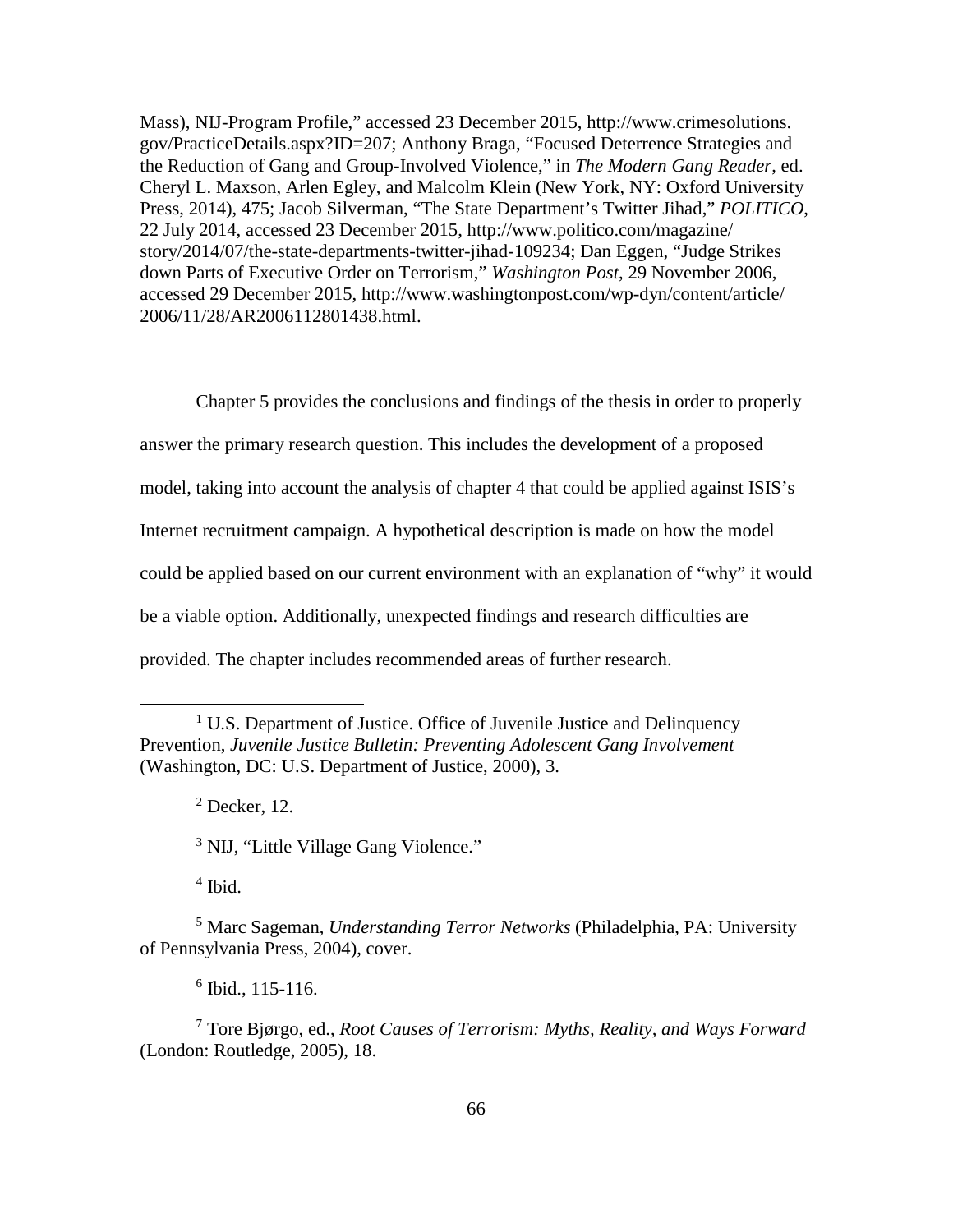Mass), NIJ-Program Profile," accessed 23 December 2015, http://www.crimesolutions. gov/PracticeDetails.aspx?ID=207; Anthony Braga, "Focused Deterrence Strategies and the Reduction of Gang and Group-Involved Violence," in *The Modern Gang Reader*, ed. Cheryl L. Maxson, Arlen Egley, and Malcolm Klein (New York, NY: Oxford University Press, 2014), 475; Jacob Silverman, "The State Department's Twitter Jihad," *POLITICO*, 22 July 2014, accessed 23 December 2015, http://www.politico.com/magazine/ story/2014/07/the-state-departments-twitter-jihad-109234; Dan Eggen, "Judge Strikes down Parts of Executive Order on Terrorism," *Washington Post*, 29 November 2006, accessed 29 December 2015, http://www.washingtonpost.com/wp-dyn/content/article/ 2006/11/28/AR2006112801438.html.

Chapter 5 provides the conclusions and findings of the thesis in order to properly answer the primary research question. This includes the development of a proposed model, taking into account the analysis of chapter 4 that could be applied against ISIS's Internet recruitment campaign. A hypothetical description is made on how the model could be applied based on our current environment with an explanation of "why" it would be a viable option. Additionally, unexpected findings and research difficulties are provided. The chapter includes recommended areas of further research.

 $2$  Decker, 12.

<sup>3</sup> NIJ, "Little Village Gang Violence."

 $<sup>4</sup>$  Ibid.</sup>

 $\overline{a}$ 

<sup>5</sup> Marc Sageman, *Understanding Terror Networks* (Philadelphia, PA: University of Pennsylvania Press, 2004), cover.

 $6$  Ibid., 115-116.

<sup>7</sup> Tore Bjørgo, ed., *Root Causes of Terrorism: Myths, Reality, and Ways Forward* (London: Routledge, 2005), 18.

<sup>&</sup>lt;sup>1</sup> U.S. Department of Justice. Office of Juvenile Justice and Delinquency Prevention, *Juvenile Justice Bulletin: Preventing Adolescent Gang Involvement* (Washington, DC: U.S. Department of Justice, 2000), 3.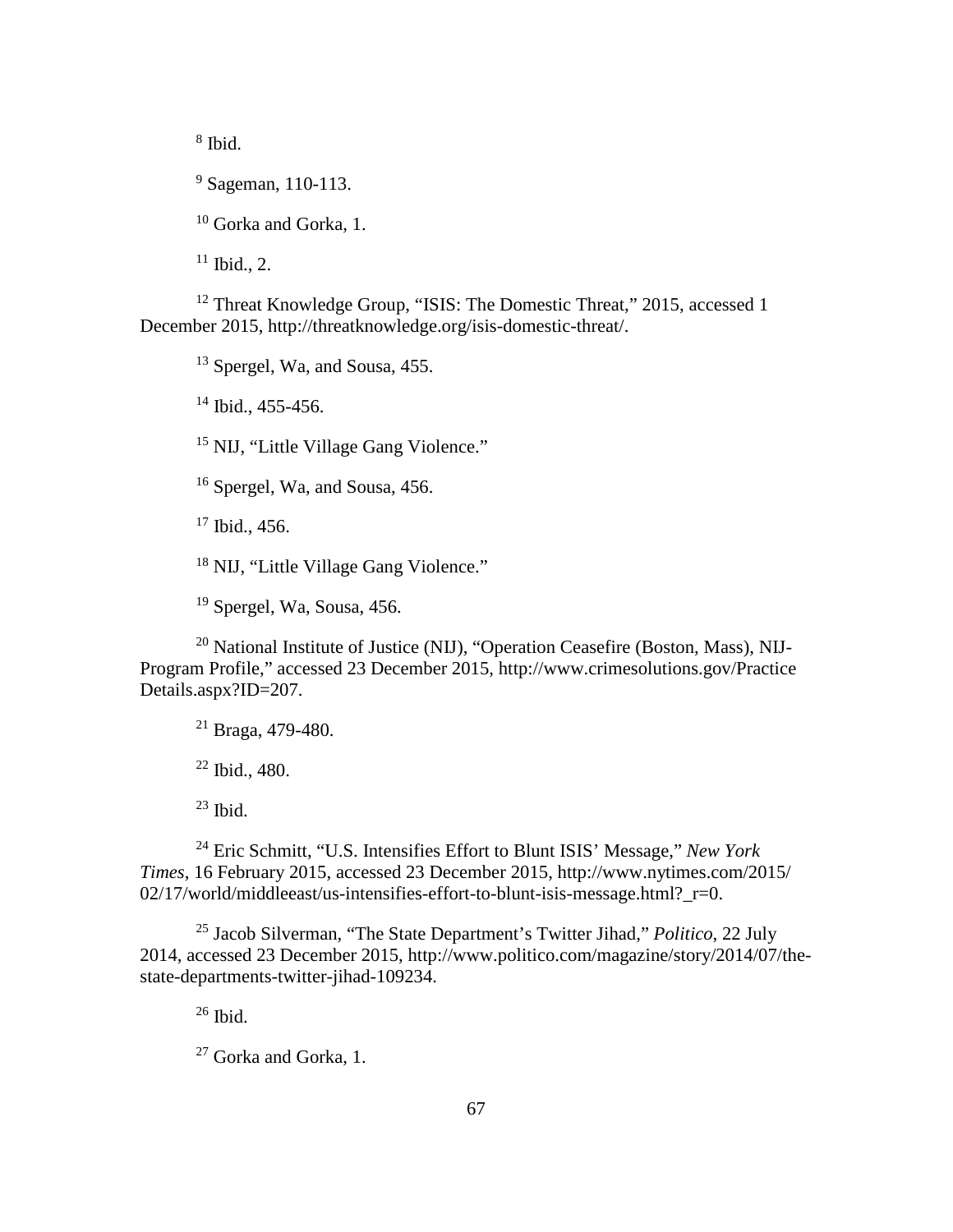<sup>8</sup> Ibid.

<sup>9</sup> Sageman, 110-113.

<sup>10</sup> Gorka and Gorka, 1.

 $11$  Ibid., 2.

<sup>12</sup> Threat Knowledge Group, "ISIS: The Domestic Threat," 2015, accessed 1 December 2015, http://threatknowledge.org/isis-domestic-threat/.

<sup>13</sup> Spergel, Wa, and Sousa, 455.

<sup>14</sup> Ibid., 455-456.

<sup>15</sup> NIJ, "Little Village Gang Violence."

<sup>16</sup> Spergel, Wa, and Sousa, 456.

 $17$  Ibid., 456.

<sup>18</sup> NIJ, "Little Village Gang Violence."

<sup>19</sup> Spergel, Wa, Sousa, 456.

<sup>20</sup> National Institute of Justice (NIJ), "Operation Ceasefire (Boston, Mass), NIJ-Program Profile," accessed 23 December 2015, http://www.crimesolutions.gov/Practice Details.aspx?ID=207.

<sup>21</sup> Braga, 479-480.

<sup>22</sup> Ibid., 480.

 $23$  Ibid.

<sup>24</sup> Eric Schmitt, "U.S. Intensifies Effort to Blunt ISIS' Message," *New York Times*, 16 February 2015, accessed 23 December 2015, http://www.nytimes.com/2015/  $02/17$ /world/middleeast/us-intensifies-effort-to-blunt-isis-message.html?  $r=0$ .

<sup>25</sup> Jacob Silverman, "The State Department's Twitter Jihad," *Politico*, 22 July 2014, accessed 23 December 2015, http://www.politico.com/magazine/story/2014/07/thestate-departments-twitter-jihad-109234.

 $26$  Ibid.

<sup>27</sup> Gorka and Gorka, 1.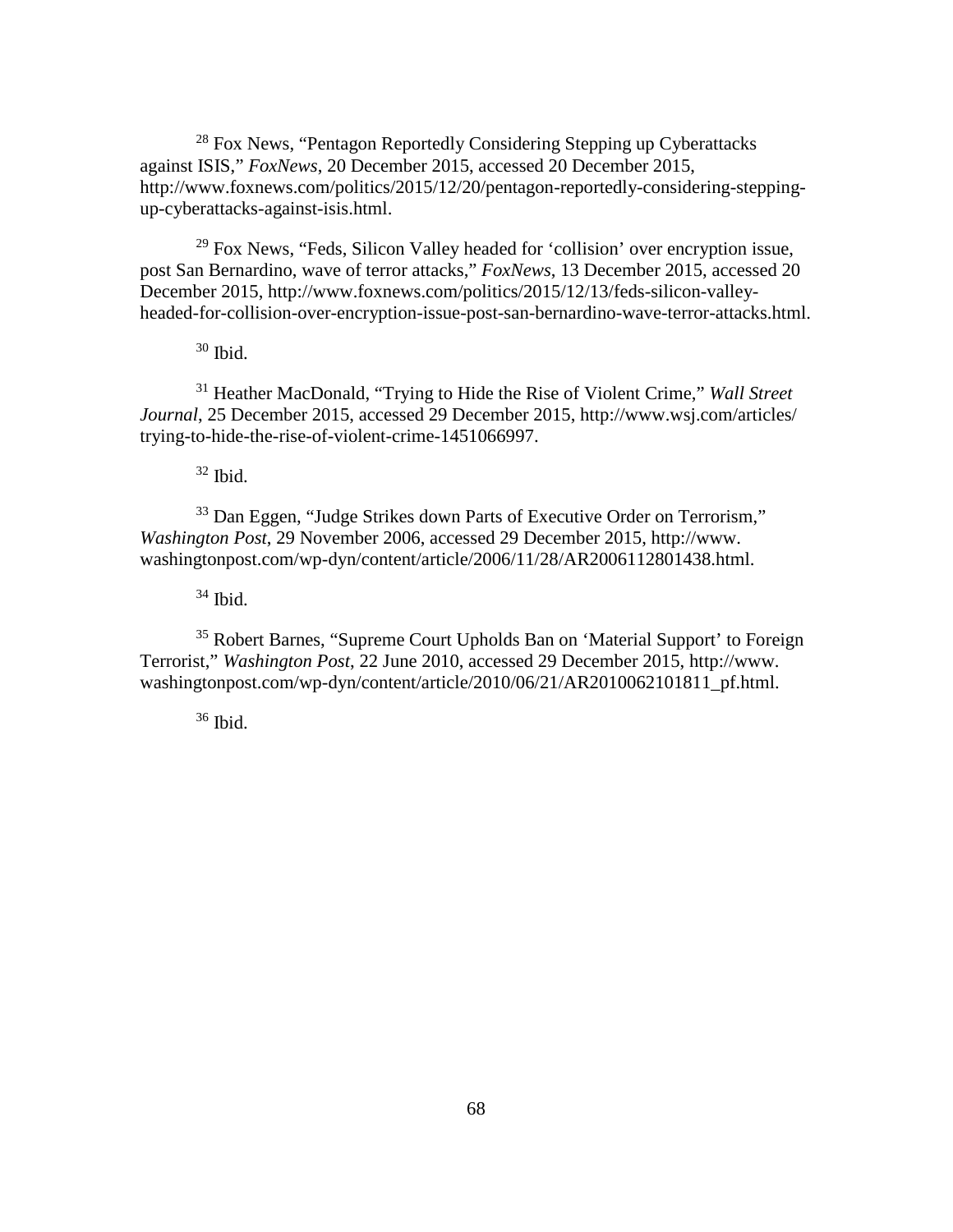<sup>28</sup> Fox News, "Pentagon Reportedly Considering Stepping up Cyberattacks" against ISIS," *FoxNews*, 20 December 2015, accessed 20 December 2015, http://www.foxnews.com/politics/2015/12/20/pentagon-reportedly-considering-steppingup-cyberattacks-against-isis.html.

 $29$  Fox News, "Feds, Silicon Valley headed for 'collision' over encryption issue, post San Bernardino, wave of terror attacks," *FoxNews*, 13 December 2015, accessed 20 December 2015, http://www.foxnews.com/politics/2015/12/13/feds-silicon-valleyheaded-for-collision-over-encryption-issue-post-san-bernardino-wave-terror-attacks.html.

 $30$  Ibid.

<sup>31</sup> Heather MacDonald, "Trying to Hide the Rise of Violent Crime," *Wall Street Journal*, 25 December 2015, accessed 29 December 2015, http://www.wsj.com/articles/ trying-to-hide-the-rise-of-violent-crime-1451066997.

 $32$  Ibid.

<sup>33</sup> Dan Eggen, "Judge Strikes down Parts of Executive Order on Terrorism," *Washington Post*, 29 November 2006, accessed 29 December 2015, http://www. washingtonpost.com/wp-dyn/content/article/2006/11/28/AR2006112801438.html.

 $34$  Ibid.

<sup>35</sup> Robert Barnes, "Supreme Court Upholds Ban on 'Material Support' to Foreign Terrorist," *Washington Post*, 22 June 2010, accessed 29 December 2015, http://www. washingtonpost.com/wp-dyn/content/article/2010/06/21/AR2010062101811\_pf.html.

 $36$  Ibid.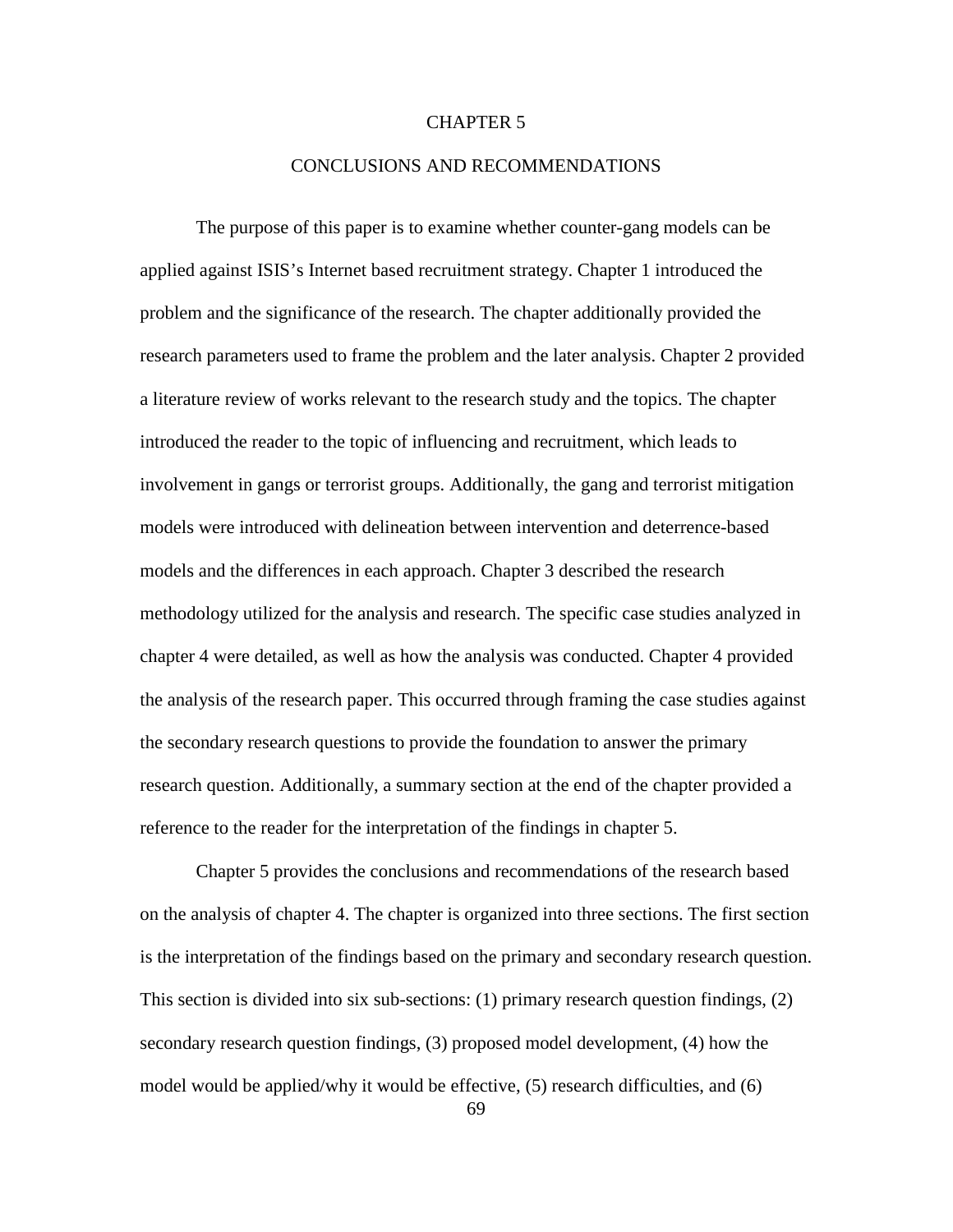# CHAPTER 5

### CONCLUSIONS AND RECOMMENDATIONS

The purpose of this paper is to examine whether counter-gang models can be applied against ISIS's Internet based recruitment strategy. Chapter 1 introduced the problem and the significance of the research. The chapter additionally provided the research parameters used to frame the problem and the later analysis. Chapter 2 provided a literature review of works relevant to the research study and the topics. The chapter introduced the reader to the topic of influencing and recruitment, which leads to involvement in gangs or terrorist groups. Additionally, the gang and terrorist mitigation models were introduced with delineation between intervention and deterrence-based models and the differences in each approach. Chapter 3 described the research methodology utilized for the analysis and research. The specific case studies analyzed in chapter 4 were detailed, as well as how the analysis was conducted. Chapter 4 provided the analysis of the research paper. This occurred through framing the case studies against the secondary research questions to provide the foundation to answer the primary research question. Additionally, a summary section at the end of the chapter provided a reference to the reader for the interpretation of the findings in chapter 5.

Chapter 5 provides the conclusions and recommendations of the research based on the analysis of chapter 4. The chapter is organized into three sections. The first section is the interpretation of the findings based on the primary and secondary research question. This section is divided into six sub-sections: (1) primary research question findings, (2) secondary research question findings, (3) proposed model development, (4) how the model would be applied/why it would be effective, (5) research difficulties, and (6)

69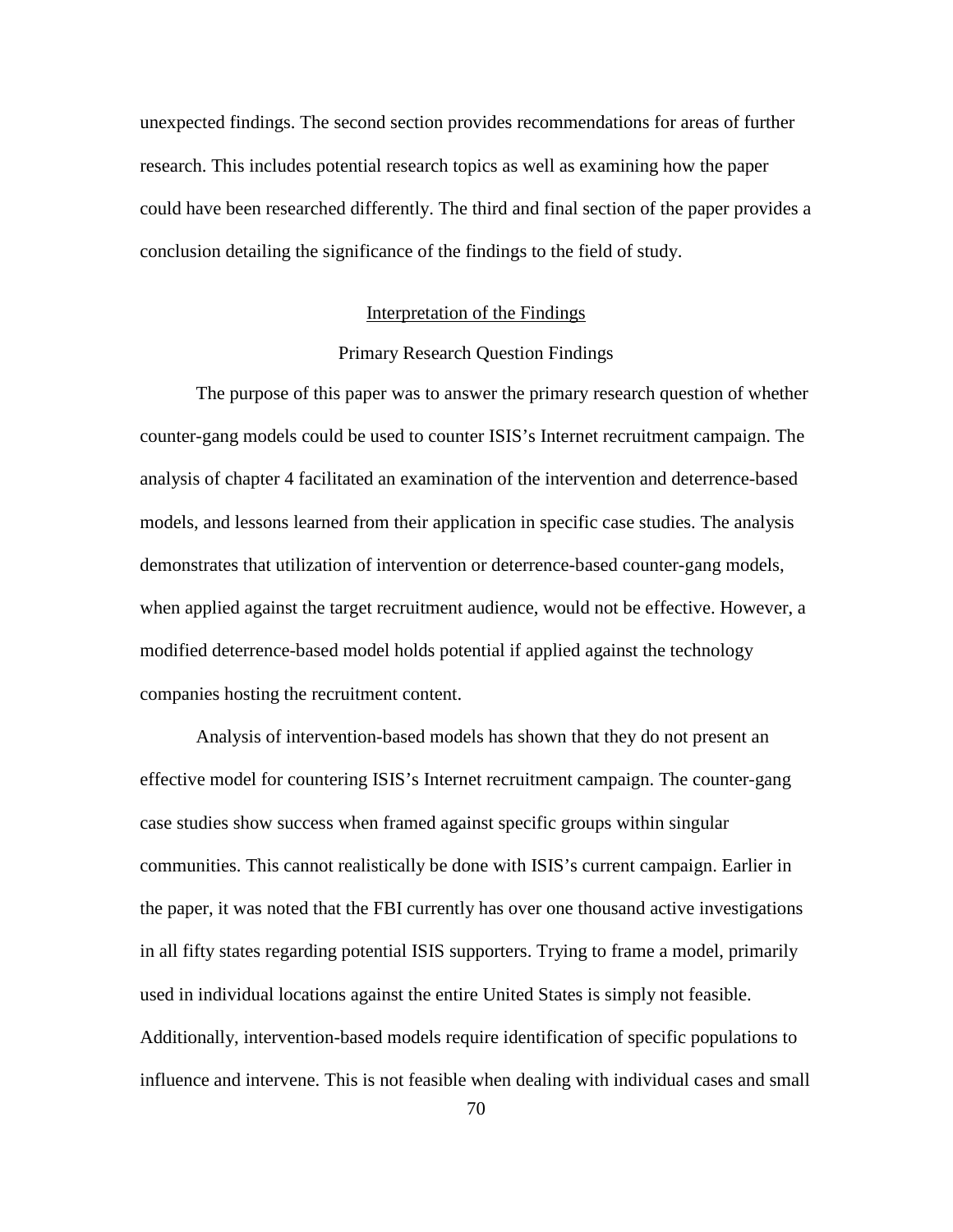unexpected findings. The second section provides recommendations for areas of further research. This includes potential research topics as well as examining how the paper could have been researched differently. The third and final section of the paper provides a conclusion detailing the significance of the findings to the field of study.

#### Interpretation of the Findings

# Primary Research Question Findings

The purpose of this paper was to answer the primary research question of whether counter-gang models could be used to counter ISIS's Internet recruitment campaign. The analysis of chapter 4 facilitated an examination of the intervention and deterrence-based models, and lessons learned from their application in specific case studies. The analysis demonstrates that utilization of intervention or deterrence-based counter-gang models, when applied against the target recruitment audience, would not be effective. However, a modified deterrence-based model holds potential if applied against the technology companies hosting the recruitment content.

Analysis of intervention-based models has shown that they do not present an effective model for countering ISIS's Internet recruitment campaign. The counter-gang case studies show success when framed against specific groups within singular communities. This cannot realistically be done with ISIS's current campaign. Earlier in the paper, it was noted that the FBI currently has over one thousand active investigations in all fifty states regarding potential ISIS supporters. Trying to frame a model, primarily used in individual locations against the entire United States is simply not feasible. Additionally, intervention-based models require identification of specific populations to influence and intervene. This is not feasible when dealing with individual cases and small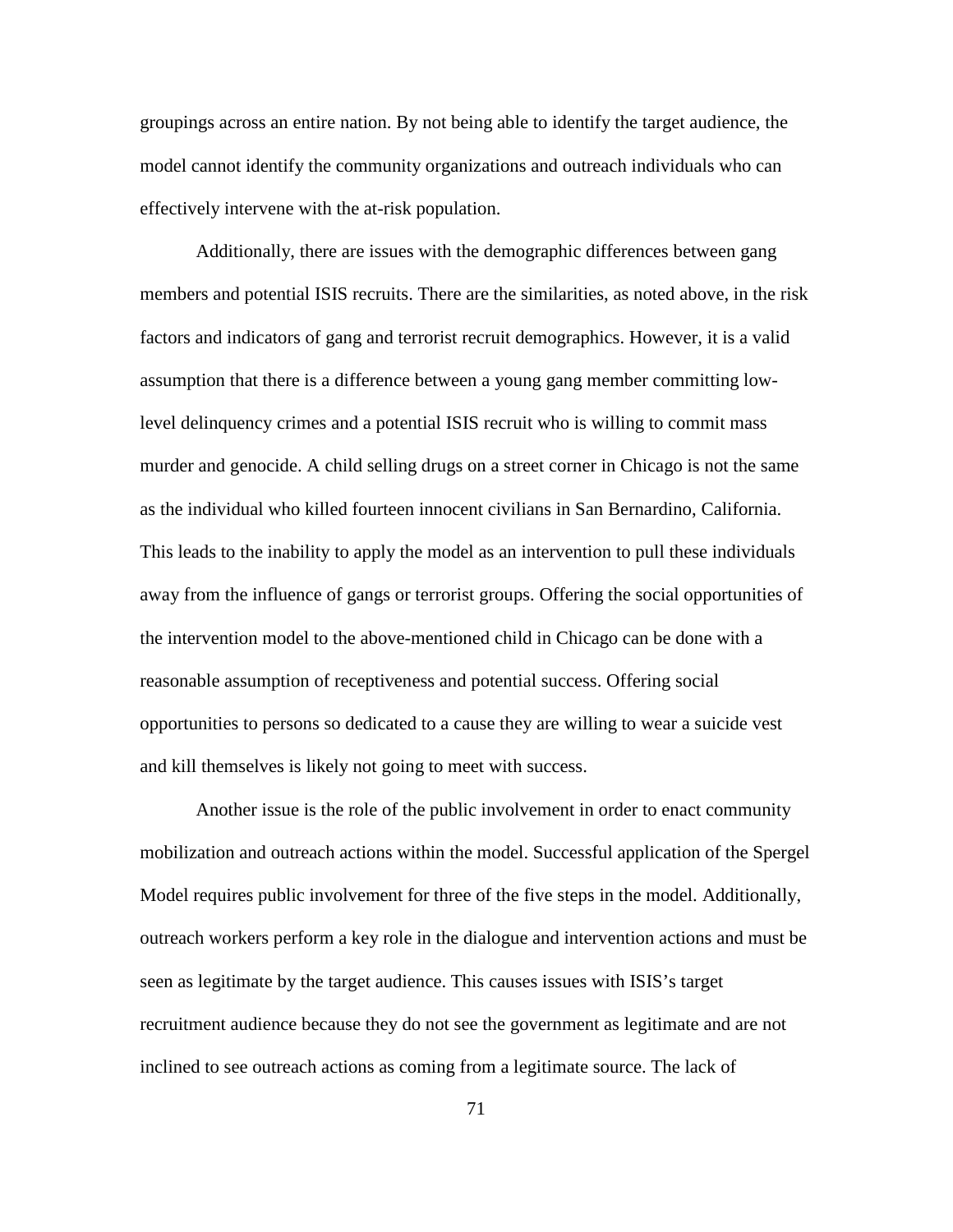groupings across an entire nation. By not being able to identify the target audience, the model cannot identify the community organizations and outreach individuals who can effectively intervene with the at-risk population.

Additionally, there are issues with the demographic differences between gang members and potential ISIS recruits. There are the similarities, as noted above, in the risk factors and indicators of gang and terrorist recruit demographics. However, it is a valid assumption that there is a difference between a young gang member committing lowlevel delinquency crimes and a potential ISIS recruit who is willing to commit mass murder and genocide. A child selling drugs on a street corner in Chicago is not the same as the individual who killed fourteen innocent civilians in San Bernardino, California. This leads to the inability to apply the model as an intervention to pull these individuals away from the influence of gangs or terrorist groups. Offering the social opportunities of the intervention model to the above-mentioned child in Chicago can be done with a reasonable assumption of receptiveness and potential success. Offering social opportunities to persons so dedicated to a cause they are willing to wear a suicide vest and kill themselves is likely not going to meet with success.

Another issue is the role of the public involvement in order to enact community mobilization and outreach actions within the model. Successful application of the Spergel Model requires public involvement for three of the five steps in the model. Additionally, outreach workers perform a key role in the dialogue and intervention actions and must be seen as legitimate by the target audience. This causes issues with ISIS's target recruitment audience because they do not see the government as legitimate and are not inclined to see outreach actions as coming from a legitimate source. The lack of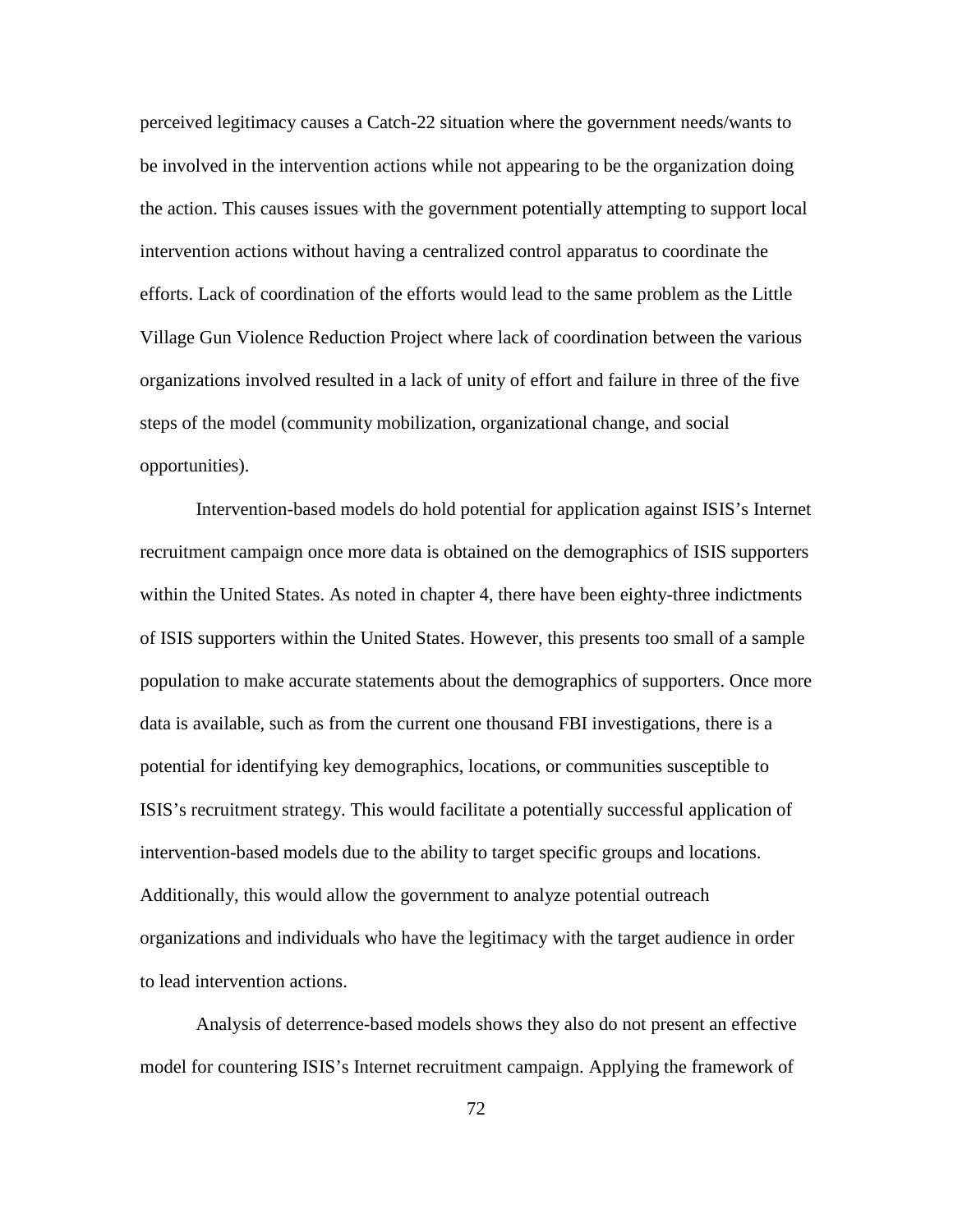perceived legitimacy causes a Catch-22 situation where the government needs/wants to be involved in the intervention actions while not appearing to be the organization doing the action. This causes issues with the government potentially attempting to support local intervention actions without having a centralized control apparatus to coordinate the efforts. Lack of coordination of the efforts would lead to the same problem as the Little Village Gun Violence Reduction Project where lack of coordination between the various organizations involved resulted in a lack of unity of effort and failure in three of the five steps of the model (community mobilization, organizational change, and social opportunities).

Intervention-based models do hold potential for application against ISIS's Internet recruitment campaign once more data is obtained on the demographics of ISIS supporters within the United States. As noted in chapter 4, there have been eighty-three indictments of ISIS supporters within the United States. However, this presents too small of a sample population to make accurate statements about the demographics of supporters. Once more data is available, such as from the current one thousand FBI investigations, there is a potential for identifying key demographics, locations, or communities susceptible to ISIS's recruitment strategy. This would facilitate a potentially successful application of intervention-based models due to the ability to target specific groups and locations. Additionally, this would allow the government to analyze potential outreach organizations and individuals who have the legitimacy with the target audience in order to lead intervention actions.

Analysis of deterrence-based models shows they also do not present an effective model for countering ISIS's Internet recruitment campaign. Applying the framework of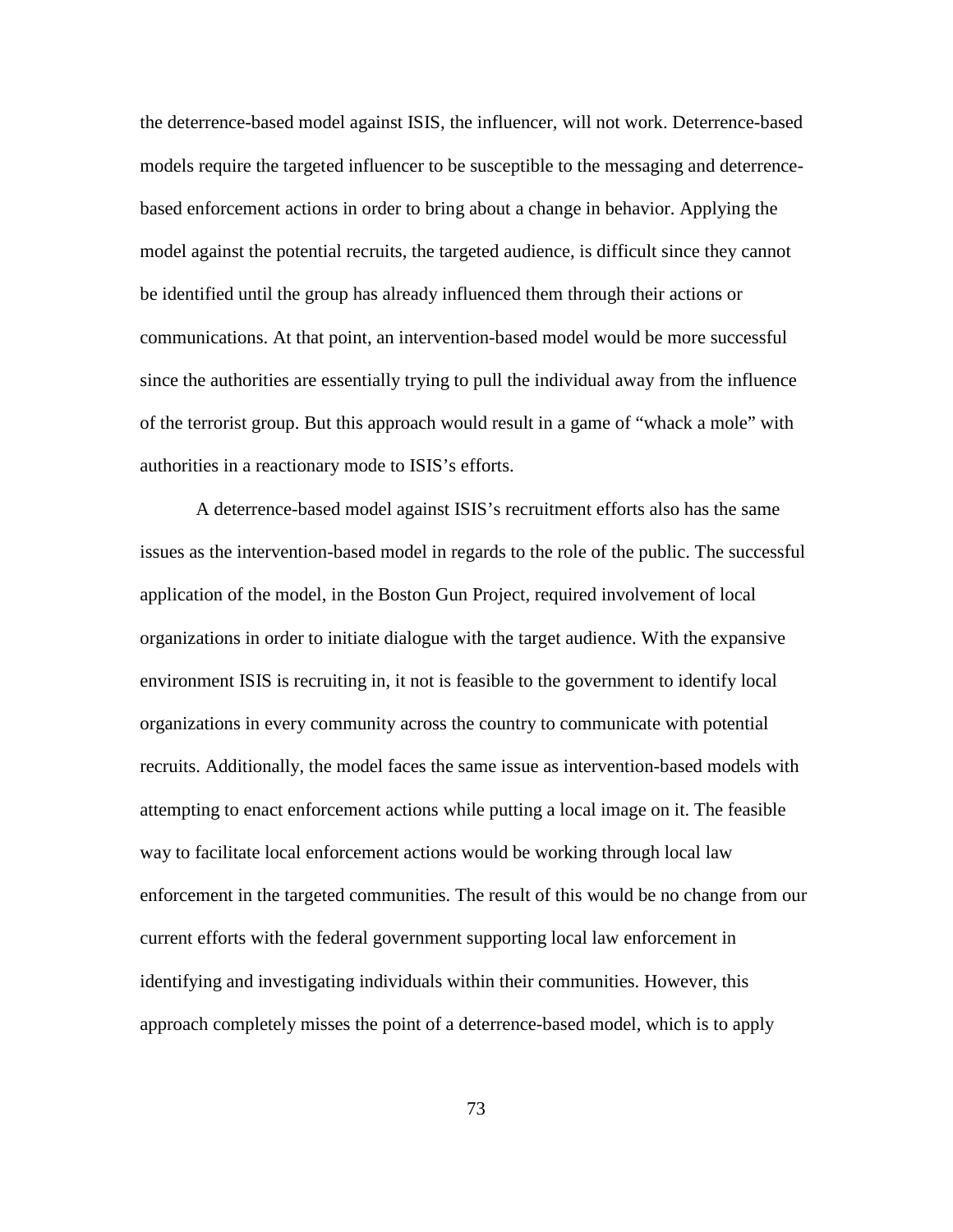the deterrence-based model against ISIS, the influencer, will not work. Deterrence-based models require the targeted influencer to be susceptible to the messaging and deterrencebased enforcement actions in order to bring about a change in behavior. Applying the model against the potential recruits, the targeted audience, is difficult since they cannot be identified until the group has already influenced them through their actions or communications. At that point, an intervention-based model would be more successful since the authorities are essentially trying to pull the individual away from the influence of the terrorist group. But this approach would result in a game of "whack a mole" with authorities in a reactionary mode to ISIS's efforts.

A deterrence-based model against ISIS's recruitment efforts also has the same issues as the intervention-based model in regards to the role of the public. The successful application of the model, in the Boston Gun Project, required involvement of local organizations in order to initiate dialogue with the target audience. With the expansive environment ISIS is recruiting in, it not is feasible to the government to identify local organizations in every community across the country to communicate with potential recruits. Additionally, the model faces the same issue as intervention-based models with attempting to enact enforcement actions while putting a local image on it. The feasible way to facilitate local enforcement actions would be working through local law enforcement in the targeted communities. The result of this would be no change from our current efforts with the federal government supporting local law enforcement in identifying and investigating individuals within their communities. However, this approach completely misses the point of a deterrence-based model, which is to apply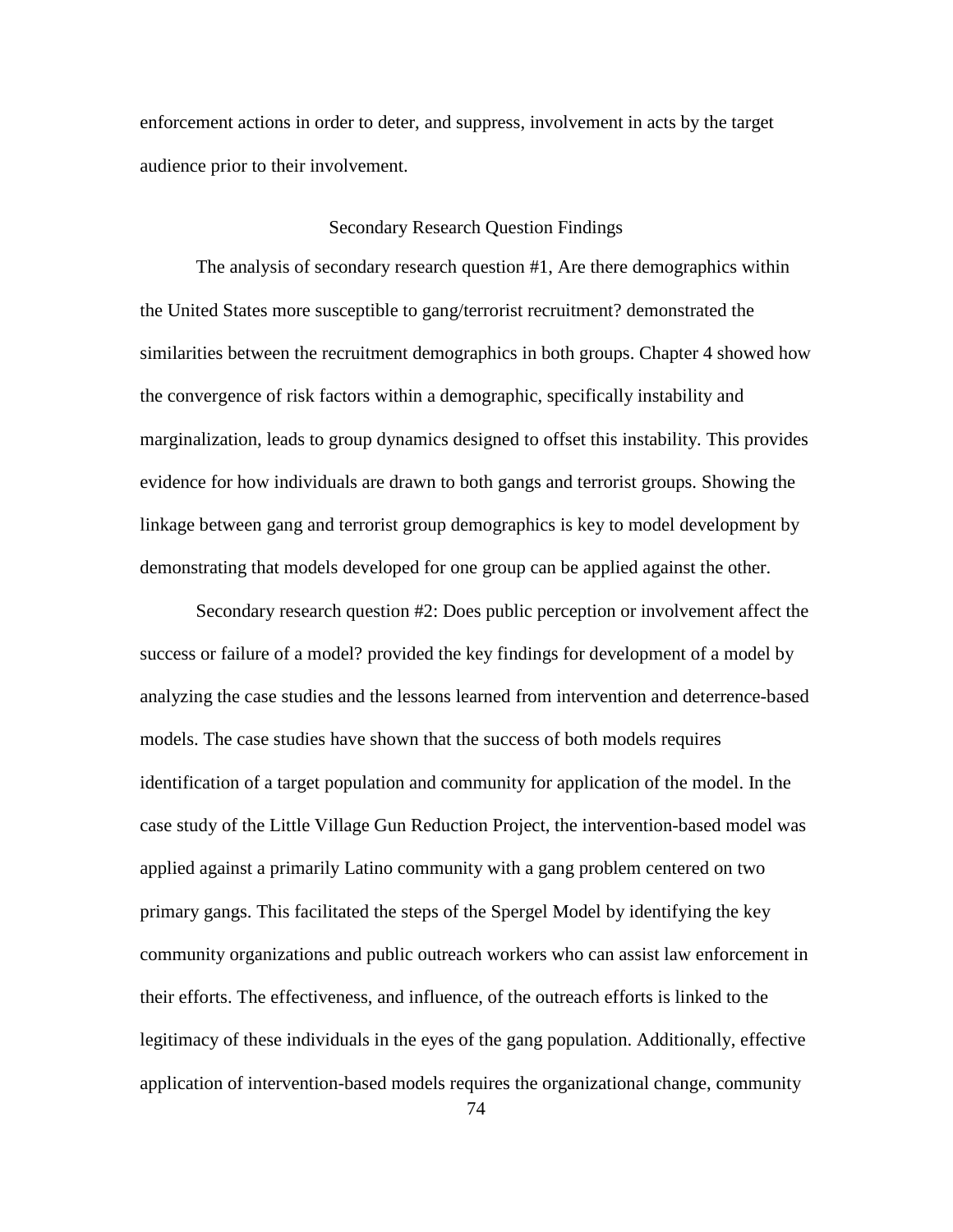enforcement actions in order to deter, and suppress, involvement in acts by the target audience prior to their involvement.

### Secondary Research Question Findings

The analysis of secondary research question #1, Are there demographics within the United States more susceptible to gang/terrorist recruitment? demonstrated the similarities between the recruitment demographics in both groups. Chapter 4 showed how the convergence of risk factors within a demographic, specifically instability and marginalization, leads to group dynamics designed to offset this instability. This provides evidence for how individuals are drawn to both gangs and terrorist groups. Showing the linkage between gang and terrorist group demographics is key to model development by demonstrating that models developed for one group can be applied against the other.

Secondary research question #2: Does public perception or involvement affect the success or failure of a model? provided the key findings for development of a model by analyzing the case studies and the lessons learned from intervention and deterrence-based models. The case studies have shown that the success of both models requires identification of a target population and community for application of the model. In the case study of the Little Village Gun Reduction Project, the intervention-based model was applied against a primarily Latino community with a gang problem centered on two primary gangs. This facilitated the steps of the Spergel Model by identifying the key community organizations and public outreach workers who can assist law enforcement in their efforts. The effectiveness, and influence, of the outreach efforts is linked to the legitimacy of these individuals in the eyes of the gang population. Additionally, effective application of intervention-based models requires the organizational change, community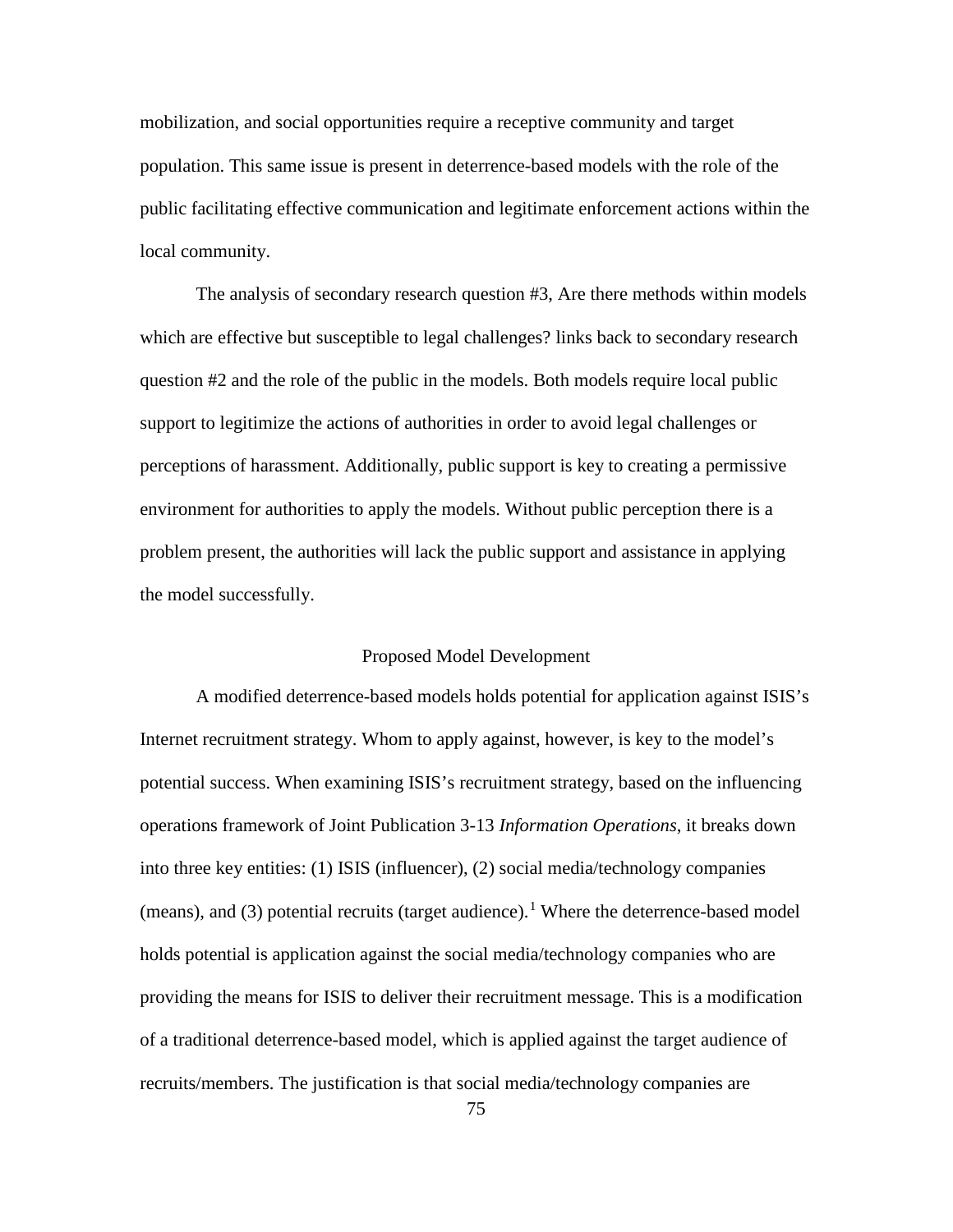mobilization, and social opportunities require a receptive community and target population. This same issue is present in deterrence-based models with the role of the public facilitating effective communication and legitimate enforcement actions within the local community.

The analysis of secondary research question #3, Are there methods within models which are effective but susceptible to legal challenges? links back to secondary research question #2 and the role of the public in the models. Both models require local public support to legitimize the actions of authorities in order to avoid legal challenges or perceptions of harassment. Additionally, public support is key to creating a permissive environment for authorities to apply the models. Without public perception there is a problem present, the authorities will lack the public support and assistance in applying the model successfully.

# Proposed Model Development

A modified deterrence-based models holds potential for application against ISIS's Internet recruitment strategy. Whom to apply against, however, is key to the model's potential success. When examining ISIS's recruitment strategy, based on the influencing operations framework of Joint Publication 3-13 *Information Operations*, it breaks down into three key entities: (1) ISIS (influencer), (2) social media/technology companies (means), and (3) potential recruits (target audience).<sup>[1](#page-101-4)</sup> Where the deterrence-based model holds potential is application against the social media/technology companies who are providing the means for ISIS to deliver their recruitment message. This is a modification of a traditional deterrence-based model, which is applied against the target audience of recruits/members. The justification is that social media/technology companies are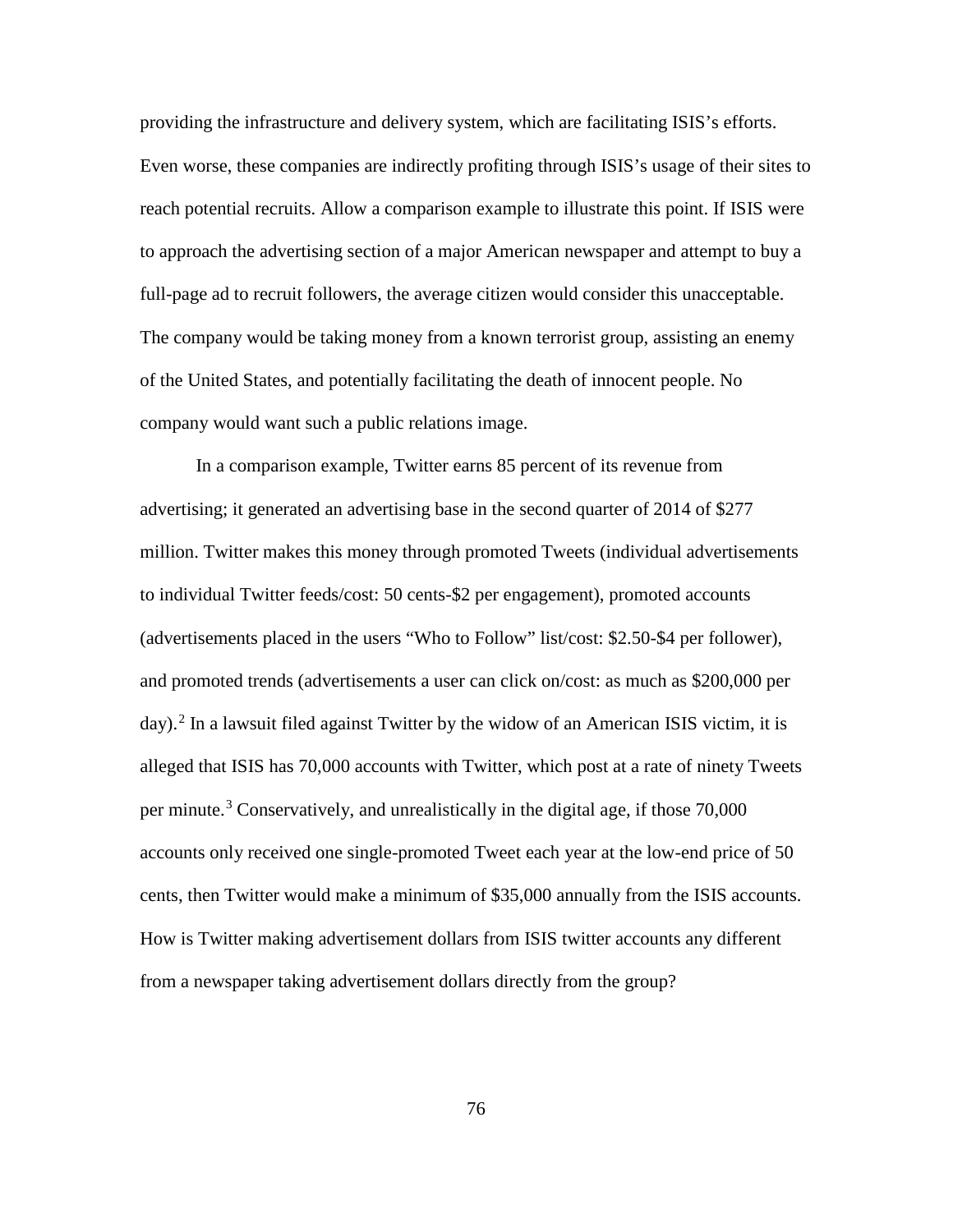providing the infrastructure and delivery system, which are facilitating ISIS's efforts. Even worse, these companies are indirectly profiting through ISIS's usage of their sites to reach potential recruits. Allow a comparison example to illustrate this point. If ISIS were to approach the advertising section of a major American newspaper and attempt to buy a full-page ad to recruit followers, the average citizen would consider this unacceptable. The company would be taking money from a known terrorist group, assisting an enemy of the United States, and potentially facilitating the death of innocent people. No company would want such a public relations image.

In a comparison example, Twitter earns 85 percent of its revenue from advertising; it generated an advertising base in the second quarter of 2014 of \$277 million. Twitter makes this money through promoted Tweets (individual advertisements to individual Twitter feeds/cost: 50 cents-\$2 per engagement), promoted accounts (advertisements placed in the users "Who to Follow" list/cost: \$2.50-\$4 per follower), and promoted trends (advertisements a user can click on/cost: as much as \$200,000 per day). [2](#page-101-5) In a lawsuit filed against Twitter by the widow of an American ISIS victim, it is alleged that ISIS has 70,000 accounts with Twitter, which post at a rate of ninety Tweets per minute.<sup>[3](#page-101-6)</sup> Conservatively, and unrealistically in the digital age, if those  $70,000$ accounts only received one single-promoted Tweet each year at the low-end price of 50 cents, then Twitter would make a minimum of \$35,000 annually from the ISIS accounts. How is Twitter making advertisement dollars from ISIS twitter accounts any different from a newspaper taking advertisement dollars directly from the group?

76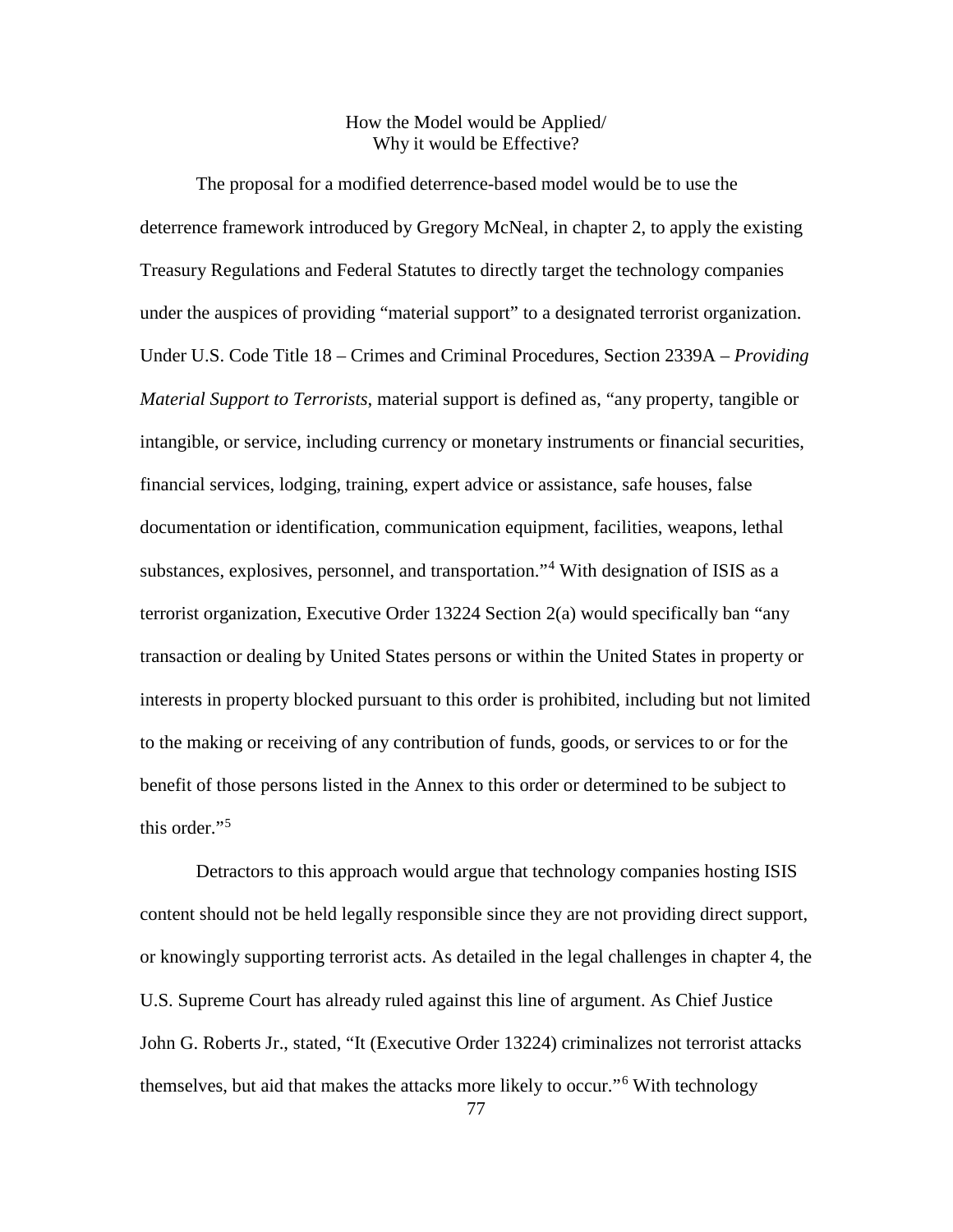# How the Model would be Applied/ Why it would be Effective?

The proposal for a modified deterrence-based model would be to use the deterrence framework introduced by Gregory McNeal, in chapter 2, to apply the existing Treasury Regulations and Federal Statutes to directly target the technology companies under the auspices of providing "material support" to a designated terrorist organization. Under U.S. Code Title 18 – Crimes and Criminal Procedures, Section 2339A – *Providing Material Support to Terrorists*, material support is defined as, "any property, tangible or intangible, or service, including currency or monetary instruments or financial securities, financial services, lodging, training, expert advice or assistance, safe houses, false documentation or identification, communication equipment, facilities, weapons, lethal substances, explosives, personnel, and transportation."[4](#page-101-7) With designation of ISIS as a terrorist organization, Executive Order 13224 Section 2(a) would specifically ban "any transaction or dealing by United States persons or within the United States in property or interests in property blocked pursuant to this order is prohibited, including but not limited to the making or receiving of any contribution of funds, goods, or services to or for the benefit of those persons listed in the Annex to this order or determined to be subject to this order."[5](#page-101-8)

Detractors to this approach would argue that technology companies hosting ISIS content should not be held legally responsible since they are not providing direct support, or knowingly supporting terrorist acts. As detailed in the legal challenges in chapter 4, the U.S. Supreme Court has already ruled against this line of argument. As Chief Justice John G. Roberts Jr., stated, "It (Executive Order 13224) criminalizes not terrorist attacks themselves, but aid that makes the attacks more likely to occur."[6](#page-101-9) With technology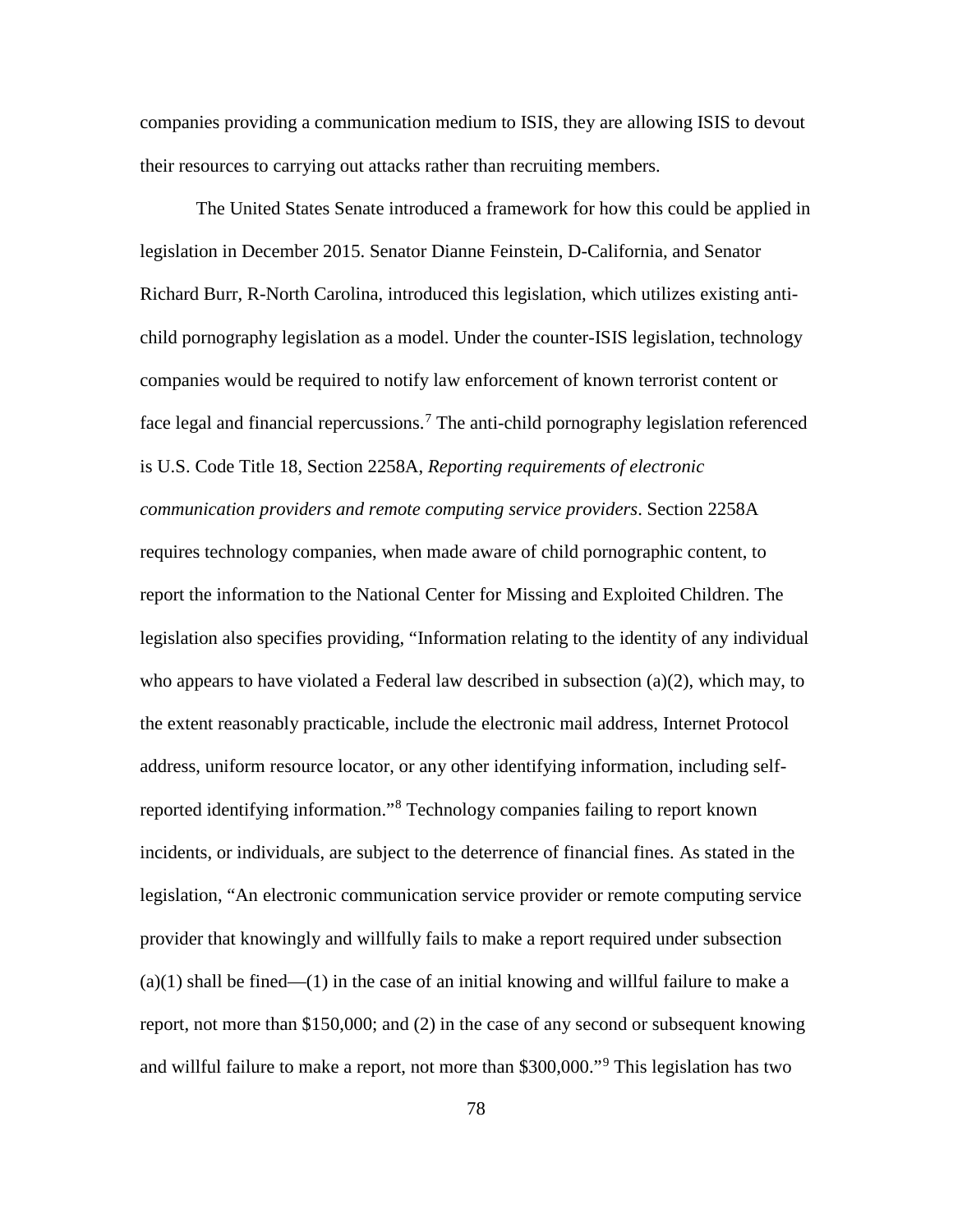companies providing a communication medium to ISIS, they are allowing ISIS to devout their resources to carrying out attacks rather than recruiting members.

The United States Senate introduced a framework for how this could be applied in legislation in December 2015. Senator Dianne Feinstein, D-California, and Senator Richard Burr, R-North Carolina, introduced this legislation, which utilizes existing antichild pornography legislation as a model. Under the counter-ISIS legislation, technology companies would be required to notify law enforcement of known terrorist content or face legal and financial repercussions.<sup>[7](#page-101-1)</sup> The anti-child pornography legislation referenced is U.S. Code Title 18, Section 2258A, *Reporting requirements of electronic communication providers and remote computing service providers*. Section 2258A requires technology companies, when made aware of child pornographic content, to report the information to the National Center for Missing and Exploited Children. The legislation also specifies providing, "Information relating to the identity of any individual who appears to have violated a Federal law described in subsection  $(a)(2)$ , which may, to the extent reasonably practicable, include the electronic mail address, Internet Protocol address, uniform resource locator, or any other identifying information, including selfreported identifying information."[8](#page-101-10) Technology companies failing to report known incidents, or individuals, are subject to the deterrence of financial fines. As stated in the legislation, "An electronic communication service provider or remote computing service provider that knowingly and willfully fails to make a report required under subsection  $(a)(1)$  shall be fined— $(1)$  in the case of an initial knowing and willful failure to make a report, not more than \$150,000; and (2) in the case of any second or subsequent knowing and willful failure to make a report, not more than \$300,000."[9](#page-101-11) This legislation has two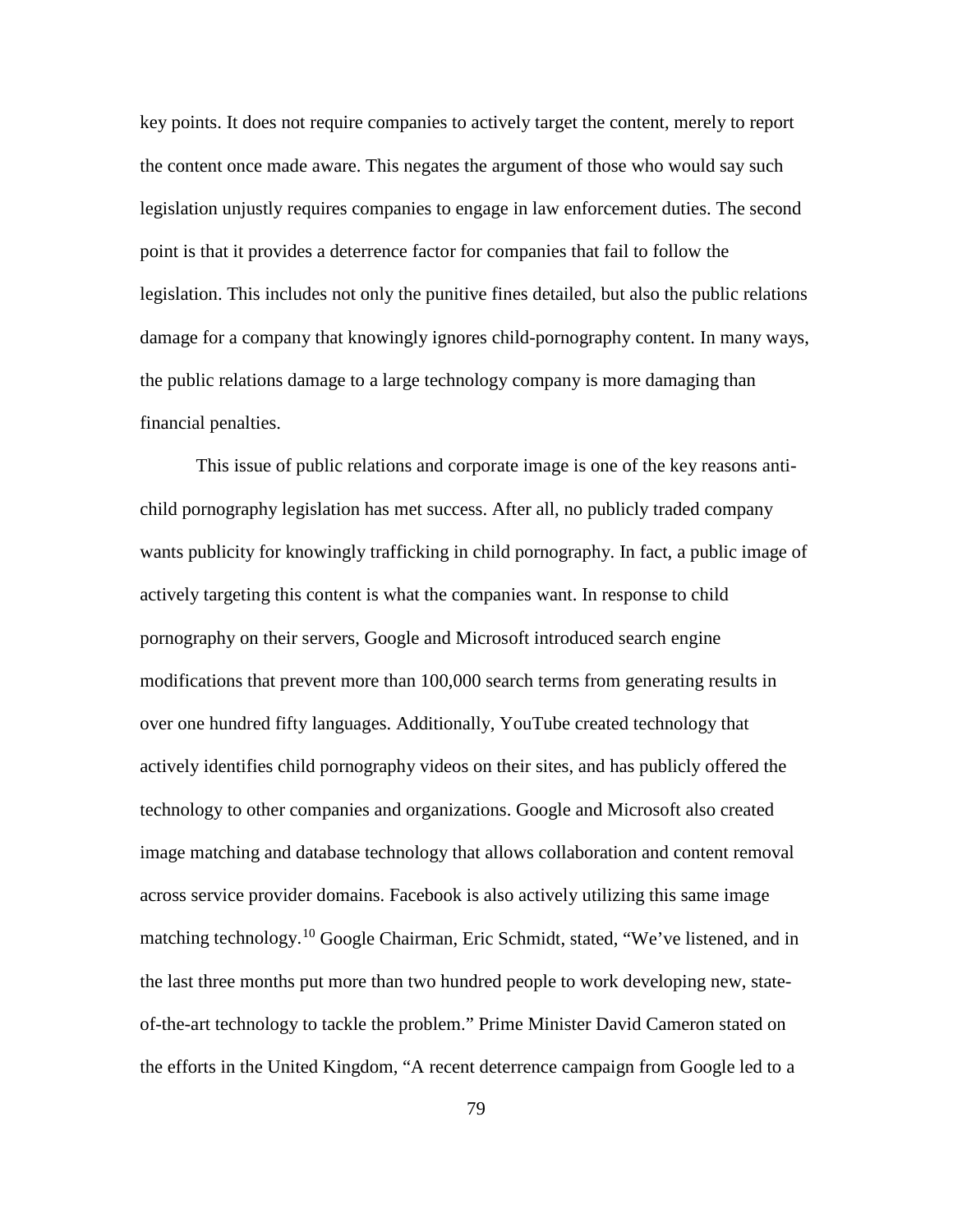key points. It does not require companies to actively target the content, merely to report the content once made aware. This negates the argument of those who would say such legislation unjustly requires companies to engage in law enforcement duties. The second point is that it provides a deterrence factor for companies that fail to follow the legislation. This includes not only the punitive fines detailed, but also the public relations damage for a company that knowingly ignores child-pornography content. In many ways, the public relations damage to a large technology company is more damaging than financial penalties.

This issue of public relations and corporate image is one of the key reasons antichild pornography legislation has met success. After all, no publicly traded company wants publicity for knowingly trafficking in child pornography. In fact, a public image of actively targeting this content is what the companies want. In response to child pornography on their servers, Google and Microsoft introduced search engine modifications that prevent more than 100,000 search terms from generating results in over one hundred fifty languages. Additionally, YouTube created technology that actively identifies child pornography videos on their sites, and has publicly offered the technology to other companies and organizations. Google and Microsoft also created image matching and database technology that allows collaboration and content removal across service provider domains. Facebook is also actively utilizing this same image matching technology.<sup>[10](#page-101-12)</sup> Google Chairman, Eric Schmidt, stated, "We've listened, and in the last three months put more than two hundred people to work developing new, stateof-the-art technology to tackle the problem." Prime Minister David Cameron stated on the efforts in the United Kingdom, "A recent deterrence campaign from Google led to a

79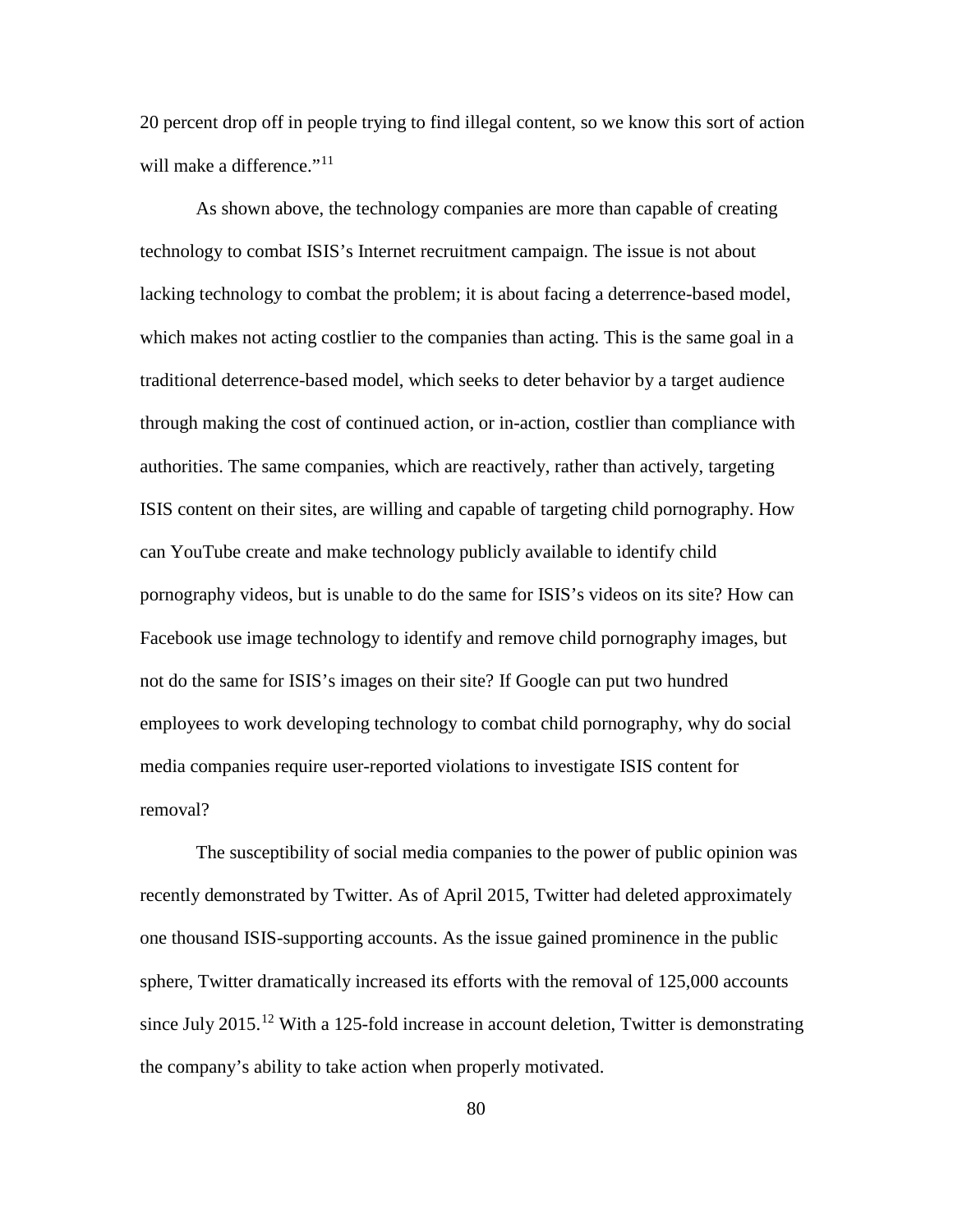20 percent drop off in people trying to find illegal content, so we know this sort of action will make a difference."<sup>[11](#page-101-13)</sup>

As shown above, the technology companies are more than capable of creating technology to combat ISIS's Internet recruitment campaign. The issue is not about lacking technology to combat the problem; it is about facing a deterrence-based model, which makes not acting costlier to the companies than acting. This is the same goal in a traditional deterrence-based model, which seeks to deter behavior by a target audience through making the cost of continued action, or in-action, costlier than compliance with authorities. The same companies, which are reactively, rather than actively, targeting ISIS content on their sites, are willing and capable of targeting child pornography. How can YouTube create and make technology publicly available to identify child pornography videos, but is unable to do the same for ISIS's videos on its site? How can Facebook use image technology to identify and remove child pornography images, but not do the same for ISIS's images on their site? If Google can put two hundred employees to work developing technology to combat child pornography, why do social media companies require user-reported violations to investigate ISIS content for removal?

The susceptibility of social media companies to the power of public opinion was recently demonstrated by Twitter. As of April 2015, Twitter had deleted approximately one thousand ISIS-supporting accounts. As the issue gained prominence in the public sphere, Twitter dramatically increased its efforts with the removal of 125,000 accounts since July 2015.<sup>[12](#page-101-14)</sup> With a 125-fold increase in account deletion, Twitter is demonstrating the company's ability to take action when properly motivated.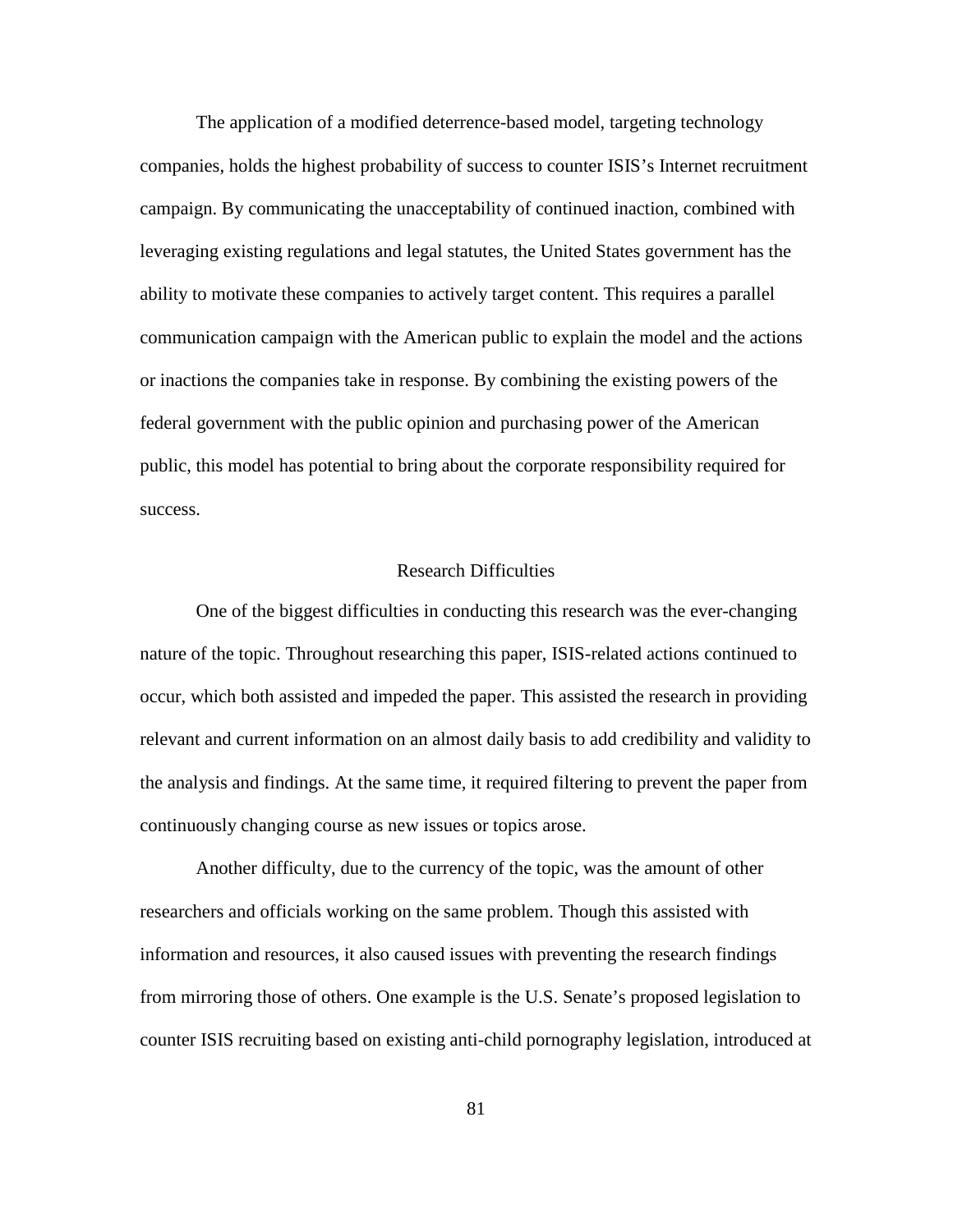The application of a modified deterrence-based model, targeting technology companies, holds the highest probability of success to counter ISIS's Internet recruitment campaign. By communicating the unacceptability of continued inaction, combined with leveraging existing regulations and legal statutes, the United States government has the ability to motivate these companies to actively target content. This requires a parallel communication campaign with the American public to explain the model and the actions or inactions the companies take in response. By combining the existing powers of the federal government with the public opinion and purchasing power of the American public, this model has potential to bring about the corporate responsibility required for success.

# Research Difficulties

One of the biggest difficulties in conducting this research was the ever-changing nature of the topic. Throughout researching this paper, ISIS-related actions continued to occur, which both assisted and impeded the paper. This assisted the research in providing relevant and current information on an almost daily basis to add credibility and validity to the analysis and findings. At the same time, it required filtering to prevent the paper from continuously changing course as new issues or topics arose.

Another difficulty, due to the currency of the topic, was the amount of other researchers and officials working on the same problem. Though this assisted with information and resources, it also caused issues with preventing the research findings from mirroring those of others. One example is the U.S. Senate's proposed legislation to counter ISIS recruiting based on existing anti-child pornography legislation, introduced at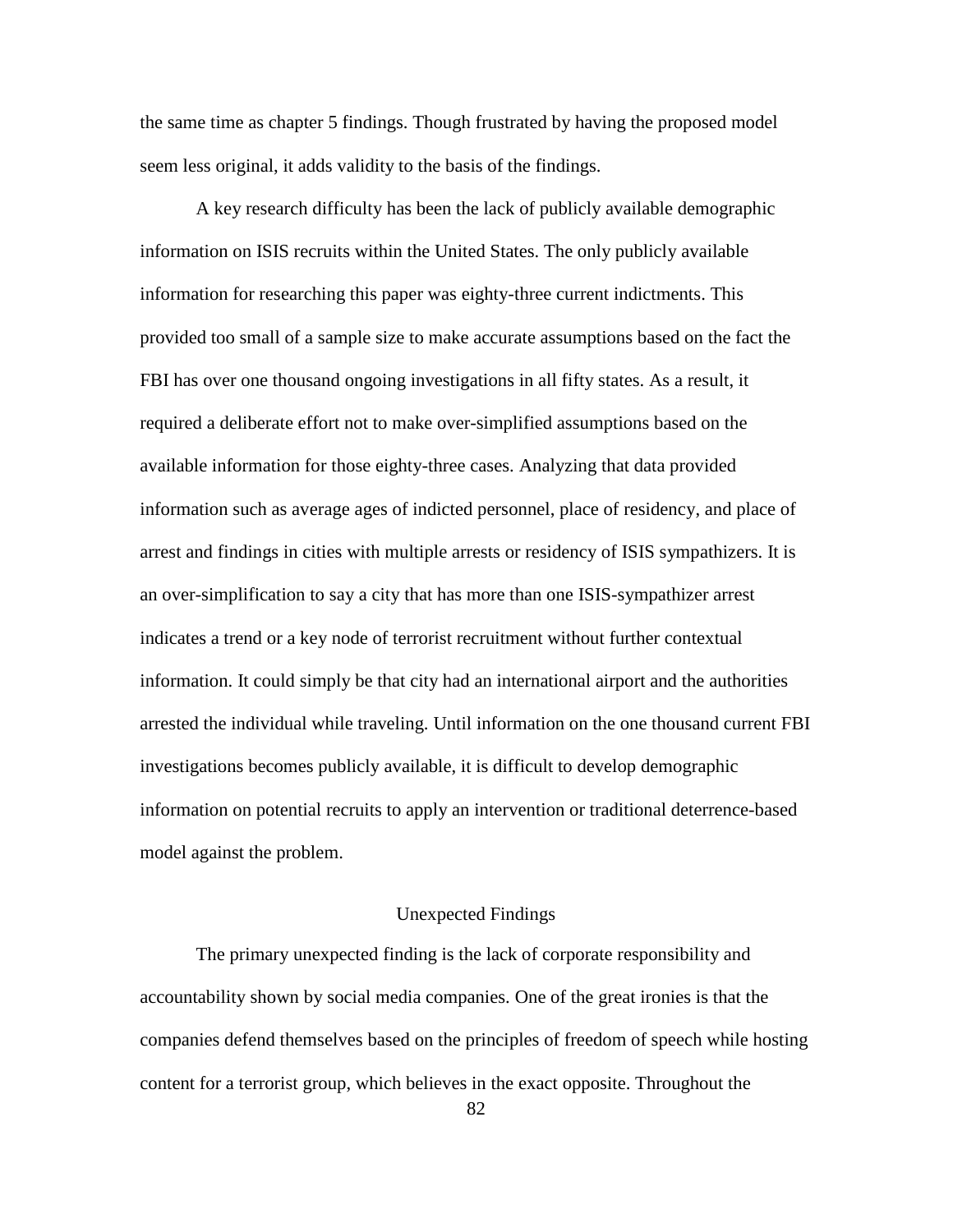the same time as chapter 5 findings. Though frustrated by having the proposed model seem less original, it adds validity to the basis of the findings.

A key research difficulty has been the lack of publicly available demographic information on ISIS recruits within the United States. The only publicly available information for researching this paper was eighty-three current indictments. This provided too small of a sample size to make accurate assumptions based on the fact the FBI has over one thousand ongoing investigations in all fifty states. As a result, it required a deliberate effort not to make over-simplified assumptions based on the available information for those eighty-three cases. Analyzing that data provided information such as average ages of indicted personnel, place of residency, and place of arrest and findings in cities with multiple arrests or residency of ISIS sympathizers. It is an over-simplification to say a city that has more than one ISIS-sympathizer arrest indicates a trend or a key node of terrorist recruitment without further contextual information. It could simply be that city had an international airport and the authorities arrested the individual while traveling. Until information on the one thousand current FBI investigations becomes publicly available, it is difficult to develop demographic information on potential recruits to apply an intervention or traditional deterrence-based model against the problem.

# Unexpected Findings

The primary unexpected finding is the lack of corporate responsibility and accountability shown by social media companies. One of the great ironies is that the companies defend themselves based on the principles of freedom of speech while hosting content for a terrorist group, which believes in the exact opposite. Throughout the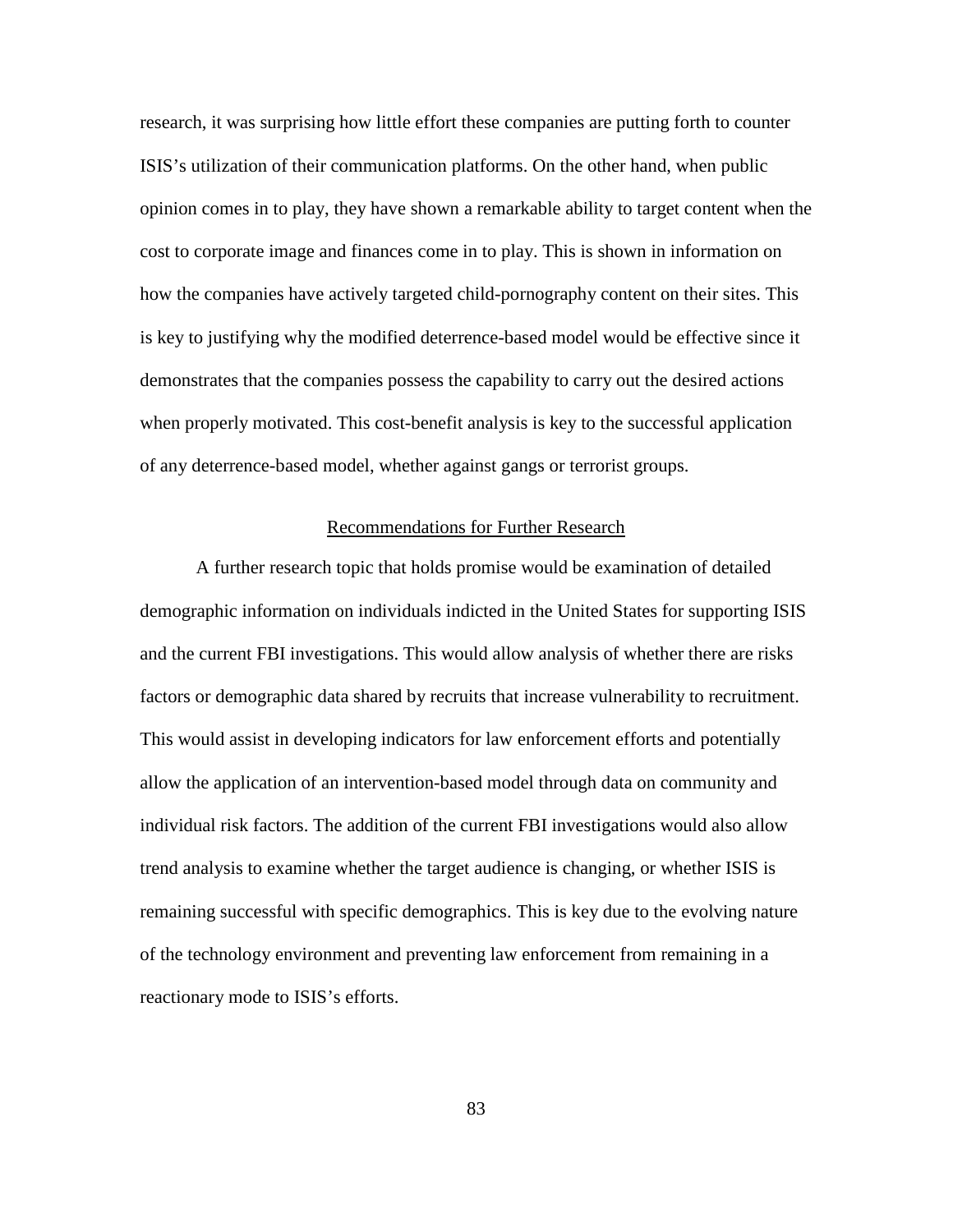research, it was surprising how little effort these companies are putting forth to counter ISIS's utilization of their communication platforms. On the other hand, when public opinion comes in to play, they have shown a remarkable ability to target content when the cost to corporate image and finances come in to play. This is shown in information on how the companies have actively targeted child-pornography content on their sites. This is key to justifying why the modified deterrence-based model would be effective since it demonstrates that the companies possess the capability to carry out the desired actions when properly motivated. This cost-benefit analysis is key to the successful application of any deterrence-based model, whether against gangs or terrorist groups.

#### Recommendations for Further Research

A further research topic that holds promise would be examination of detailed demographic information on individuals indicted in the United States for supporting ISIS and the current FBI investigations. This would allow analysis of whether there are risks factors or demographic data shared by recruits that increase vulnerability to recruitment. This would assist in developing indicators for law enforcement efforts and potentially allow the application of an intervention-based model through data on community and individual risk factors. The addition of the current FBI investigations would also allow trend analysis to examine whether the target audience is changing, or whether ISIS is remaining successful with specific demographics. This is key due to the evolving nature of the technology environment and preventing law enforcement from remaining in a reactionary mode to ISIS's efforts.

83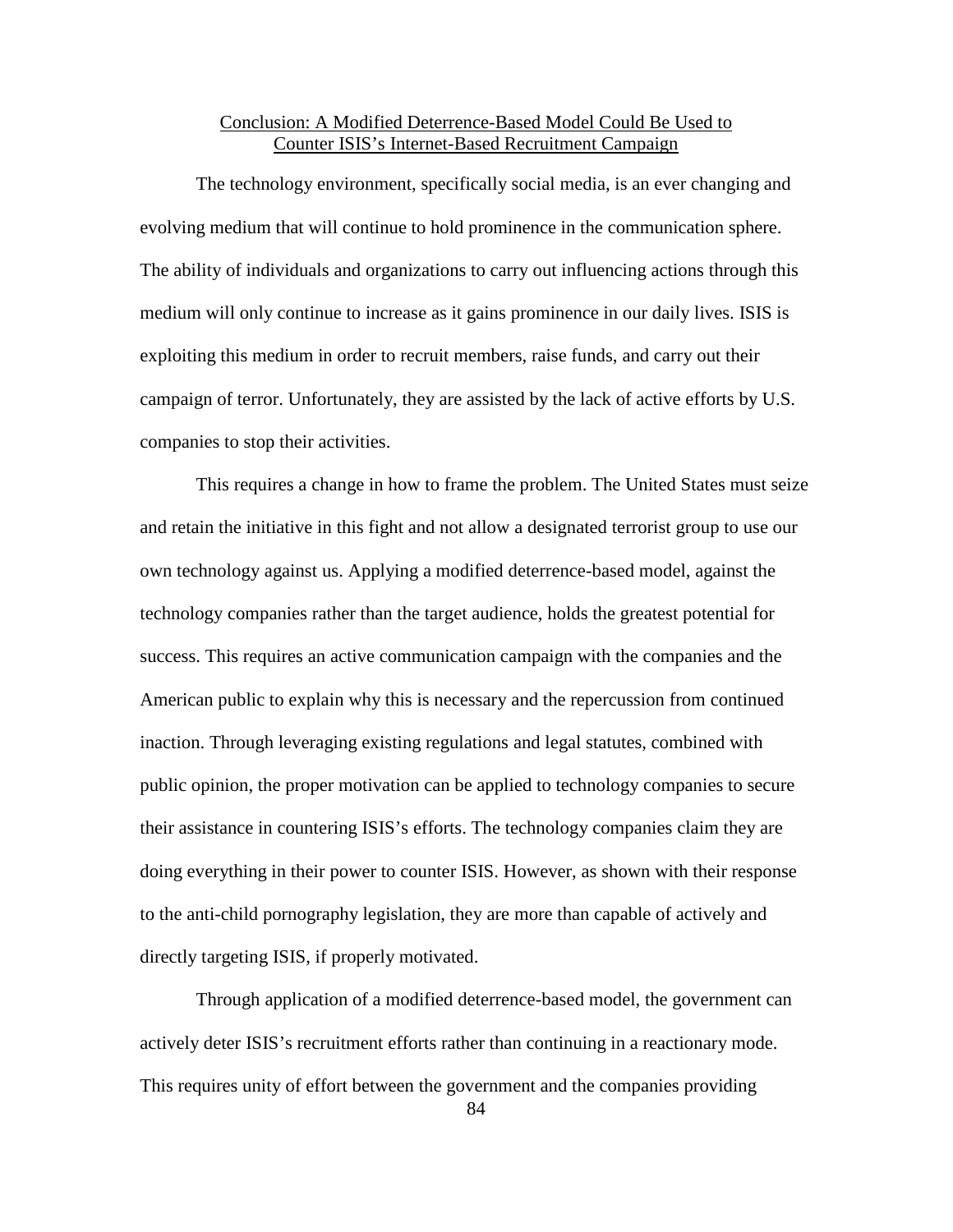# Conclusion: A Modified Deterrence-Based Model Could Be Used to Counter ISIS's Internet-Based Recruitment Campaign

The technology environment, specifically social media, is an ever changing and evolving medium that will continue to hold prominence in the communication sphere. The ability of individuals and organizations to carry out influencing actions through this medium will only continue to increase as it gains prominence in our daily lives. ISIS is exploiting this medium in order to recruit members, raise funds, and carry out their campaign of terror. Unfortunately, they are assisted by the lack of active efforts by U.S. companies to stop their activities.

This requires a change in how to frame the problem. The United States must seize and retain the initiative in this fight and not allow a designated terrorist group to use our own technology against us. Applying a modified deterrence-based model, against the technology companies rather than the target audience, holds the greatest potential for success. This requires an active communication campaign with the companies and the American public to explain why this is necessary and the repercussion from continued inaction. Through leveraging existing regulations and legal statutes, combined with public opinion, the proper motivation can be applied to technology companies to secure their assistance in countering ISIS's efforts. The technology companies claim they are doing everything in their power to counter ISIS. However, as shown with their response to the anti-child pornography legislation, they are more than capable of actively and directly targeting ISIS, if properly motivated.

Through application of a modified deterrence-based model, the government can actively deter ISIS's recruitment efforts rather than continuing in a reactionary mode. This requires unity of effort between the government and the companies providing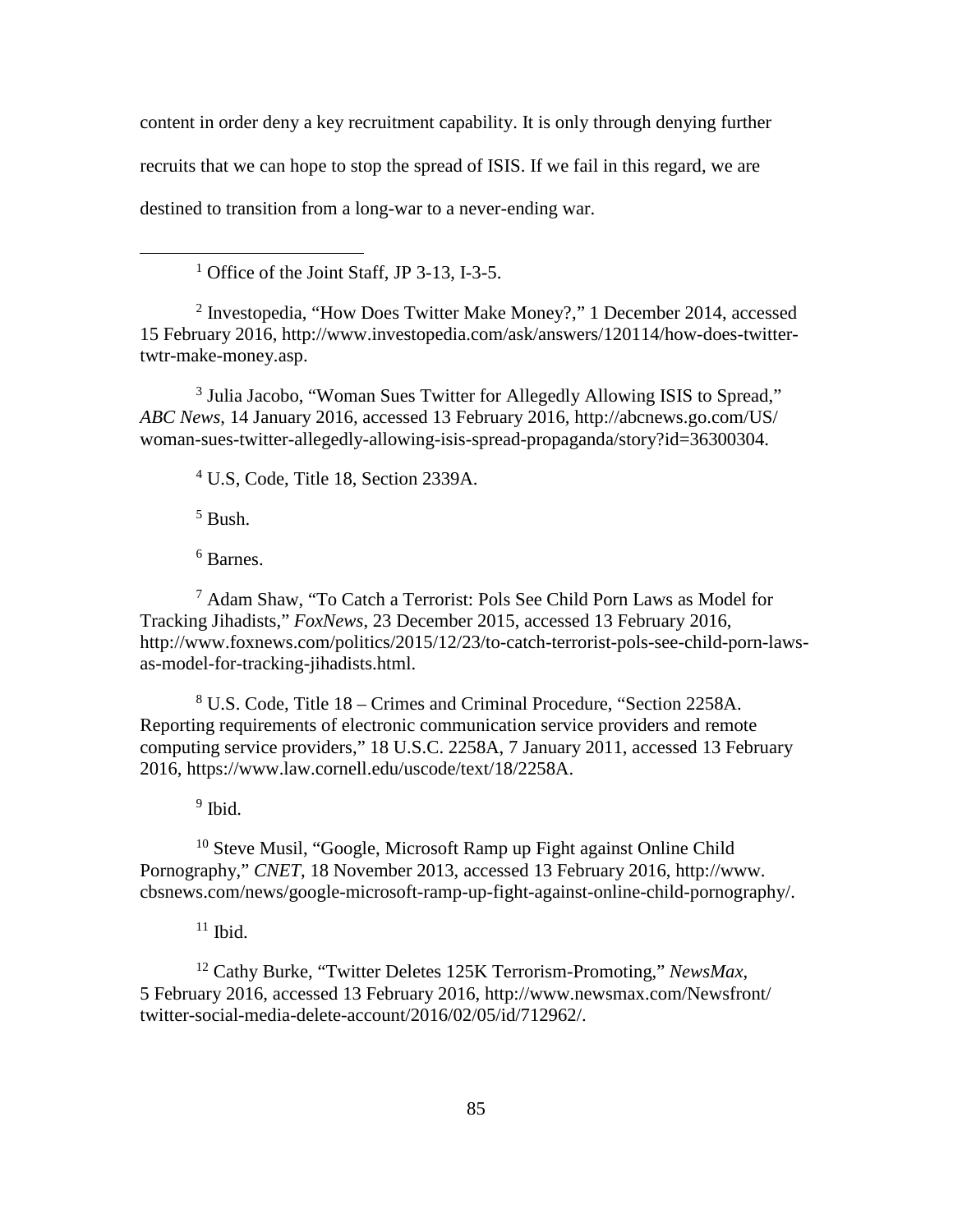content in order deny a key recruitment capability. It is only through denying further recruits that we can hope to stop the spread of ISIS. If we fail in this regard, we are destined to transition from a long-war to a never-ending war.

<sup>1</sup> Office of the Joint Staff, JP 3-13, I-3-5.

<sup>2</sup> Investopedia, "How Does Twitter Make Money?," 1 December 2014, accessed 15 February 2016, http://www.investopedia.com/ask/answers/120114/how-does-twittertwtr-make-money.asp.

<sup>3</sup> Julia Jacobo, "Woman Sues Twitter for Allegedly Allowing ISIS to Spread," *ABC News*, 14 January 2016, accessed 13 February 2016, http://abcnews.go.com/US/ woman-sues-twitter-allegedly-allowing-isis-spread-propaganda/story?id=36300304.

<sup>4</sup> U.S, Code, Title 18, Section 2339A.

 $<sup>5</sup>$  Bush.</sup>

 $\overline{a}$ 

<sup>6</sup> Barnes.

<sup>7</sup> Adam Shaw, "To Catch a Terrorist: Pols See Child Porn Laws as Model for Tracking Jihadists," *FoxNews*, 23 December 2015, accessed 13 February 2016, http://www.foxnews.com/politics/2015/12/23/to-catch-terrorist-pols-see-child-porn-lawsas-model-for-tracking-jihadists.html.

<sup>8</sup> U.S. Code, Title 18 – Crimes and Criminal Procedure, "Section 2258A. Reporting requirements of electronic communication service providers and remote computing service providers," 18 U.S.C. 2258A, 7 January 2011, accessed 13 February 2016, https://www.law.cornell.edu/uscode/text/18/2258A.

 $9$  Ibid.

 $10$  Steve Musil, "Google, Microsoft Ramp up Fight against Online Child Pornography," *CNET*, 18 November 2013, accessed 13 February 2016, http://www. cbsnews.com/news/google-microsoft-ramp-up-fight-against-online-child-pornography/.

 $11$  Ibid.

<sup>12</sup> Cathy Burke, "Twitter Deletes 125K Terrorism-Promoting," *NewsMax*, 5 February 2016, accessed 13 February 2016, http://www.newsmax.com/Newsfront/ twitter-social-media-delete-account/2016/02/05/id/712962/.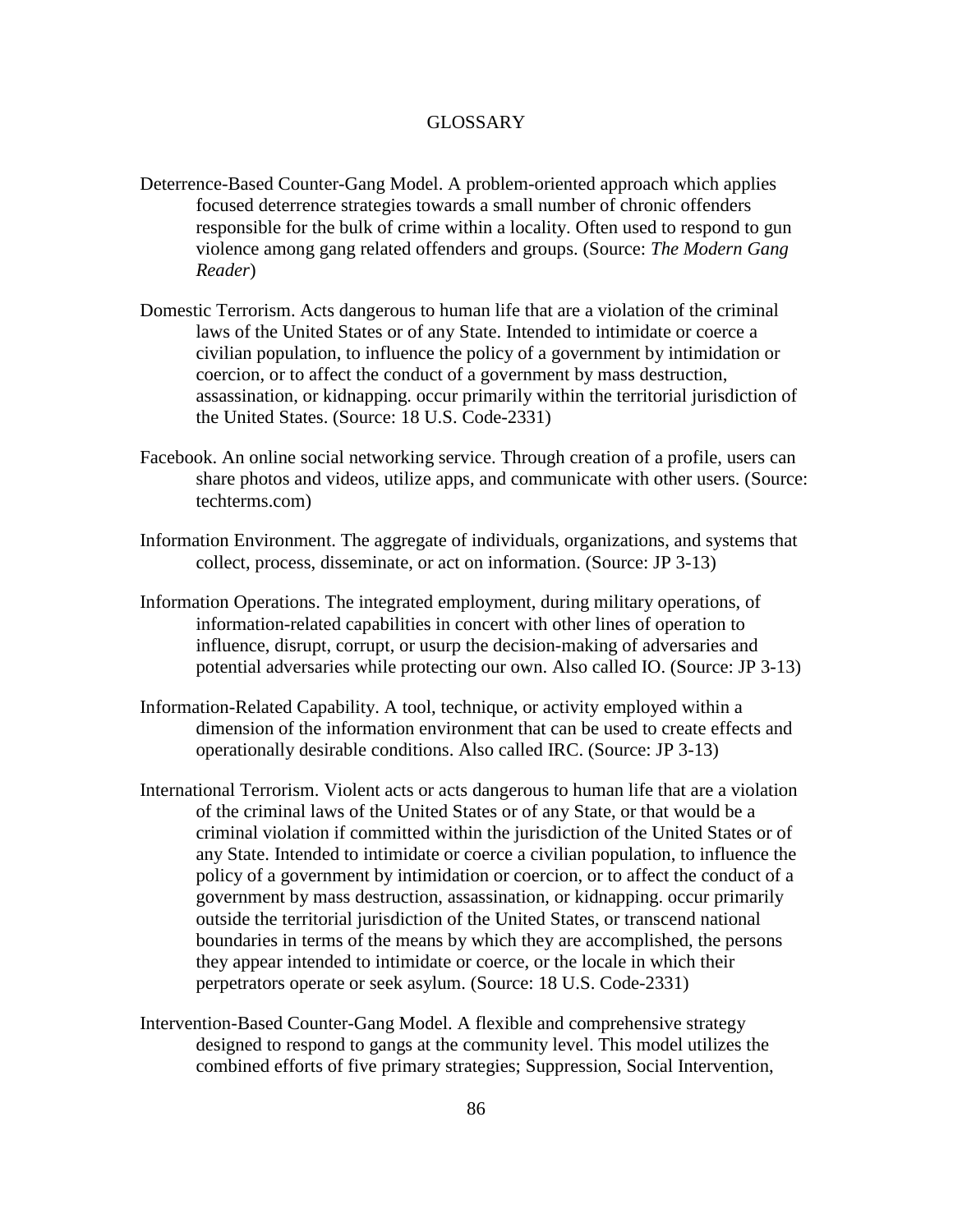# **GLOSSARY**

- Deterrence-Based Counter-Gang Model. A problem-oriented approach which applies focused deterrence strategies towards a small number of chronic offenders responsible for the bulk of crime within a locality. Often used to respond to gun violence among gang related offenders and groups. (Source: *The Modern Gang Reader*)
- Domestic Terrorism. Acts dangerous to human life that are a violation of the criminal laws of the United States or of any State. Intended to intimidate or coerce a civilian population, to influence the policy of a government by intimidation or coercion, or to affect the conduct of a government by mass destruction, assassination, or kidnapping. occur primarily within the territorial jurisdiction of the United States. (Source: 18 U.S. Code-2331)
- Facebook. An online social networking service. Through creation of a profile, users can share photos and videos, utilize apps, and communicate with other users. (Source: techterms.com)
- Information Environment. The aggregate of individuals, organizations, and systems that collect, process, disseminate, or act on information. (Source: JP 3-13)
- Information Operations. The integrated employment, during military operations, of information-related capabilities in concert with other lines of operation to influence, disrupt, corrupt, or usurp the decision-making of adversaries and potential adversaries while protecting our own. Also called IO. (Source: JP 3-13)
- Information-Related Capability. A tool, technique, or activity employed within a dimension of the information environment that can be used to create effects and operationally desirable conditions. Also called IRC. (Source: JP 3-13)
- International Terrorism. Violent acts or acts dangerous to human life that are a violation of the criminal laws of the United States or of any State, or that would be a criminal violation if committed within the jurisdiction of the United States or of any State. Intended to intimidate or coerce a civilian population, to influence the policy of a government by intimidation or coercion, or to affect the conduct of a government by mass destruction, assassination, or kidnapping. occur primarily outside the territorial jurisdiction of the United States, or transcend national boundaries in terms of the means by which they are accomplished, the persons they appear intended to intimidate or coerce, or the locale in which their perpetrators operate or seek asylum. (Source: 18 U.S. Code-2331)
- Intervention-Based Counter-Gang Model. A flexible and comprehensive strategy designed to respond to gangs at the community level. This model utilizes the combined efforts of five primary strategies; Suppression, Social Intervention,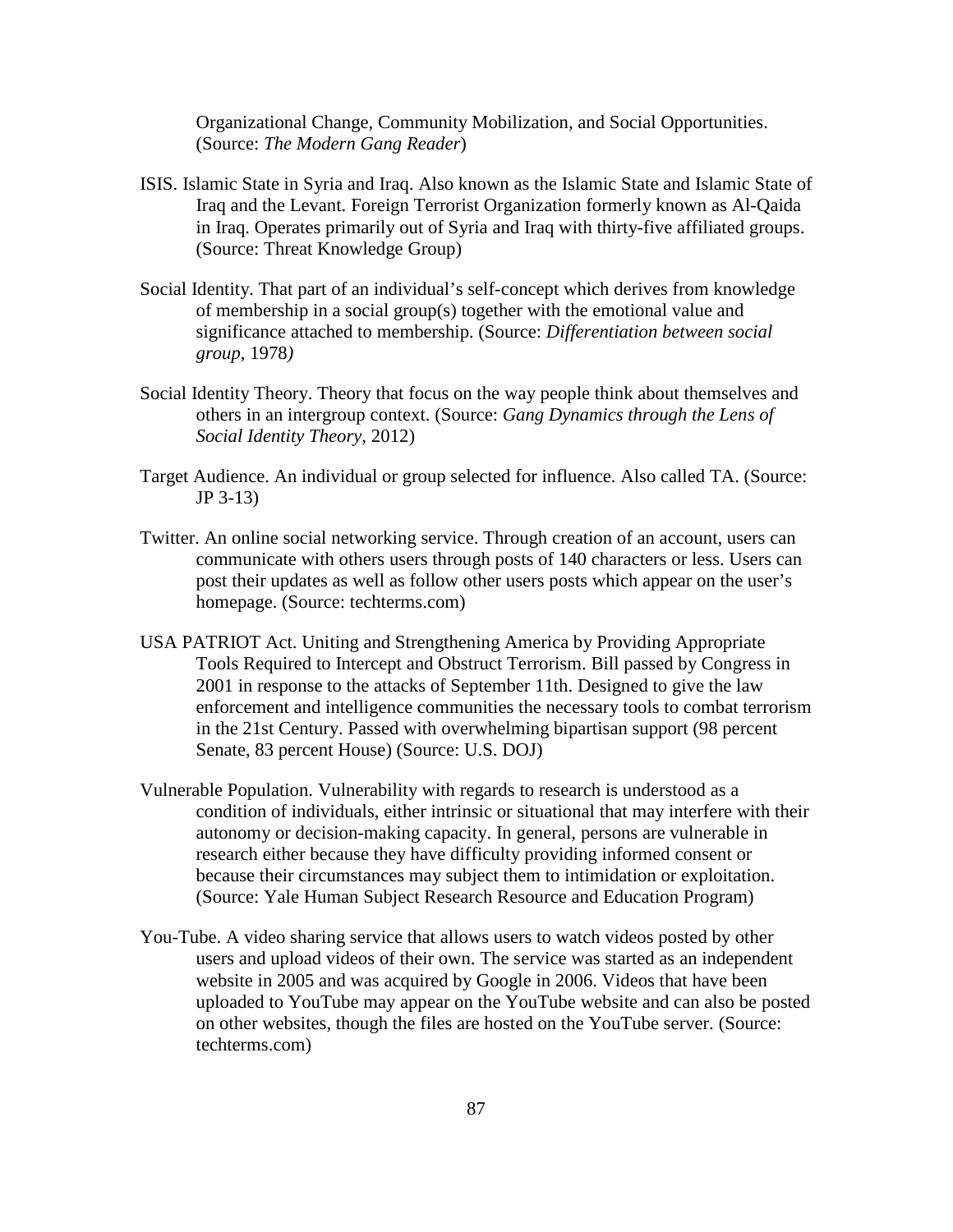Organizational Change, Community Mobilization, and Social Opportunities. (Source: *The Modern Gang Reader*)

- ISIS. Islamic State in Syria and Iraq. Also known as the Islamic State and Islamic State of Iraq and the Levant. Foreign Terrorist Organization formerly known as Al-Qaida in Iraq. Operates primarily out of Syria and Iraq with thirty-five affiliated groups. (Source: Threat Knowledge Group)
- Social Identity. That part of an individual's self-concept which derives from knowledge of membership in a social group(s) together with the emotional value and significance attached to membership. (Source: *Differentiation between social group,* 1978*)*
- Social Identity Theory. Theory that focus on the way people think about themselves and others in an intergroup context. (Source: *Gang Dynamics through the Lens of Social Identity Theory,* 2012)
- Target Audience. An individual or group selected for influence. Also called TA. (Source: JP 3-13)
- Twitter. An online social networking service. Through creation of an account, users can communicate with others users through posts of 140 characters or less. Users can post their updates as well as follow other users posts which appear on the user's homepage. (Source: techterms.com)
- USA PATRIOT Act. Uniting and Strengthening America by Providing Appropriate Tools Required to Intercept and Obstruct Terrorism. Bill passed by Congress in 2001 in response to the attacks of September 11th. Designed to give the law enforcement and intelligence communities the necessary tools to combat terrorism in the 21st Century. Passed with overwhelming bipartisan support (98 percent Senate, 83 percent House) (Source: U.S. DOJ)
- Vulnerable Population. Vulnerability with regards to research is understood as a condition of individuals, either intrinsic or situational that may interfere with their autonomy or decision-making capacity. In general, persons are vulnerable in research either because they have difficulty providing informed consent or because their circumstances may subject them to intimidation or exploitation. (Source: Yale Human Subject Research Resource and Education Program)
- You-Tube. A video sharing service that allows users to watch videos posted by other users and upload videos of their own. The service was started as an independent website in 2005 and was acquired by Google in 2006. Videos that have been uploaded to YouTube may appear on the YouTube website and can also be posted on other websites, though the files are hosted on the YouTube server. (Source: techterms.com)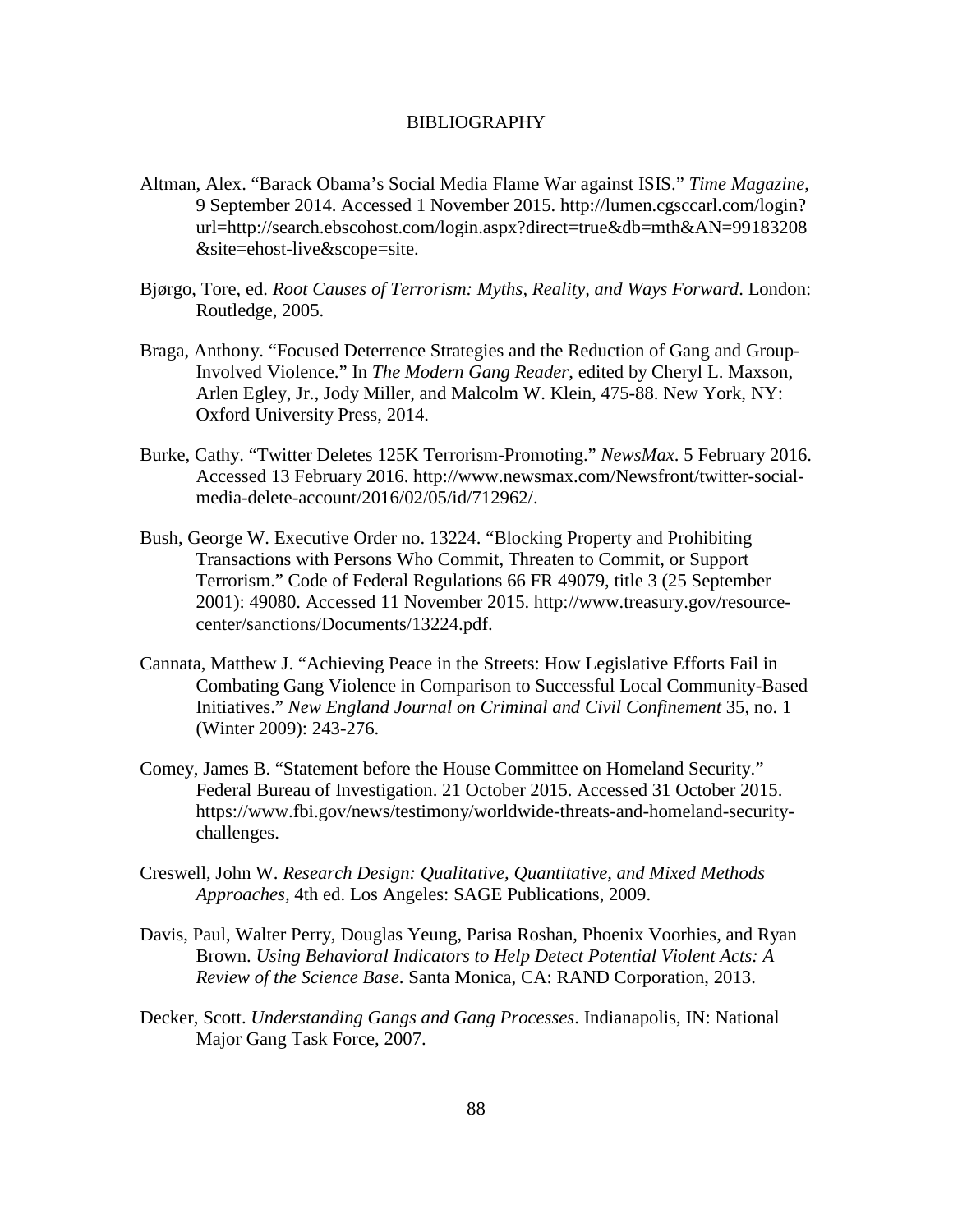### BIBLIOGRAPHY

- Altman, Alex. "Barack Obama's Social Media Flame War against ISIS." *Time Magazine*, 9 September 2014. Accessed 1 November 2015. http://lumen.cgsccarl.com/login? url=http://search.ebscohost.com/login.aspx?direct=true&db=mth&AN=99183208 &site=ehost-live&scope=site.
- Bjørgo, Tore, ed. *Root Causes of Terrorism: Myths, Reality, and Ways Forward*. London: Routledge, 2005.
- Braga, Anthony. "Focused Deterrence Strategies and the Reduction of Gang and Group-Involved Violence." In *The Modern Gang Reader*, edited by Cheryl L. Maxson, Arlen Egley, Jr., Jody Miller, and Malcolm W. Klein, 475-88. New York, NY: Oxford University Press, 2014.
- Burke, Cathy. "Twitter Deletes 125K Terrorism-Promoting." *NewsMax*. 5 February 2016. Accessed 13 February 2016. http://www.newsmax.com/Newsfront/twitter-socialmedia-delete-account/2016/02/05/id/712962/.
- Bush, George W. Executive Order no. 13224. "Blocking Property and Prohibiting Transactions with Persons Who Commit, Threaten to Commit, or Support Terrorism." Code of Federal Regulations 66 FR 49079, title 3 (25 September 2001): 49080. Accessed 11 November 2015. http://www.treasury.gov/resourcecenter/sanctions/Documents/13224.pdf.
- Cannata, Matthew J. "Achieving Peace in the Streets: How Legislative Efforts Fail in Combating Gang Violence in Comparison to Successful Local Community-Based Initiatives." *New England Journal on Criminal and Civil Confinement* 35, no. 1 (Winter 2009): 243-276.
- Comey, James B. "Statement before the House Committee on Homeland Security." Federal Bureau of Investigation. 21 October 2015. Accessed 31 October 2015. https://www.fbi.gov/news/testimony/worldwide-threats-and-homeland-securitychallenges.
- Creswell, John W. *Research Design: Qualitative, Quantitative, and Mixed Methods Approaches,* 4th ed. Los Angeles: SAGE Publications, 2009.
- Davis, Paul, Walter Perry, Douglas Yeung, Parisa Roshan, Phoenix Voorhies, and Ryan Brown. *Using Behavioral Indicators to Help Detect Potential Violent Acts: A Review of the Science Base*. Santa Monica, CA: RAND Corporation, 2013.
- Decker, Scott. *Understanding Gangs and Gang Processes*. Indianapolis, IN: National Major Gang Task Force, 2007.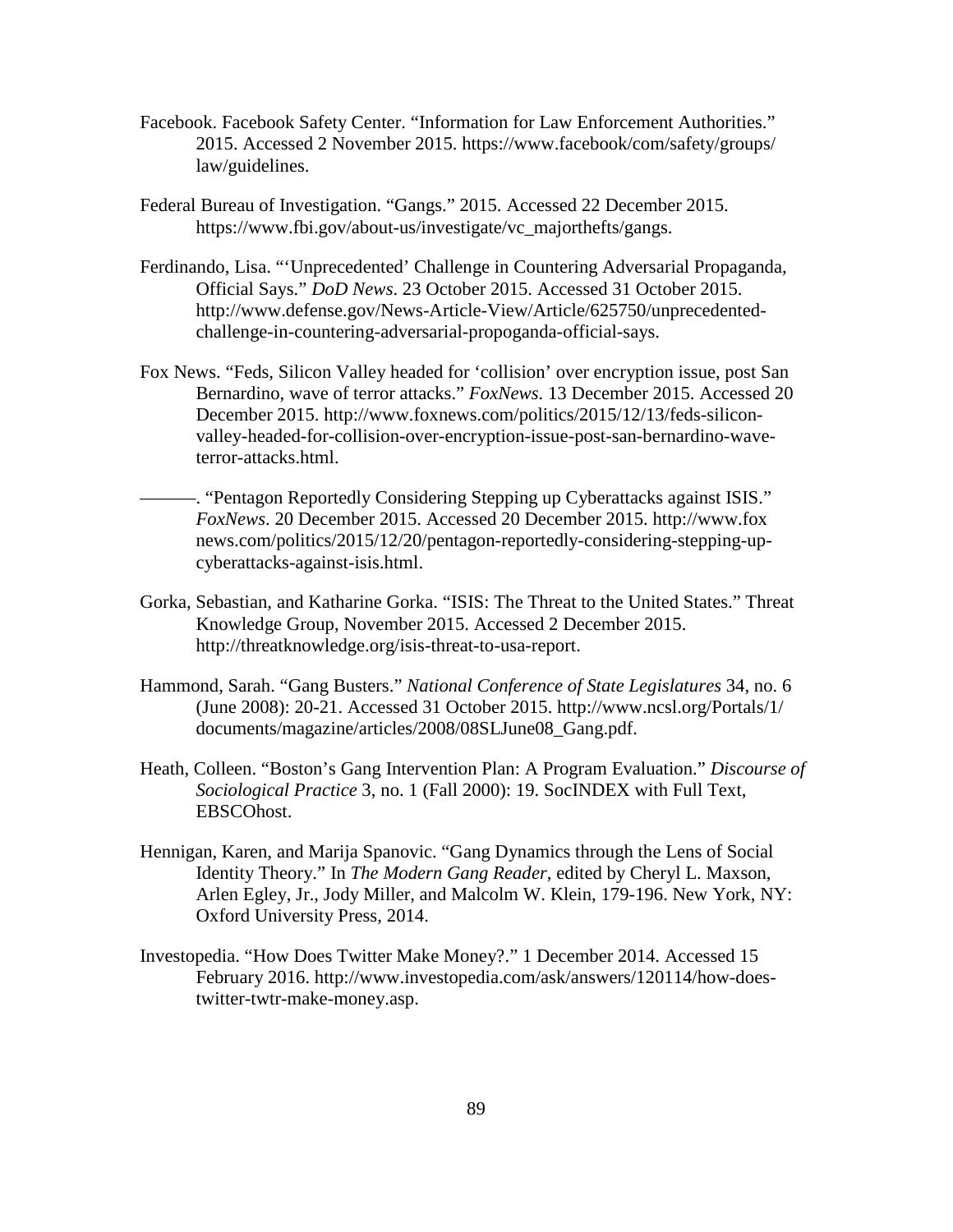- Facebook. Facebook Safety Center. "Information for Law Enforcement Authorities." 2015. Accessed 2 November 2015. https://www.facebook/com/safety/groups/ law/guidelines.
- Federal Bureau of Investigation. "Gangs." 2015. Accessed 22 December 2015. https://www.fbi.gov/about-us/investigate/vc\_majorthefts/gangs.
- Ferdinando, Lisa. "'Unprecedented' Challenge in Countering Adversarial Propaganda, Official Says." *DoD News*. 23 October 2015. Accessed 31 October 2015. http://www.defense.gov/News-Article-View/Article/625750/unprecedentedchallenge-in-countering-adversarial-propoganda-official-says.
- Fox News. "Feds, Silicon Valley headed for 'collision' over encryption issue, post San Bernardino, wave of terror attacks." *FoxNews*. 13 December 2015. Accessed 20 December 2015. http://www.foxnews.com/politics/2015/12/13/feds-siliconvalley-headed-for-collision-over-encryption-issue-post-san-bernardino-waveterror-attacks.html.
	- –. "Pentagon Reportedly Considering Stepping up Cyberattacks against ISIS." *FoxNews*. 20 December 2015. Accessed 20 December 2015. http://www.fox news.com/politics/2015/12/20/pentagon-reportedly-considering-stepping-upcyberattacks-against-isis.html.
- Gorka, Sebastian, and Katharine Gorka. "ISIS: The Threat to the United States." Threat Knowledge Group, November 2015. Accessed 2 December 2015. http://threatknowledge.org/isis-threat-to-usa-report.
- Hammond, Sarah. "Gang Busters." *National Conference of State Legislatures* 34, no. 6 (June 2008): 20-21. Accessed 31 October 2015. http://www.ncsl.org/Portals/1/ documents/magazine/articles/2008/08SLJune08\_Gang.pdf.
- Heath, Colleen. "Boston's Gang Intervention Plan: A Program Evaluation." *Discourse of Sociological Practice* 3, no. 1 (Fall 2000): 19. SocINDEX with Full Text, EBSCOhost.
- Hennigan, Karen, and Marija Spanovic. "Gang Dynamics through the Lens of Social Identity Theory." In *The Modern Gang Reader*, edited by Cheryl L. Maxson, Arlen Egley, Jr., Jody Miller, and Malcolm W. Klein, 179-196. New York, NY: Oxford University Press, 2014.
- Investopedia. "How Does Twitter Make Money?." 1 December 2014. Accessed 15 February 2016. http://www.investopedia.com/ask/answers/120114/how-doestwitter-twtr-make-money.asp.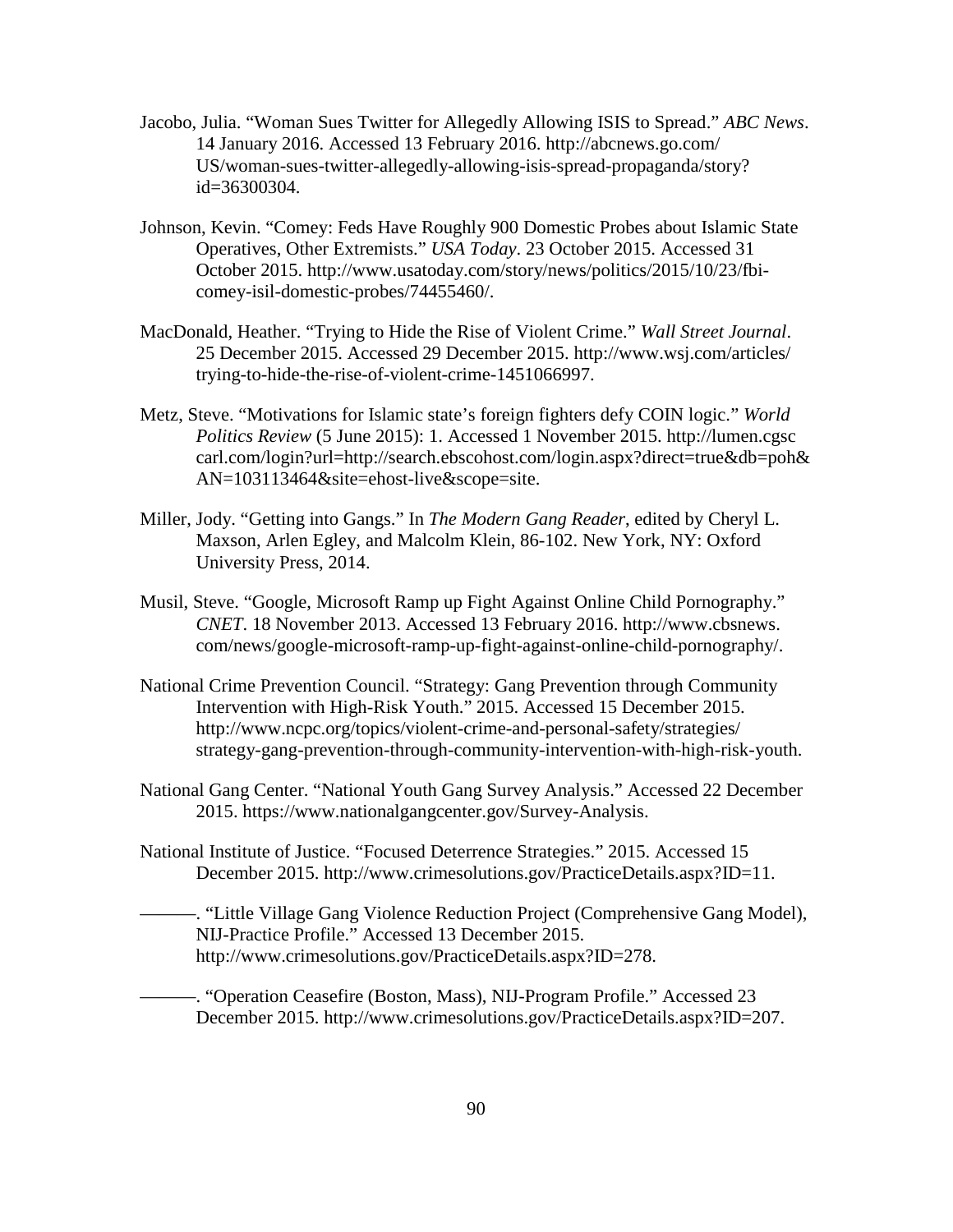- Jacobo, Julia. "Woman Sues Twitter for Allegedly Allowing ISIS to Spread." *ABC News*. 14 January 2016. Accessed 13 February 2016. http://abcnews.go.com/ US/woman-sues-twitter-allegedly-allowing-isis-spread-propaganda/story? id=36300304.
- Johnson, Kevin. "Comey: Feds Have Roughly 900 Domestic Probes about Islamic State Operatives, Other Extremists." *USA Today*. 23 October 2015. Accessed 31 October 2015. http://www.usatoday.com/story/news/politics/2015/10/23/fbicomey-isil-domestic-probes/74455460/.
- MacDonald, Heather. "Trying to Hide the Rise of Violent Crime." *Wall Street Journal*. 25 December 2015. Accessed 29 December 2015. http://www.wsj.com/articles/ trying-to-hide-the-rise-of-violent-crime-1451066997.
- Metz, Steve. "Motivations for Islamic state's foreign fighters defy COIN logic." *World Politics Review* (5 June 2015): 1. Accessed 1 November 2015. http://lumen.cgsc carl.com/login?url=http://search.ebscohost.com/login.aspx?direct=true&db=poh& AN=103113464&site=ehost-live&scope=site.
- Miller, Jody. "Getting into Gangs." In *The Modern Gang Reader*, edited by Cheryl L. Maxson, Arlen Egley, and Malcolm Klein, 86-102. New York, NY: Oxford University Press, 2014.
- Musil, Steve. "Google, Microsoft Ramp up Fight Against Online Child Pornography." *CNET*. 18 November 2013. Accessed 13 February 2016. http://www.cbsnews. com/news/google-microsoft-ramp-up-fight-against-online-child-pornography/.
- National Crime Prevention Council. "Strategy: Gang Prevention through Community Intervention with High-Risk Youth." 2015. Accessed 15 December 2015. http://www.ncpc.org/topics/violent-crime-and-personal-safety/strategies/ strategy-gang-prevention-through-community-intervention-with-high-risk-youth.
- National Gang Center. "National Youth Gang Survey Analysis." Accessed 22 December 2015. https://www.nationalgangcenter.gov/Survey-Analysis.
- National Institute of Justice. "Focused Deterrence Strategies." 2015. Accessed 15 December 2015. http://www.crimesolutions.gov/PracticeDetails.aspx?ID=11.
	- ———. "Little Village Gang Violence Reduction Project (Comprehensive Gang Model), NIJ-Practice Profile." Accessed 13 December 2015. http://www.crimesolutions.gov/PracticeDetails.aspx?ID=278.
		- ———. "Operation Ceasefire (Boston, Mass), NIJ-Program Profile." Accessed 23 December 2015. http://www.crimesolutions.gov/PracticeDetails.aspx?ID=207.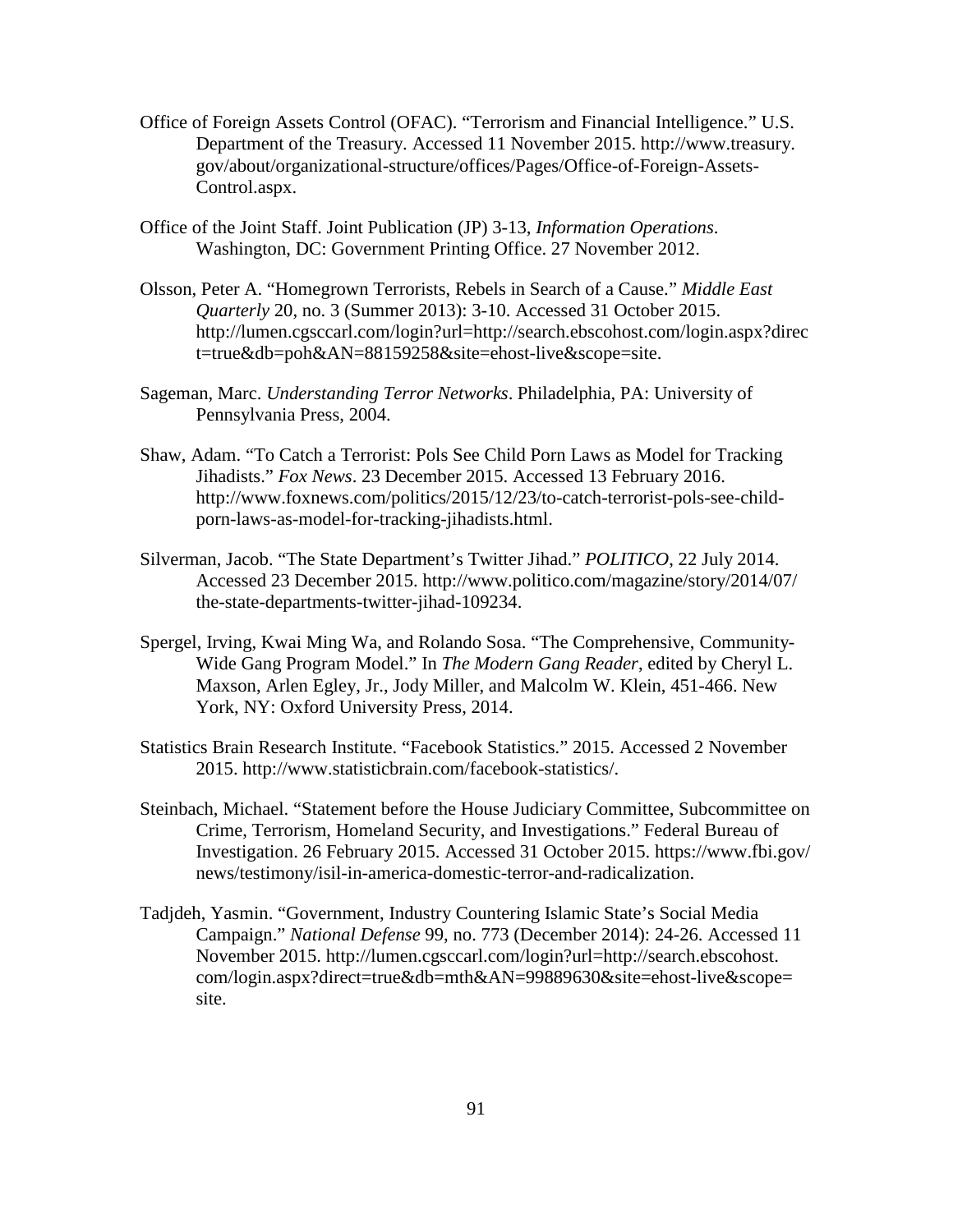- Office of Foreign Assets Control (OFAC). "Terrorism and Financial Intelligence." U.S. Department of the Treasury. Accessed 11 November 2015. http://www.treasury. gov/about/organizational-structure/offices/Pages/Office-of-Foreign-Assets-Control.aspx.
- Office of the Joint Staff. Joint Publication (JP) 3-13, *Information Operations*. Washington, DC: Government Printing Office. 27 November 2012.
- Olsson, Peter A. "Homegrown Terrorists, Rebels in Search of a Cause." *Middle East Quarterly* 20, no. 3 (Summer 2013): 3-10. Accessed 31 October 2015. http://lumen.cgsccarl.com/login?url=http://search.ebscohost.com/login.aspx?direc t=true&db=poh&AN=88159258&site=ehost-live&scope=site.
- Sageman, Marc. *Understanding Terror Networks*. Philadelphia, PA: University of Pennsylvania Press, 2004.
- Shaw, Adam. "To Catch a Terrorist: Pols See Child Porn Laws as Model for Tracking Jihadists." *Fox News*. 23 December 2015. Accessed 13 February 2016. http://www.foxnews.com/politics/2015/12/23/to-catch-terrorist-pols-see-childporn-laws-as-model-for-tracking-jihadists.html.
- Silverman, Jacob. "The State Department's Twitter Jihad." *POLITICO*, 22 July 2014. Accessed 23 December 2015. http://www.politico.com/magazine/story/2014/07/ the-state-departments-twitter-jihad-109234.
- Spergel, Irving, Kwai Ming Wa, and Rolando Sosa. "The Comprehensive, Community-Wide Gang Program Model." In *The Modern Gang Reader*, edited by Cheryl L. Maxson, Arlen Egley, Jr., Jody Miller, and Malcolm W. Klein, 451-466. New York, NY: Oxford University Press, 2014.
- Statistics Brain Research Institute. "Facebook Statistics." 2015. Accessed 2 November 2015. http://www.statisticbrain.com/facebook-statistics/.
- Steinbach, Michael. "Statement before the House Judiciary Committee, Subcommittee on Crime, Terrorism, Homeland Security, and Investigations." Federal Bureau of Investigation. 26 February 2015. Accessed 31 October 2015. https://www.fbi.gov/ news/testimony/isil-in-america-domestic-terror-and-radicalization.
- Tadjdeh, Yasmin. "Government, Industry Countering Islamic State's Social Media Campaign." *National Defense* 99, no. 773 (December 2014): 24-26. Accessed 11 November 2015. http://lumen.cgsccarl.com/login?url=http://search.ebscohost. com/login.aspx?direct=true&db=mth&AN=99889630&site=ehost-live&scope= site.